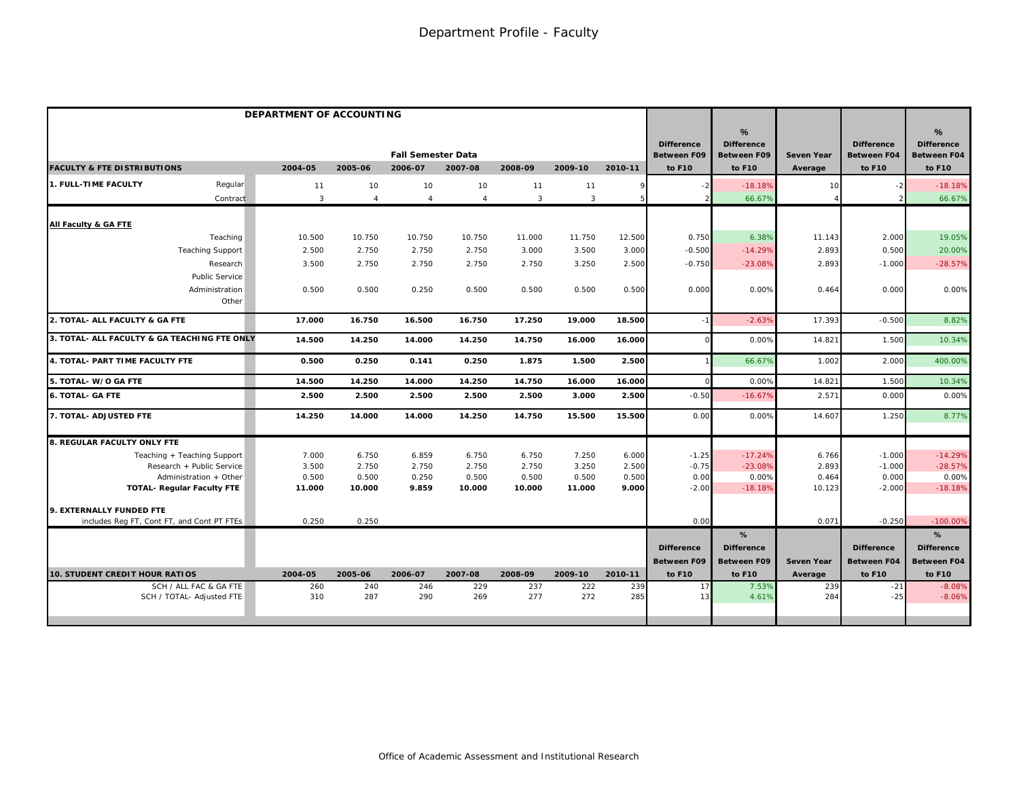|                                                     | DEPARTMENT OF ACCOUNTING |                |                           |                |                |              |            |                                         |                                              |                   |                                         |                                              |
|-----------------------------------------------------|--------------------------|----------------|---------------------------|----------------|----------------|--------------|------------|-----------------------------------------|----------------------------------------------|-------------------|-----------------------------------------|----------------------------------------------|
|                                                     |                          |                | <b>Fall Semester Data</b> |                |                |              |            | <b>Difference</b><br><b>Between F09</b> | %<br><b>Difference</b><br><b>Between F09</b> | <b>Seven Year</b> | <b>Difference</b><br><b>Between F04</b> | %<br><b>Difference</b><br><b>Between F04</b> |
| <b>FACULTY &amp; FTE DISTRIBUTIONS</b>              | 2004-05                  | 2005-06        | 2006-07                   | 2007-08        | 2008-09        | 2009-10      | 2010-11    | to F10                                  | to F10                                       | Average           | to F10                                  | to F10                                       |
| <b>1. FULL-TIME FACULTY</b><br>Regular              | 11                       | 10             | 10                        | 10             | 11             | 11           |            |                                         | $-18.18%$                                    | 10                |                                         | $-18.18%$                                    |
| Contract                                            | $\mathbf{3}$             | $\overline{4}$ | $\overline{4}$            | $\overline{4}$ | $\overline{3}$ | $\mathbf{3}$ |            |                                         | 66.67%                                       |                   |                                         | 66.67%                                       |
| All Faculty & GA FTE                                |                          |                |                           |                |                |              |            |                                         |                                              |                   |                                         |                                              |
| Teaching                                            | 10.500                   | 10.750         | 10.750                    | 10.750         | 11.000         | 11.750       | 12.500     | 0.750                                   | 6.38%                                        | 11.143            | 2.000                                   | 19.05%                                       |
| <b>Teaching Support</b>                             | 2.500                    | 2.750          | 2.750                     | 2.750          | 3.000          | 3.500        | 3.000      | $-0.500$                                | $-14.29%$                                    | 2.893             | 0.500                                   | 20.00%                                       |
| Research                                            | 3.500                    | 2.750          | 2.750                     | 2.750          | 2.750          | 3.250        | 2.500      | $-0.750$                                | $-23.08%$                                    | 2.893             | $-1.000$                                | $-28.57%$                                    |
| Public Service                                      |                          |                |                           |                |                |              |            |                                         |                                              |                   |                                         |                                              |
| Administration                                      | 0.500                    | 0.500          | 0.250                     | 0.500          | 0.500          | 0.500        | 0.500      | 0.00C                                   | 0.00%                                        | 0.464             | 0.000                                   | 0.00%                                        |
| Other                                               |                          |                |                           |                |                |              |            |                                         |                                              |                   |                                         |                                              |
| 2. TOTAL- ALL FACULTY & GA FTE                      | 17.000                   | 16.750         | 16.500                    | 16.750         | 17.250         | 19.000       | 18.500     | $-1$                                    | $-2.63%$                                     | 17.393            | $-0.500$                                | 8.82%                                        |
| 3. TOTAL- ALL FACULTY & GA TEACHING FTE ONLY        | 14.500                   | 14.250         | 14.000                    | 14.250         | 14.750         | 16.000       | 16.000     |                                         | 0.00%                                        | 14.821            | 1.500                                   | 10.34%                                       |
| 4. TOTAL- PART TIME FACULTY FTE                     | 0.500                    | 0.250          | 0.141                     | 0.250          | 1.875          | 1.500        | 2.500      |                                         | 66.67%                                       | 1.002             | 2.000                                   | 400.00%                                      |
| 5. TOTAL-W/O GA FTE                                 | 14.500                   | 14.250         | 14.000                    | 14.250         | 14.750         | 16.000       | 16.000     | $\Omega$                                | 0.00%                                        | 14.82             | 1.500                                   | 10.34%                                       |
| <b>6. TOTAL- GA FTE</b>                             | 2.500                    | 2.500          | 2.500                     | 2.500          | 2.500          | 3.000        | 2.500      | $-0.50$                                 | $-16.67%$                                    | 2.571             | 0.000                                   | 0.00%                                        |
| 7. TOTAL- ADJUSTED FTE                              | 14.250                   | 14.000         | 14.000                    | 14.250         | 14.750         | 15.500       | 15.500     | 0.00                                    | 0.00%                                        | 14.607            | 1.250                                   | 8.77%                                        |
| 8. REGULAR FACULTY ONLY FTE                         |                          |                |                           |                |                |              |            |                                         |                                              |                   |                                         |                                              |
| Teaching + Teaching Support                         | 7.000                    | 6.750          | 6.859                     | 6.750          | 6.750          | 7.250        | 6.000      | $-1.25$                                 | $-17.24%$                                    | 6.766             | $-1.000$                                | $-14.29%$                                    |
| Research + Public Service                           | 3.500                    | 2.750          | 2.750                     | 2.750          | 2.750          | 3.250        | 2.500      | $-0.75$                                 | $-23.08%$                                    | 2.893             | $-1.000$                                | $-28.57%$                                    |
| Administration + Other                              | 0.500                    | 0.500          | 0.250                     | 0.500          | 0.500          | 0.500        | 0.500      | 0.00                                    | 0.00%                                        | 0.464             | 0.000                                   | 0.00%                                        |
| <b>TOTAL- Regular Faculty FTE</b>                   | 11.000                   | 10.000         | 9.859                     | 10.000         | 10.000         | 11.000       | 9.000      | $-2.00$                                 | $-18.18%$                                    | 10.123            | $-2.000$                                | $-18.18%$                                    |
| 9. EXTERNALLY FUNDED FTE                            |                          |                |                           |                |                |              |            |                                         |                                              |                   |                                         |                                              |
| includes Reg FT, Cont FT, and Cont PT FTEs          | 0.250                    | 0.250          |                           |                |                |              |            | 0.00                                    |                                              | 0.071             | $-0.250$                                | $-100.00%$                                   |
|                                                     |                          |                |                           |                |                |              |            |                                         | %                                            |                   |                                         | %                                            |
|                                                     |                          |                |                           |                |                |              |            | <b>Difference</b>                       | <b>Difference</b>                            |                   | <b>Difference</b>                       | <b>Difference</b>                            |
|                                                     |                          |                |                           |                |                |              |            | <b>Between F09</b>                      | <b>Between F09</b>                           | <b>Seven Year</b> | <b>Between F04</b>                      | <b>Between F04</b>                           |
| <b>10. STUDENT CREDIT HOUR RATIOS</b>               | 2004-05                  | 2005-06        | 2006-07                   | 2007-08        | 2008-09        | 2009-10      | 2010-11    | to F10                                  | to F10                                       | Average           | to F10                                  | to F10                                       |
| SCH / ALL FAC & GA FTE<br>SCH / TOTAL- Adjusted FTE | 260<br>310               | 240<br>287     | 246<br>290                | 229<br>269     | 237<br>277     | 222<br>272   | 239<br>285 | 17<br>13                                | 7.53%<br>4.61%                               | 239<br>284        | $-21$<br>$-25$                          | $-8.08%$<br>$-8.06%$                         |
|                                                     |                          |                |                           |                |                |              |            |                                         |                                              |                   |                                         |                                              |
|                                                     |                          |                |                           |                |                |              |            |                                         |                                              |                   |                                         |                                              |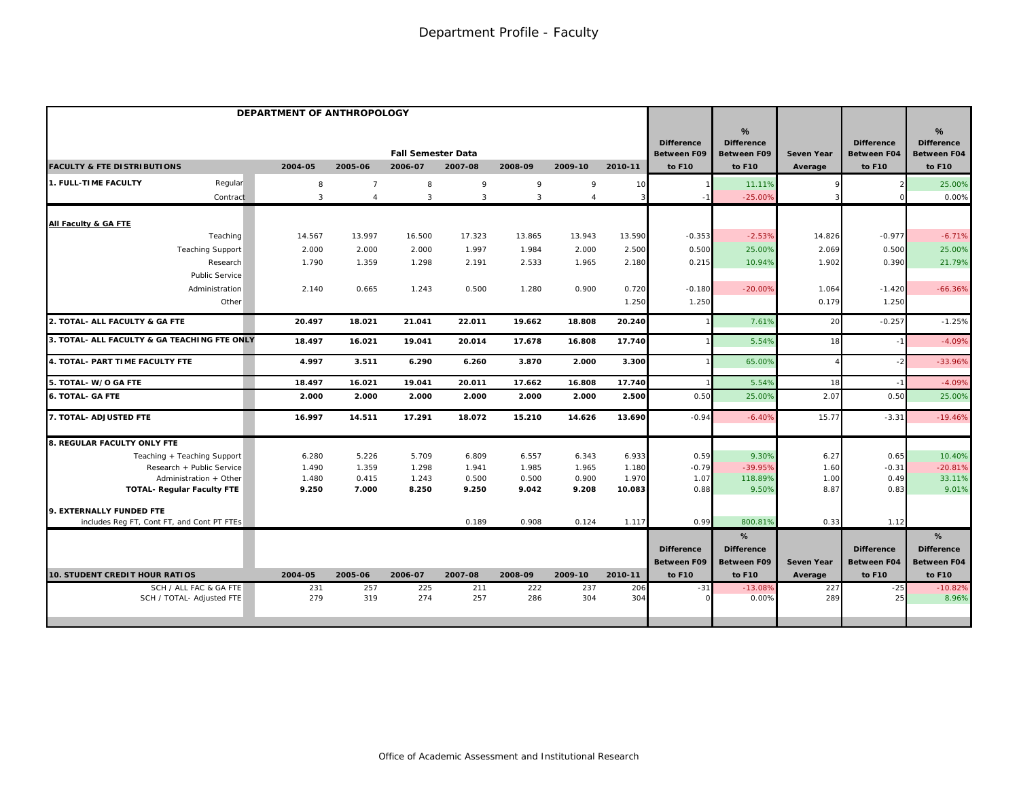|                                                             | DEPARTMENT OF ANTHROPOLOGY |                |                           |                |                |                |                 |                                         | %                                |                   |                                         | $\frac{9}{6}$                           |
|-------------------------------------------------------------|----------------------------|----------------|---------------------------|----------------|----------------|----------------|-----------------|-----------------------------------------|----------------------------------|-------------------|-----------------------------------------|-----------------------------------------|
|                                                             |                            |                | <b>Fall Semester Data</b> |                |                |                |                 | <b>Difference</b><br><b>Between F09</b> | <b>Difference</b><br>Between F09 | <b>Seven Year</b> | <b>Difference</b><br><b>Between F04</b> | <b>Difference</b><br><b>Between F04</b> |
| <b>FACULTY &amp; FTE DISTRIBUTIONS</b>                      | 2004-05                    | 2005-06        | 2006-07                   | 2007-08        | 2008-09        | 2009-10        | 2010-11         | to F10                                  | to F10                           | Average           | to F10                                  | to F10                                  |
| 1. FULL-TIME FACULTY<br>Regular                             | 8                          | $\overline{7}$ | 8                         | 9              | 9              | 9              | 10              |                                         | 11.11%                           |                   |                                         | 25.00%                                  |
| Contract                                                    | $\overline{3}$             | $\overline{4}$ | 3                         | 3              | 3              | $\overline{4}$ |                 |                                         | $-25.00%$                        |                   |                                         | 0.00%                                   |
| All Faculty & GA FTE                                        |                            |                |                           |                |                |                |                 |                                         |                                  |                   |                                         |                                         |
| Teaching                                                    | 14.567                     | 13.997         | 16.500                    | 17.323         | 13.865         | 13.943         | 13.590          | $-0.353$                                | $-2.53%$                         | 14.826            | $-0.977$                                | $-6.71%$                                |
| <b>Teaching Support</b>                                     | 2.000                      | 2.000          | 2.000                     | 1.997          | 1.984          | 2.000          | 2.500           | 0.500                                   | 25.00%                           | 2.069             | 0.500                                   | 25.00%                                  |
| Research                                                    | 1.790                      | 1.359          | 1.298                     | 2.191          | 2.533          | 1.965          | 2.180           | 0.215                                   | 10.94%                           | 1.902             | 0.390                                   | 21.79%                                  |
| Public Service                                              |                            |                |                           |                |                |                |                 |                                         |                                  |                   |                                         |                                         |
| Administration                                              | 2.140                      | 0.665          | 1.243                     | 0.500          | 1.280          | 0.900          | 0.720           | $-0.180$                                | $-20.00%$                        | 1.064             | $-1.420$                                | $-66.36%$                               |
| Other                                                       |                            |                |                           |                |                |                | 1.250           | 1.250                                   |                                  | 0.179             | 1.250                                   |                                         |
| 2. TOTAL- ALL FACULTY & GA FTE                              | 20.497                     | 18.021         | 21.041                    | 22.011         | 19.662         | 18.808         | 20.240          |                                         | 7.61%                            | 20                | $-0.257$                                | $-1.25%$                                |
| 3. TOTAL- ALL FACULTY & GA TEACHING FTE ONLY                | 18.497                     | 16.021         | 19.041                    | 20.014         | 17.678         | 16.808         | 17.740          |                                         | 5.54%                            | 18                |                                         | $-4.09%$                                |
| 4. TOTAL- PART TIME FACULTY FTE                             | 4.997                      | 3.511          | 6.290                     | 6.260          | 3.870          | 2.000          | 3.300           |                                         | 65.00%                           |                   | $-2$                                    | $-33.96%$                               |
| 5. TOTAL- W/O GA FTE                                        | 18.497                     | 16.021         | 19.041                    | 20.011         | 17.662         | 16.808         | 17.740          |                                         | 5.54%                            | 18                | $-1$                                    | $-4.09%$                                |
| 6. TOTAL- GA FTE                                            | 2.000                      | 2.000          | 2.000                     | 2.000          | 2.000          | 2.000          | 2.500           | 0.50                                    | 25.00%                           | 2.07              | 0.50                                    | 25.00%                                  |
| 7. TOTAL- ADJUSTED FTE                                      | 16.997                     | 14.511         | 17.291                    | 18.072         | 15.210         | 14.626         | 13.690          | $-0.94$                                 | $-6.40%$                         | 15.77             | $-3.31$                                 | $-19.46%$                               |
| 8. REGULAR FACULTY ONLY FTE                                 |                            |                |                           |                |                |                |                 |                                         |                                  |                   |                                         |                                         |
| Teaching + Teaching Support                                 | 6.280                      | 5.226          | 5.709                     | 6.809          | 6.557          | 6.343          | 6.933           | 0.59                                    | 9.30%                            | 6.27              | 0.65                                    | 10.40%                                  |
| Research + Public Service                                   | 1.490                      | 1.359          | 1.298                     | 1.941          | 1.985          | 1.965          | 1.180           | $-0.79$                                 | $-39.95%$                        | 1.60              | $-0.31$                                 | $-20.81%$                               |
| Administration + Other<br><b>TOTAL- Regular Faculty FTE</b> | 1.480<br>9.250             | 0.415<br>7.000 | 1.243<br>8.250            | 0.500<br>9.250 | 0.500<br>9.042 | 0.900<br>9.208 | 1.970<br>10.083 | 1.07<br>0.88                            | 118.89%<br>9.50%                 | 1.00<br>8.87      | 0.49<br>0.83                            | 33.11%<br>9.01%                         |
|                                                             |                            |                |                           |                |                |                |                 |                                         |                                  |                   |                                         |                                         |
| 9. EXTERNALLY FUNDED FTE                                    |                            |                |                           |                |                |                |                 |                                         |                                  |                   |                                         |                                         |
| includes Reg FT, Cont FT, and Cont PT FTEs                  |                            |                |                           | 0.189          | 0.908          | 0.124          | 1.117           | 0.99                                    | 800.81%                          | 0.33              | 1.12                                    |                                         |
|                                                             |                            |                |                           |                |                |                |                 |                                         | %                                |                   |                                         | %                                       |
|                                                             |                            |                |                           |                |                |                |                 | <b>Difference</b>                       | <b>Difference</b>                |                   | <b>Difference</b>                       | <b>Difference</b>                       |
|                                                             |                            |                |                           |                |                |                |                 | <b>Between F09</b>                      | <b>Between F09</b>               | <b>Seven Year</b> | <b>Between F04</b>                      | <b>Between F04</b>                      |
| <b>10. STUDENT CREDIT HOUR RATIOS</b>                       | 2004-05                    | 2005-06        | 2006-07                   | 2007-08        | 2008-09        | 2009-10        | 2010-11         | to F10                                  | to F10                           | Average           | to F10                                  | to F10                                  |
| SCH / ALL FAC & GA FTE                                      | 231<br>279                 | 257            | 225<br>274                | 211<br>257     | 222            | 237<br>304     | 206<br>304      | $-31$                                   | $-13.08%$                        | 227               | $-25$                                   | $-10.82%$                               |
| SCH / TOTAL- Adjusted FTE                                   |                            | 319            |                           |                | 286            |                |                 |                                         | 0.00%                            | 289               | 25                                      | 8.96%                                   |
|                                                             |                            |                |                           |                |                |                |                 |                                         |                                  |                   |                                         |                                         |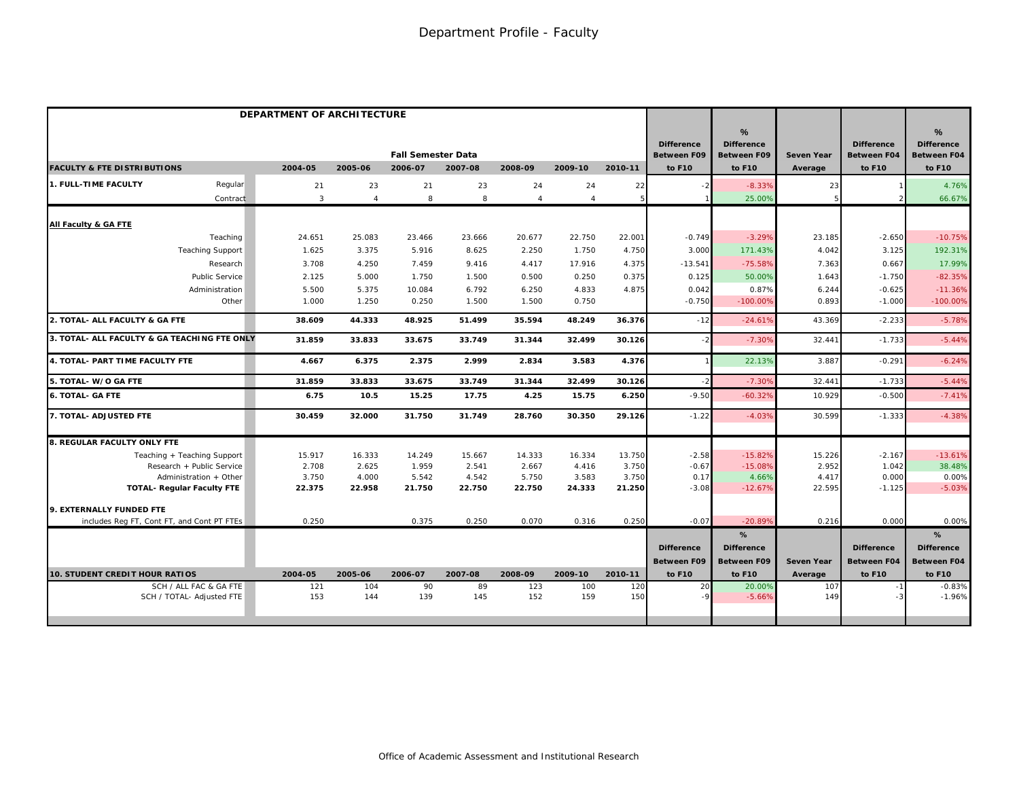|                                              | DEPARTMENT OF ARCHITECTURE |              |                |                                      |         |                |                |         |                                                   |                                                        |                              |                                                   |                                                                    |
|----------------------------------------------|----------------------------|--------------|----------------|--------------------------------------|---------|----------------|----------------|---------|---------------------------------------------------|--------------------------------------------------------|------------------------------|---------------------------------------------------|--------------------------------------------------------------------|
| <b>FACULTY &amp; FTE DISTRIBUTIONS</b>       |                            | 2004-05      | 2005-06        | <b>Fall Semester Data</b><br>2006-07 | 2007-08 | 2008-09        | 2009-10        | 2010-11 | <b>Difference</b><br><b>Between F09</b><br>to F10 | %<br><b>Difference</b><br><b>Between F09</b><br>to F10 | <b>Seven Year</b><br>Average | <b>Difference</b><br><b>Between F04</b><br>to F10 | $\frac{9}{6}$<br><b>Difference</b><br><b>Between F04</b><br>to F10 |
|                                              |                            |              |                |                                      |         |                |                |         |                                                   |                                                        |                              |                                                   |                                                                    |
| 1. FULL-TIME FACULTY                         | Regular                    | 21           | 23             | 21                                   | 23      | 24             | 24             | 22      | - 2                                               | $-8.33%$                                               | 23                           |                                                   | 4.76%                                                              |
|                                              | Contract                   | $\mathbf{3}$ | $\overline{4}$ | 8                                    | 8       | $\overline{4}$ | $\overline{4}$ |         |                                                   | 25.00%                                                 |                              |                                                   | 66.67%                                                             |
| All Faculty & GA FTE                         |                            |              |                |                                      |         |                |                |         |                                                   |                                                        |                              |                                                   |                                                                    |
|                                              | Teaching                   | 24.651       | 25.083         | 23.466                               | 23.666  | 20.677         | 22.750         | 22.001  | $-0.749$                                          | $-3.29%$                                               | 23.185                       | $-2.650$                                          | $-10.75%$                                                          |
|                                              | <b>Teaching Support</b>    | 1.625        | 3.375          | 5.916                                | 8.625   | 2.250          | 1.750          | 4.750   | 3.000                                             | 171.43%                                                | 4.042                        | 3.125                                             | 192.31%                                                            |
|                                              | Research                   | 3.708        | 4.250          | 7.459                                | 9.416   | 4.417          | 17.916         | 4.375   | $-13.541$                                         | $-75.58%$                                              | 7.363                        | 0.667                                             | 17.99%                                                             |
|                                              | <b>Public Service</b>      | 2.125        | 5.000          | 1.750                                | 1.500   | 0.500          | 0.250          | 0.375   | 0.125                                             | 50.00%                                                 | 1.643                        | $-1.750$                                          | $-82.35%$                                                          |
|                                              | Administration             | 5.500        | 5.375          | 10.084                               | 6.792   | 6.250          | 4.833          | 4.875   | 0.042                                             | 0.87%                                                  | 6.244                        | $-0.625$                                          | $-11.36%$                                                          |
|                                              | Other                      | 1.000        | 1.250          | 0.250                                | 1.500   | 1.500          | 0.750          |         | $-0.750$                                          | $-100.00%$                                             | 0.893                        | $-1.000$                                          | $-100.00%$                                                         |
| 2. TOTAL- ALL FACULTY & GA FTE               |                            | 38.609       | 44.333         | 48.925                               | 51.499  | 35.594         | 48.249         | 36.376  | $-12$                                             | $-24.61%$                                              | 43.369                       | $-2.233$                                          | $-5.78%$                                                           |
| 3. TOTAL- ALL FACULTY & GA TEACHING FTE ONLY |                            | 31.859       | 33.833         | 33.675                               | 33.749  | 31.344         | 32.499         | 30.126  | $-2$                                              | $-7.309$                                               | 32.441                       | $-1.733$                                          | $-5.44%$                                                           |
| 4. TOTAL- PART TIME FACULTY FTE              |                            | 4.667        | 6.375          | 2.375                                | 2.999   | 2.834          | 3.583          | 4.376   |                                                   | 22.13%                                                 | 3.887                        | $-0.291$                                          | $-6.24%$                                                           |
| 5. TOTAL- W/O GA FTE                         |                            | 31.859       | 33.833         | 33.675                               | 33.749  | 31.344         | 32.499         | 30.126  | $-2$                                              | $-7.309$                                               | 32.441                       | $-1.733$                                          | $-5.44%$                                                           |
| <b>6. TOTAL- GA FTE</b>                      |                            | 6.75         | 10.5           | 15.25                                | 17.75   | 4.25           | 15.75          | 6.250   | $-9.50$                                           | $-60.329$                                              | 10.929                       | $-0.500$                                          | $-7.41%$                                                           |
| 7. TOTAL- ADJUSTED FTE                       |                            | 30.459       | 32.000         | 31.750                               | 31.749  | 28.760         | 30.350         | 29.126  | $-1.22$                                           | $-4.03%$                                               | 30.599                       | $-1.333$                                          | $-4.38%$                                                           |
| 8. REGULAR FACULTY ONLY FTE                  |                            |              |                |                                      |         |                |                |         |                                                   |                                                        |                              |                                                   |                                                                    |
| Teaching + Teaching Support                  |                            | 15.917       | 16.333         | 14.249                               | 15.667  | 14.333         | 16.334         | 13.750  | $-2.58$                                           | $-15.82%$                                              | 15.226                       | $-2.167$                                          | $-13.61%$                                                          |
|                                              | Research + Public Service  | 2.708        | 2.625          | 1.959                                | 2.541   | 2.667          | 4.416          | 3.750   | $-0.67$                                           | $-15.08%$                                              | 2.952                        | 1.042                                             | 38.48%                                                             |
|                                              | Administration + Other     | 3.750        | 4.000          | 5.542                                | 4.542   | 5.750          | 3.583          | 3.750   | 0.17                                              | 4.66%                                                  | 4.417                        | 0.000                                             | 0.00%                                                              |
| <b>TOTAL- Regular Faculty FTE</b>            |                            | 22.375       | 22.958         | 21.750                               | 22.750  | 22.750         | 24.333         | 21.250  | $-3.08$                                           | $-12.67%$                                              | 22.595                       | $-1.125$                                          | $-5.03%$                                                           |
| 9. EXTERNALLY FUNDED FTE                     |                            |              |                |                                      |         |                |                |         |                                                   |                                                        |                              |                                                   |                                                                    |
| includes Reg FT, Cont FT, and Cont PT FTEs   |                            | 0.250        |                | 0.375                                | 0.250   | 0.070          | 0.316          | 0.250   | $-0.07$                                           | $-20.899$                                              | 0.216                        | 0.000                                             | 0.00%                                                              |
|                                              |                            |              |                |                                      |         |                |                |         |                                                   | %                                                      |                              |                                                   | %                                                                  |
|                                              |                            |              |                |                                      |         |                |                |         | <b>Difference</b>                                 | <b>Difference</b>                                      |                              | <b>Difference</b>                                 | <b>Difference</b>                                                  |
|                                              |                            |              |                |                                      |         |                |                |         | <b>Between F09</b>                                | <b>Between F09</b>                                     | <b>Seven Year</b>            | <b>Between F04</b>                                | <b>Between F04</b>                                                 |
| <b>10. STUDENT CREDIT HOUR RATIOS</b>        |                            | 2004-05      | 2005-06        | 2006-07                              | 2007-08 | 2008-09        | 2009-10        | 2010-11 | to F10                                            | to F10                                                 | Average                      | to F10                                            | to F10                                                             |
|                                              | SCH / ALL FAC & GA FTE     | 121          | 104            | 90                                   | 89      | 123            | 100            | 120     | 20                                                | 20.00%                                                 | 107                          |                                                   | $-0.83%$                                                           |
|                                              | SCH / TOTAL- Adjusted FTE  | 153          | 144            | 139                                  | 145     | 152            | 159            | 150     | $-9$                                              | $-5.66%$                                               | 149                          |                                                   | $-1.96%$                                                           |
|                                              |                            |              |                |                                      |         |                |                |         |                                                   |                                                        |                              |                                                   |                                                                    |
|                                              |                            |              |                |                                      |         |                |                |         |                                                   |                                                        |                              |                                                   |                                                                    |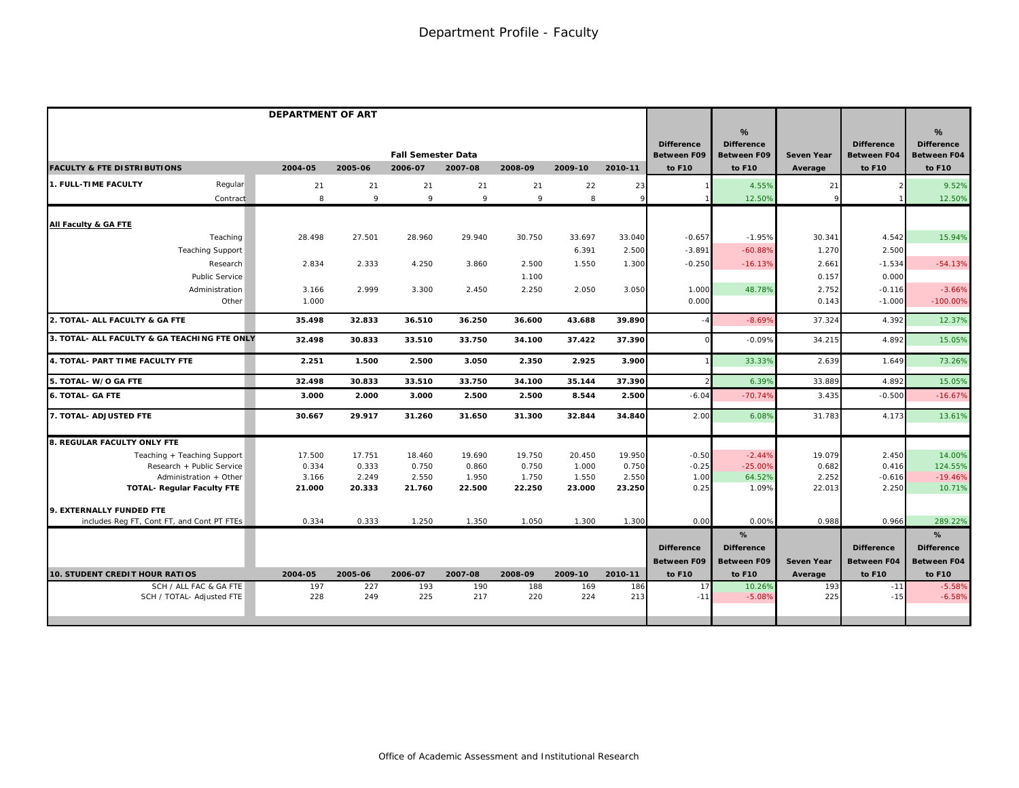|                                                                 | <b>DEPARTMENT OF ART</b> |                 |                                      |                 |                 |                 |                 |                                                   |                                                        |                   |                                                   |                                                        |
|-----------------------------------------------------------------|--------------------------|-----------------|--------------------------------------|-----------------|-----------------|-----------------|-----------------|---------------------------------------------------|--------------------------------------------------------|-------------------|---------------------------------------------------|--------------------------------------------------------|
| <b>FACULTY &amp; FTE DISTRIBUTIONS</b>                          | 2004-05                  | 2005-06         | <b>Fall Semester Data</b><br>2006-07 | 2007-08         | 2008-09         | 2009-10         | 2010-11         | <b>Difference</b><br><b>Between F09</b><br>to F10 | %<br><b>Difference</b><br><b>Between F09</b><br>to F10 | <b>Seven Year</b> | <b>Difference</b><br><b>Between F04</b><br>to F10 | %<br><b>Difference</b><br><b>Between F04</b><br>to F10 |
|                                                                 |                          |                 |                                      |                 |                 |                 |                 |                                                   |                                                        | Average           |                                                   |                                                        |
| Regular<br>1. FULL-TIME FACULTY                                 | 21                       | 21              | 21                                   | 21              | 21              | 22              | 23              |                                                   | 4.55%                                                  | 21                |                                                   | 9.52%                                                  |
| Contract                                                        | 8                        | 9               | 9                                    | 9               | 9               | 8               | $\mathsf{Q}$    |                                                   | 12.50%                                                 |                   |                                                   | 12.50%                                                 |
| All Faculty & GA FTE                                            |                          |                 |                                      |                 |                 |                 |                 |                                                   |                                                        |                   |                                                   |                                                        |
| Teaching                                                        | 28.498                   | 27.501          | 28.960                               | 29.940          | 30.750          | 33.697          | 33.040          | $-0.657$                                          | $-1.95%$                                               | 30.341            | 4.542                                             | 15.94%                                                 |
| <b>Teaching Support</b>                                         |                          |                 |                                      |                 |                 | 6.391           | 2.500           | $-3.891$                                          | $-60.88%$                                              | 1.270             | 2.500                                             |                                                        |
| Research                                                        | 2.834                    | 2.333           | 4.250                                | 3.860           | 2.500           | 1.550           | 1.300           | $-0.250$                                          | $-16.13%$                                              | 2.661             | $-1.534$                                          | $-54.13%$                                              |
| Public Service                                                  |                          |                 |                                      |                 | 1.100           |                 |                 |                                                   |                                                        | 0.157             | 0.000                                             |                                                        |
| Administration                                                  | 3.166                    | 2.999           | 3.300                                | 2.450           | 2.250           | 2.050           | 3.050           | 1.000                                             | 48.78%                                                 | 2.752             | $-0.116$                                          | $-3.66%$                                               |
| Other                                                           | 1.000                    |                 |                                      |                 |                 |                 |                 | 0.000                                             |                                                        | 0.143             | $-1.000$                                          | $-100.00%$                                             |
| 2. TOTAL- ALL FACULTY & GA FTE                                  | 35.498                   | 32.833          | 36.510                               | 36.250          | 36.600          | 43.688          | 39.890          |                                                   | $-8.69%$                                               | 37.324            | 4.392                                             | 12.37%                                                 |
| 3. TOTAL- ALL FACULTY & GA TEACHING FTE ONLY                    | 32.498                   | 30.833          | 33.510                               | 33.750          | 34.100          | 37.422          | 37.390          |                                                   | $-0.09%$                                               | 34.215            | 4.892                                             | 15.05%                                                 |
| 4. TOTAL- PART TIME FACULTY FTE                                 | 2.251                    | 1.500           | 2.500                                | 3.050           | 2.350           | 2.925           | 3.900           |                                                   | 33.33%                                                 | 2.639             | 1.649                                             | 73.26%                                                 |
| 5. TOTAL- W/O GA FTE                                            | 32.498                   | 30.833          | 33.510                               | 33.750          | 34.100          | 35.144          | 37.390          |                                                   | 6.39%                                                  | 33.889            | 4.892                                             | 15.05%                                                 |
| <b>6. TOTAL- GA FTE</b>                                         | 3.000                    | 2.000           | 3.000                                | 2.500           | 2.500           | 8.544           | 2.500           | $-6.04$                                           | $-70.74%$                                              | 3.435             | $-0.500$                                          | $-16.67%$                                              |
| 7. TOTAL- ADJUSTED FTE                                          | 30.667                   | 29.917          | 31.260                               | 31.650          | 31.300          | 32.844          | 34.840          | 2.00                                              | 6.08%                                                  | 31.783            | 4.173                                             | 13.61%                                                 |
| 8. REGULAR FACULTY ONLY FTE                                     |                          |                 |                                      |                 |                 |                 |                 |                                                   |                                                        |                   |                                                   |                                                        |
| Teaching + Teaching Support                                     | 17.500                   | 17.751          | 18.460                               | 19.690          | 19.750          | 20.450          | 19.950          | $-0.50$                                           | $-2.44%$                                               | 19.079            | 2.450                                             | 14.00%                                                 |
| Research + Public Service                                       | 0.334                    | 0.333           | 0.750                                | 0.860           | 0.750           | 1.000           | 0.750           | $-0.25$                                           | $-25.00%$                                              | 0.682             | 0.416                                             | 124.55%                                                |
| Administration + Other<br><b>TOTAL- Regular Faculty FTE</b>     | 3.166<br>21.000          | 2.249<br>20.333 | 2.550<br>21.760                      | 1.950<br>22.500 | 1.750<br>22.250 | 1.550<br>23.000 | 2.550<br>23.250 | 1.00<br>0.25                                      | 64.52%<br>1.09%                                        | 2.252<br>22.013   | $-0.616$<br>2.250                                 | $-19.46%$<br>10.71%                                    |
|                                                                 |                          |                 |                                      |                 |                 |                 |                 |                                                   |                                                        |                   |                                                   |                                                        |
| 9. EXTERNALLY FUNDED FTE                                        |                          |                 |                                      |                 |                 |                 |                 |                                                   |                                                        |                   |                                                   |                                                        |
| includes Reg FT, Cont FT, and Cont PT FTEs                      | 0.334                    | 0.333           | 1.250                                | 1.350           | 1.050           | 1.300           | 1.300           | 0.00                                              | 0.00%                                                  | 0.988             | 0.966                                             | 289.22%                                                |
|                                                                 |                          |                 |                                      |                 |                 |                 |                 |                                                   | %                                                      |                   |                                                   | %                                                      |
|                                                                 |                          |                 |                                      |                 |                 |                 |                 | <b>Difference</b>                                 | <b>Difference</b>                                      |                   | <b>Difference</b>                                 | <b>Difference</b>                                      |
|                                                                 |                          |                 |                                      |                 |                 |                 |                 | <b>Between F09</b>                                | <b>Between F09</b>                                     | <b>Seven Year</b> | <b>Between F04</b>                                | Between F04                                            |
| <b>10. STUDENT CREDIT HOUR RATIOS</b><br>SCH / ALL FAC & GA FTE | 2004-05<br>197           | 2005-06<br>227  | 2006-07<br>193                       | 2007-08<br>190  | 2008-09<br>188  | 2009-10<br>169  | 2010-11<br>186  | to F10<br>17                                      | to F10<br>10.26%                                       | Average<br>193    | to F10<br>$-11$                                   | to F10<br>$-5.58%$                                     |
| SCH / TOTAL- Adjusted FTE                                       | 228                      | 249             | 225                                  | 217             | 220             | 224             | 213             | $-11$                                             | $-5.08%$                                               | 225               | $-15$                                             | $-6.58%$                                               |
|                                                                 |                          |                 |                                      |                 |                 |                 |                 |                                                   |                                                        |                   |                                                   |                                                        |
|                                                                 |                          |                 |                                      |                 |                 |                 |                 |                                                   |                                                        |                   |                                                   |                                                        |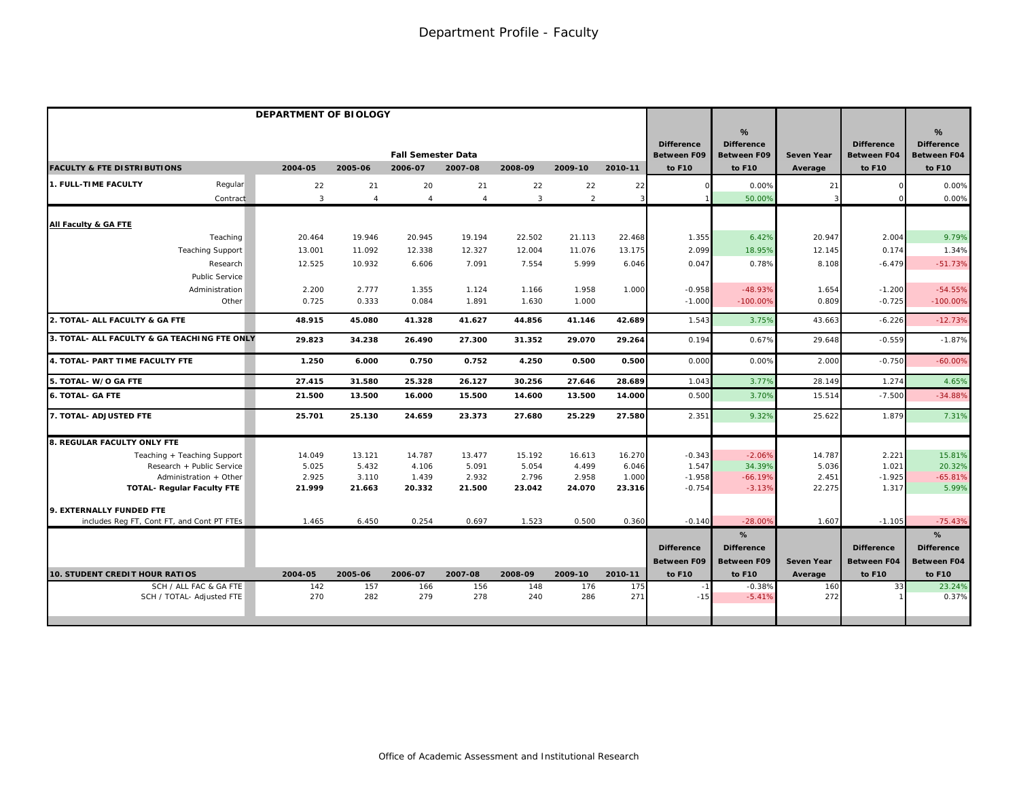|                                                                 | DEPARTMENT OF BIOLOGY |                |                           |                |                |                |                |                                         |                                                          |                |                                         |                                              |
|-----------------------------------------------------------------|-----------------------|----------------|---------------------------|----------------|----------------|----------------|----------------|-----------------------------------------|----------------------------------------------------------|----------------|-----------------------------------------|----------------------------------------------|
|                                                                 |                       |                | <b>Fall Semester Data</b> |                |                |                |                | <b>Difference</b><br><b>Between F09</b> | $\frac{9}{6}$<br><b>Difference</b><br><b>Between F09</b> | Seven Year     | <b>Difference</b><br><b>Between F04</b> | %<br><b>Difference</b><br><b>Between F04</b> |
| <b>FACULTY &amp; FTE DISTRIBUTIONS</b>                          | 2004-05               | 2005-06        | 2006-07                   | 2007-08        | 2008-09        | 2009-10        | 2010-11        | to F10                                  | to F10                                                   | Average        | to F10                                  | to F10                                       |
| 1. FULL-TIME FACULTY<br>Regular                                 | 22                    | 21             | 20                        | 21             | 22             | 22             | 22             |                                         | 0.00%                                                    | 21             |                                         | 0.00%                                        |
| Contract                                                        | 3                     | $\overline{4}$ | $\overline{4}$            | $\overline{4}$ | 3              | 2              | 3              |                                         | 50.00%                                                   |                |                                         | 0.00%                                        |
| All Faculty & GA FTE                                            |                       |                |                           |                |                |                |                |                                         |                                                          |                |                                         |                                              |
| Teaching                                                        | 20.464                | 19.946         | 20.945                    | 19.194         | 22.502         | 21.113         | 22.468         | 1.355                                   | 6.42%                                                    | 20.947         | 2.004                                   | 9.79%                                        |
| <b>Teaching Support</b>                                         | 13.001                | 11.092         | 12.338                    | 12.327         | 12.004         | 11.076         | 13.175         | 2.099                                   | 18.95%                                                   | 12.145         | 0.174                                   | 1.34%                                        |
| Research                                                        | 12.525                | 10.932         | 6.606                     | 7.091          | 7.554          | 5.999          | 6.046          | 0.047                                   | 0.78%                                                    | 8.108          | $-6.479$                                | $-51.73%$                                    |
| <b>Public Service</b>                                           |                       |                |                           |                |                |                |                |                                         |                                                          |                |                                         |                                              |
| Administration<br>Other                                         | 2.200<br>0.725        | 2.777<br>0.333 | 1.355<br>0.084            | 1.124<br>1.891 | 1.166<br>1.630 | 1.958<br>1.000 | 1.000          | $-0.958$<br>$-1.000$                    | $-48.93%$<br>$-100.00%$                                  | 1.654<br>0.809 | $-1.200$<br>$-0.725$                    | $-54.55%$<br>$-100.00%$                      |
|                                                                 |                       |                |                           |                |                |                |                |                                         |                                                          |                |                                         |                                              |
| 2. TOTAL- ALL FACULTY & GA FTE                                  | 48.915                | 45.080         | 41.328                    | 41.627         | 44.856         | 41.146         | 42.689         | 1.543                                   | 3.75%                                                    | 43.663         | $-6.226$                                | $-12.73%$                                    |
| 3. TOTAL- ALL FACULTY & GA TEACHING FTE ONLY                    | 29.823                | 34.238         | 26.490                    | 27.300         | 31.352         | 29.070         | 29.264         | 0.194                                   | 0.67%                                                    | 29.648         | $-0.559$                                | $-1.87%$                                     |
| 4. TOTAL- PART TIME FACULTY FTE                                 | 1.250                 | 6.000          | 0.750                     | 0.752          | 4.250          | 0.500          | 0.500          | 0.000                                   | 0.00%                                                    | 2.000          | $-0.750$                                | $-60.009$                                    |
| 5. TOTAL- W/O GA FTE                                            | 27.415                | 31.580         | 25.328                    | 26.127         | 30.256         | 27.646         | 28.689         | 1.043                                   | 3.77%                                                    | 28.149         | 1.274                                   | 4.65%                                        |
| <b>6. TOTAL- GA FTE</b>                                         | 21.500                | 13.500         | 16.000                    | 15.500         | 14.600         | 13.500         | 14.000         | 0.500                                   | 3.70%                                                    | 15.514         | $-7.500$                                | $-34.88%$                                    |
| 7. TOTAL- ADJUSTED FTE                                          | 25.701                | 25.130         | 24.659                    | 23.373         | 27.680         | 25.229         | 27.580         | 2.351                                   | 9.32%                                                    | 25.622         | 1.879                                   | 7.31%                                        |
| 8. REGULAR FACULTY ONLY FTE                                     |                       |                |                           |                |                |                |                |                                         |                                                          |                |                                         |                                              |
| Teaching + Teaching Support                                     | 14.049                | 13.121         | 14.787                    | 13.477         | 15.192         | 16.613         | 16.270         | $-0.343$                                | $-2.06%$                                                 | 14.787         | 2.221                                   | 15.81%                                       |
| Research + Public Service                                       | 5.025                 | 5.432          | 4.106                     | 5.091          | 5.054          | 4.499          | 6.046          | 1.547                                   | 34.39%                                                   | 5.036          | 1.021                                   | 20.32%                                       |
| Administration + Other                                          | 2.925                 | 3.110          | 1.439                     | 2.932          | 2.796          | 2.958          | 1.000          | $-1.958$                                | $-66.19%$                                                | 2.451          | $-1.925$                                | $-65.81%$                                    |
| <b>TOTAL- Regular Faculty FTE</b>                               | 21.999                | 21.663         | 20.332                    | 21.500         | 23.042         | 24.070         | 23.316         | $-0.754$                                | $-3.13%$                                                 | 22.275         | 1.317                                   | 5.99%                                        |
| 9. EXTERNALLY FUNDED FTE                                        |                       |                |                           |                |                |                |                |                                         |                                                          |                |                                         |                                              |
| includes Reg FT, Cont FT, and Cont PT FTEs                      | 1.465                 | 6.450          | 0.254                     | 0.697          | 1.523          | 0.500          | 0.360          | $-0.140$                                | $-28.00%$                                                | 1.607          | $-1.105$                                | $-75.43%$                                    |
|                                                                 |                       |                |                           |                |                |                |                |                                         | %                                                        |                |                                         | %                                            |
|                                                                 |                       |                |                           |                |                |                |                | <b>Difference</b>                       | <b>Difference</b>                                        |                | <b>Difference</b>                       | <b>Difference</b>                            |
|                                                                 |                       |                |                           |                |                |                |                | <b>Between F09</b>                      | <b>Between F09</b>                                       | Seven Year     | <b>Between F04</b>                      | <b>Between F04</b>                           |
| <b>10. STUDENT CREDIT HOUR RATIOS</b><br>SCH / ALL FAC & GA FTE | 2004-05<br>142        | 2005-06<br>157 | 2006-07                   | 2007-08<br>156 | 2008-09<br>148 | 2009-10<br>176 | 2010-11<br>175 | to F10                                  | to F10<br>$-0.38%$                                       | Average<br>160 | to F10<br>33                            | to F10<br>23.24%                             |
| SCH / TOTAL- Adjusted FTE                                       | 270                   | 282            | 166<br>279                | 278            | 240            | 286            | 271            | $-15$                                   | $-5.41%$                                                 | 272            |                                         | 0.37%                                        |
|                                                                 |                       |                |                           |                |                |                |                |                                         |                                                          |                |                                         |                                              |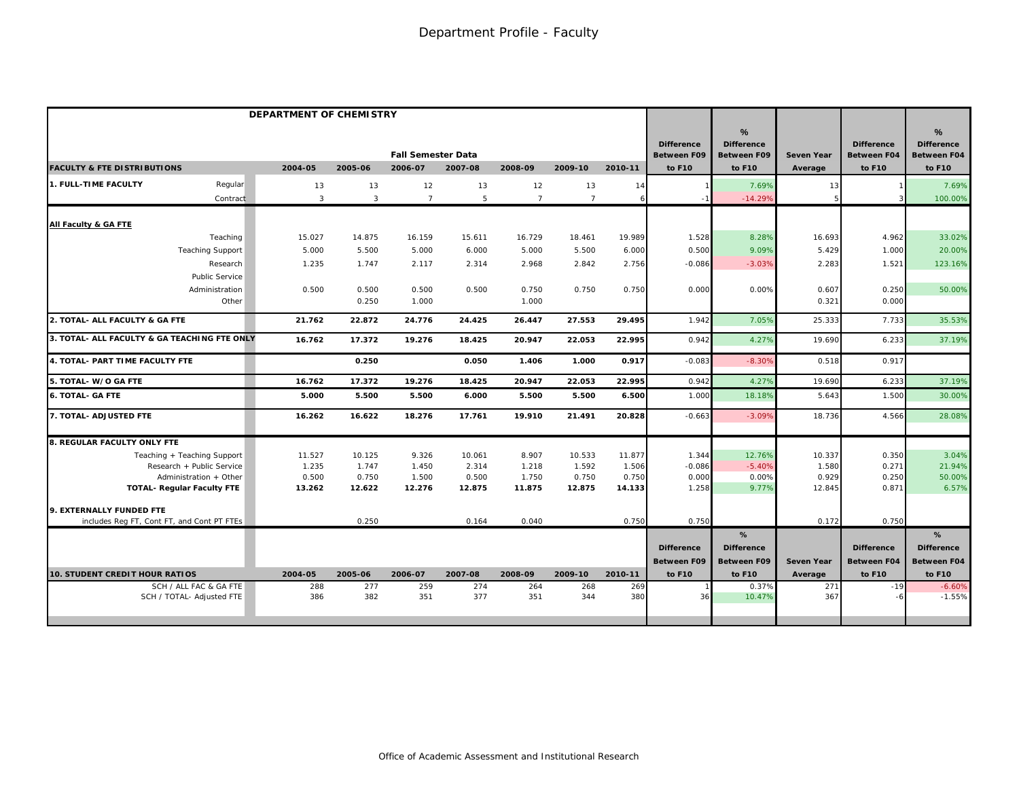|                                              | DEPARTMENT OF CHEMISTRY |                |                           |         |                |                |         |                                         |                                              |                   |                                         |                                                          |
|----------------------------------------------|-------------------------|----------------|---------------------------|---------|----------------|----------------|---------|-----------------------------------------|----------------------------------------------|-------------------|-----------------------------------------|----------------------------------------------------------|
|                                              |                         |                | <b>Fall Semester Data</b> |         |                |                |         | <b>Difference</b><br><b>Between F09</b> | %<br><b>Difference</b><br><b>Between F09</b> | <b>Seven Year</b> | <b>Difference</b><br><b>Between F04</b> | $\frac{9}{6}$<br><b>Difference</b><br><b>Between F04</b> |
| <b>FACULTY &amp; FTE DISTRIBUTIONS</b>       | 2004-05                 | 2005-06        | 2006-07                   | 2007-08 | 2008-09        | 2009-10        | 2010-11 | to F10                                  | to F10                                       | Average           | to F10                                  | to F10                                                   |
| <b>1. FULL-TIME FACULTY</b><br>Regular       | 13                      | 13             | 12                        | 13      | 12             | 13             | 14      |                                         | 7.69%                                        | 13                |                                         | 7.69%                                                    |
| Contract                                     | $\mathbf{3}$            | $\overline{3}$ | $\overline{7}$            | 5       | $\overline{7}$ | $\overline{7}$ | 6       |                                         | $-14.299$                                    |                   |                                         | 100.00%                                                  |
| All Faculty & GA FTE                         |                         |                |                           |         |                |                |         |                                         |                                              |                   |                                         |                                                          |
| Teaching                                     | 15.027                  | 14.875         | 16.159                    | 15.611  | 16.729         | 18.461         | 19.989  | 1.528                                   | 8.28%                                        | 16.693            | 4.962                                   | 33.02%                                                   |
| <b>Teaching Support</b>                      | 5.000                   | 5.500          | 5.000                     | 6.000   | 5.000          | 5.500          | 6.000   | 0.500                                   | 9.09%                                        | 5.429             | 1.000                                   | 20.00%                                                   |
| Research                                     | 1.235                   | 1.747          | 2.117                     | 2.314   | 2.968          | 2.842          | 2.756   | $-0.086$                                | $-3.03%$                                     | 2.283             | 1.521                                   | 123.16%                                                  |
| <b>Public Service</b>                        |                         |                |                           |         |                |                |         |                                         |                                              |                   |                                         |                                                          |
| Administration                               | 0.500                   | 0.500          | 0.500                     | 0.500   | 0.750          | 0.750          | 0.750   | 0.000                                   | 0.00%                                        | 0.607             | 0.250                                   | 50.00%                                                   |
| Other                                        |                         | 0.250          | 1.000                     |         | 1.000          |                |         |                                         |                                              | 0.321             | 0.000                                   |                                                          |
| 2. TOTAL- ALL FACULTY & GA FTE               | 21.762                  | 22.872         | 24.776                    | 24.425  | 26.447         | 27.553         | 29.495  | 1.942                                   | 7.05%                                        | 25.333            | 7.733                                   | 35.53%                                                   |
| 3. TOTAL- ALL FACULTY & GA TEACHING FTE ONLY | 16.762                  | 17.372         | 19.276                    | 18.425  | 20.947         | 22.053         | 22.995  | 0.942                                   | 4.27%                                        | 19.690            | 6.233                                   | 37.19%                                                   |
| 4. TOTAL- PART TIME FACULTY FTE              |                         | 0.250          |                           | 0.050   | 1.406          | 1.000          | 0.917   | $-0.083$                                | $-8.309$                                     | 0.518             | 0.917                                   |                                                          |
| 5. TOTAL- W/O GA FTE                         | 16.762                  | 17.372         | 19.276                    | 18.425  | 20.947         | 22.053         | 22.995  | 0.942                                   | 4.279                                        | 19.690            | 6.233                                   | 37.19%                                                   |
| <b>6. TOTAL- GA FTE</b>                      | 5.000                   | 5.500          | 5.500                     | 6.000   | 5.500          | 5.500          | 6.500   | 1.000                                   | 18.18%                                       | 5.643             | 1.500                                   | 30.00%                                                   |
| 7. TOTAL- ADJUSTED FTE                       | 16.262                  | 16.622         | 18.276                    | 17.761  | 19.910         | 21.491         | 20.828  | $-0.663$                                | $-3.099$                                     | 18.736            | 4.566                                   | 28.08%                                                   |
| 8. REGULAR FACULTY ONLY FTE                  |                         |                |                           |         |                |                |         |                                         |                                              |                   |                                         |                                                          |
| Teaching + Teaching Support                  | 11.527                  | 10.125         | 9.326                     | 10.061  | 8.907          | 10.533         | 11.877  | 1.344                                   | 12.76%                                       | 10.337            | 0.350                                   | 3.04%                                                    |
| Research + Public Service                    | 1.235                   | 1.747          | 1.450                     | 2.314   | 1.218          | 1.592          | 1.506   | $-0.086$                                | $-5.40%$                                     | 1.580             | 0.271                                   | 21.94%                                                   |
| Administration + Other                       | 0.500                   | 0.750          | 1.500                     | 0.500   | 1.750          | 0.750          | 0.750   | 0.000                                   | 0.00%                                        | 0.929             | 0.250                                   | 50.00%                                                   |
| <b>TOTAL- Regular Faculty FTE</b>            | 13.262                  | 12.622         | 12.276                    | 12.875  | 11.875         | 12.875         | 14.133  | 1.258                                   | 9.77%                                        | 12.845            | 0.871                                   | 6.57%                                                    |
| 9. EXTERNALLY FUNDED FTE                     |                         |                |                           |         |                |                |         |                                         |                                              |                   |                                         |                                                          |
| includes Reg FT, Cont FT, and Cont PT FTEs   |                         | 0.250          |                           | 0.164   | 0.040          |                | 0.750   | 0.750                                   |                                              | 0.172             | 0.750                                   |                                                          |
|                                              |                         |                |                           |         |                |                |         |                                         | %                                            |                   |                                         | $\%$                                                     |
|                                              |                         |                |                           |         |                |                |         | <b>Difference</b>                       | <b>Difference</b>                            |                   | <b>Difference</b>                       | <b>Difference</b>                                        |
|                                              |                         |                |                           |         |                |                |         | <b>Between F09</b>                      | <b>Between F09</b>                           | <b>Seven Year</b> | <b>Between F04</b>                      | <b>Between F04</b>                                       |
| <b>10. STUDENT CREDIT HOUR RATIOS</b>        | 2004-05                 | 2005-06        | 2006-07                   | 2007-08 | 2008-09        | 2009-10        | 2010-11 | to F10                                  | to F10                                       | Average           | to F10                                  | to F10                                                   |
| SCH / ALL FAC & GA FTE                       | 288                     | 277            | 259                       | 274     | 264            | 268            | 269     |                                         | 0.37%                                        | 271               | $-19$                                   | $-6.60%$                                                 |
| SCH / TOTAL- Adjusted FTE                    | 386                     | 382            | 351                       | 377     | 351            | 344            | 380     | 36                                      | 10.47%                                       | 367               |                                         | $-1.55%$                                                 |
|                                              |                         |                |                           |         |                |                |         |                                         |                                              |                   |                                         |                                                          |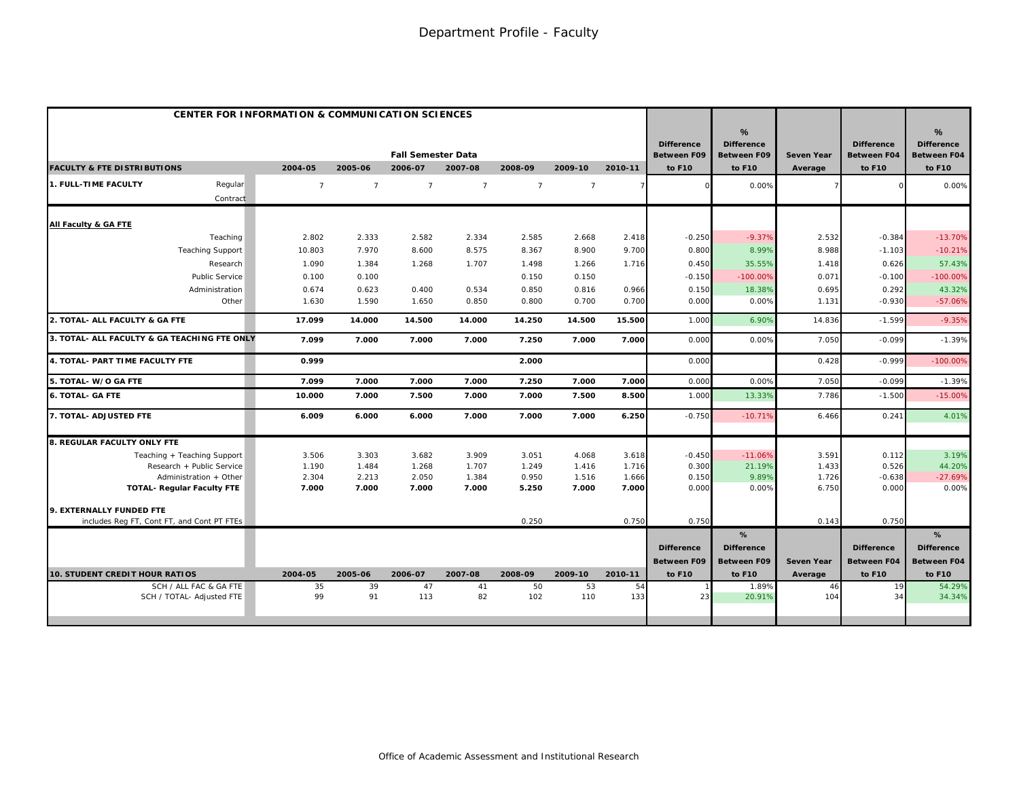|                                                     | <b>CENTER FOR INFORMATION &amp; COMMUNICATION SCIENCES</b> |                |                           |                |                |                |           |                                         |                                                          |                   |                                         |                                              |
|-----------------------------------------------------|------------------------------------------------------------|----------------|---------------------------|----------------|----------------|----------------|-----------|-----------------------------------------|----------------------------------------------------------|-------------------|-----------------------------------------|----------------------------------------------|
|                                                     |                                                            |                | <b>Fall Semester Data</b> |                |                |                |           | <b>Difference</b><br><b>Between F09</b> | $\frac{9}{6}$<br><b>Difference</b><br><b>Between F09</b> | <b>Seven Year</b> | <b>Difference</b><br><b>Between F04</b> | %<br><b>Difference</b><br><b>Between F04</b> |
| <b>FACULTY &amp; FTE DISTRIBUTIONS</b>              | 2004-05                                                    | 2005-06        | 2006-07                   | 2007-08        | 2008-09        | 2009-10        | 2010-11   | to F10                                  | to F10                                                   | Average           | to F10                                  | to F10                                       |
| Regular<br>1. FULL-TIME FACULTY                     | $\overline{7}$                                             | $\overline{7}$ | $\overline{7}$            | $\overline{7}$ | $\overline{7}$ | $\overline{7}$ |           |                                         | 0.00%                                                    |                   |                                         | 0.00%                                        |
| Contract                                            |                                                            |                |                           |                |                |                |           |                                         |                                                          |                   |                                         |                                              |
| All Faculty & GA FTE                                |                                                            |                |                           |                |                |                |           |                                         |                                                          |                   |                                         |                                              |
| Teaching                                            | 2.802                                                      | 2.333          | 2.582                     | 2.334          | 2.585          | 2.668          | 2.418     | $-0.250$                                | $-9.37%$                                                 | 2.532             | $-0.384$                                | $-13.70%$                                    |
| <b>Teaching Support</b>                             | 10.803                                                     | 7.970          | 8.600                     | 8.575          | 8.367          | 8.900          | 9.700     | 0.800                                   | 8.99%                                                    | 8.988             | $-1.103$                                | $-10.21%$                                    |
| Research                                            | 1.090                                                      | 1.384          | 1.268                     | 1.707          | 1.498          | 1.266          | 1.716     | 0.450                                   | 35.55%                                                   | 1.418             | 0.626                                   | 57.43%                                       |
| <b>Public Service</b>                               | 0.100                                                      | 0.100          |                           |                | 0.150          | 0.150          |           | $-0.150$                                | $-100.00%$                                               | 0.071             | $-0.100$                                | $-100.00%$                                   |
| Administration                                      | 0.674                                                      | 0.623          | 0.400                     | 0.534          | 0.850          | 0.816          | 0.966     | 0.150                                   | 18.38%                                                   | 0.695             | 0.292                                   | 43.32%                                       |
| Other                                               | 1.630                                                      | 1.590          | 1.650                     | 0.850          | 0.800          | 0.700          | 0.700     | 0.000                                   | 0.00%                                                    | 1.131             | $-0.930$                                | $-57.06%$                                    |
| 2. TOTAL- ALL FACULTY & GA FTE                      | 17.099                                                     | 14.000         | 14.500                    | 14.000         | 14.250         | 14.500         | 15.500    | 1.000                                   | 6.90%                                                    | 14.836            | $-1.599$                                | $-9.35%$                                     |
| 3. TOTAL- ALL FACULTY & GA TEACHING FTE ONLY        | 7.099                                                      | 7.000          | 7.000                     | 7.000          | 7.250          | 7.000          | 7.000     | 0.000                                   | 0.00%                                                    | 7.050             | $-0.099$                                | $-1.39%$                                     |
| 4. TOTAL- PART TIME FACULTY FTE                     | 0.999                                                      |                |                           |                | 2.000          |                |           | 0.000                                   |                                                          | 0.428             | $-0.999$                                | $-100.00%$                                   |
| 5. TOTAL- W/O GA FTE                                | 7.099                                                      | 7.000          | 7.000                     | 7.000          | 7.250          | 7.000          | 7.000     | 0.000                                   | 0.00%                                                    | 7.050             | $-0.099$                                | $-1.39%$                                     |
| <b>6. TOTAL- GA FTE</b>                             | 10.000                                                     | 7.000          | 7.500                     | 7.000          | 7.000          | 7.500          | 8.500     | 1.000                                   | 13.33%                                                   | 7.786             | $-1.500$                                | $-15.00%$                                    |
| 7. TOTAL- ADJUSTED FTE                              | 6.009                                                      | 6.000          | 6.000                     | 7.000          | 7.000          | 7.000          | 6.250     | $-0.750$                                | $-10.71%$                                                | 6.466             | 0.241                                   | 4.01%                                        |
| 8. REGULAR FACULTY ONLY FTE                         |                                                            |                |                           |                |                |                |           |                                         |                                                          |                   |                                         |                                              |
| Teaching + Teaching Support                         | 3.506                                                      | 3.303          | 3.682                     | 3.909          | 3.051          | 4.068          | 3.618     | $-0.450$                                | $-11.06%$                                                | 3.591             | 0.112                                   | 3.19%                                        |
| Research + Public Service                           | 1.190                                                      | 1.484          | 1.268                     | 1.707          | 1.249          | 1.416          | 1.716     | 0.300                                   | 21.19%                                                   | 1.433             | 0.526                                   | 44.20%                                       |
| Administration + Other                              | 2.304                                                      | 2.213          | 2.050                     | 1.384          | 0.950          | 1.516          | 1.666     | 0.150                                   | 9.89%                                                    | 1.726             | $-0.638$                                | $-27.69%$                                    |
| <b>TOTAL- Requiar Faculty FTE</b>                   | 7.000                                                      | 7.000          | 7.000                     | 7.000          | 5.250          | 7.000          | 7.000     | 0.000                                   | 0.00%                                                    | 6.750             | 0.000                                   | 0.00%                                        |
| 9. EXTERNALLY FUNDED FTE                            |                                                            |                |                           |                |                |                |           |                                         |                                                          |                   |                                         |                                              |
| includes Reg FT, Cont FT, and Cont PT FTEs          |                                                            |                |                           |                | 0.250          |                | 0.750     | 0.750                                   |                                                          | 0.143             | 0.750                                   |                                              |
|                                                     |                                                            |                |                           |                |                |                |           |                                         | %                                                        |                   |                                         | %                                            |
|                                                     |                                                            |                |                           |                |                |                |           | <b>Difference</b>                       | <b>Difference</b>                                        |                   | <b>Difference</b>                       | <b>Difference</b>                            |
|                                                     |                                                            |                |                           |                |                |                |           | <b>Between F09</b>                      | <b>Between F09</b>                                       | <b>Seven Year</b> | <b>Between F04</b>                      | <b>Between F04</b>                           |
| <b>10. STUDENT CREDIT HOUR RATIOS</b>               | 2004-05                                                    | 2005-06        | 2006-07                   | 2007-08        | 2008-09        | 2009-10        | 2010-11   | to F10                                  | to F10                                                   | Average           | to F10                                  | to F10                                       |
| SCH / ALL FAC & GA FTE<br>SCH / TOTAL- Adjusted FTE | 35<br>99                                                   | 39<br>91       | 47<br>113                 | 41<br>82       | 50<br>102      | 53<br>110      | 54<br>133 | 23                                      | 1.89%<br>20.91%                                          | 46<br>104         | 19<br>34                                | 54.29%<br>34.34%                             |
|                                                     |                                                            |                |                           |                |                |                |           |                                         |                                                          |                   |                                         |                                              |
|                                                     |                                                            |                |                           |                |                |                |           |                                         |                                                          |                   |                                         |                                              |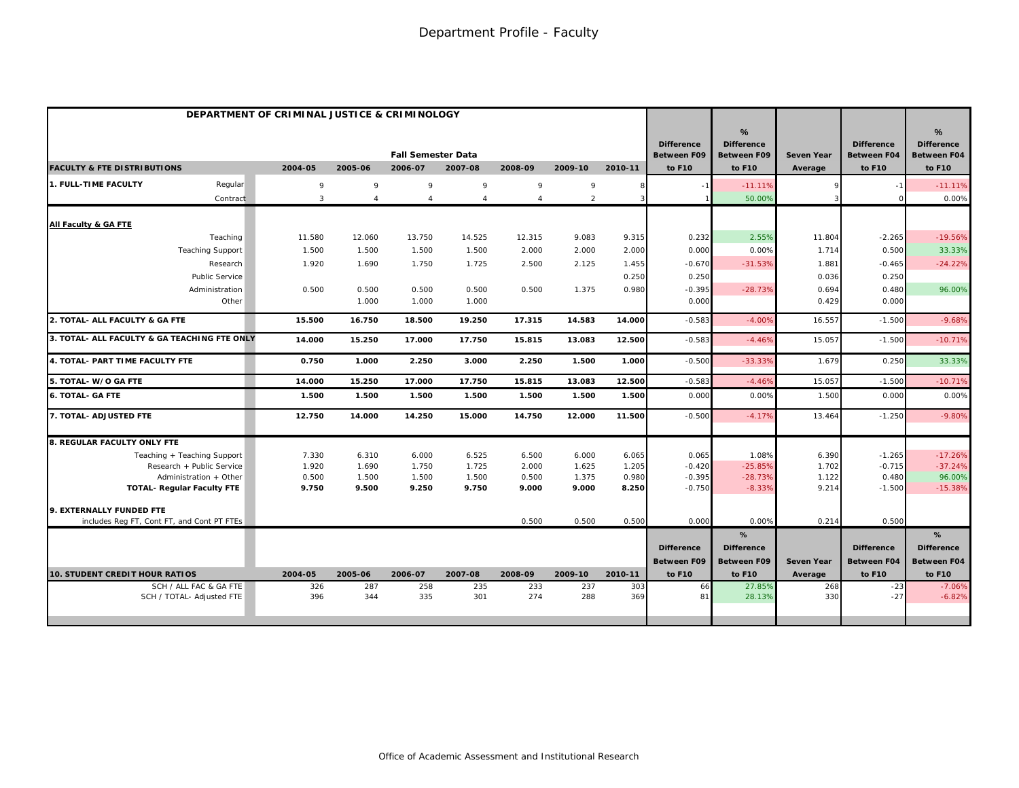| %<br>$\frac{9}{6}$<br><b>Difference</b><br><b>Difference</b><br><b>Difference</b><br><b>Difference</b><br><b>Fall Semester Data</b><br><b>Between F09</b><br><b>Between F09</b><br><b>Seven Year</b><br><b>Between F04</b><br><b>Between F04</b><br>2004-05<br>2005-06<br>2006-07<br>2007-08<br>2008-09<br>2009-10<br>2010-11<br>to F10<br>to F10<br>to F10<br>to F10<br>Average<br>Regular<br>9<br>9<br>9<br>9<br>9<br>9<br>$-11.11%$<br>$-11.11%$<br>8<br>$\overline{2}$<br>3<br>50.00%<br>0.00%<br>Contract<br>$\overline{4}$<br>$\overline{4}$<br>$\boldsymbol{\Delta}$<br>$\overline{4}$<br>3<br>2.55%<br>Teaching<br>11.580<br>12.060<br>13.750<br>14.525<br>12.315<br>9.083<br>9.315<br>0.232<br>11.804<br>$-2.265$<br>$-19.56%$<br>1.500<br>2.000<br>2.000<br>2.000<br>0.000<br>0.00%<br>0.500<br>33.33%<br><b>Teaching Support</b><br>1.500<br>1.500<br>1.500<br>1.714<br>1.920<br>1.690<br>1.750<br>2.500<br>2.125<br>1.455<br>$-0.670$<br>$-31.53%$<br>$-24.22%$<br>Research<br>1.725<br>1.881<br>$-0.465$<br>Public Service<br>0.250<br>0.250<br>0.036<br>0.250<br>0.500<br>0.500<br>0.500<br>1.375<br>0.980<br>$-0.395$<br>$-28.73%$<br>0.694<br>0.480<br>96.00%<br>Administration<br>0.500<br>0.500<br>Other<br>1.000<br>1.000<br>0.000<br>0.429<br>0.000<br>1.000<br>15.500<br>16.750<br>18.500<br>19.250<br>17.315<br>14.583<br>14.000<br>$-0.583$<br>$-4.00%$<br>16.557<br>$-1.500$<br>$-9.68%$<br>15.057<br>14.000<br>15.250<br>17.000<br>17.750<br>15.815<br>13.083<br>12.500<br>$-0.583$<br>$-4.46%$<br>$-1.500$<br>$-10.71%$<br>0.750<br>1.000<br>2.250<br>3.000<br>2.250<br>1.500<br>1.000<br>$-0.500$<br>$-33.33%$<br>1.679<br>0.250<br>33.33%<br>15.250<br>17.000<br>15.815<br>13.083<br>12.500<br>$-0.583$<br>$-4.46%$<br>15.057<br>$-1.500$<br>$-10.719$<br>14.000<br>17.750<br>1.500<br>1.500<br>1.500<br>1.500<br>1.500<br>1.500<br>1.500<br>0.00C<br>0.00%<br>1.500<br>0.000<br>0.00%<br>14.750<br>12.000<br>11.500<br>$-0.500$<br>$-9.80%$<br>12.750<br>14.000<br>14.250<br>15.000<br>$-4.17%$<br>13.464<br>$-1.250$<br>6.500<br>0.065<br>1.08%<br>$-17.26%$<br>Teaching + Teaching Support<br>7.330<br>6.310<br>6.000<br>6.525<br>6.000<br>6.065<br>6.390<br>$-1.265$<br>Research + Public Service<br>1.920<br>2.000<br>1.625<br>1.205<br>$-0.420$<br>$-25.85%$<br>1.702<br>$-0.715$<br>$-37.24%$<br>1.690<br>1.750<br>1.725<br>Administration + Other<br>0.500<br>1.500<br>0.500<br>1.375<br>0.980<br>$-0.395$<br>$-28.73%$<br>1.122<br>0.480<br>96.00%<br>1.500<br>1.500<br>9.750<br>8.250<br>$-8.33%$<br>$-15.38%$<br><b>TOTAL- Regular Faculty FTE</b><br>9.500<br>9.250<br>9.750<br>9.000<br>9.000<br>$-0.750$<br>9.214<br>$-1.500$<br>0.00%<br>0.500<br>includes Reg FT, Cont FT, and Cont PT FTEs<br>0.500<br>0.500<br>0.500<br>0.000<br>0.214<br>%<br>%<br><b>Difference</b><br><b>Difference</b><br><b>Difference</b><br><b>Difference</b><br><b>Between F09</b><br><b>Between F09</b><br><b>Seven Year</b><br><b>Between F04</b><br><b>Between F04</b><br><b>10. STUDENT CREDIT HOUR RATIOS</b><br>2004-05<br>2005-06<br>2006-07<br>2007-08<br>2008-09<br>2009-10<br>2010-11<br>to F10<br>to F10<br>to F10<br>to F10<br>Average<br>SCH / ALL FAC & GA FTE<br>326<br>287<br>258<br>235<br>233<br>237<br>303<br>66<br>27.85%<br>268<br>$-23$<br>$-7.06%$<br>344<br>335<br>288<br>369<br>396<br>301<br>274<br>81<br>330<br>$-27$<br>$-6.82%$<br>SCH / TOTAL- Adjusted FTE<br>28.13% |                                              | DEPARTMENT OF CRIMINAL JUSTICE & CRIMINOLOGY |  |  |  |  |  |  |
|---------------------------------------------------------------------------------------------------------------------------------------------------------------------------------------------------------------------------------------------------------------------------------------------------------------------------------------------------------------------------------------------------------------------------------------------------------------------------------------------------------------------------------------------------------------------------------------------------------------------------------------------------------------------------------------------------------------------------------------------------------------------------------------------------------------------------------------------------------------------------------------------------------------------------------------------------------------------------------------------------------------------------------------------------------------------------------------------------------------------------------------------------------------------------------------------------------------------------------------------------------------------------------------------------------------------------------------------------------------------------------------------------------------------------------------------------------------------------------------------------------------------------------------------------------------------------------------------------------------------------------------------------------------------------------------------------------------------------------------------------------------------------------------------------------------------------------------------------------------------------------------------------------------------------------------------------------------------------------------------------------------------------------------------------------------------------------------------------------------------------------------------------------------------------------------------------------------------------------------------------------------------------------------------------------------------------------------------------------------------------------------------------------------------------------------------------------------------------------------------------------------------------------------------------------------------------------------------------------------------------------------------------------------------------------------------------------------------------------------------------------------------------------------------------------------------------------------------------------------------------------------------------------------------------------------------------------------------------------------------------------------------------------------------------------------------------------------------------------------------------------------------------------------------------------------------------------------------------------------------------------------------------------------------------------------------------------------------------------------------------------------------------------------------------|----------------------------------------------|----------------------------------------------|--|--|--|--|--|--|
|                                                                                                                                                                                                                                                                                                                                                                                                                                                                                                                                                                                                                                                                                                                                                                                                                                                                                                                                                                                                                                                                                                                                                                                                                                                                                                                                                                                                                                                                                                                                                                                                                                                                                                                                                                                                                                                                                                                                                                                                                                                                                                                                                                                                                                                                                                                                                                                                                                                                                                                                                                                                                                                                                                                                                                                                                                                                                                                                                                                                                                                                                                                                                                                                                                                                                                                                                                                                                           |                                              |                                              |  |  |  |  |  |  |
|                                                                                                                                                                                                                                                                                                                                                                                                                                                                                                                                                                                                                                                                                                                                                                                                                                                                                                                                                                                                                                                                                                                                                                                                                                                                                                                                                                                                                                                                                                                                                                                                                                                                                                                                                                                                                                                                                                                                                                                                                                                                                                                                                                                                                                                                                                                                                                                                                                                                                                                                                                                                                                                                                                                                                                                                                                                                                                                                                                                                                                                                                                                                                                                                                                                                                                                                                                                                                           | <b>FACULTY &amp; FTE DISTRIBUTIONS</b>       |                                              |  |  |  |  |  |  |
|                                                                                                                                                                                                                                                                                                                                                                                                                                                                                                                                                                                                                                                                                                                                                                                                                                                                                                                                                                                                                                                                                                                                                                                                                                                                                                                                                                                                                                                                                                                                                                                                                                                                                                                                                                                                                                                                                                                                                                                                                                                                                                                                                                                                                                                                                                                                                                                                                                                                                                                                                                                                                                                                                                                                                                                                                                                                                                                                                                                                                                                                                                                                                                                                                                                                                                                                                                                                                           | 1. FULL-TIME FACULTY                         |                                              |  |  |  |  |  |  |
|                                                                                                                                                                                                                                                                                                                                                                                                                                                                                                                                                                                                                                                                                                                                                                                                                                                                                                                                                                                                                                                                                                                                                                                                                                                                                                                                                                                                                                                                                                                                                                                                                                                                                                                                                                                                                                                                                                                                                                                                                                                                                                                                                                                                                                                                                                                                                                                                                                                                                                                                                                                                                                                                                                                                                                                                                                                                                                                                                                                                                                                                                                                                                                                                                                                                                                                                                                                                                           |                                              |                                              |  |  |  |  |  |  |
|                                                                                                                                                                                                                                                                                                                                                                                                                                                                                                                                                                                                                                                                                                                                                                                                                                                                                                                                                                                                                                                                                                                                                                                                                                                                                                                                                                                                                                                                                                                                                                                                                                                                                                                                                                                                                                                                                                                                                                                                                                                                                                                                                                                                                                                                                                                                                                                                                                                                                                                                                                                                                                                                                                                                                                                                                                                                                                                                                                                                                                                                                                                                                                                                                                                                                                                                                                                                                           | All Faculty & GA FTE                         |                                              |  |  |  |  |  |  |
|                                                                                                                                                                                                                                                                                                                                                                                                                                                                                                                                                                                                                                                                                                                                                                                                                                                                                                                                                                                                                                                                                                                                                                                                                                                                                                                                                                                                                                                                                                                                                                                                                                                                                                                                                                                                                                                                                                                                                                                                                                                                                                                                                                                                                                                                                                                                                                                                                                                                                                                                                                                                                                                                                                                                                                                                                                                                                                                                                                                                                                                                                                                                                                                                                                                                                                                                                                                                                           |                                              |                                              |  |  |  |  |  |  |
|                                                                                                                                                                                                                                                                                                                                                                                                                                                                                                                                                                                                                                                                                                                                                                                                                                                                                                                                                                                                                                                                                                                                                                                                                                                                                                                                                                                                                                                                                                                                                                                                                                                                                                                                                                                                                                                                                                                                                                                                                                                                                                                                                                                                                                                                                                                                                                                                                                                                                                                                                                                                                                                                                                                                                                                                                                                                                                                                                                                                                                                                                                                                                                                                                                                                                                                                                                                                                           |                                              |                                              |  |  |  |  |  |  |
|                                                                                                                                                                                                                                                                                                                                                                                                                                                                                                                                                                                                                                                                                                                                                                                                                                                                                                                                                                                                                                                                                                                                                                                                                                                                                                                                                                                                                                                                                                                                                                                                                                                                                                                                                                                                                                                                                                                                                                                                                                                                                                                                                                                                                                                                                                                                                                                                                                                                                                                                                                                                                                                                                                                                                                                                                                                                                                                                                                                                                                                                                                                                                                                                                                                                                                                                                                                                                           |                                              |                                              |  |  |  |  |  |  |
|                                                                                                                                                                                                                                                                                                                                                                                                                                                                                                                                                                                                                                                                                                                                                                                                                                                                                                                                                                                                                                                                                                                                                                                                                                                                                                                                                                                                                                                                                                                                                                                                                                                                                                                                                                                                                                                                                                                                                                                                                                                                                                                                                                                                                                                                                                                                                                                                                                                                                                                                                                                                                                                                                                                                                                                                                                                                                                                                                                                                                                                                                                                                                                                                                                                                                                                                                                                                                           |                                              |                                              |  |  |  |  |  |  |
|                                                                                                                                                                                                                                                                                                                                                                                                                                                                                                                                                                                                                                                                                                                                                                                                                                                                                                                                                                                                                                                                                                                                                                                                                                                                                                                                                                                                                                                                                                                                                                                                                                                                                                                                                                                                                                                                                                                                                                                                                                                                                                                                                                                                                                                                                                                                                                                                                                                                                                                                                                                                                                                                                                                                                                                                                                                                                                                                                                                                                                                                                                                                                                                                                                                                                                                                                                                                                           |                                              |                                              |  |  |  |  |  |  |
|                                                                                                                                                                                                                                                                                                                                                                                                                                                                                                                                                                                                                                                                                                                                                                                                                                                                                                                                                                                                                                                                                                                                                                                                                                                                                                                                                                                                                                                                                                                                                                                                                                                                                                                                                                                                                                                                                                                                                                                                                                                                                                                                                                                                                                                                                                                                                                                                                                                                                                                                                                                                                                                                                                                                                                                                                                                                                                                                                                                                                                                                                                                                                                                                                                                                                                                                                                                                                           |                                              |                                              |  |  |  |  |  |  |
|                                                                                                                                                                                                                                                                                                                                                                                                                                                                                                                                                                                                                                                                                                                                                                                                                                                                                                                                                                                                                                                                                                                                                                                                                                                                                                                                                                                                                                                                                                                                                                                                                                                                                                                                                                                                                                                                                                                                                                                                                                                                                                                                                                                                                                                                                                                                                                                                                                                                                                                                                                                                                                                                                                                                                                                                                                                                                                                                                                                                                                                                                                                                                                                                                                                                                                                                                                                                                           | 2. TOTAL- ALL FACULTY & GA FTE               |                                              |  |  |  |  |  |  |
|                                                                                                                                                                                                                                                                                                                                                                                                                                                                                                                                                                                                                                                                                                                                                                                                                                                                                                                                                                                                                                                                                                                                                                                                                                                                                                                                                                                                                                                                                                                                                                                                                                                                                                                                                                                                                                                                                                                                                                                                                                                                                                                                                                                                                                                                                                                                                                                                                                                                                                                                                                                                                                                                                                                                                                                                                                                                                                                                                                                                                                                                                                                                                                                                                                                                                                                                                                                                                           | 3. TOTAL- ALL FACULTY & GA TEACHING FTE ONLY |                                              |  |  |  |  |  |  |
|                                                                                                                                                                                                                                                                                                                                                                                                                                                                                                                                                                                                                                                                                                                                                                                                                                                                                                                                                                                                                                                                                                                                                                                                                                                                                                                                                                                                                                                                                                                                                                                                                                                                                                                                                                                                                                                                                                                                                                                                                                                                                                                                                                                                                                                                                                                                                                                                                                                                                                                                                                                                                                                                                                                                                                                                                                                                                                                                                                                                                                                                                                                                                                                                                                                                                                                                                                                                                           | 4. TOTAL- PART TIME FACULTY FTE              |                                              |  |  |  |  |  |  |
|                                                                                                                                                                                                                                                                                                                                                                                                                                                                                                                                                                                                                                                                                                                                                                                                                                                                                                                                                                                                                                                                                                                                                                                                                                                                                                                                                                                                                                                                                                                                                                                                                                                                                                                                                                                                                                                                                                                                                                                                                                                                                                                                                                                                                                                                                                                                                                                                                                                                                                                                                                                                                                                                                                                                                                                                                                                                                                                                                                                                                                                                                                                                                                                                                                                                                                                                                                                                                           | 5. TOTAL-W/O GA FTE                          |                                              |  |  |  |  |  |  |
|                                                                                                                                                                                                                                                                                                                                                                                                                                                                                                                                                                                                                                                                                                                                                                                                                                                                                                                                                                                                                                                                                                                                                                                                                                                                                                                                                                                                                                                                                                                                                                                                                                                                                                                                                                                                                                                                                                                                                                                                                                                                                                                                                                                                                                                                                                                                                                                                                                                                                                                                                                                                                                                                                                                                                                                                                                                                                                                                                                                                                                                                                                                                                                                                                                                                                                                                                                                                                           | <b>6. TOTAL- GA FTE</b>                      |                                              |  |  |  |  |  |  |
|                                                                                                                                                                                                                                                                                                                                                                                                                                                                                                                                                                                                                                                                                                                                                                                                                                                                                                                                                                                                                                                                                                                                                                                                                                                                                                                                                                                                                                                                                                                                                                                                                                                                                                                                                                                                                                                                                                                                                                                                                                                                                                                                                                                                                                                                                                                                                                                                                                                                                                                                                                                                                                                                                                                                                                                                                                                                                                                                                                                                                                                                                                                                                                                                                                                                                                                                                                                                                           | 7. TOTAL- ADJUSTED FTE                       |                                              |  |  |  |  |  |  |
|                                                                                                                                                                                                                                                                                                                                                                                                                                                                                                                                                                                                                                                                                                                                                                                                                                                                                                                                                                                                                                                                                                                                                                                                                                                                                                                                                                                                                                                                                                                                                                                                                                                                                                                                                                                                                                                                                                                                                                                                                                                                                                                                                                                                                                                                                                                                                                                                                                                                                                                                                                                                                                                                                                                                                                                                                                                                                                                                                                                                                                                                                                                                                                                                                                                                                                                                                                                                                           | 8. REGULAR FACULTY ONLY FTE                  |                                              |  |  |  |  |  |  |
|                                                                                                                                                                                                                                                                                                                                                                                                                                                                                                                                                                                                                                                                                                                                                                                                                                                                                                                                                                                                                                                                                                                                                                                                                                                                                                                                                                                                                                                                                                                                                                                                                                                                                                                                                                                                                                                                                                                                                                                                                                                                                                                                                                                                                                                                                                                                                                                                                                                                                                                                                                                                                                                                                                                                                                                                                                                                                                                                                                                                                                                                                                                                                                                                                                                                                                                                                                                                                           |                                              |                                              |  |  |  |  |  |  |
|                                                                                                                                                                                                                                                                                                                                                                                                                                                                                                                                                                                                                                                                                                                                                                                                                                                                                                                                                                                                                                                                                                                                                                                                                                                                                                                                                                                                                                                                                                                                                                                                                                                                                                                                                                                                                                                                                                                                                                                                                                                                                                                                                                                                                                                                                                                                                                                                                                                                                                                                                                                                                                                                                                                                                                                                                                                                                                                                                                                                                                                                                                                                                                                                                                                                                                                                                                                                                           |                                              |                                              |  |  |  |  |  |  |
|                                                                                                                                                                                                                                                                                                                                                                                                                                                                                                                                                                                                                                                                                                                                                                                                                                                                                                                                                                                                                                                                                                                                                                                                                                                                                                                                                                                                                                                                                                                                                                                                                                                                                                                                                                                                                                                                                                                                                                                                                                                                                                                                                                                                                                                                                                                                                                                                                                                                                                                                                                                                                                                                                                                                                                                                                                                                                                                                                                                                                                                                                                                                                                                                                                                                                                                                                                                                                           |                                              |                                              |  |  |  |  |  |  |
|                                                                                                                                                                                                                                                                                                                                                                                                                                                                                                                                                                                                                                                                                                                                                                                                                                                                                                                                                                                                                                                                                                                                                                                                                                                                                                                                                                                                                                                                                                                                                                                                                                                                                                                                                                                                                                                                                                                                                                                                                                                                                                                                                                                                                                                                                                                                                                                                                                                                                                                                                                                                                                                                                                                                                                                                                                                                                                                                                                                                                                                                                                                                                                                                                                                                                                                                                                                                                           |                                              |                                              |  |  |  |  |  |  |
|                                                                                                                                                                                                                                                                                                                                                                                                                                                                                                                                                                                                                                                                                                                                                                                                                                                                                                                                                                                                                                                                                                                                                                                                                                                                                                                                                                                                                                                                                                                                                                                                                                                                                                                                                                                                                                                                                                                                                                                                                                                                                                                                                                                                                                                                                                                                                                                                                                                                                                                                                                                                                                                                                                                                                                                                                                                                                                                                                                                                                                                                                                                                                                                                                                                                                                                                                                                                                           | 9. EXTERNALLY FUNDED FTE                     |                                              |  |  |  |  |  |  |
|                                                                                                                                                                                                                                                                                                                                                                                                                                                                                                                                                                                                                                                                                                                                                                                                                                                                                                                                                                                                                                                                                                                                                                                                                                                                                                                                                                                                                                                                                                                                                                                                                                                                                                                                                                                                                                                                                                                                                                                                                                                                                                                                                                                                                                                                                                                                                                                                                                                                                                                                                                                                                                                                                                                                                                                                                                                                                                                                                                                                                                                                                                                                                                                                                                                                                                                                                                                                                           |                                              |                                              |  |  |  |  |  |  |
|                                                                                                                                                                                                                                                                                                                                                                                                                                                                                                                                                                                                                                                                                                                                                                                                                                                                                                                                                                                                                                                                                                                                                                                                                                                                                                                                                                                                                                                                                                                                                                                                                                                                                                                                                                                                                                                                                                                                                                                                                                                                                                                                                                                                                                                                                                                                                                                                                                                                                                                                                                                                                                                                                                                                                                                                                                                                                                                                                                                                                                                                                                                                                                                                                                                                                                                                                                                                                           |                                              |                                              |  |  |  |  |  |  |
|                                                                                                                                                                                                                                                                                                                                                                                                                                                                                                                                                                                                                                                                                                                                                                                                                                                                                                                                                                                                                                                                                                                                                                                                                                                                                                                                                                                                                                                                                                                                                                                                                                                                                                                                                                                                                                                                                                                                                                                                                                                                                                                                                                                                                                                                                                                                                                                                                                                                                                                                                                                                                                                                                                                                                                                                                                                                                                                                                                                                                                                                                                                                                                                                                                                                                                                                                                                                                           |                                              |                                              |  |  |  |  |  |  |
|                                                                                                                                                                                                                                                                                                                                                                                                                                                                                                                                                                                                                                                                                                                                                                                                                                                                                                                                                                                                                                                                                                                                                                                                                                                                                                                                                                                                                                                                                                                                                                                                                                                                                                                                                                                                                                                                                                                                                                                                                                                                                                                                                                                                                                                                                                                                                                                                                                                                                                                                                                                                                                                                                                                                                                                                                                                                                                                                                                                                                                                                                                                                                                                                                                                                                                                                                                                                                           |                                              |                                              |  |  |  |  |  |  |
|                                                                                                                                                                                                                                                                                                                                                                                                                                                                                                                                                                                                                                                                                                                                                                                                                                                                                                                                                                                                                                                                                                                                                                                                                                                                                                                                                                                                                                                                                                                                                                                                                                                                                                                                                                                                                                                                                                                                                                                                                                                                                                                                                                                                                                                                                                                                                                                                                                                                                                                                                                                                                                                                                                                                                                                                                                                                                                                                                                                                                                                                                                                                                                                                                                                                                                                                                                                                                           |                                              |                                              |  |  |  |  |  |  |
|                                                                                                                                                                                                                                                                                                                                                                                                                                                                                                                                                                                                                                                                                                                                                                                                                                                                                                                                                                                                                                                                                                                                                                                                                                                                                                                                                                                                                                                                                                                                                                                                                                                                                                                                                                                                                                                                                                                                                                                                                                                                                                                                                                                                                                                                                                                                                                                                                                                                                                                                                                                                                                                                                                                                                                                                                                                                                                                                                                                                                                                                                                                                                                                                                                                                                                                                                                                                                           |                                              |                                              |  |  |  |  |  |  |
|                                                                                                                                                                                                                                                                                                                                                                                                                                                                                                                                                                                                                                                                                                                                                                                                                                                                                                                                                                                                                                                                                                                                                                                                                                                                                                                                                                                                                                                                                                                                                                                                                                                                                                                                                                                                                                                                                                                                                                                                                                                                                                                                                                                                                                                                                                                                                                                                                                                                                                                                                                                                                                                                                                                                                                                                                                                                                                                                                                                                                                                                                                                                                                                                                                                                                                                                                                                                                           |                                              |                                              |  |  |  |  |  |  |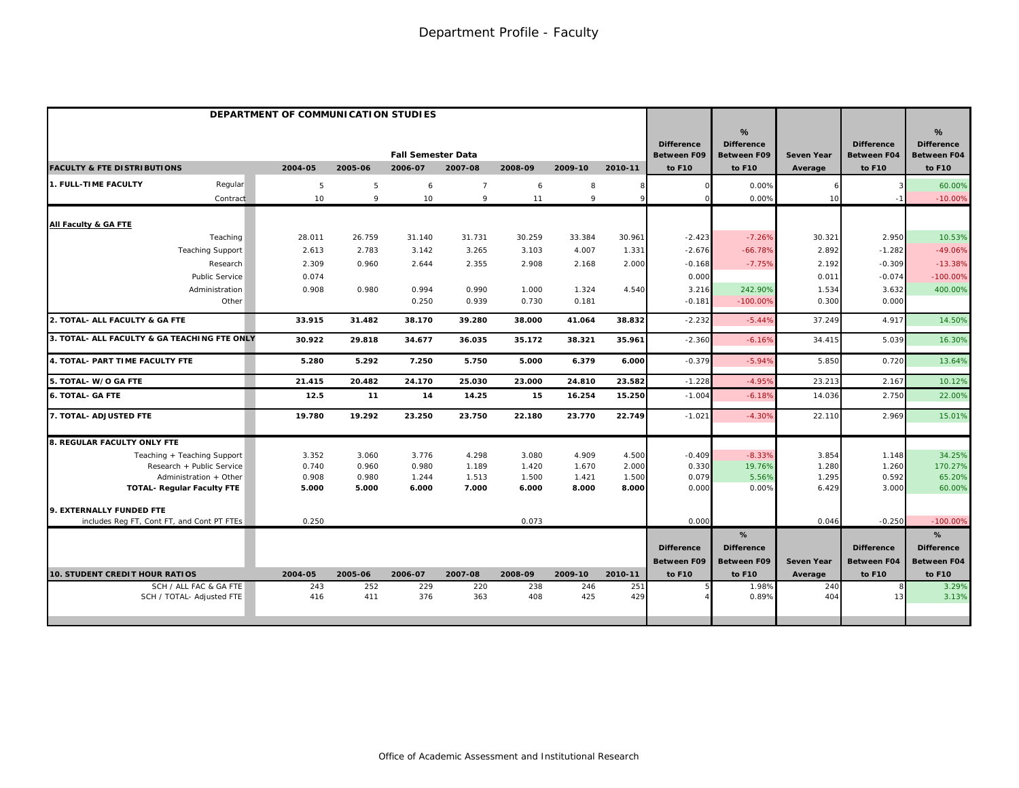|                                              | DEPARTMENT OF COMMUNICATION STUDIES |         |                           |                |         |         |         |                                         |                                              |                   |                                         |                                                          |
|----------------------------------------------|-------------------------------------|---------|---------------------------|----------------|---------|---------|---------|-----------------------------------------|----------------------------------------------|-------------------|-----------------------------------------|----------------------------------------------------------|
|                                              |                                     |         | <b>Fall Semester Data</b> |                |         |         |         | <b>Difference</b><br><b>Between F09</b> | %<br><b>Difference</b><br><b>Between F09</b> | <b>Seven Year</b> | <b>Difference</b><br><b>Between F04</b> | $\frac{9}{6}$<br><b>Difference</b><br><b>Between F04</b> |
| <b>FACULTY &amp; FTE DISTRIBUTIONS</b>       | 2004-05                             | 2005-06 | 2006-07                   | 2007-08        | 2008-09 | 2009-10 | 2010-11 | to F10                                  | to F10                                       | Average           | to F10                                  | to F10                                                   |
| 1. FULL-TIME FACULTY<br>Regular              | 5                                   | 5       | 6                         | $\overline{7}$ | 6       | 8       | 8       |                                         | 0.00%                                        |                   |                                         | 60.00%                                                   |
| Contract                                     | 10                                  | 9       | 10                        | 9              | 11      | 9       | Q       |                                         | 0.00%                                        | 10                |                                         | $-10.00%$                                                |
| All Faculty & GA FTE                         |                                     |         |                           |                |         |         |         |                                         |                                              |                   |                                         |                                                          |
| Teaching                                     | 28.011                              | 26.759  | 31.140                    | 31.731         | 30.259  | 33.384  | 30.961  | $-2.423$                                | $-7.26%$                                     | 30.321            | 2.950                                   | 10.53%                                                   |
| <b>Teaching Support</b>                      | 2.613                               | 2.783   | 3.142                     | 3.265          | 3.103   | 4.007   | 1.331   | $-2.676$                                | $-66.78%$                                    | 2.892             | $-1.282$                                | $-49.06%$                                                |
| Research                                     | 2.309                               | 0.960   | 2.644                     | 2.355          | 2.908   | 2.168   | 2.000   | $-0.168$                                | $-7.75%$                                     | 2.192             | $-0.309$                                | $-13.38%$                                                |
| Public Service                               | 0.074                               |         |                           |                |         |         |         | 0.000                                   |                                              | 0.011             | $-0.074$                                | $-100.00%$                                               |
| Administration                               | 0.908                               | 0.980   | 0.994                     | 0.990          | 1.000   | 1.324   | 4.540   | 3.216                                   | 242.90%                                      | 1.534             | 3.632                                   | 400.00%                                                  |
| Other                                        |                                     |         | 0.250                     | 0.939          | 0.730   | 0.181   |         | $-0.181$                                | $-100.00%$                                   | 0.300             | 0.000                                   |                                                          |
| 2. TOTAL- ALL FACULTY & GA FTE               | 33.915                              | 31.482  | 38.170                    | 39.280         | 38.000  | 41.064  | 38.832  | $-2.232$                                | $-5.44%$                                     | 37.249            | 4.917                                   | 14.50%                                                   |
| 3. TOTAL- ALL FACULTY & GA TEACHING FTE ONLY | 30.922                              | 29.818  | 34.677                    | 36.035         | 35.172  | 38.321  | 35.961  | $-2.360$                                | $-6.16%$                                     | 34.415            | 5.039                                   | 16.30%                                                   |
| 4. TOTAL- PART TIME FACULTY FTE              | 5.280                               | 5.292   | 7.250                     | 5.750          | 5.000   | 6.379   | 6.000   | $-0.379$                                | $-5.94%$                                     | 5.850             | 0.720                                   | 13.64%                                                   |
| 5. TOTAL- W/O GA FTE                         | 21.415                              | 20.482  | 24.170                    | 25.030         | 23.000  | 24.810  | 23.582  | $-1.228$                                | $-4.959$                                     | 23.213            | 2.167                                   | 10.12%                                                   |
| <b>6. TOTAL- GA FTE</b>                      | 12.5                                | 11      | 14                        | 14.25          | 15      | 16.254  | 15.250  | $-1.004$                                | $-6.18%$                                     | 14.036            | 2.750                                   | 22.00%                                                   |
| 7. TOTAL- ADJUSTED FTE                       | 19.780                              | 19.292  | 23.250                    | 23.750         | 22.180  | 23.770  | 22.749  | $-1.021$                                | $-4.30%$                                     | 22.110            | 2.969                                   | 15.01%                                                   |
| 8. REGULAR FACULTY ONLY FTE                  |                                     |         |                           |                |         |         |         |                                         |                                              |                   |                                         |                                                          |
| Teaching + Teaching Support                  | 3.352                               | 3.060   | 3.776                     | 4.298          | 3.080   | 4.909   | 4.500   | $-0.409$                                | $-8.33%$                                     | 3.854             | 1.148                                   | 34.25%                                                   |
| Research + Public Service                    | 0.740                               | 0.960   | 0.980                     | 1.189          | 1.420   | 1.670   | 2.000   | 0.330                                   | 19.76%                                       | 1.280             | 1.260                                   | 170.27%                                                  |
| Administration + Other                       | 0.908                               | 0.980   | 1.244                     | 1.513          | 1.500   | 1.421   | 1.500   | 0.079                                   | 5.56%                                        | 1.295             | 0.592                                   | 65.20%                                                   |
| <b>TOTAL- Regular Faculty FTE</b>            | 5.000                               | 5.000   | 6.000                     | 7.000          | 6.000   | 8.000   | 8.000   | 0.000                                   | 0.00%                                        | 6.429             | 3.000                                   | 60.00%                                                   |
| 9. EXTERNALLY FUNDED FTE                     |                                     |         |                           |                |         |         |         |                                         |                                              |                   |                                         |                                                          |
| includes Reg FT, Cont FT, and Cont PT FTEs   | 0.250                               |         |                           |                | 0.073   |         |         | 0.00C                                   |                                              | 0.046             | $-0.250$                                | $-100.00%$                                               |
|                                              |                                     |         |                           |                |         |         |         |                                         | %                                            |                   |                                         | %                                                        |
|                                              |                                     |         |                           |                |         |         |         | <b>Difference</b>                       | <b>Difference</b>                            |                   | <b>Difference</b>                       | <b>Difference</b>                                        |
|                                              |                                     |         |                           |                |         |         |         | Between F09                             | <b>Between F09</b>                           | <b>Seven Year</b> | <b>Between F04</b>                      | <b>Between F04</b>                                       |
| <b>10. STUDENT CREDIT HOUR RATIOS</b>        | 2004-05                             | 2005-06 | 2006-07                   | 2007-08        | 2008-09 | 2009-10 | 2010-11 | to F10                                  | to F10                                       | Average           | to F10                                  | to F10                                                   |
| SCH / ALL FAC & GA FTE                       | 243                                 | 252     | 229                       | 220            | 238     | 246     | 251     |                                         | 1.98%                                        | 240               |                                         | 3.29%                                                    |
| SCH / TOTAL- Adjusted FTE                    | 416                                 | 411     | 376                       | 363            | 408     | 425     | 429     |                                         | 0.89%                                        | 404               | $1^{\circ}$                             | 3.13%                                                    |
|                                              |                                     |         |                           |                |         |         |         |                                         |                                              |                   |                                         |                                                          |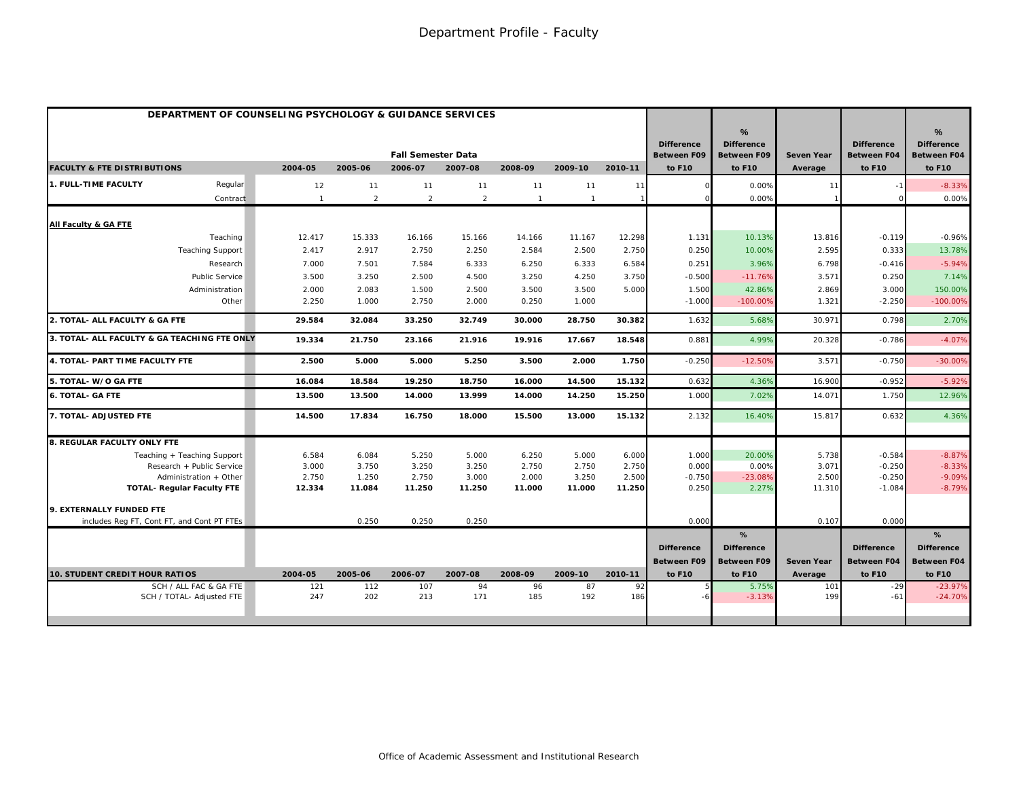| <b>DEPARTMENT OF COUNSELING PSYCHOLOGY &amp; GUIDANCE SERVICES</b> |                 |                 |                           |                 |                 |                 |         |                                         |                                                          |                       |                                         |                                              |
|--------------------------------------------------------------------|-----------------|-----------------|---------------------------|-----------------|-----------------|-----------------|---------|-----------------------------------------|----------------------------------------------------------|-----------------------|-----------------------------------------|----------------------------------------------|
|                                                                    |                 |                 | <b>Fall Semester Data</b> |                 |                 |                 |         | <b>Difference</b><br><b>Between F09</b> | $\frac{9}{6}$<br><b>Difference</b><br><b>Between F09</b> | Seven Year            | <b>Difference</b><br><b>Between F04</b> | %<br><b>Difference</b><br><b>Between F04</b> |
| <b>FACULTY &amp; FTE DISTRIBUTIONS</b>                             | 2004-05         | 2005-06         | 2006-07                   | 2007-08         | 2008-09         | 2009-10         | 2010-11 | to F10                                  | to F10                                                   | Average               | to F10                                  | to F10                                       |
| 1. FULL-TIME FACULTY<br>Regular                                    | 12              | 11              | 11                        | 11              | 11              | 11              | 11      |                                         | 0.00%                                                    | 11                    | $-1$                                    | $-8.33%$                                     |
| Contract                                                           | $\overline{1}$  | 2               | 2                         | $\overline{2}$  | $\overline{1}$  | $\overline{1}$  |         |                                         | 0.00%                                                    |                       |                                         | 0.00%                                        |
| All Faculty & GA FTE                                               |                 |                 |                           |                 |                 |                 |         |                                         |                                                          |                       |                                         |                                              |
| Teaching                                                           | 12.417          | 15.333          | 16.166                    | 15.166          | 14.166          | 11.167          | 12.298  | 1.131                                   | 10.13%                                                   | 13.816                | $-0.119$                                | $-0.96%$                                     |
| <b>Teaching Support</b>                                            | 2.417           | 2.917           | 2.750                     | 2.250           | 2.584           | 2.500           | 2.750   | 0.250                                   | 10.00%                                                   | 2.595                 | 0.333                                   | 13.78%                                       |
| Research                                                           | 7.000           | 7.501           | 7.584                     | 6.333           | 6.250           | 6.333           | 6.584   | 0.251                                   | 3.96%                                                    | 6.798                 | $-0.416$                                | $-5.94%$                                     |
| <b>Public Service</b>                                              | 3.500           | 3.250           | 2.500                     | 4.500           | 3.250           | 4.250           | 3.750   | $-0.500$                                | $-11.76%$                                                | 3.571                 | 0.250                                   | 7.14%                                        |
| Administration                                                     | 2.000           | 2.083           | 1.500                     | 2.500           | 3.500           | 3.500           | 5.000   | 1.500                                   | 42.86%                                                   | 2.869                 | 3.000                                   | 150.00%                                      |
| Other                                                              | 2.250           | 1.000           | 2.750                     | 2.000           | 0.250           | 1.000           |         | $-1.000$                                | $-100.00%$                                               | 1.321                 | $-2.250$                                | $-100.00%$                                   |
| 2. TOTAL- ALL FACULTY & GA FTE                                     | 29.584          | 32.084          | 33.250                    | 32.749          | 30.000          | 28.750          | 30.382  | 1.632                                   | 5.68%                                                    | 30.971                | 0.798                                   | 2.70%                                        |
| 3. TOTAL- ALL FACULTY & GA TEACHING FTE ONLY                       | 19.334          | 21.750          | 23.166                    | 21.916          | 19.916          | 17.667          | 18.548  | 0.881                                   | 4.99%                                                    | 20.328                | $-0.786$                                | $-4.07%$                                     |
| 4. TOTAL- PART TIME FACULTY FTE                                    | 2.500           | 5.000           | 5.000                     | 5.250           | 3.500           | 2.000           | 1.750   | $-0.250$                                | $-12.50%$                                                | 3.571                 | $-0.750$                                | $-30.00%$                                    |
| 5. TOTAL- W/O GA FTE                                               | 16.084          | 18.584          | 19.250                    | 18.750          | 16.000          | 14.500          | 15.132  | 0.632                                   | 4.36%                                                    | 16.900                | $-0.952$                                | $-5.929$                                     |
| <b>6. TOTAL- GA FTE</b>                                            | 13.500          | 13.500          | 14.000                    | 13.999          | 14.000          | 14.250          | 15.250  | 1.000                                   | 7.02%                                                    | 14.071                | 1.750                                   | 12.96%                                       |
| 7. TOTAL- ADJUSTED FTE                                             | 14.500          | 17.834          | 16.750                    | 18.000          | 15.500          | 13.000          | 15.132  | 2.132                                   | 16.40%                                                   | 15.817                | 0.632                                   | 4.36%                                        |
| 8. REGULAR FACULTY ONLY FTE                                        |                 |                 |                           |                 |                 |                 |         |                                         |                                                          |                       |                                         |                                              |
| Teaching + Teaching Support                                        | 6.584           | 6.084           | 5.250                     | 5.000           | 6.250           | 5.000           | 6.000   | 1.000                                   | 20,00%                                                   | 5.738                 | $-0.584$                                | $-8.87%$                                     |
| Research + Public Service                                          | 3.000           | 3.750           | 3.250                     | 3.250           | 2.750           | 2.750           | 2.750   | 0.000                                   | 0.00%                                                    | 3.071                 | $-0.250$                                | $-8.33%$                                     |
| Administration + Other                                             | 2.750<br>12.334 | 1.250<br>11.084 | 2.750<br>11.250           | 3.000<br>11.250 | 2.000<br>11.000 | 3.250<br>11.000 | 2.500   | $-0.750$<br>0.250                       | $-23.08%$<br>2.27%                                       | 2.500<br>11.310       | $-0.250$<br>$-1.084$                    | $-9.09%$<br>$-8.79%$                         |
| <b>TOTAL- Regular Faculty FTE</b>                                  |                 |                 |                           |                 |                 |                 | 11.250  |                                         |                                                          |                       |                                         |                                              |
| 9. EXTERNALLY FUNDED FTE                                           |                 |                 |                           |                 |                 |                 |         |                                         |                                                          |                       |                                         |                                              |
| includes Reg FT, Cont FT, and Cont PT FTEs                         |                 | 0.250           | 0.250                     | 0.250           |                 |                 |         | 0.000                                   |                                                          | 0.107                 | 0.000                                   |                                              |
|                                                                    |                 |                 |                           |                 |                 |                 |         |                                         | %                                                        |                       |                                         | %                                            |
|                                                                    |                 |                 |                           |                 |                 |                 |         | <b>Difference</b>                       | <b>Difference</b>                                        |                       | <b>Difference</b>                       | <b>Difference</b>                            |
| <b>10. STUDENT CREDIT HOUR RATIOS</b>                              | 2004-05         | 2005-06         | 2006-07                   | 2007-08         | 2008-09         | 2009-10         | 2010-11 | <b>Between F09</b><br>to F10            | <b>Between F09</b><br>to F10                             | Seven Year<br>Average | <b>Between F04</b><br>to F10            | <b>Between F04</b><br>to F10                 |
| SCH / ALL FAC & GA FTE                                             | 121             | 112             | 107                       | 94              | 96              | 87              | 92      |                                         | 5.75%                                                    | 101                   | $-29$                                   | $-23.97%$                                    |
| SCH / TOTAL- Adjusted FTE                                          | 247             | 202             | 213                       | 171             | 185             | 192             | 186     |                                         | $-3.13%$                                                 | 199                   | $-61$                                   | $-24.70%$                                    |
|                                                                    |                 |                 |                           |                 |                 |                 |         |                                         |                                                          |                       |                                         |                                              |
|                                                                    |                 |                 |                           |                 |                 |                 |         |                                         |                                                          |                       |                                         |                                              |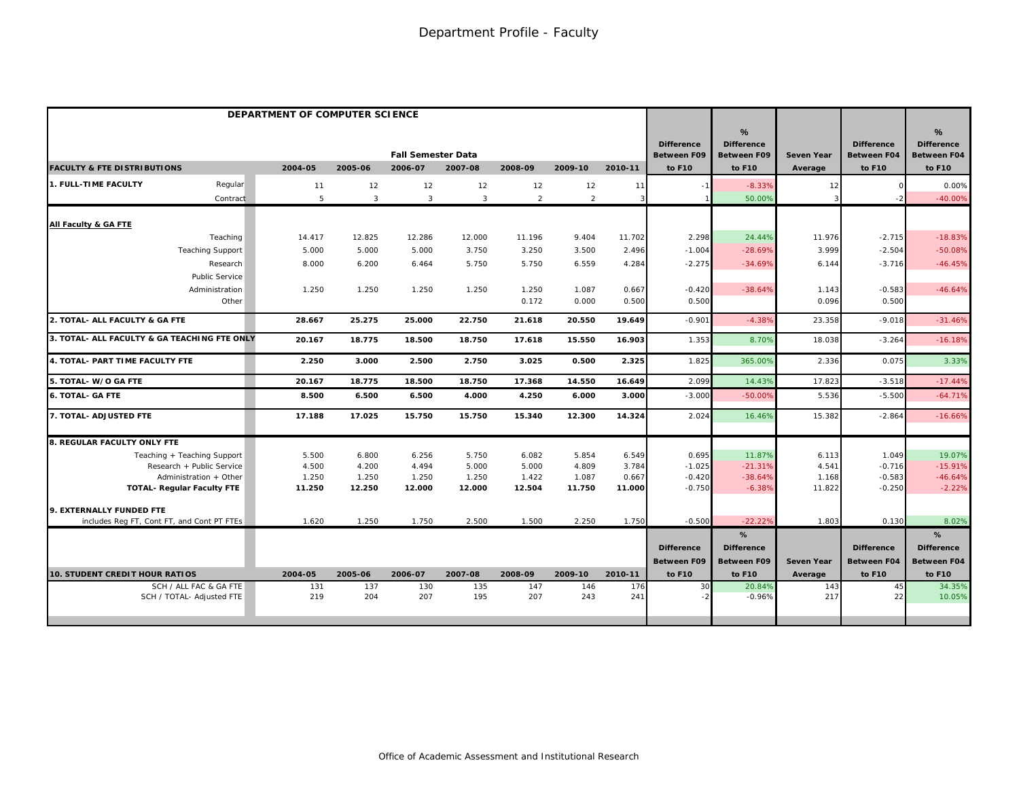|                                                     | DEPARTMENT OF COMPUTER SCIENCE |                |                           |            |                |                |            |                                         |                                              |                   |                                         |                                                          |
|-----------------------------------------------------|--------------------------------|----------------|---------------------------|------------|----------------|----------------|------------|-----------------------------------------|----------------------------------------------|-------------------|-----------------------------------------|----------------------------------------------------------|
|                                                     |                                |                | <b>Fall Semester Data</b> |            |                |                |            | <b>Difference</b><br><b>Between F09</b> | %<br><b>Difference</b><br><b>Between F09</b> | <b>Seven Year</b> | <b>Difference</b><br><b>Between F04</b> | $\frac{9}{6}$<br><b>Difference</b><br><b>Between F04</b> |
| <b>FACULTY &amp; FTE DISTRIBUTIONS</b>              | 2004-05                        | 2005-06        | 2006-07                   | 2007-08    | 2008-09        | 2009-10        | 2010-11    | to F10                                  | to F10                                       | Average           | to F10                                  | to F10                                                   |
| 1. FULL-TIME FACULTY<br>Regular                     | 11                             | 12             | 12                        | 12         | 12             | 12             | 11         |                                         | $-8.33%$                                     | 12                |                                         | 0.00%                                                    |
| Contract                                            | 5                              | $\overline{3}$ | 3                         | 3          | $\overline{2}$ | $\overline{2}$ | 3          |                                         | 50.00%                                       |                   |                                         | $-40.00%$                                                |
| All Faculty & GA FTE                                |                                |                |                           |            |                |                |            |                                         |                                              |                   |                                         |                                                          |
| Teaching                                            | 14.417                         | 12.825         | 12.286                    | 12.000     | 11.196         | 9.404          | 11.702     | 2.298                                   | 24.44%                                       | 11.976            | $-2.715$                                | $-18.83%$                                                |
| <b>Teaching Support</b>                             | 5.000                          | 5.000          | 5.000                     | 3.750      | 3.250          | 3.500          | 2.496      | $-1.004$                                | $-28.69%$                                    | 3.999             | $-2.504$                                | $-50.08%$                                                |
| Research                                            | 8.000                          | 6.200          | 6.464                     | 5.750      | 5.750          | 6.559          | 4.284      | $-2.275$                                | $-34.69%$                                    | 6.144             | $-3.716$                                | $-46.45%$                                                |
| <b>Public Service</b>                               |                                |                |                           |            |                |                |            |                                         |                                              |                   |                                         |                                                          |
| Administration                                      | 1.250                          | 1.250          | 1.250                     | 1.250      | 1.250          | 1.087          | 0.667      | $-0.420$                                | $-38.64%$                                    | 1.143             | $-0.583$                                | $-46.64%$                                                |
| Other                                               |                                |                |                           |            | 0.172          | 0.000          | 0.500      | 0.500                                   |                                              | 0.096             | 0.500                                   |                                                          |
| 2. TOTAL- ALL FACULTY & GA FTE                      | 28.667                         | 25.275         | 25.000                    | 22.750     | 21.618         | 20.550         | 19.649     | $-0.901$                                | $-4.38%$                                     | 23.358            | $-9.018$                                | $-31.46%$                                                |
| 3. TOTAL- ALL FACULTY & GA TEACHING FTE ONLY        | 20.167                         | 18.775         | 18.500                    | 18.750     | 17.618         | 15.550         | 16.903     | 1.353                                   | 8.70%                                        | 18.038            | $-3.264$                                | $-16.18%$                                                |
| 4. TOTAL- PART TIME FACULTY FTE                     | 2.250                          | 3.000          | 2.500                     | 2.750      | 3.025          | 0.500          | 2.325      | 1.825                                   | 365.00%                                      | 2.336             | 0.075                                   | 3.33%                                                    |
| 5. TOTAL- W/O GA FTE                                | 20.167                         | 18.775         | 18.500                    | 18.750     | 17.368         | 14.550         | 16.649     | 2.099                                   | 14.43%                                       | 17.823            | $-3.518$                                | $-17.44%$                                                |
| <b>6. TOTAL- GA FTE</b>                             | 8.500                          | 6.500          | 6.500                     | 4.000      | 4.250          | 6.000          | 3.000      | $-3.00C$                                | $-50.00%$                                    | 5.536             | $-5.500$                                | $-64.71%$                                                |
| 7. TOTAL- ADJUSTED FTE                              | 17.188                         | 17.025         | 15.750                    | 15.750     | 15.340         | 12.300         | 14.324     | 2.024                                   | 16.46%                                       | 15.382            | $-2.864$                                | $-16.66%$                                                |
| 8. REGULAR FACULTY ONLY FTE                         |                                |                |                           |            |                |                |            |                                         |                                              |                   |                                         |                                                          |
| Teaching + Teaching Support                         | 5.500                          | 6.800          | 6.256                     | 5.750      | 6.082          | 5.854          | 6.549      | 0.695                                   | 11.87%                                       | 6.113             | 1.049                                   | 19.07%                                                   |
| Research + Public Service                           | 4.500                          | 4.200          | 4.494                     | 5.000      | 5.000          | 4.809          | 3.784      | $-1.025$                                | $-21.31%$                                    | 4.541             | $-0.716$                                | $-15.91%$                                                |
| Administration + Other                              | 1.250                          | 1.250          | 1.250                     | 1.250      | 1.422          | 1.087          | 0.667      | $-0.420$                                | $-38.64%$                                    | 1.168             | $-0.583$                                | $-46.64%$                                                |
| <b>TOTAL- Regular Faculty FTE</b>                   | 11.250                         | 12.250         | 12.000                    | 12.000     | 12.504         | 11.750         | 11.000     | $-0.750$                                | $-6.38%$                                     | 11.822            | $-0.250$                                | $-2.22%$                                                 |
| 9. EXTERNALLY FUNDED FTE                            |                                |                |                           |            |                |                |            |                                         |                                              |                   |                                         |                                                          |
| includes Req FT, Cont FT, and Cont PT FTEs          | 1.620                          | 1.250          | 1.750                     | 2.500      | 1.500          | 2.250          | 1.750      | $-0.500$                                | $-22.22%$                                    | 1.803             | 0.130                                   | 8.02%                                                    |
|                                                     |                                |                |                           |            |                |                |            |                                         | %                                            |                   |                                         | %                                                        |
|                                                     |                                |                |                           |            |                |                |            | <b>Difference</b>                       | <b>Difference</b>                            |                   | <b>Difference</b>                       | <b>Difference</b>                                        |
|                                                     |                                |                |                           |            |                |                |            | <b>Between F09</b>                      | <b>Between F09</b>                           | Seven Year        | <b>Between F04</b>                      | <b>Between F04</b>                                       |
| <b>10. STUDENT CREDIT HOUR RATIOS</b>               | 2004-05                        | 2005-06        | 2006-07                   | 2007-08    | 2008-09        | 2009-10        | 2010-11    | to F10                                  | to F10                                       | Average           | to F10                                  | to F10                                                   |
| SCH / ALL FAC & GA FTE<br>SCH / TOTAL- Adjusted FTE | 131<br>219                     | 137<br>204     | 130<br>207                | 135<br>195 | 147<br>207     | 146<br>243     | 176<br>241 | 30                                      | 20.84%<br>$-0.96%$                           | 143<br>217        | 45<br>22                                | 34.35%<br>10.05%                                         |
|                                                     |                                |                |                           |            |                |                |            |                                         |                                              |                   |                                         |                                                          |
|                                                     |                                |                |                           |            |                |                |            |                                         |                                              |                   |                                         |                                                          |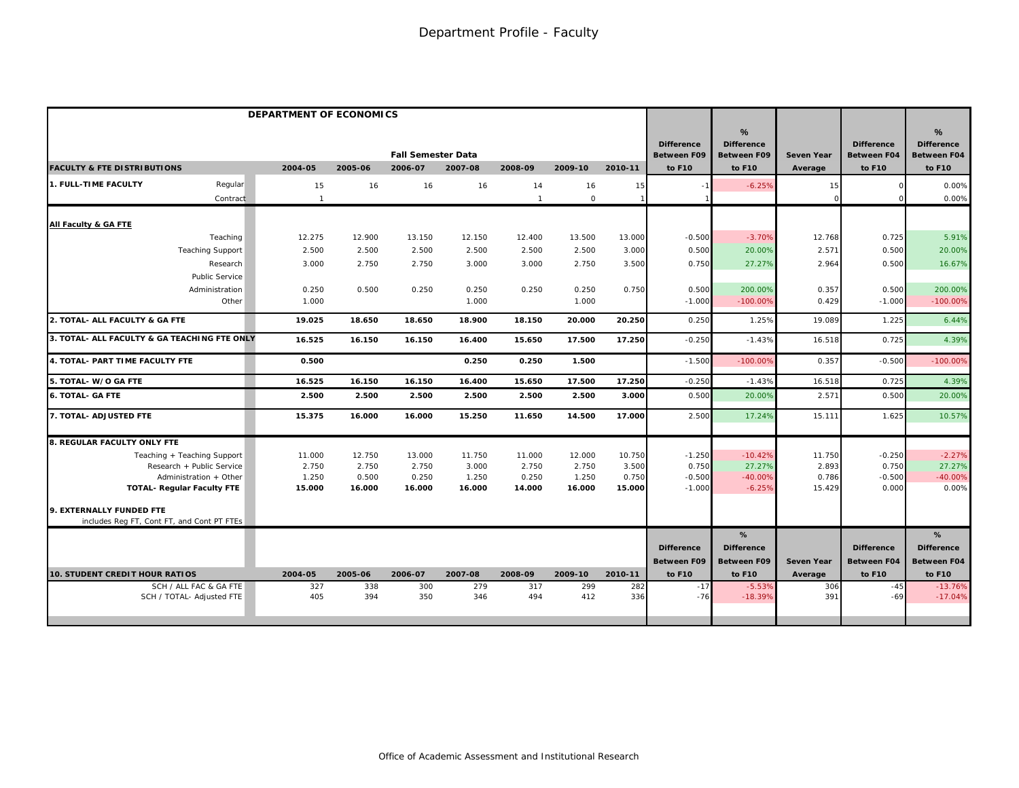|                                                     | DEPARTMENT OF ECONOMICS |            |                           |            |              |            |            |                                         |                                              |                   |                                         |                                                          |
|-----------------------------------------------------|-------------------------|------------|---------------------------|------------|--------------|------------|------------|-----------------------------------------|----------------------------------------------|-------------------|-----------------------------------------|----------------------------------------------------------|
|                                                     |                         |            | <b>Fall Semester Data</b> |            |              |            |            | <b>Difference</b><br><b>Between F09</b> | %<br><b>Difference</b><br><b>Between F09</b> | <b>Seven Year</b> | <b>Difference</b><br><b>Between F04</b> | $\frac{9}{6}$<br><b>Difference</b><br><b>Between F04</b> |
| <b>FACULTY &amp; FTE DISTRIBUTIONS</b>              | 2004-05                 | 2005-06    | 2006-07                   | 2007-08    | 2008-09      | 2009-10    | 2010-11    | to F10                                  | to F10                                       | Average           | to F10                                  | to F10                                                   |
| 1. FULL-TIME FACULTY<br>Regular                     | 15                      | 16         | 16                        | 16         | 14           | 16         | 15         |                                         | $-6.25%$                                     | 15                |                                         | 0.00%                                                    |
| Contract                                            | $\overline{1}$          |            |                           |            | $\mathbf{1}$ | $\circ$    |            |                                         |                                              |                   |                                         | 0.00%                                                    |
| All Faculty & GA FTE                                |                         |            |                           |            |              |            |            |                                         |                                              |                   |                                         |                                                          |
| Teaching                                            | 12.275                  | 12.900     | 13.150                    | 12.150     | 12.400       | 13.500     | 13.000     | $-0.500$                                | $-3.70%$                                     | 12.768            | 0.725                                   | 5.91%                                                    |
| <b>Teaching Support</b>                             | 2.500                   | 2.500      | 2.500                     | 2.500      | 2.500        | 2.500      | 3.000      | 0.500                                   | 20.00%                                       | 2.571             | 0.500                                   | 20.00%                                                   |
| Research                                            | 3.000                   | 2.750      | 2.750                     | 3.000      | 3.000        | 2.750      | 3.500      | 0.750                                   | 27.27%                                       | 2.964             | 0.500                                   | 16.67%                                                   |
| Public Service                                      |                         |            |                           |            |              |            |            |                                         |                                              |                   |                                         |                                                          |
| Administration                                      | 0.250                   | 0.500      | 0.250                     | 0.250      | 0.250        | 0.250      | 0.750      | 0.500                                   | 200.00%                                      | 0.357             | 0.500                                   | 200.00%                                                  |
| Other                                               | 1.000                   |            |                           | 1.000      |              | 1.000      |            | $-1.000$                                | $-100.00%$                                   | 0.429             | $-1.000$                                | $-100.00%$                                               |
| 2. TOTAL- ALL FACULTY & GA FTE                      | 19.025                  | 18.650     | 18.650                    | 18.900     | 18.150       | 20.000     | 20.250     | 0.250                                   | 1.25%                                        | 19.089            | 1.225                                   | 6.44%                                                    |
| 3. TOTAL- ALL FACULTY & GA TEACHING FTE ONLY        | 16.525                  | 16.150     | 16.150                    | 16.400     | 15.650       | 17.500     | 17.250     | $-0.250$                                | $-1.43%$                                     | 16.518            | 0.725                                   | 4.39%                                                    |
| 4. TOTAL- PART TIME FACULTY FTE                     | 0.500                   |            |                           | 0.250      | 0.250        | 1.500      |            | $-1.500$                                | $-100.00%$                                   | 0.357             | $-0.500$                                | $-100.00%$                                               |
| 5. TOTAL- W/O GA FTE                                | 16.525                  | 16.150     | 16.150                    | 16.400     | 15.650       | 17.500     | 17.250     | $-0.250$                                | $-1.43%$                                     | 16.518            | 0.725                                   | 4.39%                                                    |
| <b>6. TOTAL- GA FTE</b>                             | 2.500                   | 2.500      | 2.500                     | 2.500      | 2.500        | 2.500      | 3.000      | 0.50C                                   | 20.00%                                       | 2.571             | 0.500                                   | 20.00%                                                   |
| 7. TOTAL- ADJUSTED FTE                              | 15.375                  | 16.000     | 16.000                    | 15.250     | 11.650       | 14.500     | 17.000     | 2.500                                   | 17.24%                                       | 15.111            | 1.625                                   | 10.57%                                                   |
| 8. REGULAR FACULTY ONLY FTE                         |                         |            |                           |            |              |            |            |                                         |                                              |                   |                                         |                                                          |
| Teaching + Teaching Support                         | 11.000                  | 12.750     | 13.000                    | 11.750     | 11.000       | 12.000     | 10.750     | $-1.250$                                | $-10.42%$                                    | 11.750            | $-0.250$                                | $-2.27%$                                                 |
| Research + Public Service                           | 2.750                   | 2.750      | 2.750                     | 3.000      | 2.750        | 2.750      | 3.500      | 0.750                                   | 27.27%                                       | 2.893             | 0.750                                   | 27.27%                                                   |
| Administration + Other                              | 1.250                   | 0.500      | 0.250                     | 1.250      | 0.250        | 1.250      | 0.750      | $-0.500$                                | $-40.00%$                                    | 0.786             | $-0.500$                                | $-40.00%$                                                |
| <b>TOTAL- Regular Faculty FTE</b>                   | 15.000                  | 16.000     | 16.000                    | 16.000     | 14.000       | 16.000     | 15.000     | $-1.000$                                | $-6.25%$                                     | 15.429            | 0.000                                   | 0.00%                                                    |
| 9. EXTERNALLY FUNDED FTE                            |                         |            |                           |            |              |            |            |                                         |                                              |                   |                                         |                                                          |
| includes Req FT, Cont FT, and Cont PT FTEs          |                         |            |                           |            |              |            |            |                                         |                                              |                   |                                         |                                                          |
|                                                     |                         |            |                           |            |              |            |            |                                         | %                                            |                   |                                         | %                                                        |
|                                                     |                         |            |                           |            |              |            |            | <b>Difference</b>                       | <b>Difference</b>                            |                   | <b>Difference</b>                       | <b>Difference</b>                                        |
|                                                     |                         |            |                           |            |              |            |            | <b>Between F09</b>                      | <b>Between F09</b>                           | Seven Year        | <b>Between F04</b>                      | Between F04                                              |
| <b>10. STUDENT CREDIT HOUR RATIOS</b>               | 2004-05                 | 2005-06    | 2006-07                   | 2007-08    | 2008-09      | 2009-10    | 2010-11    | to F10                                  | to F10                                       | Average           | to F10                                  | to F10                                                   |
| SCH / ALL FAC & GA FTE<br>SCH / TOTAL- Adjusted FTE | 327<br>405              | 338<br>394 | 300<br>350                | 279<br>346 | 317<br>494   | 299<br>412 | 282<br>336 | $-17$<br>$-76$                          | $-5.53%$<br>$-18.39%$                        | 306<br>391        | $-45$<br>$-69$                          | $-13.76%$<br>$-17.04%$                                   |
|                                                     |                         |            |                           |            |              |            |            |                                         |                                              |                   |                                         |                                                          |
|                                                     |                         |            |                           |            |              |            |            |                                         |                                              |                   |                                         |                                                          |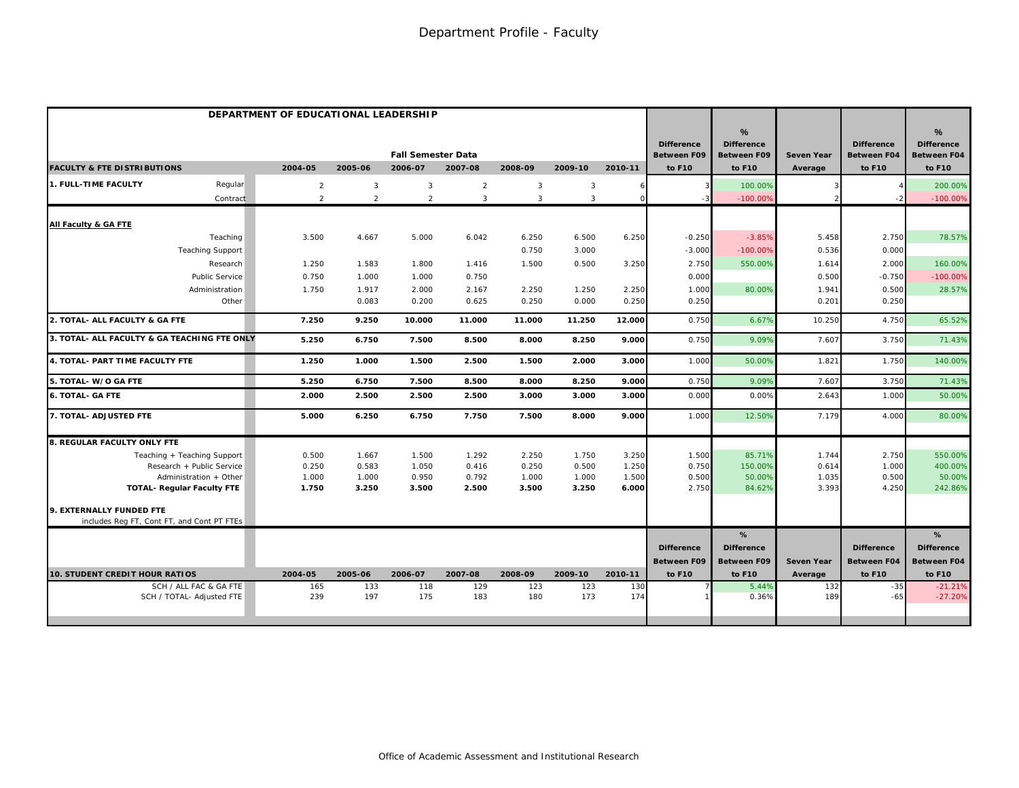|                                                     | DEPARTMENT OF EDUCATIONAL LEADERSHIP |                |                           |                |              |                |            |                                         |                                              |                   |                                         |                                                          |
|-----------------------------------------------------|--------------------------------------|----------------|---------------------------|----------------|--------------|----------------|------------|-----------------------------------------|----------------------------------------------|-------------------|-----------------------------------------|----------------------------------------------------------|
|                                                     |                                      |                | <b>Fall Semester Data</b> |                |              |                |            | <b>Difference</b><br><b>Between F09</b> | %<br><b>Difference</b><br><b>Between F09</b> | <b>Seven Year</b> | <b>Difference</b><br><b>Between F04</b> | $\frac{9}{6}$<br><b>Difference</b><br><b>Between F04</b> |
| <b>FACULTY &amp; FTE DISTRIBUTIONS</b>              | 2004-05                              | 2005-06        | 2006-07                   | 2007-08        | 2008-09      | 2009-10        | 2010-11    | to F10                                  | to F10                                       | Average           | to F10                                  | to F10                                                   |
| 1. FULL-TIME FACULTY<br>Regular                     | $\overline{2}$                       | $\overline{3}$ | 3                         | $\overline{a}$ | $\mathbf{3}$ | 3              | 6          |                                         | 100.00%                                      |                   |                                         | 200.00%                                                  |
| Contract                                            | $\overline{2}$                       | $\overline{2}$ | $\overline{2}$            | $\mathbf{3}$   | $\mathbf{3}$ | $\overline{3}$ | $\Omega$   |                                         | $-100.00%$                                   |                   |                                         | $-100.00%$                                               |
| All Faculty & GA FTE                                |                                      |                |                           |                |              |                |            |                                         |                                              |                   |                                         |                                                          |
| Teaching                                            | 3.500                                | 4.667          | 5.000                     | 6.042          | 6.250        | 6.500          | 6.250      | $-0.250$                                | $-3.85%$                                     | 5.458             | 2.750                                   | 78.57%                                                   |
| <b>Teaching Support</b>                             |                                      |                |                           |                | 0.750        | 3.000          |            | $-3.000$                                | $-100.00%$                                   | 0.536             | 0.000                                   |                                                          |
| Research                                            | 1.250                                | 1.583          | 1.800                     | 1.416          | 1.500        | 0.500          | 3.250      | 2.750                                   | 550.00%                                      | 1.614             | 2.000                                   | 160.00%                                                  |
| <b>Public Service</b>                               | 0.750                                | 1.000          | 1.000                     | 0.750          |              |                |            | 0.000                                   |                                              | 0.500             | $-0.750$                                | $-100.00%$                                               |
| Administration                                      | 1.750                                | 1.917          | 2.000                     | 2.167          | 2.250        | 1.250          | 2.250      | 1.000                                   | 80.00%                                       | 1.941             | 0.500                                   | 28.57%                                                   |
| Other                                               |                                      | 0.083          | 0.200                     | 0.625          | 0.250        | 0.000          | 0.250      | 0.250                                   |                                              | 0.201             | 0.250                                   |                                                          |
| 2. TOTAL- ALL FACULTY & GA FTE                      | 7.250                                | 9.250          | 10.000                    | 11.000         | 11.000       | 11.250         | 12.000     | 0.750                                   | 6.67%                                        | 10.250            | 4.750                                   | 65.52%                                                   |
| 3. TOTAL- ALL FACULTY & GA TEACHING FTE ONLY        | 5.250                                | 6.750          | 7.500                     | 8.500          | 8.000        | 8.250          | 9.000      | 0.750                                   | 9.09%                                        | 7.607             | 3.750                                   | 71.43%                                                   |
| 4. TOTAL- PART TIME FACULTY FTE                     | 1.250                                | 1.000          | 1.500                     | 2.500          | 1.500        | 2.000          | 3.000      | 1.000                                   | 50.00%                                       | 1.821             | 1.750                                   | 140.00%                                                  |
| 5. TOTAL- W/O GA FTE                                | 5.250                                | 6.750          | 7.500                     | 8.500          | 8.000        | 8.250          | 9.000      | 0.750                                   | 9.09%                                        | 7.607             | 3.750                                   | 71.43%                                                   |
| <b>6. TOTAL- GA FTE</b>                             | 2.000                                | 2.500          | 2.500                     | 2.500          | 3.000        | 3.000          | 3.000      | 0.000                                   | 0.00%                                        | 2.643             | 1.000                                   | 50.00%                                                   |
| 7. TOTAL- ADJUSTED FTE                              | 5.000                                | 6.250          | 6.750                     | 7.750          | 7.500        | 8.000          | 9.000      | 1.000                                   | 12.50%                                       | 7.179             | 4.000                                   | 80.00%                                                   |
| 8. REGULAR FACULTY ONLY FTE                         |                                      |                |                           |                |              |                |            |                                         |                                              |                   |                                         |                                                          |
| Teaching + Teaching Support                         | 0.500                                | 1.667          | 1.500                     | 1.292          | 2.250        | 1.750          | 3.250      | 1.500                                   | 85.71%                                       | 1.744             | 2.750                                   | 550.00%                                                  |
| Research + Public Service                           | 0.250                                | 0.583          | 1.050                     | 0.416          | 0.250        | 0.500          | 1.250      | 0.750                                   | 150.00%                                      | 0.614             | 1.000                                   | 400.00%                                                  |
| Administration + Other                              | 1.000                                | 1.000          | 0.950                     | 0.792          | 1.000        | 1.000          | 1.500      | 0.500                                   | 50.00%                                       | 1.035             | 0.500                                   | 50.00%                                                   |
| <b>TOTAL- Regular Faculty FTE</b>                   | 1.750                                | 3.250          | 3.500                     | 2.500          | 3.500        | 3.250          | 6.000      | 2.750                                   | 84.62%                                       | 3.393             | 4.250                                   | 242.86%                                                  |
| 9. EXTERNALLY FUNDED FTE                            |                                      |                |                           |                |              |                |            |                                         |                                              |                   |                                         |                                                          |
| includes Reg FT, Cont FT, and Cont PT FTEs          |                                      |                |                           |                |              |                |            |                                         |                                              |                   |                                         |                                                          |
|                                                     |                                      |                |                           |                |              |                |            |                                         | %                                            |                   |                                         | %                                                        |
|                                                     |                                      |                |                           |                |              |                |            | <b>Difference</b>                       | <b>Difference</b>                            |                   | <b>Difference</b>                       | <b>Difference</b>                                        |
|                                                     |                                      |                |                           |                |              |                |            | <b>Between F09</b>                      | <b>Between F09</b>                           | <b>Seven Year</b> | <b>Between F04</b>                      | <b>Between F04</b>                                       |
| <b>10. STUDENT CREDIT HOUR RATIOS</b>               | 2004-05                              | 2005-06        | 2006-07                   | 2007-08        | 2008-09      | 2009-10        | 2010-11    | to F10                                  | to F10                                       | Average           | to F10                                  | to F10                                                   |
| SCH / ALL FAC & GA FTE<br>SCH / TOTAL- Adjusted FTE | 165<br>239                           | 133<br>197     | 118<br>175                | 129<br>183     | 123<br>180   | 123<br>173     | 130<br>174 |                                         | 5.44%<br>0.36%                               | 132<br>189        | $-35$<br>$-65$                          | $-21.21%$<br>$-27.20%$                                   |
|                                                     |                                      |                |                           |                |              |                |            |                                         |                                              |                   |                                         |                                                          |
|                                                     |                                      |                |                           |                |              |                |            |                                         |                                              |                   |                                         |                                                          |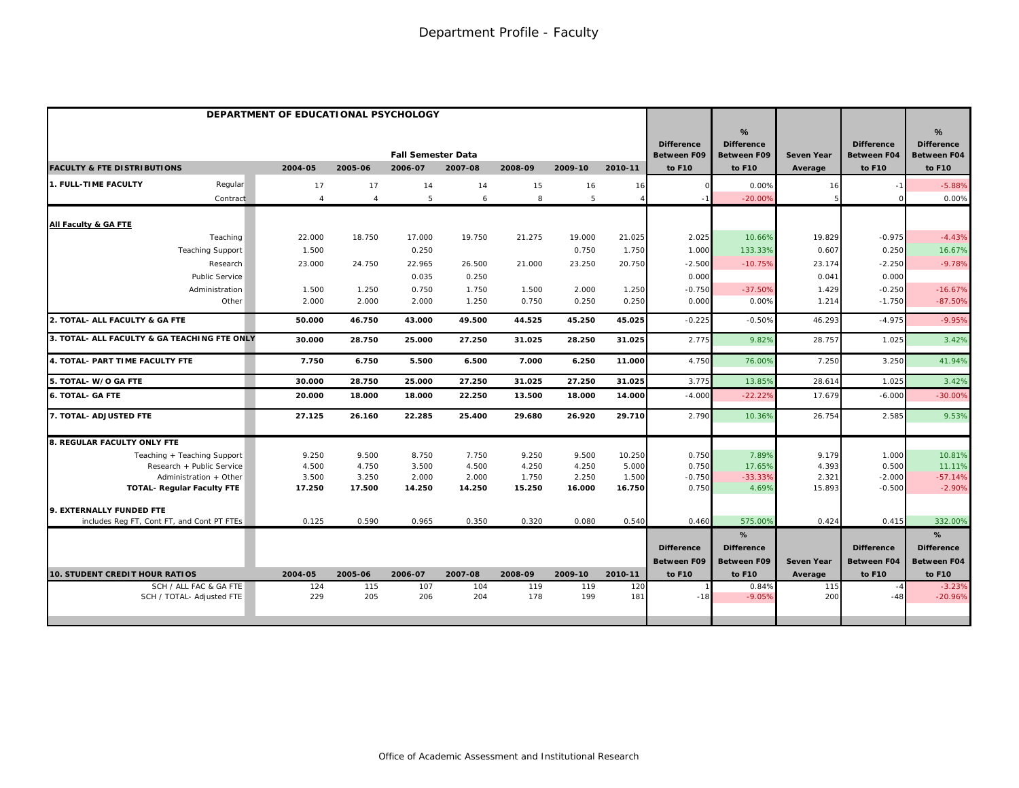|                                              | DEPARTMENT OF EDUCATIONAL PSYCHOLOGY |                |                           |         |         |         |         |                                         |                                              |                   |                                         |                                                          |
|----------------------------------------------|--------------------------------------|----------------|---------------------------|---------|---------|---------|---------|-----------------------------------------|----------------------------------------------|-------------------|-----------------------------------------|----------------------------------------------------------|
|                                              |                                      |                | <b>Fall Semester Data</b> |         |         |         |         | <b>Difference</b><br><b>Between F09</b> | %<br><b>Difference</b><br><b>Between F09</b> | <b>Seven Year</b> | <b>Difference</b><br><b>Between F04</b> | $\frac{9}{6}$<br><b>Difference</b><br><b>Between F04</b> |
| <b>FACULTY &amp; FTE DISTRIBUTIONS</b>       | 2004-05                              | 2005-06        | 2006-07                   | 2007-08 | 2008-09 | 2009-10 | 2010-11 | to F10                                  | to F10                                       | Average           | to F10                                  | to F10                                                   |
| 1. FULL-TIME FACULTY<br>Regular              | 17                                   | 17             | 14                        | 14      | 15      | 16      | 16      |                                         | 0.00%                                        | 16                |                                         | $-5.88%$                                                 |
| Contract                                     | $\overline{4}$                       | $\overline{4}$ | 5                         | 6       | 8       | 5       |         |                                         | $-20.00%$                                    |                   |                                         | 0.00%                                                    |
| All Faculty & GA FTE                         |                                      |                |                           |         |         |         |         |                                         |                                              |                   |                                         |                                                          |
| Teaching                                     | 22.000                               | 18.750         | 17.000                    | 19.750  | 21.275  | 19.000  | 21.025  | 2.025                                   | 10.66%                                       | 19.829            | $-0.975$                                | $-4.43%$                                                 |
| <b>Teaching Support</b>                      | 1.500                                |                | 0.250                     |         |         | 0.750   | 1.750   | 1.000                                   | 133.33%                                      | 0.607             | 0.250                                   | 16.67%                                                   |
| Research                                     | 23.000                               | 24.750         | 22.965                    | 26.500  | 21.000  | 23.250  | 20.750  | $-2.500$                                | $-10.75%$                                    | 23.174            | $-2.250$                                | $-9.78%$                                                 |
| Public Service                               |                                      |                | 0.035                     | 0.250   |         |         |         | 0.000                                   |                                              | 0.041             | 0.000                                   |                                                          |
| Administration                               | 1.500                                | 1.250          | 0.750                     | 1.750   | 1.500   | 2.000   | 1.250   | $-0.750$                                | $-37.50%$                                    | 1.429             | $-0.250$                                | $-16.67%$                                                |
| Other                                        | 2.000                                | 2.000          | 2.000                     | 1.250   | 0.750   | 0.250   | 0.250   | 0.000                                   | 0.00%                                        | 1.214             | $-1.750$                                | $-87.50%$                                                |
| 2. TOTAL- ALL FACULTY & GA FTE               | 50.000                               | 46.750         | 43.000                    | 49.500  | 44.525  | 45.250  | 45.025  | $-0.225$                                | $-0.50%$                                     | 46.293            | $-4.975$                                | $-9.95%$                                                 |
| 3. TOTAL- ALL FACULTY & GA TEACHING FTE ONLY | 30.000                               | 28.750         | 25.000                    | 27.250  | 31.025  | 28.250  | 31.025  | 2.775                                   | 9.82%                                        | 28.757            | 1.025                                   | 3.42%                                                    |
| 4. TOTAL- PART TIME FACULTY FTE              | 7.750                                | 6.750          | 5.500                     | 6.500   | 7.000   | 6.250   | 11.000  | 4.750                                   | 76.00%                                       | 7.250             | 3.250                                   | 41.94%                                                   |
| 5. TOTAL- W/O GA FTE                         | 30.000                               | 28.750         | 25.000                    | 27.250  | 31.025  | 27.250  | 31.025  | 3.775                                   | 13.85%                                       | 28.61             | 1.025                                   | 3.42%                                                    |
| <b>6. TOTAL- GA FTE</b>                      | 20.000                               | 18.000         | 18.000                    | 22.250  | 13.500  | 18.000  | 14.000  | $-4.00C$                                | $-22.22%$                                    | 17.679            | $-6.000$                                | $-30.00%$                                                |
| 7. TOTAL- ADJUSTED FTE                       | 27.125                               | 26.160         | 22.285                    | 25.400  | 29.680  | 26.920  | 29.710  | 2.790                                   | 10.36%                                       | 26.754            | 2.585                                   | 9.53%                                                    |
| 8. REGULAR FACULTY ONLY FTE                  |                                      |                |                           |         |         |         |         |                                         |                                              |                   |                                         |                                                          |
| Teaching + Teaching Support                  | 9.250                                | 9.500          | 8.750                     | 7.750   | 9.250   | 9.500   | 10.250  | 0.750                                   | 7.89%                                        | 9.179             | 1.000                                   | 10.81%                                                   |
| Research + Public Service                    | 4.500                                | 4.750          | 3.500                     | 4.500   | 4.250   | 4.250   | 5.000   | 0.750                                   | 17.65%                                       | 4.393             | 0.500                                   | 11.11%                                                   |
| Administration + Other                       | 3.500                                | 3.250          | 2.000                     | 2.000   | 1.750   | 2.250   | 1.500   | $-0.750$                                | $-33.33%$                                    | 2.321             | $-2.000$                                | $-57.14%$                                                |
| <b>TOTAL- Regular Faculty FTE</b>            | 17.250                               | 17.500         | 14.250                    | 14.250  | 15.250  | 16.000  | 16.750  | 0.750                                   | 4.69%                                        | 15.893            | $-0.500$                                | $-2.90%$                                                 |
| 9. EXTERNALLY FUNDED FTE                     |                                      |                |                           |         |         |         |         |                                         |                                              |                   |                                         |                                                          |
| includes Reg FT, Cont FT, and Cont PT FTEs   | 0.125                                | 0.590          | 0.965                     | 0.350   | 0.320   | 0.080   | 0.540   | 0.460                                   | 575.00%                                      | 0.424             | 0.415                                   | 332.00%                                                  |
|                                              |                                      |                |                           |         |         |         |         |                                         | %                                            |                   |                                         | %                                                        |
|                                              |                                      |                |                           |         |         |         |         | <b>Difference</b>                       | <b>Difference</b>                            |                   | <b>Difference</b>                       | <b>Difference</b>                                        |
|                                              |                                      |                |                           |         |         |         |         | Between F09                             | <b>Between F09</b>                           | <b>Seven Year</b> | <b>Between F04</b>                      | <b>Between F04</b>                                       |
| <b>10. STUDENT CREDIT HOUR RATIOS</b>        | 2004-05                              | 2005-06        | 2006-07                   | 2007-08 | 2008-09 | 2009-10 | 2010-11 | to F10                                  | to F10                                       | Average           | to F10                                  | to F10                                                   |
| SCH / ALL FAC & GA FTE                       | 124                                  | 115            | 107                       | 104     | 119     | 119     | 120     |                                         | 0.84%                                        | 115               |                                         | $-3.23%$                                                 |
| SCH / TOTAL- Adjusted FTE                    | 229                                  | 205            | 206                       | 204     | 178     | 199     | 181     | $-18$                                   | $-9.05%$                                     | 200               | $-48$                                   | $-20.96%$                                                |
|                                              |                                      |                |                           |         |         |         |         |                                         |                                              |                   |                                         |                                                          |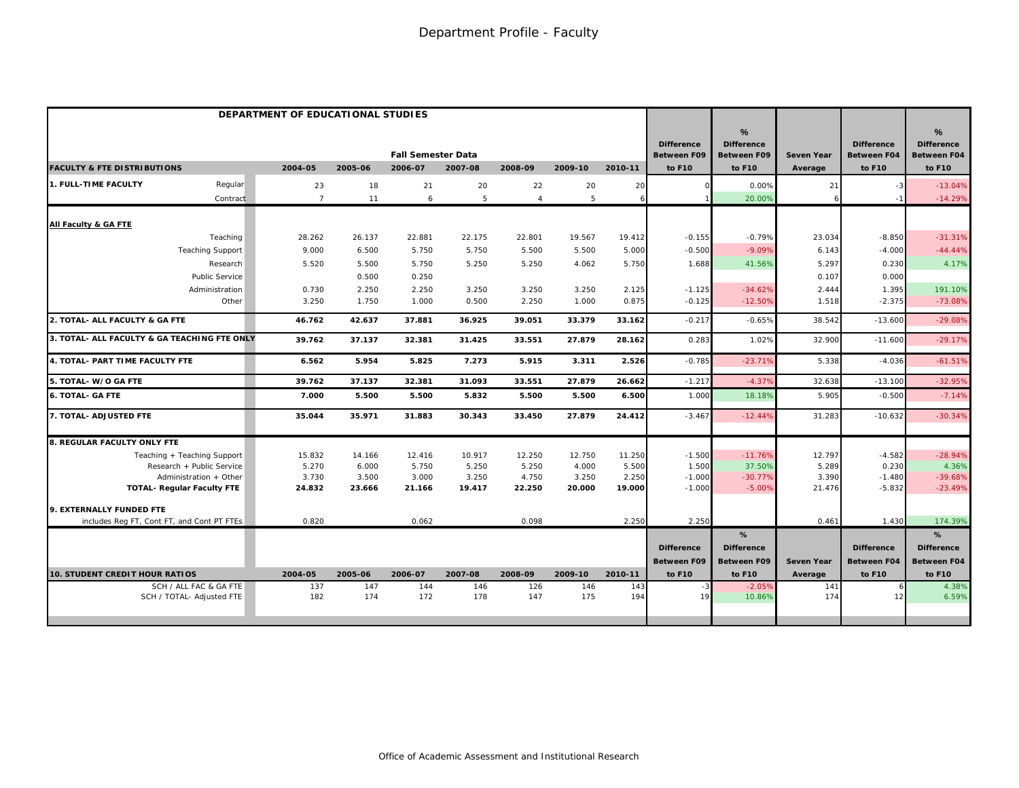|                                              | DEPARTMENT OF EDUCATIONAL STUDIES |         |                           |         |                |         |         |                                         |                                              |                   |                                         |                                                          |
|----------------------------------------------|-----------------------------------|---------|---------------------------|---------|----------------|---------|---------|-----------------------------------------|----------------------------------------------|-------------------|-----------------------------------------|----------------------------------------------------------|
|                                              |                                   |         | <b>Fall Semester Data</b> |         |                |         |         | <b>Difference</b><br><b>Between F09</b> | %<br><b>Difference</b><br><b>Between F09</b> | <b>Seven Year</b> | <b>Difference</b><br><b>Between F04</b> | $\frac{9}{6}$<br><b>Difference</b><br><b>Between F04</b> |
| <b>FACULTY &amp; FTE DISTRIBUTIONS</b>       | 2004-05                           | 2005-06 | 2006-07                   | 2007-08 | 2008-09        | 2009-10 | 2010-11 | to F10                                  | to F10                                       | Average           | to F10                                  | to F10                                                   |
| 1. FULL-TIME FACULTY<br>Regular              | 23                                | 18      | 21                        | 20      | 22             | 20      | 20      |                                         | 0.00%                                        | 21                |                                         | $-13.04%$                                                |
| Contract                                     | $\overline{7}$                    | 11      | 6                         | 5       | $\overline{4}$ | 5       | 6       |                                         | 20.00%                                       |                   |                                         | $-14.29%$                                                |
| All Faculty & GA FTE                         |                                   |         |                           |         |                |         |         |                                         |                                              |                   |                                         |                                                          |
| Teaching                                     | 28.262                            | 26.137  | 22.881                    | 22.175  | 22.801         | 19.567  | 19.412  | $-0.155$                                | $-0.79%$                                     | 23.034            | $-8.850$                                | $-31.31%$                                                |
| <b>Teaching Support</b>                      | 9.000                             | 6.500   | 5.750                     | 5.750   | 5.500          | 5.500   | 5.000   | $-0.500$                                | $-9.09%$                                     | 6.143             | $-4.000$                                | $-44.44%$                                                |
| Research                                     | 5.520                             | 5.500   | 5.750                     | 5.250   | 5.250          | 4.062   | 5.750   | 1.688                                   | 41.56%                                       | 5.297             | 0.230                                   | 4.17%                                                    |
| <b>Public Service</b>                        |                                   | 0.500   | 0.250                     |         |                |         |         |                                         |                                              | 0.107             | 0.000                                   |                                                          |
| Administration                               | 0.730                             | 2.250   | 2.250                     | 3.250   | 3.250          | 3.250   | 2.125   | $-1.125$                                | $-34.62%$                                    | 2.444             | 1.395                                   | 191.10%                                                  |
| Other                                        | 3.250                             | 1.750   | 1.000                     | 0.500   | 2.250          | 1.000   | 0.875   | $-0.125$                                | $-12.50%$                                    | 1.518             | $-2.375$                                | $-73.08%$                                                |
| 2. TOTAL- ALL FACULTY & GA FTE               | 46.762                            | 42.637  | 37.881                    | 36.925  | 39.051         | 33.379  | 33.162  | $-0.217$                                | $-0.65%$                                     | 38.542            | $-13.600$                               | $-29.08%$                                                |
| 3. TOTAL- ALL FACULTY & GA TEACHING FTE ONLY | 39.762                            | 37.137  | 32.381                    | 31.425  | 33.551         | 27.879  | 28.162  | 0.283                                   | 1.02%                                        | 32.900            | $-11.600$                               | $-29.17%$                                                |
| 4. TOTAL- PART TIME FACULTY FTE              | 6.562                             | 5.954   | 5.825                     | 7.273   | 5.915          | 3.311   | 2.526   | $-0.785$                                | $-23.71%$                                    | 5.338             | $-4.036$                                | $-61.51%$                                                |
| 5. TOTAL- W/O GA FTE                         | 39.762                            | 37.137  | 32.381                    | 31.093  | 33.551         | 27.879  | 26.662  | $-1.217$                                | $-4.379$                                     | 32.638            | $-13.100$                               | $-32.95%$                                                |
| <b>6. TOTAL- GA FTE</b>                      | 7.000                             | 5.500   | 5.500                     | 5.832   | 5.500          | 5.500   | 6.500   | 1.000                                   | 18.18%                                       | 5.905             | $-0.500$                                | $-7.14%$                                                 |
| 7. TOTAL- ADJUSTED FTE                       | 35.044                            | 35.971  | 31.883                    | 30.343  | 33.450         | 27.879  | 24.412  | $-3.467$                                | $-12.44%$                                    | 31.283            | $-10.632$                               | $-30.34%$                                                |
| <b>8. REGULAR FACULTY ONLY FTE</b>           |                                   |         |                           |         |                |         |         |                                         |                                              |                   |                                         |                                                          |
| Teaching + Teaching Support                  | 15.832                            | 14.166  | 12.416                    | 10.917  | 12.250         | 12.750  | 11.250  | $-1.500$                                | $-11.76%$                                    | 12.797            | $-4.582$                                | $-28.94%$                                                |
| Research + Public Service                    | 5.270                             | 6.000   | 5.750                     | 5.250   | 5.250          | 4.000   | 5.500   | 1.500                                   | 37.50%                                       | 5.289             | 0.230                                   | 4.36%                                                    |
| Administration + Other                       | 3.730                             | 3.500   | 3.000                     | 3.250   | 4.750          | 3.250   | 2.250   | $-1.000$                                | $-30.77%$                                    | 3.390             | $-1.480$                                | $-39.68%$                                                |
| <b>TOTAL- Regular Faculty FTE</b>            | 24.832                            | 23.666  | 21.166                    | 19.417  | 22.250         | 20.000  | 19.000  | $-1.000$                                | $-5.00%$                                     | 21.476            | $-5.832$                                | $-23.49%$                                                |
| 9. EXTERNALLY FUNDED FTE                     |                                   |         |                           |         |                |         |         |                                         |                                              |                   |                                         |                                                          |
| includes Reg FT, Cont FT, and Cont PT FTEs   | 0.820                             |         | 0.062                     |         | 0.098          |         | 2.250   | 2.250                                   |                                              | 0.461             | 1.430                                   | 174.39%                                                  |
|                                              |                                   |         |                           |         |                |         |         |                                         | %                                            |                   |                                         | %                                                        |
|                                              |                                   |         |                           |         |                |         |         | <b>Difference</b>                       | <b>Difference</b>                            |                   | <b>Difference</b>                       | <b>Difference</b>                                        |
|                                              |                                   |         |                           |         |                |         |         | Between F09                             | <b>Between F09</b>                           | <b>Seven Year</b> | <b>Between F04</b>                      | <b>Between F04</b>                                       |
| 10. STUDENT CREDIT HOUR RATIOS               | 2004-05                           | 2005-06 | 2006-07                   | 2007-08 | 2008-09        | 2009-10 | 2010-11 | to F10                                  | to F10                                       | Average           | to F10                                  | to F10                                                   |
| SCH / ALL FAC & GA FTE                       | 137                               | 147     | 144                       | 146     | 126            | 146     | 143     | $-3$                                    | $-2.05%$                                     | 141               |                                         | 4.38%                                                    |
| SCH / TOTAL- Adjusted FTE                    | 182                               | 174     | 172                       | 178     | 147            | 175     | 194     | 19                                      | 10.86%                                       | 174               | 1                                       | 6.59%                                                    |
|                                              |                                   |         |                           |         |                |         |         |                                         |                                              |                   |                                         |                                                          |
|                                              |                                   |         |                           |         |                |         |         |                                         |                                              |                   |                                         |                                                          |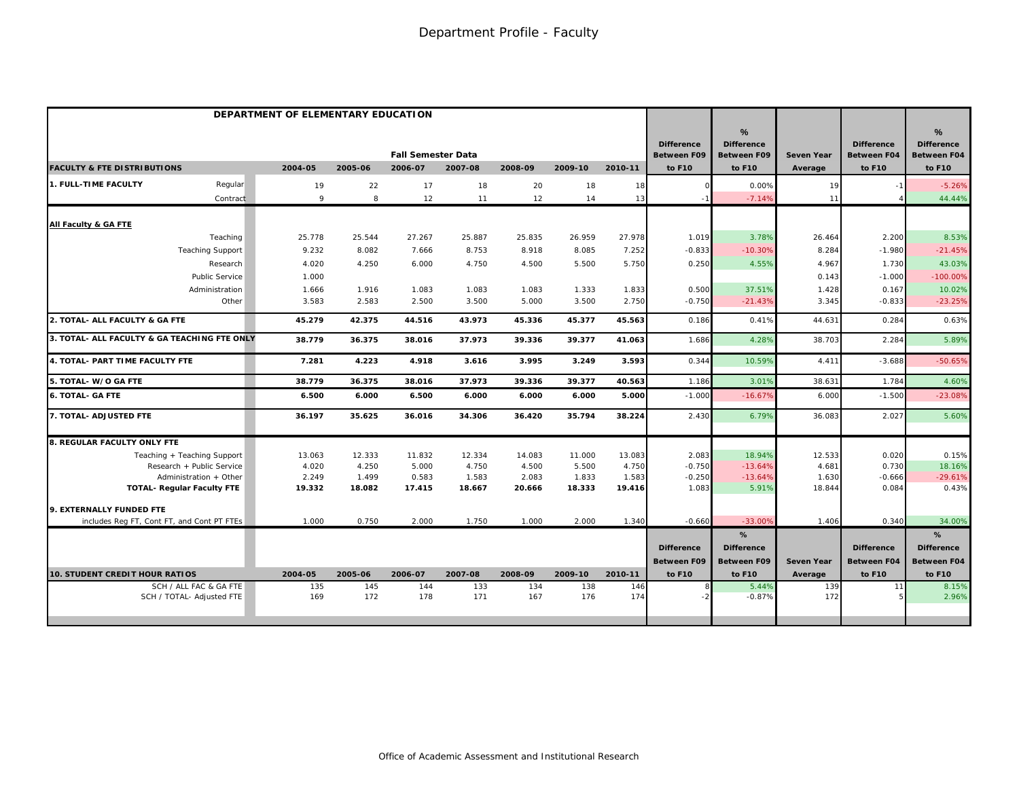|                                              | DEPARTMENT OF ELEMENTARY EDUCATION |         |                           |         |         |         |            |                                         |                                              |                   |                                         |                                                          |
|----------------------------------------------|------------------------------------|---------|---------------------------|---------|---------|---------|------------|-----------------------------------------|----------------------------------------------|-------------------|-----------------------------------------|----------------------------------------------------------|
|                                              |                                    |         | <b>Fall Semester Data</b> |         |         |         |            | <b>Difference</b><br><b>Between F09</b> | %<br><b>Difference</b><br><b>Between F09</b> | <b>Seven Year</b> | <b>Difference</b><br><b>Between F04</b> | $\frac{9}{6}$<br><b>Difference</b><br><b>Between F04</b> |
| <b>FACULTY &amp; FTE DISTRIBUTIONS</b>       | 2004-05                            | 2005-06 | 2006-07                   | 2007-08 | 2008-09 | 2009-10 | 2010-11    | to F10                                  | to F10                                       | Average           | to F10                                  | to F10                                                   |
| 1. FULL-TIME FACULTY<br>Regular              | 19                                 | 22      | 17                        | 18      | 20      | 18      | 18         |                                         | 0.00%                                        | 19                |                                         | $-5.26%$                                                 |
| Contract                                     | 9                                  | 8       | 12                        | 11      | 12      | 14      | 13         |                                         | $-7.14%$                                     | 11                |                                         | 44.44%                                                   |
| All Faculty & GA FTE                         |                                    |         |                           |         |         |         |            |                                         |                                              |                   |                                         |                                                          |
| Teaching                                     | 25.778                             | 25.544  | 27.267                    | 25.887  | 25.835  | 26.959  | 27.978     | 1.019                                   | 3.78%                                        | 26.464            | 2.200                                   | 8.53%                                                    |
| <b>Teaching Support</b>                      | 9.232                              | 8.082   | 7.666                     | 8.753   | 8.918   | 8.085   | 7.252      | $-0.833$                                | $-10.30%$                                    | 8.284             | $-1.980$                                | $-21.45%$                                                |
| Research                                     | 4.020                              | 4.250   | 6.000                     | 4.750   | 4.500   | 5.500   | 5.750      | 0.250                                   | 4.55%                                        | 4.967             | 1.730                                   | 43.03%                                                   |
| <b>Public Service</b>                        | 1.000                              |         |                           |         |         |         |            |                                         |                                              | 0.143             | $-1.000$                                | $-100.00%$                                               |
| Administration                               | 1.666                              | 1.916   | 1.083                     | 1.083   | 1.083   | 1.333   | 1.833      | 0.500                                   | 37.51%                                       | 1.428             | 0.167                                   | 10.02%                                                   |
| Other                                        | 3.583                              | 2.583   | 2.500                     | 3.500   | 5.000   | 3.500   | 2.750      | $-0.750$                                | $-21.43%$                                    | 3.345             | $-0.833$                                | $-23.25%$                                                |
| 2. TOTAL- ALL FACULTY & GA FTE               | 45.279                             | 42.375  | 44.516                    | 43.973  | 45.336  | 45.377  | 45.563     | 0.186                                   | 0.41%                                        | 44.631            | 0.284                                   | 0.63%                                                    |
| 3. TOTAL- ALL FACULTY & GA TEACHING FTE ONLY | 38.779                             | 36.375  | 38.016                    | 37.973  | 39.336  | 39.377  | 41.063     | 1.686                                   | 4.28%                                        | 38.703            | 2.284                                   | 5.89%                                                    |
| 4. TOTAL- PART TIME FACULTY FTE              | 7.281                              | 4.223   | 4.918                     | 3.616   | 3.995   | 3.249   | 3.593      | 0.344                                   | 10.59%                                       | 4.411             | $-3.688$                                | $-50.65%$                                                |
| 5. TOTAL- W/O GA FTE                         | 38.779                             | 36.375  | 38.016                    | 37.973  | 39.336  | 39.377  | 40.563     | 1.186                                   | 3.01%                                        | 38.631            | 1.784                                   | 4.60%                                                    |
| <b>6. TOTAL- GA FTE</b>                      | 6.500                              | 6.000   | 6.500                     | 6.000   | 6.000   | 6.000   | 5.000      | $-1.000$                                | $-16.679$                                    | 6.000             | $-1.500$                                | $-23.08%$                                                |
| 7. TOTAL- ADJUSTED FTE                       | 36.197                             | 35.625  | 36.016                    | 34.306  | 36.420  | 35.794  | 38.224     | 2.430                                   | 6.79%                                        | 36.083            | 2.027                                   | 5.60%                                                    |
| <b>8. REGULAR FACULTY ONLY FTE</b>           |                                    |         |                           |         |         |         |            |                                         |                                              |                   |                                         |                                                          |
| Teaching + Teaching Support                  | 13.063                             | 12.333  | 11.832                    | 12.334  | 14.083  | 11.000  | 13.083     | 2.083                                   | 18.94%                                       | 12.533            | 0.020                                   | 0.15%                                                    |
| Research + Public Service                    | 4.020                              | 4.250   | 5.000                     | 4.750   | 4.500   | 5.500   | 4.750      | $-0.750$                                | $-13.64%$                                    | 4.681             | 0.730                                   | 18.16%                                                   |
| Administration + Other                       | 2.249                              | 1.499   | 0.583                     | 1.583   | 2.083   | 1.833   | 1.583      | $-0.250$                                | $-13.64%$                                    | 1.630             | $-0.666$                                | $-29.61%$                                                |
| <b>TOTAL- Regular Faculty FTE</b>            | 19.332                             | 18.082  | 17.415                    | 18.667  | 20.666  | 18.333  | 19.416     | 1.083                                   | 5.91%                                        | 18.844            | 0.084                                   | 0.43%                                                    |
| 9. EXTERNALLY FUNDED FTE                     |                                    |         |                           |         |         |         |            |                                         |                                              |                   |                                         |                                                          |
| includes Reg FT, Cont FT, and Cont PT FTEs   | 1.000                              | 0.750   | 2.000                     | 1.750   | 1.000   | 2.000   | 1.340      | $-0.660$                                | $-33.00%$                                    | 1.406             | 0.340                                   | 34.00%                                                   |
|                                              |                                    |         |                           |         |         |         |            |                                         | %                                            |                   |                                         | %                                                        |
|                                              |                                    |         |                           |         |         |         |            | <b>Difference</b>                       | <b>Difference</b>                            |                   | <b>Difference</b>                       | <b>Difference</b>                                        |
|                                              |                                    |         |                           |         |         |         |            | <b>Between F09</b>                      | <b>Between F09</b>                           | <b>Seven Year</b> | <b>Between F04</b>                      | <b>Between F04</b>                                       |
| <b>10. STUDENT CREDIT HOUR RATIOS</b>        | 2004-05                            | 2005-06 | 2006-07                   | 2007-08 | 2008-09 | 2009-10 | 2010-11    | to F10                                  | to F10                                       | Average           | to F10                                  | to F10                                                   |
| SCH / ALL FAC & GA FTE                       | 135                                | 145     | 144                       | 133     | 134     | 138     | 146<br>174 |                                         | 5.44%                                        | 139               | $1^{\circ}$                             | 8.15%                                                    |
| SCH / TOTAL- Adjusted FTE                    | 169                                | 172     | 178                       | 171     | 167     | 176     |            |                                         | $-0.87%$                                     | 172               |                                         | 2.96%                                                    |
|                                              |                                    |         |                           |         |         |         |            |                                         |                                              |                   |                                         |                                                          |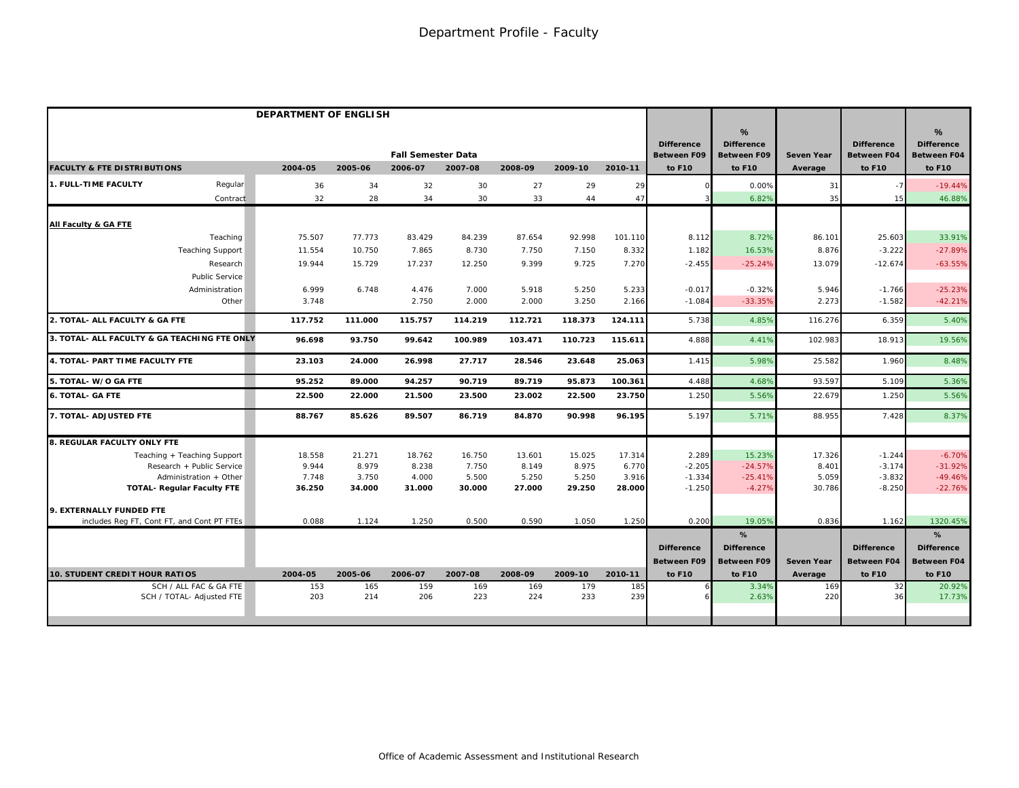|                                                     | DEPARTMENT OF ENGLISH |            |                           |            |            |            |            |                                         |                                              |                   |                                         |                                                          |
|-----------------------------------------------------|-----------------------|------------|---------------------------|------------|------------|------------|------------|-----------------------------------------|----------------------------------------------|-------------------|-----------------------------------------|----------------------------------------------------------|
|                                                     |                       |            | <b>Fall Semester Data</b> |            |            |            |            | <b>Difference</b><br><b>Between F09</b> | %<br><b>Difference</b><br><b>Between F09</b> | <b>Seven Year</b> | <b>Difference</b><br><b>Between F04</b> | $\frac{9}{6}$<br><b>Difference</b><br><b>Between F04</b> |
| <b>FACULTY &amp; FTE DISTRIBUTIONS</b>              | 2004-05               | 2005-06    | 2006-07                   | 2007-08    | 2008-09    | 2009-10    | 2010-11    | to F10                                  | to F10                                       | Average           | to F10                                  | to F10                                                   |
| 1. FULL-TIME FACULTY<br>Regular                     | 36                    | 34         | 32                        | 30         | 27         | 29         | 29         |                                         | 0.00%                                        | 31                | $-7$                                    | $-19.44%$                                                |
| Contract                                            | 32                    | 28         | 34                        | 30         | 33         | 44         | 47         |                                         | 6.82%                                        | 35                | 15                                      | 46.88%                                                   |
| All Faculty & GA FTE                                |                       |            |                           |            |            |            |            |                                         |                                              |                   |                                         |                                                          |
| Teaching                                            | 75.507                | 77.773     | 83.429                    | 84.239     | 87.654     | 92.998     | 101.110    | 8.112                                   | 8.72%                                        | 86.101            | 25.603                                  | 33.91%                                                   |
| <b>Teaching Support</b>                             | 11.554                | 10.750     | 7.865                     | 8.730      | 7.750      | 7.150      | 8.332      | 1.182                                   | 16.53%                                       | 8.876             | $-3.222$                                | $-27.89%$                                                |
| Research                                            | 19.944                | 15.729     | 17.237                    | 12.250     | 9.399      | 9.725      | 7.270      | $-2.455$                                | $-25.24%$                                    | 13.079            | $-12.674$                               | $-63.55%$                                                |
| Public Service                                      |                       |            |                           |            |            |            |            |                                         |                                              |                   |                                         |                                                          |
| Administration                                      | 6.999                 | 6.748      | 4.476                     | 7.000      | 5.918      | 5.250      | 5.233      | $-0.017$                                | $-0.32%$                                     | 5.946             | $-1.766$                                | $-25.23%$                                                |
| Other                                               | 3.748                 |            | 2.750                     | 2.000      | 2.000      | 3.250      | 2.166      | $-1.084$                                | $-33.35%$                                    | 2.273             | $-1.582$                                | $-42.21%$                                                |
| 2. TOTAL- ALL FACULTY & GA FTE                      | 117.752               | 111.000    | 115.757                   | 114.219    | 112.721    | 118.373    | 124.111    | 5.738                                   | 4.85%                                        | 116.276           | 6.359                                   | 5.40%                                                    |
| 3. TOTAL- ALL FACULTY & GA TEACHING FTE ONLY        | 96.698                | 93.750     | 99.642                    | 100.989    | 103.471    | 110.723    | 115.611    | 4.888                                   | 4.41%                                        | 102.983           | 18.913                                  | 19.56%                                                   |
| 4. TOTAL- PART TIME FACULTY FTE                     | 23.103                | 24.000     | 26.998                    | 27.717     | 28.546     | 23.648     | 25.063     | 1.415                                   | 5.98%                                        | 25.582            | 1.960                                   | 8.48%                                                    |
| 5. TOTAL- W/O GA FTE                                | 95.252                | 89.000     | 94.257                    | 90.719     | 89.719     | 95.873     | 100.361    | 4.488                                   | 4.68%                                        | 93.597            | 5.109                                   | 5.36%                                                    |
| <b>6. TOTAL- GA FTE</b>                             | 22.500                | 22.000     | 21.500                    | 23.500     | 23.002     | 22.500     | 23.750     | 1.250                                   | 5.56%                                        | 22.679            | 1.250                                   | 5.56%                                                    |
| 7. TOTAL- ADJUSTED FTE                              | 88.767                | 85.626     | 89.507                    | 86.719     | 84.870     | 90.998     | 96.195     | 5.197                                   | 5.71%                                        | 88.955            | 7.428                                   | 8.37%                                                    |
| <b>8. REGULAR FACULTY ONLY FTE</b>                  |                       |            |                           |            |            |            |            |                                         |                                              |                   |                                         |                                                          |
| Teaching + Teaching Support                         | 18.558                | 21.271     | 18.762                    | 16.750     | 13.601     | 15.025     | 17.314     | 2.289                                   | 15.23%                                       | 17.326            | $-1.244$                                | $-6.70%$                                                 |
| Research + Public Service                           | 9.944                 | 8.979      | 8.238                     | 7.750      | 8.149      | 8.975      | 6.770      | $-2.205$                                | $-24.57%$                                    | 8.401             | $-3.174$                                | $-31.92%$                                                |
| Administration + Other                              | 7.748                 | 3.750      | 4.000                     | 5.500      | 5.250      | 5.250      | 3.916      | $-1.334$                                | $-25.41%$                                    | 5.059             | $-3.832$                                | $-49.46%$                                                |
| <b>TOTAL- Regular Faculty FTE</b>                   | 36.250                | 34.000     | 31.000                    | 30.000     | 27.000     | 29.250     | 28.000     | $-1.250$                                | $-4.27%$                                     | 30.786            | $-8.250$                                | $-22.76%$                                                |
| 9. EXTERNALLY FUNDED FTE                            |                       |            |                           |            |            |            |            |                                         |                                              |                   |                                         |                                                          |
| includes Reg FT, Cont FT, and Cont PT FTEs          | 0.088                 | 1.124      | 1.250                     | 0.500      | 0.590      | 1.050      | 1.250      | 0.200                                   | 19.05%                                       | 0.836             | 1.162                                   | 1320.45%                                                 |
|                                                     |                       |            |                           |            |            |            |            |                                         | %                                            |                   |                                         | %                                                        |
|                                                     |                       |            |                           |            |            |            |            | <b>Difference</b>                       | <b>Difference</b>                            |                   | <b>Difference</b>                       | <b>Difference</b>                                        |
|                                                     |                       |            |                           |            |            |            |            | <b>Between F09</b>                      | <b>Between F09</b>                           | <b>Seven Year</b> | <b>Between F04</b>                      | Between F04                                              |
| <b>10. STUDENT CREDIT HOUR RATIOS</b>               | 2004-05               | 2005-06    | 2006-07                   | 2007-08    | 2008-09    | 2009-10    | 2010-11    | to F10                                  | to F10                                       | Average           | to F10                                  | to F10                                                   |
| SCH / ALL FAC & GA FTE<br>SCH / TOTAL- Adjusted FTE | 153<br>203            | 165<br>214 | 159<br>206                | 169<br>223 | 169<br>224 | 179<br>233 | 185<br>239 |                                         | 3.34%<br>2.63%                               | 169<br>220        | 32<br>36                                | 20.92%<br>17.73%                                         |
|                                                     |                       |            |                           |            |            |            |            |                                         |                                              |                   |                                         |                                                          |
|                                                     |                       |            |                           |            |            |            |            |                                         |                                              |                   |                                         |                                                          |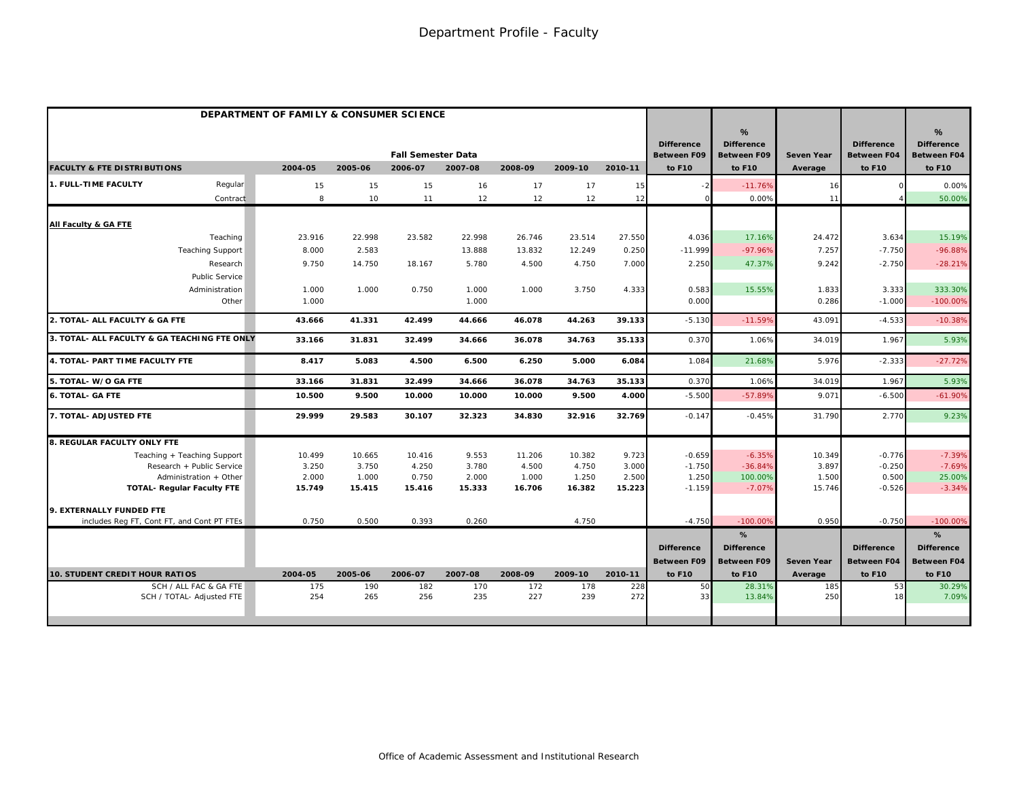|                                                     | DEPARTMENT OF FAMILY & CONSUMER SCIENCE |            |                           |            |            |            |            |                                         |                                              |                   |                                         |                                                          |
|-----------------------------------------------------|-----------------------------------------|------------|---------------------------|------------|------------|------------|------------|-----------------------------------------|----------------------------------------------|-------------------|-----------------------------------------|----------------------------------------------------------|
|                                                     |                                         |            | <b>Fall Semester Data</b> |            |            |            |            | <b>Difference</b><br><b>Between F09</b> | %<br><b>Difference</b><br><b>Between F09</b> | <b>Seven Year</b> | <b>Difference</b><br><b>Between F04</b> | $\frac{9}{6}$<br><b>Difference</b><br><b>Between F04</b> |
| <b>FACULTY &amp; FTE DISTRIBUTIONS</b>              | 2004-05                                 | 2005-06    | 2006-07                   | 2007-08    | 2008-09    | 2009-10    | 2010-11    | to F10                                  | to F10                                       | Average           | to F10                                  | to F10                                                   |
| 1. FULL-TIME FACULTY<br>Regular                     | 15                                      | 15         | 15                        | 16         | 17         | 17         | 15         |                                         | $-11.76%$                                    | 16                |                                         | 0.00%                                                    |
| Contract                                            | 8                                       | 10         | 11                        | 12         | 12         | 12         | 12         |                                         | 0.00%                                        | 11                |                                         | 50.00%                                                   |
| All Faculty & GA FTE                                |                                         |            |                           |            |            |            |            |                                         |                                              |                   |                                         |                                                          |
| Teaching                                            | 23.916                                  | 22.998     | 23.582                    | 22.998     | 26.746     | 23.514     | 27.550     | 4.036                                   | 17.16%                                       | 24.472            | 3.634                                   | 15.19%                                                   |
| <b>Teaching Support</b>                             | 8.000                                   | 2.583      |                           | 13.888     | 13.832     | 12.249     | 0.250      | $-11.999$                               | $-97.96%$                                    | 7.257             | $-7.750$                                | $-96.88%$                                                |
| Research                                            | 9.750                                   | 14.750     | 18.167                    | 5.780      | 4.500      | 4.750      | 7.000      | 2.250                                   | 47.37%                                       | 9.242             | $-2.750$                                | $-28.21%$                                                |
| <b>Public Service</b>                               |                                         |            |                           |            |            |            |            |                                         |                                              |                   |                                         |                                                          |
| Administration                                      | 1.000                                   | 1.000      | 0.750                     | 1.000      | 1.000      | 3.750      | 4.333      | 0.583                                   | 15.55%                                       | 1.833             | 3.333                                   | 333.30%                                                  |
| Other                                               | 1.000                                   |            |                           | 1.000      |            |            |            | 0.000                                   |                                              | 0.286             | $-1.000$                                | $-100.00%$                                               |
| 2. TOTAL- ALL FACULTY & GA FTE                      | 43.666                                  | 41.331     | 42.499                    | 44.666     | 46.078     | 44.263     | 39.133     | $-5.130$                                | $-11.59%$                                    | 43.091            | $-4.533$                                | $-10.38%$                                                |
| 3. TOTAL- ALL FACULTY & GA TEACHING FTE ONLY        | 33.166                                  | 31.831     | 32.499                    | 34.666     | 36.078     | 34.763     | 35.133     | 0.370                                   | 1.06%                                        | 34.019            | 1.967                                   | 5.93%                                                    |
| 4. TOTAL- PART TIME FACULTY FTE                     | 8.417                                   | 5.083      | 4.500                     | 6.500      | 6.250      | 5.000      | 6.084      | 1.084                                   | 21.68%                                       | 5.976             | $-2.333$                                | $-27.72%$                                                |
| 5. TOTAL- W/O GA FTE                                | 33.166                                  | 31.831     | 32.499                    | 34.666     | 36.078     | 34.763     | 35.133     | 0.370                                   | 1.06%                                        | 34.019            | 1.967                                   | 5.93%                                                    |
| <b>6. TOTAL- GA FTE</b>                             | 10.500                                  | 9.500      | 10.000                    | 10.000     | 10.000     | 9.500      | 4.000      | $-5.50C$                                | $-57.89%$                                    | 9.071             | $-6.500$                                | $-61.90%$                                                |
| 7. TOTAL- ADJUSTED FTE                              | 29.999                                  | 29.583     | 30.107                    | 32.323     | 34.830     | 32.916     | 32.769     | $-0.147$                                | $-0.45%$                                     | 31.790            | 2.770                                   | 9.23%                                                    |
| 8. REGULAR FACULTY ONLY FTE                         |                                         |            |                           |            |            |            |            |                                         |                                              |                   |                                         |                                                          |
| Teaching + Teaching Support                         | 10.499                                  | 10.665     | 10.416                    | 9.553      | 11.206     | 10.382     | 9.723      | $-0.659$                                | $-6.35%$                                     | 10.349            | $-0.776$                                | $-7.39%$                                                 |
| Research + Public Service                           | 3.250                                   | 3.750      | 4.250                     | 3.780      | 4.500      | 4.750      | 3.000      | $-1.750$                                | $-36.84%$                                    | 3.897             | $-0.250$                                | $-7.69%$                                                 |
| Administration + Other                              | 2.000                                   | 1.000      | 0.750                     | 2.000      | 1.000      | 1.250      | 2.500      | 1.250                                   | 100.00%                                      | 1.500             | 0.500                                   | 25.00%                                                   |
| <b>TOTAL- Regular Faculty FTE</b>                   | 15.749                                  | 15.415     | 15.416                    | 15.333     | 16.706     | 16.382     | 15.223     | $-1.159$                                | $-7.07%$                                     | 15.746            | $-0.526$                                | $-3.34%$                                                 |
| 9. EXTERNALLY FUNDED FTE                            |                                         |            |                           |            |            |            |            |                                         |                                              |                   |                                         |                                                          |
| includes Reg FT, Cont FT, and Cont PT FTEs          | 0.750                                   | 0.500      | 0.393                     | 0.260      |            | 4.750      |            | $-4.750$                                | $-100.009$                                   | 0.950             | $-0.750$                                | $-100.00%$                                               |
|                                                     |                                         |            |                           |            |            |            |            |                                         | %                                            |                   |                                         | %                                                        |
|                                                     |                                         |            |                           |            |            |            |            | <b>Difference</b>                       | <b>Difference</b>                            |                   | <b>Difference</b>                       | <b>Difference</b>                                        |
|                                                     |                                         |            |                           |            |            |            |            | <b>Between F09</b>                      | <b>Between F09</b>                           | <b>Seven Year</b> | <b>Between F04</b>                      | <b>Between F04</b>                                       |
| <b>10. STUDENT CREDIT HOUR RATIOS</b>               | 2004-05                                 | 2005-06    | 2006-07                   | 2007-08    | 2008-09    | 2009-10    | 2010-11    | to F10                                  | to F10                                       | Average           | to F10                                  | to F10                                                   |
| SCH / ALL FAC & GA FTE<br>SCH / TOTAL- Adjusted FTE | 175<br>254                              | 190<br>265 | 182<br>256                | 170<br>235 | 172<br>227 | 178<br>239 | 228<br>272 | 50<br>33                                | 28.31%<br>13.84%                             | 185<br>250        | 53<br>18                                | 30.29%<br>7.09%                                          |
|                                                     |                                         |            |                           |            |            |            |            |                                         |                                              |                   |                                         |                                                          |
|                                                     |                                         |            |                           |            |            |            |            |                                         |                                              |                   |                                         |                                                          |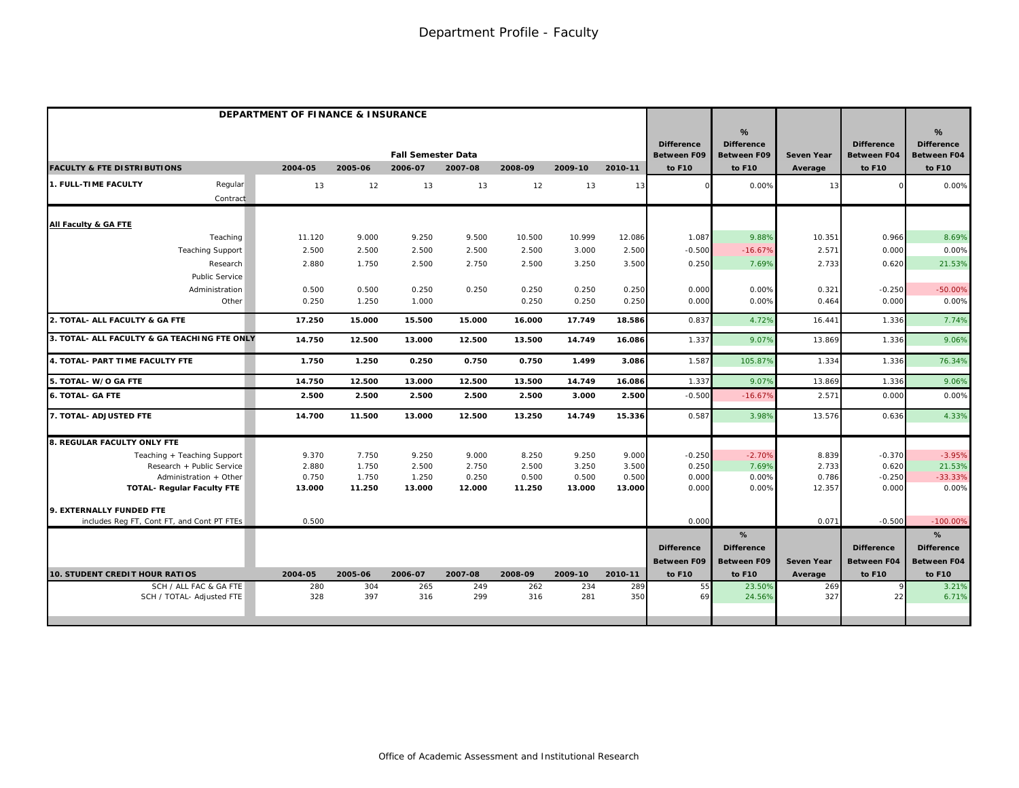|                                                     | DEPARTMENT OF FINANCE & INSURANCE |            |                                      |            |            |            |            |                                                   |                                                                    |                              |                                                   |                                                           |
|-----------------------------------------------------|-----------------------------------|------------|--------------------------------------|------------|------------|------------|------------|---------------------------------------------------|--------------------------------------------------------------------|------------------------------|---------------------------------------------------|-----------------------------------------------------------|
| <b>FACULTY &amp; FTE DISTRIBUTIONS</b>              | 2004-05                           | 2005-06    | <b>Fall Semester Data</b><br>2006-07 | 2007-08    | 2008-09    | 2009-10    | 2010-11    | <b>Difference</b><br><b>Between F09</b><br>to F10 | $\frac{9}{6}$<br><b>Difference</b><br><b>Between F09</b><br>to F10 | <b>Seven Year</b><br>Average | <b>Difference</b><br><b>Between F04</b><br>to F10 | $\%$<br><b>Difference</b><br><b>Between F04</b><br>to F10 |
|                                                     |                                   |            |                                      |            |            |            |            |                                                   |                                                                    |                              |                                                   |                                                           |
| 1. FULL-TIME FACULTY<br>Regular                     | 13                                | 12         | 13                                   | 13         | 12         | 13         | 13         |                                                   | 0.00%                                                              | 13                           |                                                   | 0.00%                                                     |
| Contract                                            |                                   |            |                                      |            |            |            |            |                                                   |                                                                    |                              |                                                   |                                                           |
| All Faculty & GA FTE                                |                                   |            |                                      |            |            |            |            |                                                   |                                                                    |                              |                                                   |                                                           |
| Teaching                                            | 11.120                            | 9.000      | 9.250                                | 9.500      | 10.500     | 10.999     | 12.086     | 1.087                                             | 9.88%                                                              | 10.351                       | 0.966                                             | 8.69%                                                     |
| <b>Teaching Support</b>                             | 2.500                             | 2.500      | 2.500                                | 2.500      | 2.500      | 3.000      | 2.500      | $-0.500$                                          | $-16.67%$                                                          | 2.571                        | 0.000                                             | 0.00%                                                     |
| Research                                            | 2.880                             | 1.750      | 2.500                                | 2.750      | 2.500      | 3.250      | 3.500      | 0.250                                             | 7.69%                                                              | 2.733                        | 0.620                                             | 21.53%                                                    |
| <b>Public Service</b>                               |                                   |            |                                      |            |            |            |            |                                                   |                                                                    |                              |                                                   |                                                           |
| Administration                                      | 0.500                             | 0.500      | 0.250                                | 0.250      | 0.250      | 0.250      | 0.250      | 0.000                                             | 0.00%                                                              | 0.321                        | $-0.250$                                          | $-50.00%$                                                 |
| Other                                               | 0.250                             | 1.250      | 1.000                                |            | 0.250      | 0.250      | 0.250      | 0.000                                             | 0.00%                                                              | 0.464                        | 0.000                                             | 0.00%                                                     |
| 2. TOTAL- ALL FACULTY & GA FTE                      | 17.250                            | 15.000     | 15.500                               | 15.000     | 16.000     | 17.749     | 18.586     | 0.837                                             | 4.72%                                                              | 16.441                       | 1.336                                             | 7.74%                                                     |
| 3. TOTAL- ALL FACULTY & GA TEACHING FTE ONLY        | 14.750                            | 12.500     | 13.000                               | 12.500     | 13.500     | 14.749     | 16.086     | 1.337                                             | 9.07%                                                              | 13.869                       | 1.336                                             | 9.06%                                                     |
| 4. TOTAL- PART TIME FACULTY FTE                     | 1.750                             | 1.250      | 0.250                                | 0.750      | 0.750      | 1.499      | 3.086      | 1.587                                             | 105.87%                                                            | 1.334                        | 1.336                                             | 76.34%                                                    |
| 5. TOTAL- W/O GA FTE                                | 14.750                            | 12.500     | 13.000                               | 12.500     | 13.500     | 14.749     | 16.086     | 1.337                                             | 9.07%                                                              | 13.869                       | 1.336                                             | 9.06%                                                     |
| <b>6. TOTAL- GA FTE</b>                             | 2.500                             | 2.500      | 2.500                                | 2.500      | 2.500      | 3.000      | 2.500      | $-0.500$                                          | $-16.67%$                                                          | 2.57'                        | 0.000                                             | 0.00%                                                     |
| 7. TOTAL- ADJUSTED FTE                              | 14.700                            | 11.500     | 13.000                               | 12.500     | 13.250     | 14.749     | 15.336     | 0.587                                             | 3.98%                                                              | 13.576                       | 0.636                                             | 4.33%                                                     |
| 8. REGULAR FACULTY ONLY FTE                         |                                   |            |                                      |            |            |            |            |                                                   |                                                                    |                              |                                                   |                                                           |
| Teaching + Teaching Support                         | 9.370                             | 7.750      | 9.250                                | 9.000      | 8.250      | 9.250      | 9.000      | $-0.250$                                          | $-2.70%$                                                           | 8.839                        | $-0.370$                                          | $-3.95%$                                                  |
| Research + Public Service                           | 2.880                             | 1.750      | 2.500                                | 2.750      | 2.500      | 3.250      | 3.500      | 0.250                                             | 7.69%                                                              | 2.733                        | 0.620                                             | 21.53%                                                    |
| Administration + Other                              | 0.750                             | 1.750      | 1.250                                | 0.250      | 0.500      | 0.500      | 0.500      | 0.000                                             | 0.00%                                                              | 0.786                        | $-0.250$                                          | $-33.33%$                                                 |
| <b>TOTAL- Requiar Faculty FTE</b>                   | 13.000                            | 11.250     | 13.000                               | 12.000     | 11.250     | 13.000     | 13.000     | 0.000                                             | 0.00%                                                              | 12.357                       | 0.000                                             | 0.00%                                                     |
| 9. EXTERNALLY FUNDED FTE                            |                                   |            |                                      |            |            |            |            |                                                   |                                                                    |                              |                                                   |                                                           |
| includes Req FT, Cont FT, and Cont PT FTEs          | 0.500                             |            |                                      |            |            |            |            | 0.000                                             |                                                                    | 0.071                        | $-0.500$                                          | $-100.00%$                                                |
|                                                     |                                   |            |                                      |            |            |            |            |                                                   | %                                                                  |                              |                                                   | %                                                         |
|                                                     |                                   |            |                                      |            |            |            |            | <b>Difference</b>                                 | <b>Difference</b>                                                  |                              | <b>Difference</b>                                 | <b>Difference</b>                                         |
|                                                     |                                   |            |                                      |            |            |            |            | <b>Between F09</b>                                | <b>Between F09</b>                                                 | <b>Seven Year</b>            | <b>Between F04</b>                                | <b>Between F04</b>                                        |
| <b>10. STUDENT CREDIT HOUR RATIOS</b>               | 2004-05                           | 2005-06    | 2006-07                              | 2007-08    | 2008-09    | 2009-10    | 2010-11    | to F10                                            | to F10                                                             | Average                      | to F10                                            | to F10                                                    |
| SCH / ALL FAC & GA FTE<br>SCH / TOTAL- Adjusted FTE | 280<br>328                        | 304<br>397 | 265<br>316                           | 249<br>299 | 262<br>316 | 234<br>281 | 289<br>350 | 55<br>69                                          | 23.50%<br>24.56%                                                   | 269<br>327                   | 22                                                | 3.21%<br>6.71%                                            |
|                                                     |                                   |            |                                      |            |            |            |            |                                                   |                                                                    |                              |                                                   |                                                           |
|                                                     |                                   |            |                                      |            |            |            |            |                                                   |                                                                    |                              |                                                   |                                                           |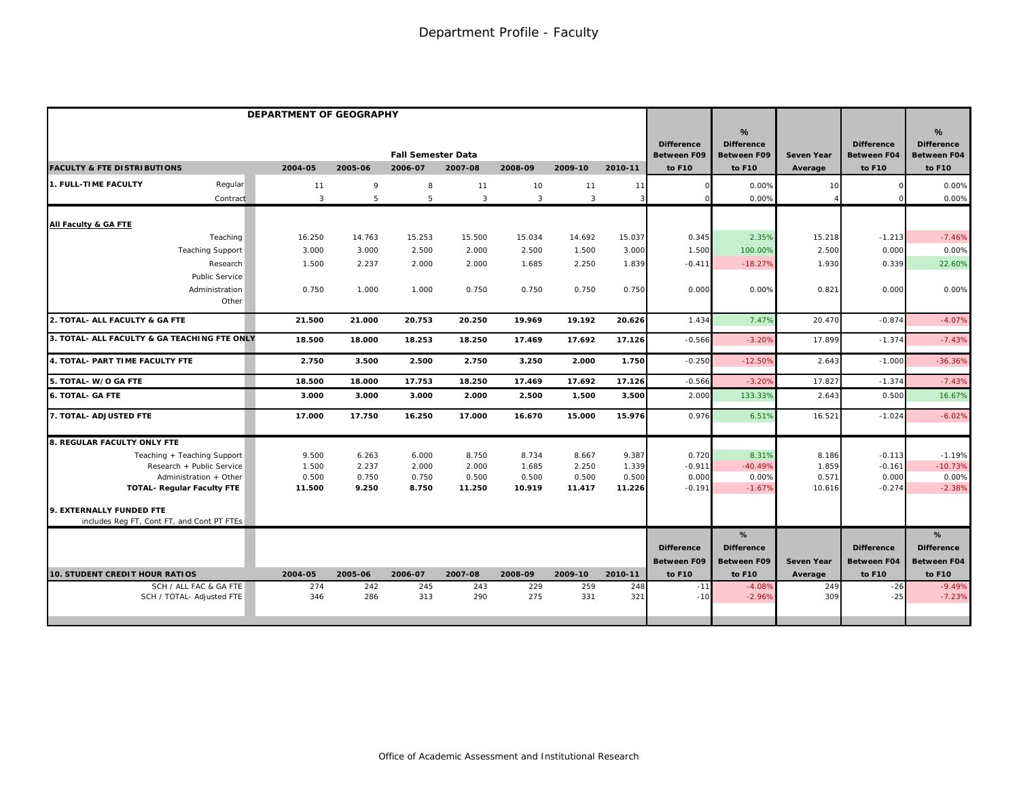|                                                     | DEPARTMENT OF GEOGRAPHY |            |                           |            |            |              |            |                                         |                                                 |                   |                                         |                                                 |
|-----------------------------------------------------|-------------------------|------------|---------------------------|------------|------------|--------------|------------|-----------------------------------------|-------------------------------------------------|-------------------|-----------------------------------------|-------------------------------------------------|
|                                                     |                         |            | <b>Fall Semester Data</b> |            |            |              |            | <b>Difference</b><br><b>Between F09</b> | $\%$<br><b>Difference</b><br><b>Between F09</b> | <b>Seven Year</b> | <b>Difference</b><br><b>Between F04</b> | $\%$<br><b>Difference</b><br><b>Between F04</b> |
| <b>FACULTY &amp; FTE DISTRIBUTIONS</b>              | 2004-05                 | 2005-06    | 2006-07                   | 2007-08    | 2008-09    | 2009-10      | 2010-11    | to F10                                  | to F10                                          | Average           | to F10                                  | to F10                                          |
| 1. FULL-TIME FACULTY<br>Regular                     | 11                      | 9          | 8                         | 11         | 10         | 11           | 11         |                                         | 0.00%                                           | 10                |                                         | 0.00%                                           |
| Contract                                            | 3                       | 5          | 5                         | 3          | 3          | $\mathbf{3}$ | 3          |                                         | 0.00%                                           |                   |                                         | 0.00%                                           |
| <b>All Faculty &amp; GA FTE</b>                     |                         |            |                           |            |            |              |            |                                         |                                                 |                   |                                         |                                                 |
| Teaching                                            | 16.250                  | 14.763     | 15.253                    | 15.500     | 15.034     | 14.692       | 15.037     | 0.345                                   | 2.35%                                           | 15.218            | $-1.213$                                | $-7.46%$                                        |
| <b>Teaching Support</b>                             | 3.000                   | 3.000      | 2.500                     | 2.000      | 2.500      | 1.500        | 3.000      | 1.500                                   | 100.00%                                         | 2.500             | 0.000                                   | 0.00%                                           |
| Research                                            | 1.500                   | 2.237      | 2.000                     | 2.000      | 1.685      | 2.250        | 1.839      | $-0.411$                                | $-18.27%$                                       | 1.930             | 0.339                                   | 22.60%                                          |
| Public Service                                      |                         |            |                           |            |            |              |            |                                         |                                                 |                   |                                         |                                                 |
| Administration                                      | 0.750                   | 1.000      | 1.000                     | 0.750      | 0.750      | 0.750        | 0.750      | 0.000                                   | 0.00%                                           | 0.821             | 0.000                                   | 0.00%                                           |
| Other                                               |                         |            |                           |            |            |              |            |                                         |                                                 |                   |                                         |                                                 |
| 2. TOTAL- ALL FACULTY & GA FTE                      | 21.500                  | 21.000     | 20.753                    | 20.250     | 19.969     | 19.192       | 20.626     | 1.434                                   | 7.47%                                           | 20.470            | $-0.874$                                | $-4.07%$                                        |
| 3. TOTAL- ALL FACULTY & GA TEACHING FTE ONLY        | 18.500                  | 18.000     | 18.253                    | 18.250     | 17.469     | 17.692       | 17.126     | $-0.566$                                | $-3.20%$                                        | 17.899            | $-1.374$                                | $-7.43%$                                        |
| 4. TOTAL- PART TIME FACULTY FTE                     | 2.750                   | 3.500      | 2.500                     | 2.750      | 3.250      | 2.000        | 1.750      | $-0.250$                                | $-12.50%$                                       | 2.643             | $-1.000$                                | $-36.36%$                                       |
| 5. TOTAL- W/O GA FTE                                | 18.500                  | 18.000     | 17.753                    | 18.250     | 17.469     | 17.692       | 17.126     | $-0.566$                                | $-3.209$                                        | 17.827            | $-1.374$                                | $-7.43%$                                        |
| <b>6. TOTAL- GA FTE</b>                             | 3.000                   | 3.000      | 3.000                     | 2.000      | 2.500      | 1.500        | 3.500      | 2.000                                   | 133.33%                                         | 2.643             | 0.500                                   | 16.67%                                          |
| 7. TOTAL- ADJUSTED FTE                              | 17.000                  | 17.750     | 16.250                    | 17.000     | 16.670     | 15.000       | 15.976     | 0.976                                   | 6.51%                                           | 16.521            | $-1.024$                                | $-6.02%$                                        |
| 8. REGULAR FACULTY ONLY FTE                         |                         |            |                           |            |            |              |            |                                         |                                                 |                   |                                         |                                                 |
| Teaching + Teaching Support                         | 9.500                   | 6.263      | 6.000                     | 8.750      | 8.734      | 8.667        | 9.387      | 0.720                                   | 8.31%                                           | 8.186             | $-0.113$                                | $-1.19%$                                        |
| Research + Public Service                           | 1.500                   | 2.237      | 2.000                     | 2.000      | 1.685      | 2.250        | 1.339      | $-0.911$                                | $-40.49%$                                       | 1.859             | $-0.161$                                | $-10.73%$                                       |
| Administration + Other                              | 0.500                   | 0.750      | 0.750                     | 0.500      | 0.500      | 0.500        | 0.500      | 0.000                                   | 0.00%                                           | 0.571             | 0.000                                   | 0.00%                                           |
| <b>TOTAL- Regular Faculty FTE</b>                   | 11.500                  | 9.250      | 8.750                     | 11.250     | 10.919     | 11.417       | 11.226     | $-0.191$                                | $-1.67%$                                        | 10.616            | $-0.274$                                | $-2.38%$                                        |
| 9. EXTERNALLY FUNDED FTE                            |                         |            |                           |            |            |              |            |                                         |                                                 |                   |                                         |                                                 |
| includes Reg FT, Cont FT, and Cont PT FTEs          |                         |            |                           |            |            |              |            |                                         |                                                 |                   |                                         |                                                 |
|                                                     |                         |            |                           |            |            |              |            |                                         | %                                               |                   |                                         | %                                               |
|                                                     |                         |            |                           |            |            |              |            | <b>Difference</b>                       | <b>Difference</b>                               |                   | <b>Difference</b>                       | <b>Difference</b>                               |
|                                                     |                         |            |                           |            |            |              |            | <b>Between F09</b>                      | <b>Between F09</b>                              | <b>Seven Year</b> | <b>Between F04</b>                      | <b>Between F04</b>                              |
| <b>10. STUDENT CREDIT HOUR RATIOS</b>               | 2004-05                 | 2005-06    | 2006-07                   | 2007-08    | 2008-09    | 2009-10      | 2010-11    | to F10                                  | to F10                                          | Average           | to F10                                  | to F10                                          |
| SCH / ALL FAC & GA FTE<br>SCH / TOTAL- Adjusted FTE | 274<br>346              | 242<br>286 | 245<br>313                | 243<br>290 | 229<br>275 | 259<br>331   | 248<br>321 | $-11$<br>$-10$                          | $-4.08%$<br>$-2.96%$                            | 249<br>309        | $-26$<br>$-25$                          | $-9.49%$<br>$-7.23%$                            |
|                                                     |                         |            |                           |            |            |              |            |                                         |                                                 |                   |                                         |                                                 |
|                                                     |                         |            |                           |            |            |              |            |                                         |                                                 |                   |                                         |                                                 |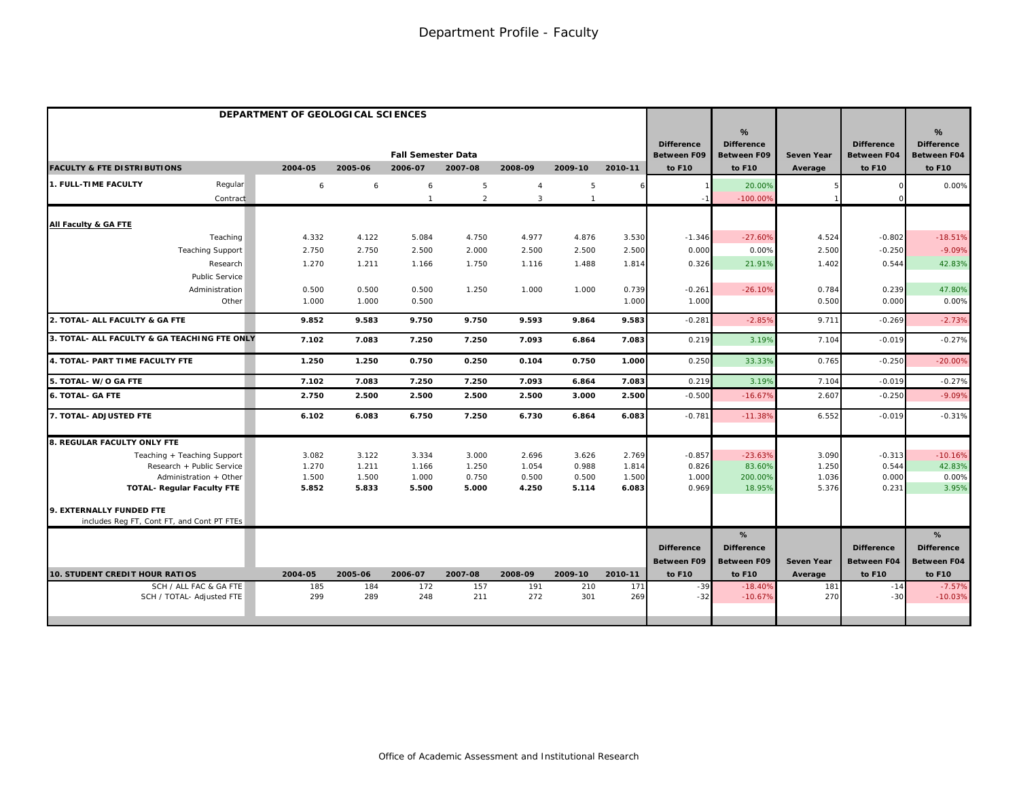|                                              | DEPARTMENT OF GEOLOGICAL SCIENCES |         |                           |                |                |                |         |                                         |                                              |                   |                                         |                                                          |
|----------------------------------------------|-----------------------------------|---------|---------------------------|----------------|----------------|----------------|---------|-----------------------------------------|----------------------------------------------|-------------------|-----------------------------------------|----------------------------------------------------------|
|                                              |                                   |         | <b>Fall Semester Data</b> |                |                |                |         | <b>Difference</b><br><b>Between F09</b> | %<br><b>Difference</b><br><b>Between F09</b> | <b>Seven Year</b> | <b>Difference</b><br><b>Between F04</b> | $\frac{9}{6}$<br><b>Difference</b><br><b>Between F04</b> |
| <b>FACULTY &amp; FTE DISTRIBUTIONS</b>       | 2004-05                           | 2005-06 | 2006-07                   | 2007-08        | 2008-09        | 2009-10        | 2010-11 | to F10                                  | to F10                                       | Average           | to F10                                  | to F10                                                   |
| 1. FULL-TIME FACULTY<br>Regular              | 6                                 | 6       | 6                         | 5              | $\overline{4}$ | 5              |         |                                         | 20.00%                                       |                   |                                         | 0.00%                                                    |
| Contract                                     |                                   |         |                           | $\overline{2}$ | $\mathbf{3}$   | $\overline{1}$ |         |                                         | $-100.00%$                                   |                   |                                         |                                                          |
| All Faculty & GA FTE                         |                                   |         |                           |                |                |                |         |                                         |                                              |                   |                                         |                                                          |
| Teaching                                     | 4.332                             | 4.122   | 5.084                     | 4.750          | 4.977          | 4.876          | 3.530   | $-1.346$                                | $-27.60%$                                    | 4.524             | $-0.802$                                | $-18.51%$                                                |
| <b>Teaching Support</b>                      | 2.750                             | 2.750   | 2.500                     | 2.000          | 2.500          | 2.500          | 2.500   | 0.000                                   | 0.00%                                        | 2.500             | $-0.250$                                | $-9.09%$                                                 |
| Research                                     | 1.270                             | 1.211   | 1.166                     | 1.750          | 1.116          | 1.488          | 1.814   | 0.326                                   | 21.91%                                       | 1.402             | 0.544                                   | 42.83%                                                   |
| <b>Public Service</b>                        |                                   |         |                           |                |                |                |         |                                         |                                              |                   |                                         |                                                          |
| Administration                               | 0.500                             | 0.500   | 0.500                     | 1.250          | 1.000          | 1.000          | 0.739   | $-0.261$                                | $-26.10%$                                    | 0.784             | 0.239                                   | 47.80%                                                   |
| Other                                        | 1.000                             | 1.000   | 0.500                     |                |                |                | 1.000   | 1.000                                   |                                              | 0.500             | 0.000                                   | 0.00%                                                    |
| 2. TOTAL- ALL FACULTY & GA FTE               | 9.852                             | 9.583   | 9.750                     | 9.750          | 9.593          | 9.864          | 9.583   | $-0.281$                                | $-2.85%$                                     | 9.711             | $-0.269$                                | $-2.73%$                                                 |
| 3. TOTAL- ALL FACULTY & GA TEACHING FTE ONLY | 7.102                             | 7.083   | 7.250                     | 7.250          | 7.093          | 6.864          | 7.083   | 0.219                                   | 3.19%                                        | 7.104             | $-0.019$                                | $-0.27%$                                                 |
| 4. TOTAL- PART TIME FACULTY FTE              | 1.250                             | 1.250   | 0.750                     | 0.250          | 0.104          | 0.750          | 1.000   | 0.250                                   | 33.33%                                       | 0.765             | $-0.250$                                | $-20.00%$                                                |
| 5. TOTAL- W/O GA FTE                         | 7.102                             | 7.083   | 7.250                     | 7.250          | 7.093          | 6.864          | 7.083   | 0.219                                   | 3.19%                                        | 7.104             | $-0.019$                                | $-0.27%$                                                 |
| <b>6. TOTAL- GA FTE</b>                      | 2.750                             | 2.500   | 2.500                     | 2.500          | 2.500          | 3.000          | 2.500   | $-0.500$                                | $-16.67%$                                    | 2.607             | $-0.250$                                | $-9.09%$                                                 |
| 7. TOTAL- ADJUSTED FTE                       | 6.102                             | 6.083   | 6.750                     | 7.250          | 6.730          | 6.864          | 6.083   | $-0.781$                                | $-11.38%$                                    | 6.552             | $-0.019$                                | $-0.31%$                                                 |
| 8. REGULAR FACULTY ONLY FTE                  |                                   |         |                           |                |                |                |         |                                         |                                              |                   |                                         |                                                          |
| Teaching + Teaching Support                  | 3.082                             | 3.122   | 3.334                     | 3.000          | 2.696          | 3.626          | 2.769   | $-0.857$                                | $-23.63%$                                    | 3.090             | $-0.313$                                | $-10.16%$                                                |
| Research + Public Service                    | 1.270                             | 1.211   | 1.166                     | 1.250          | 1.054          | 0.988          | 1.814   | 0.826                                   | 83.60%                                       | 1.250             | 0.544                                   | 42.83%                                                   |
| Administration + Other                       | 1.500                             | 1.500   | 1.000                     | 0.750          | 0.500          | 0.500          | 1.500   | 1.000                                   | 200.00%                                      | 1.036             | 0.000                                   | 0.00%                                                    |
| <b>TOTAL- Regular Faculty FTE</b>            | 5.852                             | 5.833   | 5.500                     | 5.000          | 4.250          | 5.114          | 6.083   | 0.969                                   | 18.95%                                       | 5.376             | 0.231                                   | 3.95%                                                    |
| 9. EXTERNALLY FUNDED FTE                     |                                   |         |                           |                |                |                |         |                                         |                                              |                   |                                         |                                                          |
| includes Reg FT, Cont FT, and Cont PT FTEs   |                                   |         |                           |                |                |                |         |                                         |                                              |                   |                                         |                                                          |
|                                              |                                   |         |                           |                |                |                |         |                                         | %                                            |                   |                                         | %                                                        |
|                                              |                                   |         |                           |                |                |                |         | <b>Difference</b>                       | <b>Difference</b>                            |                   | <b>Difference</b>                       | <b>Difference</b>                                        |
|                                              |                                   |         |                           |                |                |                |         | Between F09                             | Between F09                                  | <b>Seven Year</b> | <b>Between F04</b>                      | <b>Between F04</b>                                       |
| <b>10. STUDENT CREDIT HOUR RATIOS</b>        | 2004-05                           | 2005-06 | 2006-07                   | 2007-08        | 2008-09        | 2009-10        | 2010-11 | to F10                                  | to F10                                       | Average           | to F10                                  | to F10                                                   |
| SCH / ALL FAC & GA FTE                       | 185                               | 184     | 172                       | 157            | 191            | 210            | 171     | $-39$                                   | $-18.40%$                                    | 181               | $-14$                                   | $-7.57%$                                                 |
| SCH / TOTAL- Adjusted FTE                    | 299                               | 289     | 248                       | 211            | 272            | 301            | 269     | $-32$                                   | $-10.67%$                                    | 270               | $-3C$                                   | $-10.03%$                                                |
|                                              |                                   |         |                           |                |                |                |         |                                         |                                              |                   |                                         |                                                          |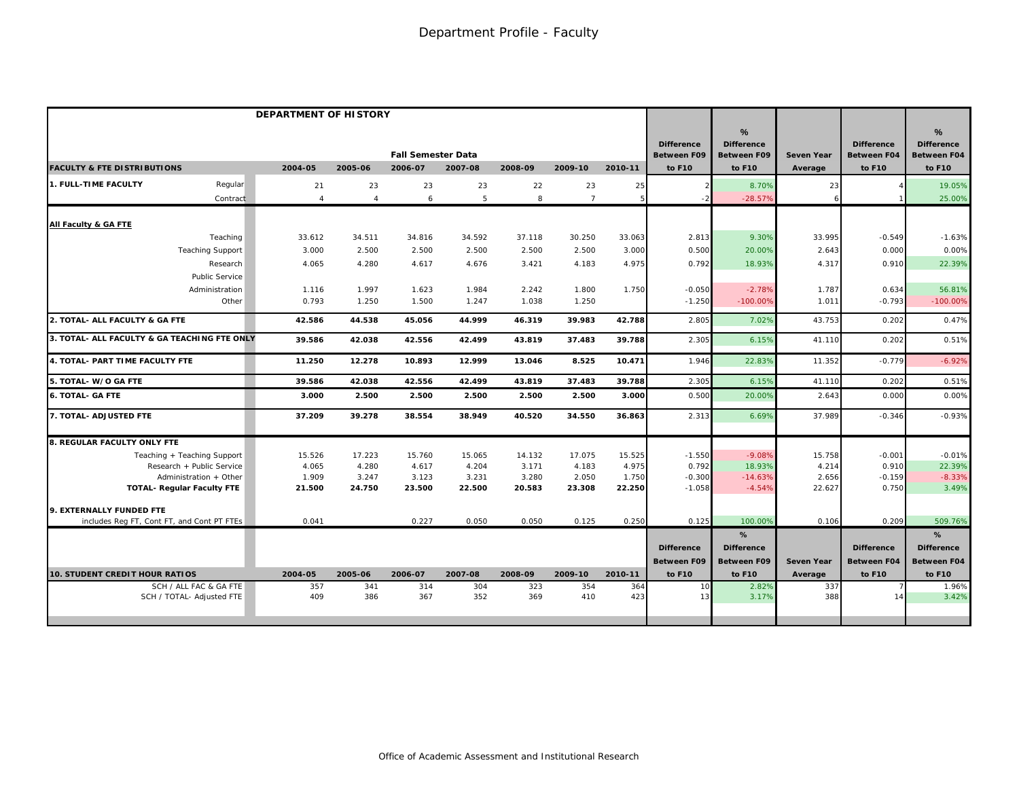|                                                     | <b>DEPARTMENT OF HISTORY</b> |                |                                      |            |            |                 |            |                                                   |                                                        |                              |                                                   |                                                                    |
|-----------------------------------------------------|------------------------------|----------------|--------------------------------------|------------|------------|-----------------|------------|---------------------------------------------------|--------------------------------------------------------|------------------------------|---------------------------------------------------|--------------------------------------------------------------------|
| <b>FACULTY &amp; FTE DISTRIBUTIONS</b>              | 2004-05                      | 2005-06        | <b>Fall Semester Data</b><br>2006-07 | 2007-08    | 2008-09    | 2009-10         | 2010-11    | <b>Difference</b><br><b>Between F09</b><br>to F10 | %<br><b>Difference</b><br><b>Between F09</b><br>to F10 | <b>Seven Year</b><br>Average | <b>Difference</b><br><b>Between F04</b><br>to F10 | $\frac{9}{6}$<br><b>Difference</b><br><b>Between F04</b><br>to F10 |
| 1. FULL-TIME FACULTY<br>Regular                     | 21                           | 23             | 23                                   | 23         | 22         | 23              | 25         |                                                   | 8.70%                                                  | 23                           |                                                   | 19.05%                                                             |
| Contract                                            | $\overline{4}$               | $\overline{4}$ | 6                                    | 5          | 8          | $7\overline{ }$ | 5          |                                                   | $-28.57%$                                              |                              |                                                   | 25.00%                                                             |
| All Faculty & GA FTE                                |                              |                |                                      |            |            |                 |            |                                                   |                                                        |                              |                                                   |                                                                    |
| Teaching                                            | 33.612                       | 34.511         | 34.816                               | 34.592     | 37.118     | 30.250          | 33.063     | 2.813                                             | 9.30%                                                  | 33.995                       | $-0.549$                                          | $-1.63%$                                                           |
| <b>Teaching Support</b>                             | 3.000                        | 2.500          | 2.500                                | 2.500      | 2.500      | 2.500           | 3.000      | 0.500                                             | 20.00%                                                 | 2.643                        | 0.000                                             | 0.00%                                                              |
| Research                                            | 4.065                        | 4.280          | 4.617                                | 4.676      | 3.421      | 4.183           | 4.975      | 0.792                                             | 18.93%                                                 | 4.317                        | 0.910                                             | 22.39%                                                             |
| Public Service                                      |                              |                |                                      |            |            |                 |            |                                                   |                                                        |                              |                                                   |                                                                    |
| Administration                                      | 1.116                        | 1.997          | 1.623                                | 1.984      | 2.242      | 1.800           | 1.750      | $-0.050$                                          | $-2.78%$                                               | 1.787                        | 0.634                                             | 56.81%                                                             |
| Other                                               | 0.793                        | 1.250          | 1.500                                | 1.247      | 1.038      | 1.250           |            | $-1.250$                                          | $-100.00%$                                             | 1.011                        | $-0.793$                                          | $-100.00%$                                                         |
| 2. TOTAL- ALL FACULTY & GA FTE                      | 42.586                       | 44.538         | 45.056                               | 44.999     | 46.319     | 39.983          | 42.788     | 2.805                                             | 7.02%                                                  | 43.753                       | 0.202                                             | 0.47%                                                              |
| 3. TOTAL- ALL FACULTY & GA TEACHING FTE ONLY        | 39.586                       | 42.038         | 42.556                               | 42.499     | 43.819     | 37.483          | 39.788     | 2.305                                             | 6.15%                                                  | 41.110                       | 0.202                                             | 0.51%                                                              |
| 4. TOTAL- PART TIME FACULTY FTE                     | 11.250                       | 12.278         | 10.893                               | 12.999     | 13.046     | 8.525           | 10.471     | 1.946                                             | 22.83%                                                 | 11.352                       | $-0.779$                                          | $-6.92%$                                                           |
| 5. TOTAL- W/O GA FTE                                | 39.586                       | 42.038         | 42.556                               | 42.499     | 43.819     | 37.483          | 39.788     | 2.305                                             | 6.15%                                                  | 41.110                       | 0.202                                             | 0.51%                                                              |
| <b>6. TOTAL- GA FTE</b>                             | 3.000                        | 2.500          | 2.500                                | 2.500      | 2.500      | 2.500           | 3.000      | 0.500                                             | 20,00%                                                 | 2.643                        | 0.000                                             | 0.00%                                                              |
| 7. TOTAL- ADJUSTED FTE                              | 37.209                       | 39.278         | 38.554                               | 38.949     | 40.520     | 34.550          | 36.863     | 2.313                                             | 6.69%                                                  | 37.989                       | $-0.346$                                          | $-0.93%$                                                           |
| 8. REGULAR FACULTY ONLY FTE                         |                              |                |                                      |            |            |                 |            |                                                   |                                                        |                              |                                                   |                                                                    |
| Teaching + Teaching Support                         | 15.526                       | 17.223         | 15.760                               | 15.065     | 14.132     | 17.075          | 15.525     | $-1.550$                                          | $-9.08%$                                               | 15.758                       | $-0.001$                                          | $-0.01%$                                                           |
| Research + Public Service                           | 4.065                        | 4.280          | 4.617                                | 4.204      | 3.171      | 4.183           | 4.975      | 0.792                                             | 18.93%                                                 | 4.214                        | 0.910                                             | 22.39%                                                             |
| Administration + Other                              | 1.909                        | 3.247          | 3.123                                | 3.231      | 3.280      | 2.050           | 1.750      | $-0.300$                                          | $-14.63%$                                              | 2.656                        | $-0.159$                                          | $-8.33%$                                                           |
| <b>TOTAL- Requiar Faculty FTE</b>                   | 21.500                       | 24.750         | 23.500                               | 22.500     | 20.583     | 23.308          | 22.250     | $-1.058$                                          | $-4.54%$                                               | 22.627                       | 0.750                                             | 3.49%                                                              |
| 9. EXTERNALLY FUNDED FTE                            |                              |                |                                      |            |            |                 |            |                                                   |                                                        |                              |                                                   |                                                                    |
| includes Reg FT, Cont FT, and Cont PT FTEs          | 0.041                        |                | 0.227                                | 0.050      | 0.050      | 0.125           | 0.250      | 0.125                                             | 100.00%                                                | 0.106                        | 0.209                                             | 509.76%                                                            |
|                                                     |                              |                |                                      |            |            |                 |            |                                                   | %                                                      |                              |                                                   | %                                                                  |
|                                                     |                              |                |                                      |            |            |                 |            | <b>Difference</b>                                 | <b>Difference</b>                                      |                              | <b>Difference</b>                                 | <b>Difference</b>                                                  |
|                                                     |                              |                |                                      |            |            |                 |            | <b>Between F09</b>                                | <b>Between F09</b>                                     | <b>Seven Year</b>            | <b>Between F04</b>                                | <b>Between F04</b>                                                 |
| <b>10. STUDENT CREDIT HOUR RATIOS</b>               | 2004-05                      | 2005-06        | 2006-07                              | 2007-08    | 2008-09    | 2009-10         | 2010-11    | to F10                                            | to F10                                                 | Average                      | to F10                                            | to F10                                                             |
| SCH / ALL FAC & GA FTE<br>SCH / TOTAL- Adjusted FTE | 357<br>409                   | 341<br>386     | 314<br>367                           | 304<br>352 | 323<br>369 | 354<br>410      | 364<br>423 | 10<br>13                                          | 2.82%<br>3.17%                                         | 337<br>388                   | 14                                                | 1.96%<br>3.42%                                                     |
|                                                     |                              |                |                                      |            |            |                 |            |                                                   |                                                        |                              |                                                   |                                                                    |
|                                                     |                              |                |                                      |            |            |                 |            |                                                   |                                                        |                              |                                                   |                                                                    |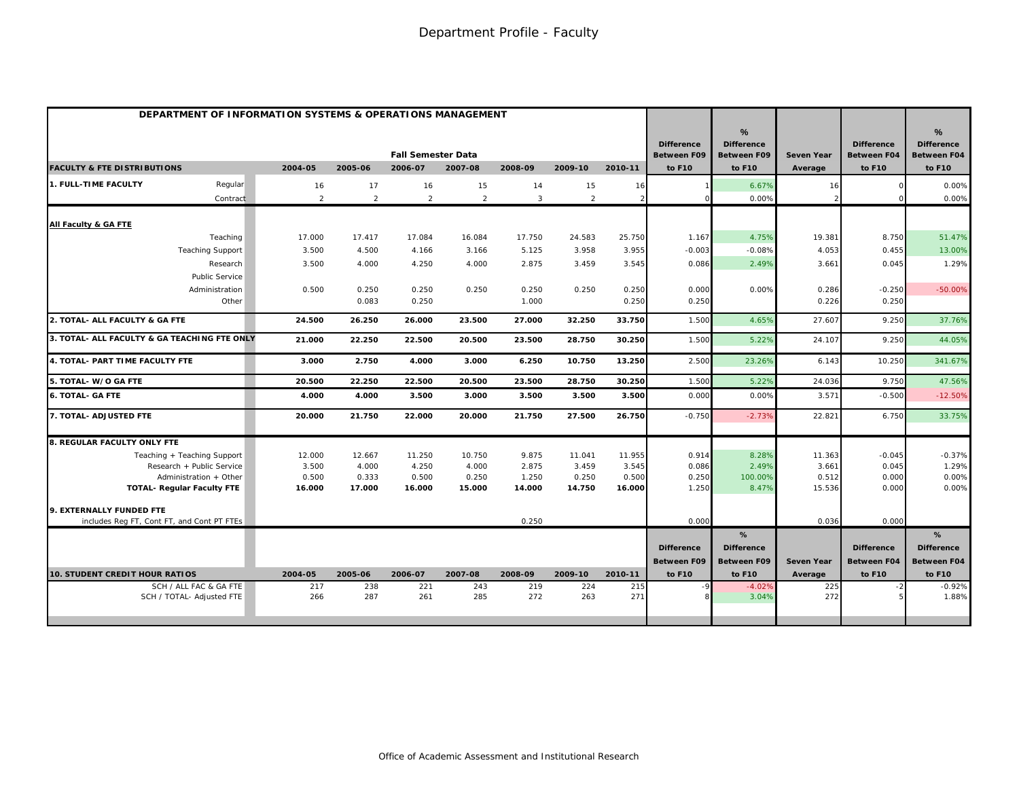| DEPARTMENT OF INFORMATION SYSTEMS & OPERATIONS MANAGEMENT |                |                |                           |                |         |                |               |                                         |                                                          |                       |                                         |                                                          |
|-----------------------------------------------------------|----------------|----------------|---------------------------|----------------|---------|----------------|---------------|-----------------------------------------|----------------------------------------------------------|-----------------------|-----------------------------------------|----------------------------------------------------------|
|                                                           |                |                | <b>Fall Semester Data</b> |                |         |                |               | <b>Difference</b><br><b>Between F09</b> | $\frac{9}{6}$<br><b>Difference</b><br><b>Between F09</b> | <b>Seven Year</b>     | <b>Difference</b><br><b>Between F04</b> | $\frac{9}{6}$<br><b>Difference</b><br><b>Between F04</b> |
| <b>FACULTY &amp; FTE DISTRIBUTIONS</b>                    | 2004-05        | 2005-06        | 2006-07                   | 2007-08        | 2008-09 | 2009-10        | 2010-11       | to F10                                  | to F10                                                   | Average               | to F10                                  | to F10                                                   |
| 1. FULL-TIME FACULTY<br>Regular                           | 16             | 17             | 16                        | 15             | 14      | 15             | 16            |                                         | 6.67%                                                    | 16                    |                                         | 0.00%                                                    |
| Contract                                                  | $\overline{2}$ | $\overline{2}$ | 2                         | $\overline{2}$ | 3       | $\overline{2}$ | $\mathcal{D}$ |                                         | 0.00%                                                    |                       |                                         | 0.00%                                                    |
| All Faculty & GA FTE                                      |                |                |                           |                |         |                |               |                                         |                                                          |                       |                                         |                                                          |
| Teaching                                                  | 17.000         | 17.417         | 17.084                    | 16.084         | 17.750  | 24.583         | 25.750        | 1.167                                   | 4.75%                                                    | 19.381                | 8.750                                   | 51.47%                                                   |
| <b>Teaching Support</b>                                   | 3.500          | 4.500          | 4.166                     | 3.166          | 5.125   | 3.958          | 3.955         | $-0.003$                                | $-0.08%$                                                 | 4.053                 | 0.455                                   | 13.00%                                                   |
| Research                                                  | 3.500          | 4.000          | 4.250                     | 4.000          | 2.875   | 3.459          | 3.545         | 0.086                                   | 2.49%                                                    | 3.661                 | 0.045                                   | 1.29%                                                    |
| Public Service                                            |                |                |                           |                |         |                |               |                                         |                                                          |                       |                                         |                                                          |
| Administration                                            | 0.500          | 0.250          | 0.250                     | 0.250          | 0.250   | 0.250          | 0.250         | 0.000                                   | 0.00%                                                    | 0.286                 | $-0.250$                                | $-50.00%$                                                |
| Other                                                     |                | 0.083          | 0.250                     |                | 1.000   |                | 0.250         | 0.250                                   |                                                          | 0.226                 | 0.250                                   |                                                          |
| 2. TOTAL- ALL FACULTY & GA FTE                            | 24.500         | 26.250         | 26.000                    | 23.500         | 27.000  | 32.250         | 33.750        | 1.500                                   | 4.65%                                                    | 27.607                | 9.250                                   | 37.76%                                                   |
| 3. TOTAL- ALL FACULTY & GA TEACHING FTE ONLY              | 21.000         | 22.250         | 22.500                    | 20.500         | 23.500  | 28.750         | 30.250        | 1.500                                   | 5.22%                                                    | 24.107                | 9.250                                   | 44.05%                                                   |
| 4. TOTAL- PART TIME FACULTY FTE                           | 3.000          | 2.750          | 4.000                     | 3.000          | 6.250   | 10.750         | 13.250        | 2.500                                   | 23.26%                                                   | 6.143                 | 10.250                                  | 341.67%                                                  |
| 5. TOTAL- W/O GA FTE                                      | 20.500         | 22.250         | 22.500                    | 20.500         | 23.500  | 28.750         | 30.250        | 1.500                                   | 5.22%                                                    | 24.036                | 9.750                                   | 47.56%                                                   |
| <b>6. TOTAL- GA FTE</b>                                   | 4.000          | 4.000          | 3.500                     | 3.000          | 3.500   | 3.500          | 3.500         | 0.000                                   | 0.00%                                                    | 3.571                 | $-0.500$                                | $-12.50%$                                                |
| 7. TOTAL- ADJUSTED FTE                                    | 20.000         | 21.750         | 22.000                    | 20.000         | 21.750  | 27.500         | 26.750        | $-0.750$                                | $-2.73%$                                                 | 22.821                | 6.750                                   | 33.75%                                                   |
| 8. REGULAR FACULTY ONLY FTE                               |                |                |                           |                |         |                |               |                                         |                                                          |                       |                                         |                                                          |
| Teaching + Teaching Support                               | 12.000         | 12.667         | 11.250                    | 10.750         | 9.875   | 11.041         | 11.955        | 0.914                                   | 8.28%                                                    | 11.363                | $-0.045$                                | $-0.37%$                                                 |
| Research + Public Service                                 | 3.500          | 4.000          | 4.250                     | 4.000          | 2.875   | 3.459          | 3.545         | 0.086                                   | 2.49%                                                    | 3.661                 | 0.045                                   | 1.29%                                                    |
| Administration + Other                                    | 0.500          | 0.333          | 0.500                     | 0.250          | 1.250   | 0.250          | 0.500         | 0.250                                   | 100.00%                                                  | 0.512                 | 0.000                                   | 0.00%                                                    |
| <b>TOTAL- Regular Faculty FTE</b>                         | 16.000         | 17.000         | 16.000                    | 15.000         | 14.000  | 14.750         | 16.000        | 1.250                                   | 8.47%                                                    | 15.536                | 0.000                                   | 0.00%                                                    |
| 9. EXTERNALLY FUNDED FTE                                  |                |                |                           |                |         |                |               |                                         |                                                          |                       |                                         |                                                          |
| includes Reg FT, Cont FT, and Cont PT FTEs                |                |                |                           |                | 0.250   |                |               | 0.000                                   |                                                          | 0.036                 | 0.000                                   |                                                          |
|                                                           |                |                |                           |                |         |                |               |                                         | %                                                        |                       |                                         | %                                                        |
|                                                           |                |                |                           |                |         |                |               | <b>Difference</b>                       | <b>Difference</b>                                        |                       | <b>Difference</b>                       | <b>Difference</b>                                        |
| <b>10. STUDENT CREDIT HOUR RATIOS</b>                     | 2004-05        | 2005-06        | 2006-07                   | 2007-08        | 2008-09 | 2009-10        | 2010-11       | <b>Between F09</b><br>to F10            | <b>Between F09</b><br>to F10                             | Seven Year<br>Average | <b>Between F04</b><br>to F10            | <b>Between F04</b><br>to F10                             |
| SCH / ALL FAC & GA FTE                                    | 217            | 238            | 221                       | 243            | 219     | 224            | 215           |                                         | $-4.02%$                                                 | 225                   |                                         | $-0.92%$                                                 |
| SCH / TOTAL- Adjusted FTE                                 | 266            | 287            | 261                       | 285            | 272     | 263            | 271           |                                         | 3.04%                                                    | 272                   |                                         | 1.88%                                                    |
|                                                           |                |                |                           |                |         |                |               |                                         |                                                          |                       |                                         |                                                          |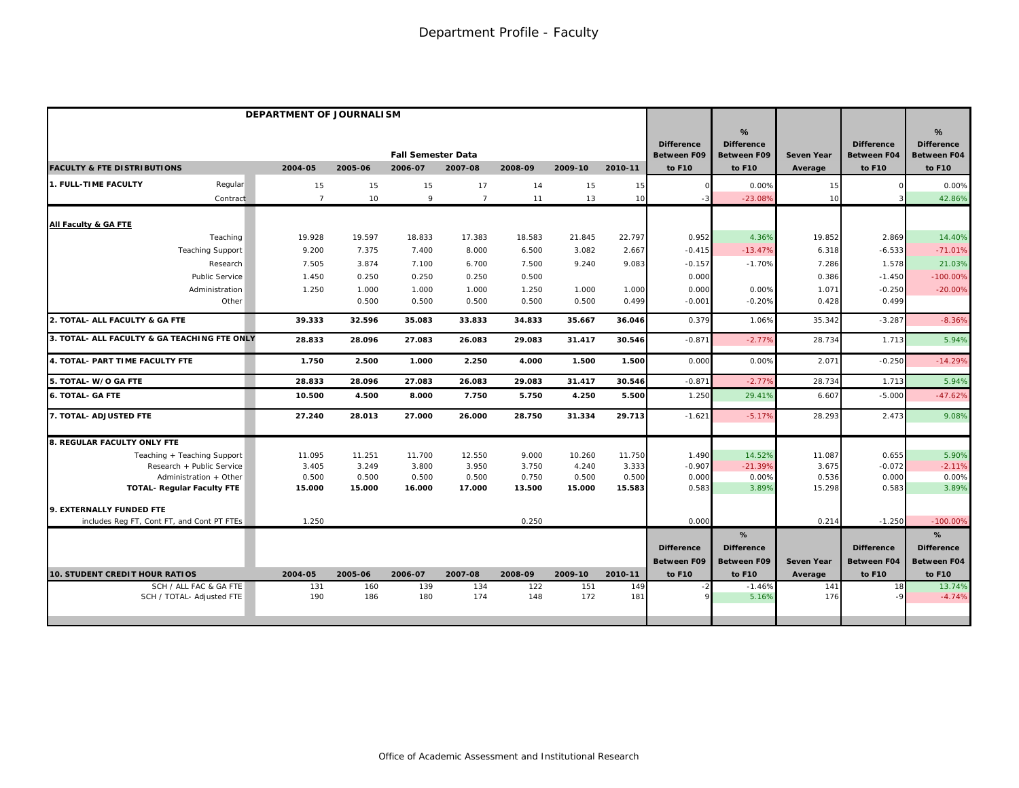|                                              | DEPARTMENT OF JOURNALISM |         |                           |                |         |         |         |                                         |                                       |                   |                                         |                                                          |
|----------------------------------------------|--------------------------|---------|---------------------------|----------------|---------|---------|---------|-----------------------------------------|---------------------------------------|-------------------|-----------------------------------------|----------------------------------------------------------|
|                                              |                          |         | <b>Fall Semester Data</b> |                |         |         |         | <b>Difference</b><br><b>Between F09</b> | %<br><b>Difference</b><br>Between F09 | <b>Seven Year</b> | <b>Difference</b><br><b>Between F04</b> | $\frac{9}{6}$<br><b>Difference</b><br><b>Between F04</b> |
| <b>FACULTY &amp; FTE DISTRIBUTIONS</b>       | 2004-05                  | 2005-06 | 2006-07                   | 2007-08        | 2008-09 | 2009-10 | 2010-11 | to F10                                  | to F10                                | Average           | to F10                                  | to F10                                                   |
| 1. FULL-TIME FACULTY<br>Regular              | 15                       | 15      | 15                        | 17             | 14      | 15      | 15      |                                         | 0.00%                                 | 15                |                                         | 0.00%                                                    |
| Contract                                     | $\overline{7}$           | 10      | 9                         | $\overline{7}$ | 11      | 13      | 10      |                                         | $-23.089$                             | 10                |                                         | 42.86%                                                   |
| All Faculty & GA FTE                         |                          |         |                           |                |         |         |         |                                         |                                       |                   |                                         |                                                          |
| Teaching                                     | 19.928                   | 19.597  | 18.833                    | 17.383         | 18.583  | 21.845  | 22.797  | 0.952                                   | 4.36%                                 | 19.852            | 2.869                                   | 14.40%                                                   |
| <b>Teaching Support</b>                      | 9.200                    | 7.375   | 7.400                     | 8.000          | 6.500   | 3.082   | 2.667   | $-0.415$                                | $-13.47%$                             | 6.318             | $-6.533$                                | $-71.01%$                                                |
| Research                                     | 7.505                    | 3.874   | 7.100                     | 6.700          | 7.500   | 9.240   | 9.083   | $-0.157$                                | $-1.70%$                              | 7.286             | 1.578                                   | 21.03%                                                   |
| Public Service                               | 1.450                    | 0.250   | 0.250                     | 0.250          | 0.500   |         |         | 0.000                                   |                                       | 0.386             | $-1.450$                                | $-100.00%$                                               |
| Administration                               | 1.250                    | 1.000   | 1.000                     | 1.000          | 1.250   | 1.000   | 1.000   | 0.000                                   | 0.00%                                 | 1.071             | $-0.250$                                | $-20.00%$                                                |
| Other                                        |                          | 0.500   | 0.500                     | 0.500          | 0.500   | 0.500   | 0.499   | $-0.001$                                | $-0.20%$                              | 0.428             | 0.499                                   |                                                          |
| 2. TOTAL- ALL FACULTY & GA FTE               | 39.333                   | 32.596  | 35.083                    | 33.833         | 34.833  | 35.667  | 36.046  | 0.379                                   | 1.06%                                 | 35.342            | $-3.287$                                | $-8.36%$                                                 |
| 3. TOTAL- ALL FACULTY & GA TEACHING FTE ONLY | 28.833                   | 28.096  | 27.083                    | 26.083         | 29.083  | 31.417  | 30.546  | $-0.871$                                | $-2.77%$                              | 28.734            | 1.713                                   | 5.94%                                                    |
| 4. TOTAL- PART TIME FACULTY FTE              | 1.750                    | 2.500   | 1.000                     | 2.250          | 4.000   | 1.500   | 1.500   | 0.00C                                   | 0.00%                                 | 2.071             | $-0.250$                                | $-14.29%$                                                |
| 5. TOTAL- W/O GA FTE                         | 28.833                   | 28.096  | 27.083                    | 26.083         | 29.083  | 31.417  | 30.546  | $-0.87$                                 | $-2.779$                              | 28.734            | 1.713                                   | 5.94%                                                    |
| <b>6. TOTAL- GA FTE</b>                      | 10.500                   | 4.500   | 8.000                     | 7.750          | 5.750   | 4.250   | 5.500   | 1.250                                   | 29.41%                                | 6.607             | $-5.000$                                | $-47.62%$                                                |
| 7. TOTAL- ADJUSTED FTE                       | 27.240                   | 28.013  | 27.000                    | 26.000         | 28.750  | 31.334  | 29.713  | $-1.621$                                | $-5.17%$                              | 28.293            | 2.473                                   | 9.08%                                                    |
| 8. REGULAR FACULTY ONLY FTE                  |                          |         |                           |                |         |         |         |                                         |                                       |                   |                                         |                                                          |
| Teaching + Teaching Support                  | 11.095                   | 11.251  | 11.700                    | 12.550         | 9.000   | 10.260  | 11.750  | 1.490                                   | 14.52%                                | 11.087            | 0.655                                   | 5.90%                                                    |
| Research + Public Service                    | 3.405                    | 3.249   | 3.800                     | 3.950          | 3.750   | 4.240   | 3.333   | $-0.907$                                | $-21.39%$                             | 3.675             | $-0.072$                                | $-2.11%$                                                 |
| Administration + Other                       | 0.500                    | 0.500   | 0.500                     | 0.500          | 0.750   | 0.500   | 0.500   | 0.000                                   | 0.00%                                 | 0.536             | 0.000                                   | 0.00%                                                    |
| <b>TOTAL- Regular Faculty FTE</b>            | 15.000                   | 15.000  | 16.000                    | 17.000         | 13.500  | 15.000  | 15.583  | 0.583                                   | 3.89%                                 | 15.298            | 0.583                                   | 3.89%                                                    |
| 9. EXTERNALLY FUNDED FTE                     |                          |         |                           |                |         |         |         |                                         |                                       |                   |                                         |                                                          |
| includes Reg FT, Cont FT, and Cont PT FTEs   | 1.250                    |         |                           |                | 0.250   |         |         | 0.00C                                   |                                       | 0.214             | $-1.250$                                | $-100.00%$                                               |
|                                              |                          |         |                           |                |         |         |         |                                         | %                                     |                   |                                         | %                                                        |
|                                              |                          |         |                           |                |         |         |         | <b>Difference</b>                       | <b>Difference</b>                     |                   | <b>Difference</b>                       | <b>Difference</b>                                        |
|                                              |                          |         |                           |                |         |         |         | <b>Between F09</b>                      | Between F09                           | <b>Seven Year</b> | <b>Between F04</b>                      | Between F04                                              |
| 10. STUDENT CREDIT HOUR RATIOS               | 2004-05                  | 2005-06 | 2006-07                   | 2007-08        | 2008-09 | 2009-10 | 2010-11 | to F10                                  | to F10                                | Average           | to F10                                  | to F10                                                   |
| SCH / ALL FAC & GA FTE                       | 131                      | 160     | 139                       | 134            | 122     | 151     | 149     |                                         | $-1.46%$                              | 141               | 18                                      | 13.74%                                                   |
| SCH / TOTAL- Adjusted FTE                    | 190                      | 186     | 180                       | 174            | 148     | 172     | 181     |                                         | 5.16%                                 | 176               |                                         | $-4.74%$                                                 |
|                                              |                          |         |                           |                |         |         |         |                                         |                                       |                   |                                         |                                                          |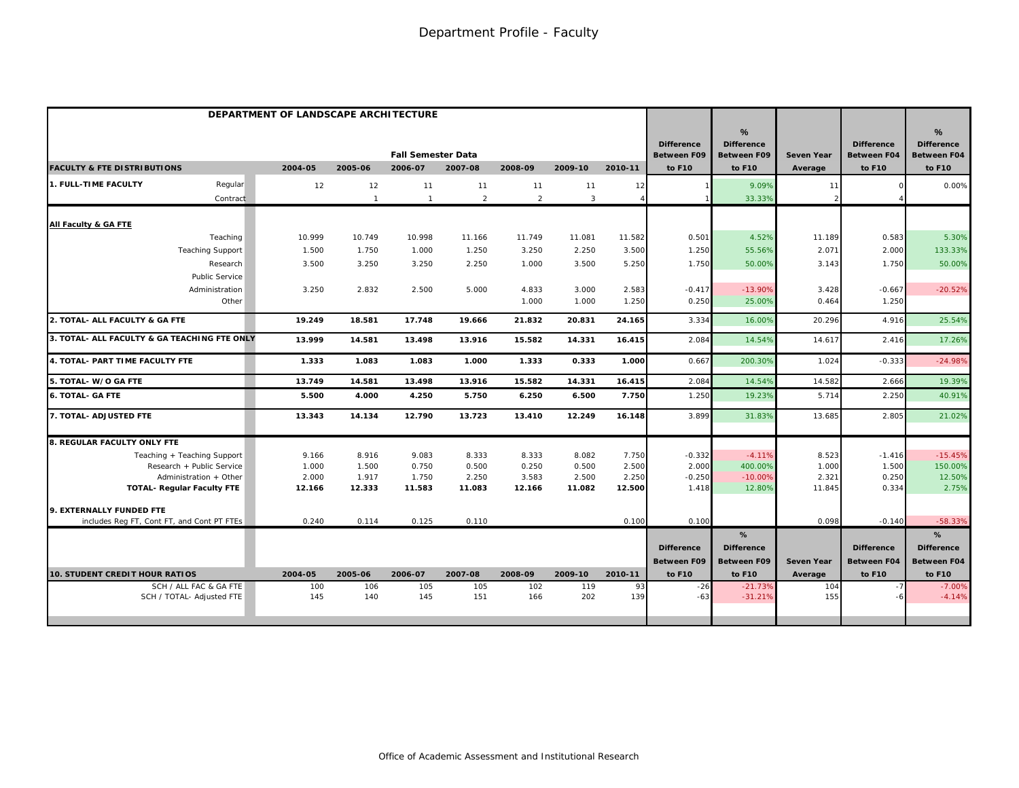|                                              |                 |                 | DEPARTMENT OF LANDSCAPE ARCHITECTURE |                 |                 |                 |                 |                                         |                                              |                   |                                         |                                                          |
|----------------------------------------------|-----------------|-----------------|--------------------------------------|-----------------|-----------------|-----------------|-----------------|-----------------------------------------|----------------------------------------------|-------------------|-----------------------------------------|----------------------------------------------------------|
|                                              |                 |                 | <b>Fall Semester Data</b>            |                 |                 |                 |                 | <b>Difference</b><br><b>Between F09</b> | %<br><b>Difference</b><br><b>Between F09</b> | <b>Seven Year</b> | <b>Difference</b><br><b>Between F04</b> | $\frac{9}{6}$<br><b>Difference</b><br><b>Between F04</b> |
| <b>FACULTY &amp; FTE DISTRIBUTIONS</b>       | 2004-05         | 2005-06         | 2006-07                              | 2007-08         | 2008-09         | 2009-10         | 2010-11         | to F10                                  | to F10                                       | Average           | to F10                                  | to F10                                                   |
| 1. FULL-TIME FACULTY<br>Regular              | 12              | 12              | 11                                   | 11              | 11              | 11              | 12              |                                         | 9.09%                                        | 11                |                                         | 0.00%                                                    |
| Contract                                     |                 | $\mathbf{1}$    | $\mathbf{1}$                         | $\overline{2}$  | $\overline{2}$  | $\overline{3}$  |                 |                                         | 33.33%                                       |                   |                                         |                                                          |
| All Faculty & GA FTE                         |                 |                 |                                      |                 |                 |                 |                 |                                         |                                              |                   |                                         |                                                          |
| Teaching                                     | 10.999          | 10.749          | 10.998                               | 11.166          | 11.749          | 11.081          | 11.582          | 0.501                                   | 4.52%                                        | 11.189            | 0.583                                   | 5.30%                                                    |
| <b>Teaching Support</b>                      | 1.500           | 1.750           | 1.000                                | 1.250           | 3.250           | 2.250           | 3.500           | 1.250                                   | 55.56%                                       | 2.071             | 2.000                                   | 133.33%                                                  |
| Research                                     | 3.500           | 3.250           | 3.250                                | 2.250           | 1.000           | 3.500           | 5.250           | 1.750                                   | 50.00%                                       | 3.143             | 1.750                                   | 50.00%                                                   |
| <b>Public Service</b>                        |                 |                 |                                      |                 |                 |                 |                 |                                         |                                              |                   |                                         |                                                          |
| Administration                               | 3.250           | 2.832           | 2.500                                | 5.000           | 4.833           | 3.000           | 2.583           | $-0.417$                                | $-13.90%$                                    | 3.428             | $-0.667$                                | $-20.52%$                                                |
| Other                                        |                 |                 |                                      |                 | 1.000           | 1.000           | 1.250           | 0.250                                   | 25.00%                                       | 0.464             | 1.250                                   |                                                          |
| 2. TOTAL- ALL FACULTY & GA FTE               | 19.249          | 18.581          | 17.748                               | 19.666          | 21.832          | 20.831          | 24.165          | 3.334                                   | 16.00%                                       | 20.296            | 4.916                                   | 25.54%                                                   |
| 3. TOTAL- ALL FACULTY & GA TEACHING FTE ONLY | 13.999          | 14.581          | 13.498                               | 13.916          | 15.582          | 14.331          | 16.415          | 2.084                                   | 14.54%                                       | 14.617            | 2.416                                   | 17.26%                                                   |
| 4. TOTAL- PART TIME FACULTY FTE              | 1.333           | 1.083           | 1.083                                | 1.000           | 1.333           | 0.333           | 1.000           | 0.667                                   | 200.30%                                      | 1.024             | $-0.333$                                | $-24.98%$                                                |
| 5. TOTAL- W/O GA FTE                         | 13.749          | 14.581          | 13.498                               | 13.916          | 15.582          | 14.331          | 16.415          | 2.084                                   | 14.54%                                       | 14.582            | 2.666                                   | 19.39%                                                   |
| <b>6. TOTAL- GA FTE</b>                      | 5.500           | 4.000           | 4.250                                | 5.750           | 6.250           | 6.500           | 7.750           | 1.250                                   | 19.23%                                       | 5.714             | 2.250                                   | 40.91%                                                   |
| 7. TOTAL- ADJUSTED FTE                       | 13.343          | 14.134          | 12.790                               | 13.723          | 13.410          | 12.249          | 16.148          | 3.899                                   | 31.83%                                       | 13.685            | 2.805                                   | 21.02%                                                   |
| 8. REGULAR FACULTY ONLY FTE                  |                 |                 |                                      |                 |                 |                 |                 |                                         |                                              |                   |                                         |                                                          |
| Teaching + Teaching Support                  | 9.166           | 8.916           | 9.083                                | 8.333           | 8.333           | 8.082           | 7.750           | $-0.332$                                | $-4.11%$                                     | 8.523             | $-1.416$                                | $-15.45%$                                                |
| Research + Public Service                    | 1.000           | 1.500           | 0.750                                | 0.500           | 0.250           | 0.500           | 2.500           | 2.000                                   | 400.00%                                      | 1.000             | 1.500                                   | 150.00%                                                  |
| Administration + Other                       | 2.000<br>12.166 | 1.917<br>12.333 | 1.750<br>11.583                      | 2.250<br>11.083 | 3.583<br>12.166 | 2.500<br>11.082 | 2.250<br>12.500 | $-0.250$<br>1.418                       | $-10.00%$<br>12.80%                          | 2.321<br>11.845   | 0.250                                   | 12.50%<br>2.75%                                          |
| <b>TOTAL- Regular Faculty FTE</b>            |                 |                 |                                      |                 |                 |                 |                 |                                         |                                              |                   | 0.334                                   |                                                          |
| 9. EXTERNALLY FUNDED FTE                     |                 |                 |                                      |                 |                 |                 |                 |                                         |                                              |                   |                                         |                                                          |
| includes Req FT, Cont FT, and Cont PT FTEs   | 0.240           | 0.114           | 0.125                                | 0.110           |                 |                 | 0.100           | 0.100                                   |                                              | 0.098             | $-0.140$                                | $-58.33%$                                                |
|                                              |                 |                 |                                      |                 |                 |                 |                 |                                         | %                                            |                   |                                         | %                                                        |
|                                              |                 |                 |                                      |                 |                 |                 |                 | <b>Difference</b>                       | <b>Difference</b>                            |                   | <b>Difference</b>                       | <b>Difference</b>                                        |
| 10. STUDENT CREDIT HOUR RATIOS               | 2004-05         | 2005-06         | 2006-07                              | 2007-08         | 2008-09         | 2009-10         | 2010-11         | <b>Between F09</b><br>to F10            | <b>Between F09</b><br>to F10                 | Seven Year        | <b>Between F04</b><br>to F10            | Between F04<br>to F10                                    |
| SCH / ALL FAC & GA FTE                       | 100             | 106             | 105                                  | 105             | 102             | 119             | 93              | $-26$                                   | $-21.73%$                                    | Average<br>104    |                                         | $-7.00%$                                                 |
| SCH / TOTAL- Adjusted FTE                    | 145             | 140             | 145                                  | 151             | 166             | 202             | 139             | $-63$                                   | $-31.21%$                                    | 155               |                                         | $-4.14%$                                                 |
|                                              |                 |                 |                                      |                 |                 |                 |                 |                                         |                                              |                   |                                         |                                                          |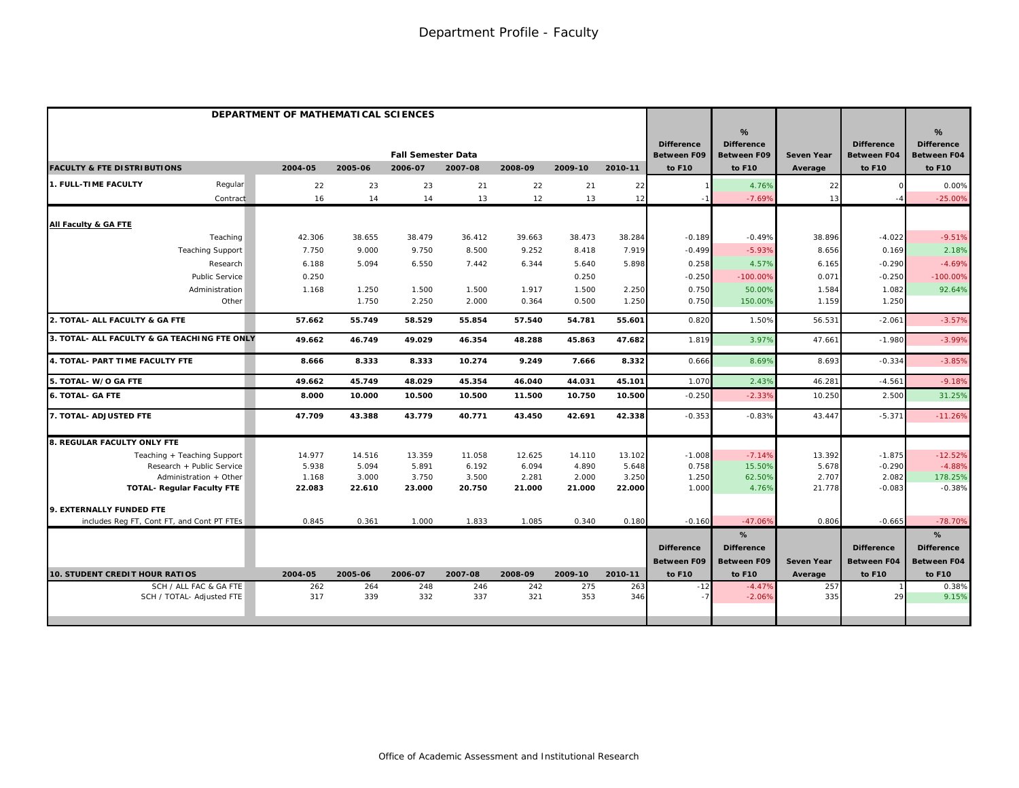|                                              | DEPARTMENT OF MATHEMATICAL SCIENCES |         |                           |         |         |         |         |                                         |                                              |                   |                                         |                                                          |
|----------------------------------------------|-------------------------------------|---------|---------------------------|---------|---------|---------|---------|-----------------------------------------|----------------------------------------------|-------------------|-----------------------------------------|----------------------------------------------------------|
|                                              |                                     |         | <b>Fall Semester Data</b> |         |         |         |         | <b>Difference</b><br><b>Between F09</b> | %<br><b>Difference</b><br><b>Between F09</b> | <b>Seven Year</b> | <b>Difference</b><br><b>Between F04</b> | $\frac{9}{6}$<br><b>Difference</b><br><b>Between F04</b> |
| <b>FACULTY &amp; FTE DISTRIBUTIONS</b>       | 2004-05                             | 2005-06 | 2006-07                   | 2007-08 | 2008-09 | 2009-10 | 2010-11 | to F10                                  | to F10                                       | Average           | to F10                                  | to F10                                                   |
| 1. FULL-TIME FACULTY<br>Regular              | 22                                  | 23      | 23                        | 21      | 22      | 21      | 22      |                                         | 4.76%                                        | 22                |                                         | 0.00%                                                    |
| Contract                                     | 16                                  | 14      | 14                        | 13      | 12      | 13      | 12      |                                         | $-7.69%$                                     | 13                |                                         | $-25.00%$                                                |
| All Faculty & GA FTE                         |                                     |         |                           |         |         |         |         |                                         |                                              |                   |                                         |                                                          |
| Teaching                                     | 42.306                              | 38.655  | 38.479                    | 36.412  | 39.663  | 38.473  | 38.284  | $-0.189$                                | $-0.49%$                                     | 38.896            | $-4.022$                                | $-9.51%$                                                 |
| <b>Teaching Support</b>                      | 7.750                               | 9.000   | 9.750                     | 8.500   | 9.252   | 8.418   | 7.919   | $-0.499$                                | $-5.93%$                                     | 8.656             | 0.169                                   | 2.18%                                                    |
| Research                                     | 6.188                               | 5.094   | 6.550                     | 7.442   | 6.344   | 5.640   | 5.898   | 0.258                                   | 4.57%                                        | 6.165             | $-0.290$                                | $-4.69%$                                                 |
| Public Service                               | 0.250                               |         |                           |         |         | 0.250   |         | $-0.250$                                | $-100.00%$                                   | 0.071             | $-0.250$                                | $-100.00%$                                               |
| Administration                               | 1.168                               | 1.250   | 1.500                     | 1.500   | 1.917   | 1.500   | 2.250   | 0.750                                   | 50.00%                                       | 1.584             | 1.082                                   | 92.64%                                                   |
| Other                                        |                                     | 1.750   | 2.250                     | 2.000   | 0.364   | 0.500   | 1.250   | 0.750                                   | 150.00%                                      | 1.159             | 1.250                                   |                                                          |
| 2. TOTAL- ALL FACULTY & GA FTE               | 57.662                              | 55.749  | 58.529                    | 55.854  | 57.540  | 54.781  | 55.601  | 0.820                                   | 1.50%                                        | 56.531            | $-2.061$                                | $-3.57%$                                                 |
| 3. TOTAL- ALL FACULTY & GA TEACHING FTE ONLY | 49.662                              | 46.749  | 49.029                    | 46.354  | 48.288  | 45.863  | 47.682  | 1.819                                   | 3.97%                                        | 47.661            | $-1.980$                                | $-3.99%$                                                 |
| 4. TOTAL- PART TIME FACULTY FTE              | 8.666                               | 8.333   | 8.333                     | 10.274  | 9.249   | 7.666   | 8.332   | 0.666                                   | 8.69%                                        | 8.693             | $-0.334$                                | $-3.85%$                                                 |
| 5. TOTAL- W/O GA FTE                         | 49.662                              | 45.749  | 48.029                    | 45.354  | 46.040  | 44.031  | 45.101  | 1.070                                   | 2.43%                                        | 46.281            | $-4.561$                                | $-9.18%$                                                 |
| <b>6. TOTAL- GA FTE</b>                      | 8.000                               | 10.000  | 10.500                    | 10.500  | 11.500  | 10.750  | 10.500  | $-0.25C$                                | $-2.339$                                     | 10.250            | 2.500                                   | 31.25%                                                   |
| 7. TOTAL- ADJUSTED FTE                       | 47.709                              | 43.388  | 43.779                    | 40.771  | 43.450  | 42.691  | 42.338  | $-0.353$                                | $-0.83%$                                     | 43.447            | $-5.371$                                | $-11.26%$                                                |
| 8. REGULAR FACULTY ONLY FTE                  |                                     |         |                           |         |         |         |         |                                         |                                              |                   |                                         |                                                          |
| Teaching + Teaching Support                  | 14.977                              | 14.516  | 13.359                    | 11.058  | 12.625  | 14.110  | 13.102  | $-1.008$                                | $-7.14%$                                     | 13.392            | $-1.875$                                | $-12.52%$                                                |
| Research + Public Service                    | 5.938                               | 5.094   | 5.891                     | 6.192   | 6.094   | 4.890   | 5.648   | 0.758                                   | 15.50%                                       | 5.678             | $-0.290$                                | $-4.88%$                                                 |
| Administration + Other                       | 1.168                               | 3.000   | 3.750                     | 3.500   | 2.281   | 2.000   | 3.250   | 1.250                                   | 62.50%                                       | 2.707             | 2.082                                   | 178.25%                                                  |
| <b>TOTAL- Regular Faculty FTE</b>            | 22.083                              | 22.610  | 23.000                    | 20.750  | 21.000  | 21.000  | 22.000  | 1.000                                   | 4.76%                                        | 21.778            | $-0.083$                                | $-0.38%$                                                 |
| 9. EXTERNALLY FUNDED FTE                     |                                     |         |                           |         |         |         |         |                                         |                                              |                   |                                         |                                                          |
| includes Reg FT, Cont FT, and Cont PT FTEs   | 0.845                               | 0.361   | 1.000                     | 1.833   | 1.085   | 0.340   | 0.180   | $-0.160$                                | $-47.06%$                                    | 0.806             | $-0.665$                                | $-78.70%$                                                |
|                                              |                                     |         |                           |         |         |         |         |                                         | %                                            |                   |                                         | %                                                        |
|                                              |                                     |         |                           |         |         |         |         | <b>Difference</b>                       | <b>Difference</b>                            |                   | <b>Difference</b>                       | <b>Difference</b>                                        |
|                                              |                                     |         |                           |         |         |         |         | <b>Between F09</b>                      | <b>Between F09</b>                           | <b>Seven Year</b> | <b>Between F04</b>                      | <b>Between F04</b>                                       |
| <b>10. STUDENT CREDIT HOUR RATIOS</b>        | 2004-05                             | 2005-06 | 2006-07                   | 2007-08 | 2008-09 | 2009-10 | 2010-11 | to F10                                  | to F10                                       | Average           | to F10                                  | to F10                                                   |
| SCH / ALL FAC & GA FTE                       | 262                                 | 264     | 248                       | 246     | 242     | 275     | 263     | $-12$                                   | $-4.47%$                                     | 257               |                                         | 0.38%                                                    |
| SCH / TOTAL- Adjusted FTE                    | 317                                 | 339     | 332                       | 337     | 321     | 353     | 346     |                                         | $-2.06%$                                     | 335               | 29                                      | 9.15%                                                    |
|                                              |                                     |         |                           |         |         |         |         |                                         |                                              |                   |                                         |                                                          |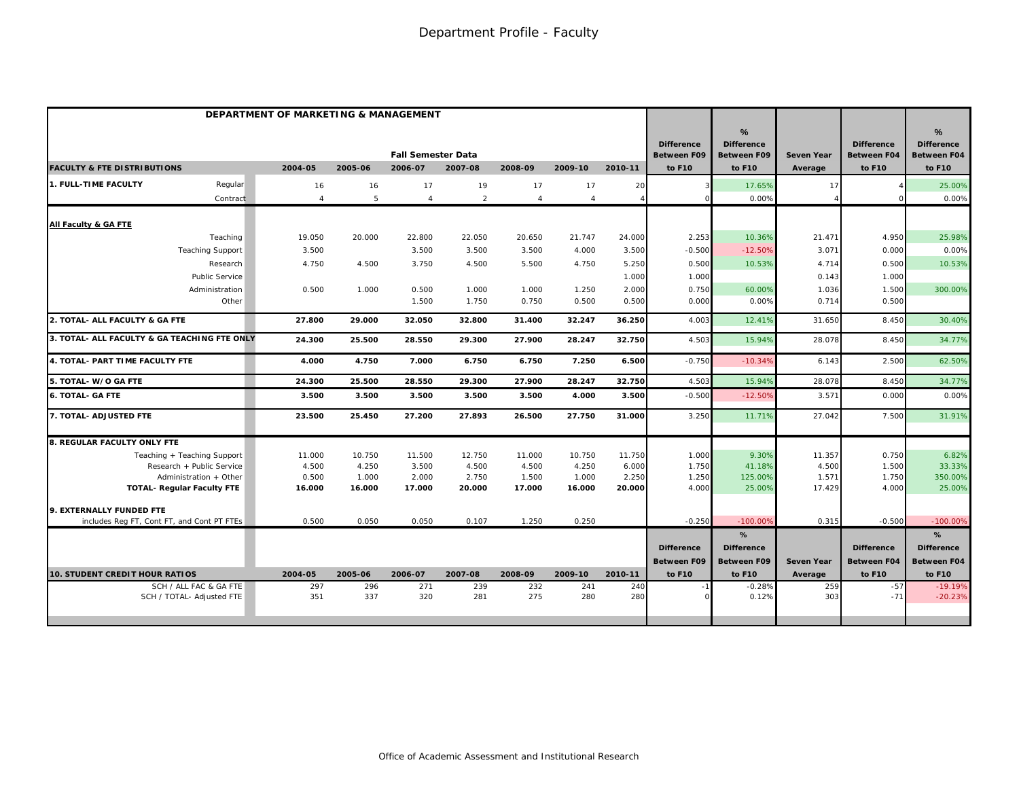|                                                             | DEPARTMENT OF MARKETING & MANAGEMENT |                 |                                      |                 |                 |                 |                 |                                                   |                                                        |                              |                                                   |                                                                    |
|-------------------------------------------------------------|--------------------------------------|-----------------|--------------------------------------|-----------------|-----------------|-----------------|-----------------|---------------------------------------------------|--------------------------------------------------------|------------------------------|---------------------------------------------------|--------------------------------------------------------------------|
| <b>FACULTY &amp; FTE DISTRIBUTIONS</b>                      | 2004-05                              | 2005-06         | <b>Fall Semester Data</b><br>2006-07 | 2007-08         | 2008-09         | 2009-10         | 2010-11         | <b>Difference</b><br><b>Between F09</b><br>to F10 | %<br><b>Difference</b><br><b>Between F09</b><br>to F10 | <b>Seven Year</b><br>Average | <b>Difference</b><br><b>Between F04</b><br>to F10 | $\frac{9}{6}$<br><b>Difference</b><br><b>Between F04</b><br>to F10 |
|                                                             |                                      |                 |                                      |                 |                 |                 |                 |                                                   |                                                        |                              |                                                   |                                                                    |
| 1. FULL-TIME FACULTY<br>Regular                             | 16                                   | 16              | 17                                   | 19              | 17              | 17              | 20              |                                                   | 17.65%                                                 | 17                           |                                                   | 25.00%                                                             |
| Contract                                                    | $\overline{4}$                       | 5               | $\overline{4}$                       | $\overline{2}$  | $\overline{4}$  | $\overline{4}$  |                 |                                                   | 0.00%                                                  |                              |                                                   | 0.00%                                                              |
| All Faculty & GA FTE                                        |                                      |                 |                                      |                 |                 |                 |                 |                                                   |                                                        |                              |                                                   |                                                                    |
| Teaching                                                    | 19.050                               | 20.000          | 22.800                               | 22.050          | 20.650          | 21.747          | 24.000          | 2.253                                             | 10.36%                                                 | 21.471                       | 4.950                                             | 25.98%                                                             |
| <b>Teaching Support</b>                                     | 3.500                                |                 | 3.500                                | 3.500           | 3.500           | 4.000           | 3.500           | $-0.500$                                          | $-12.50%$                                              | 3.071                        | 0.000                                             | 0.00%                                                              |
| Research                                                    | 4.750                                | 4.500           | 3.750                                | 4.500           | 5.500           | 4.750           | 5.250           | 0.500                                             | 10.53%                                                 | 4.714                        | 0.500                                             | 10.53%                                                             |
| <b>Public Service</b>                                       |                                      |                 |                                      |                 |                 |                 | 1.000           | 1.000                                             |                                                        | 0.143                        | 1.000                                             |                                                                    |
| Administration                                              | 0.500                                | 1.000           | 0.500                                | 1.000           | 1.000           | 1.250           | 2.000           | 0.750                                             | 60.00%                                                 | 1.036                        | 1.500                                             | 300.00%                                                            |
| Other                                                       |                                      |                 | 1.500                                | 1.750           | 0.750           | 0.500           | 0.500           | 0.000                                             | 0.00%                                                  | 0.714                        | 0.500                                             |                                                                    |
| 2. TOTAL- ALL FACULTY & GA FTE                              | 27.800                               | 29.000          | 32.050                               | 32.800          | 31.400          | 32.247          | 36.250          | 4.003                                             | 12.41%                                                 | 31.650                       | 8.450                                             | 30.40%                                                             |
| 3. TOTAL- ALL FACULTY & GA TEACHING FTE ONLY                | 24.300                               | 25.500          | 28.550                               | 29.300          | 27.900          | 28.247          | 32.750          | 4.503                                             | 15.94%                                                 | 28.078                       | 8.450                                             | 34.77%                                                             |
| 4. TOTAL- PART TIME FACULTY FTE                             | 4.000                                | 4.750           | 7.000                                | 6.750           | 6.750           | 7.250           | 6.500           | $-0.750$                                          | $-10.34%$                                              | 6.143                        | 2.500                                             | 62.50%                                                             |
| 5. TOTAL- W/O GA FTE                                        | 24.300                               | 25.500          | 28.550                               | 29.300          | 27.900          | 28.247          | 32.750          | 4.503                                             | 15.94%                                                 | 28.078                       | 8.450                                             | 34.77%                                                             |
| <b>6. TOTAL- GA FTE</b>                                     | 3.500                                | 3.500           | 3.500                                | 3.500           | 3.500           | 4.000           | 3.500           | $-0.500$                                          | $-12.50%$                                              | 3.571                        | 0.000                                             | 0.00%                                                              |
| 7. TOTAL- ADJUSTED FTE                                      | 23.500                               | 25.450          | 27.200                               | 27.893          | 26.500          | 27.750          | 31.000          | 3.250                                             | 11.71%                                                 | 27.042                       | 7.500                                             | 31.91%                                                             |
| <b>8. REGULAR FACULTY ONLY FTE</b>                          |                                      |                 |                                      |                 |                 |                 |                 |                                                   |                                                        |                              |                                                   |                                                                    |
| Teaching + Teaching Support                                 | 11.000                               | 10.750          | 11.500                               | 12.750          | 11.000          | 10.750          | 11.750          | 1.000                                             | 9.30%                                                  | 11.357                       | 0.750                                             | 6.82%                                                              |
| Research + Public Service                                   | 4.500                                | 4.250           | 3.500                                | 4.500           | 4.500           | 4.250           | 6.000           | 1.750                                             | 41.18%                                                 | 4.500                        | 1.500                                             | 33.33%                                                             |
| Administration + Other<br><b>TOTAL- Regular Faculty FTE</b> | 0.500<br>16.000                      | 1.000<br>16.000 | 2.000<br>17.000                      | 2.750<br>20.000 | 1.500<br>17.000 | 1.000<br>16.000 | 2.250<br>20.000 | 1.250<br>4.000                                    | 125.00%<br>25.00%                                      | 1.571<br>17.429              | 1.750<br>4.000                                    | 350.00%<br>25.00%                                                  |
|                                                             |                                      |                 |                                      |                 |                 |                 |                 |                                                   |                                                        |                              |                                                   |                                                                    |
| 9. EXTERNALLY FUNDED FTE                                    |                                      |                 |                                      |                 |                 |                 |                 |                                                   |                                                        |                              |                                                   |                                                                    |
| includes Reg FT, Cont FT, and Cont PT FTEs                  | 0.500                                | 0.050           | 0.050                                | 0.107           | 1.250           | 0.250           |                 | $-0.250$                                          | $-100.00%$                                             | 0.315                        | $-0.500$                                          | $-100.00%$                                                         |
|                                                             |                                      |                 |                                      |                 |                 |                 |                 |                                                   | %                                                      |                              |                                                   | %                                                                  |
|                                                             |                                      |                 |                                      |                 |                 |                 |                 | <b>Difference</b>                                 | <b>Difference</b>                                      |                              | <b>Difference</b>                                 | <b>Difference</b>                                                  |
|                                                             |                                      |                 |                                      |                 |                 |                 |                 | <b>Between F09</b>                                | <b>Between F09</b>                                     | <b>Seven Year</b>            | <b>Between F04</b>                                | <b>Between F04</b>                                                 |
| <b>10. STUDENT CREDIT HOUR RATIOS</b>                       | 2004-05                              | 2005-06         | 2006-07                              | 2007-08         | 2008-09         | 2009-10         | 2010-11         | to F10                                            | to F10                                                 | Average                      | to F10                                            | to F10                                                             |
| SCH / ALL FAC & GA FTE<br>SCH / TOTAL- Adjusted FTE         | 297<br>351                           | 296<br>337      | 271<br>320                           | 239<br>281      | 232<br>275      | 241<br>280      | 240<br>280      |                                                   | $-0.28%$<br>0.12%                                      | 259<br>303                   | $-57$<br>$-71$                                    | $-19.19%$<br>$-20.23%$                                             |
|                                                             |                                      |                 |                                      |                 |                 |                 |                 |                                                   |                                                        |                              |                                                   |                                                                    |
|                                                             |                                      |                 |                                      |                 |                 |                 |                 |                                                   |                                                        |                              |                                                   |                                                                    |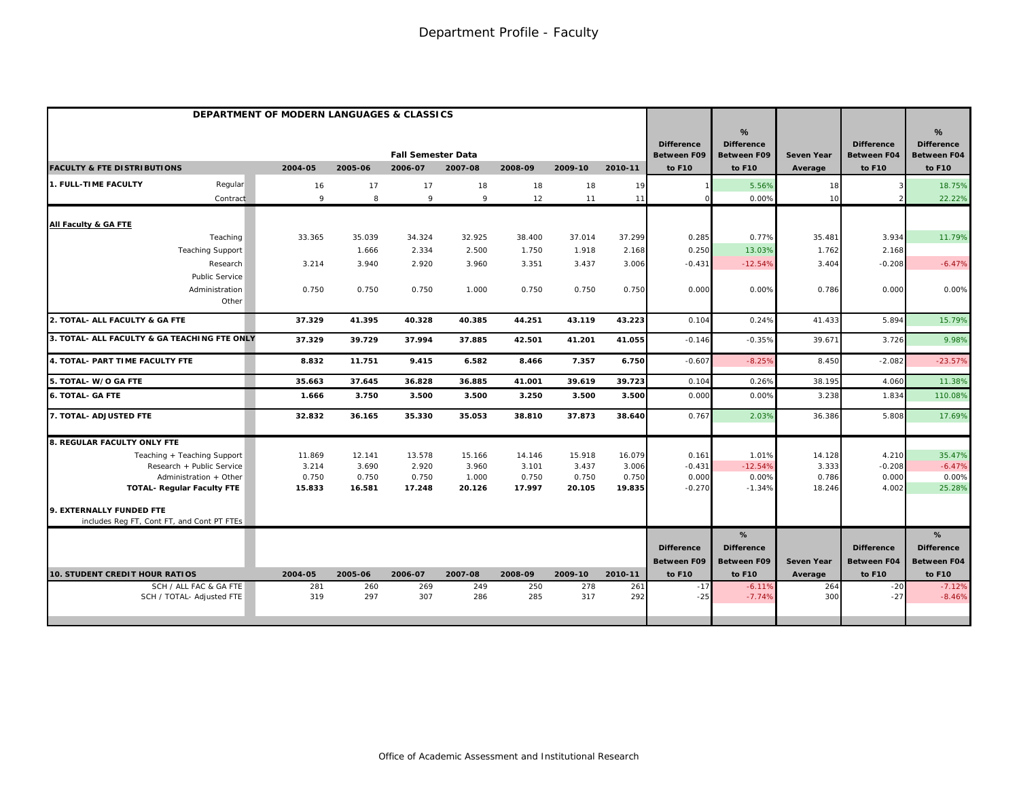|                                                             | DEPARTMENT OF MODERN LANGUAGES & CLASSICS |                 |                           |                 |                 |                 |                 |                                         |                                              |                              |                                         |                                                          |
|-------------------------------------------------------------|-------------------------------------------|-----------------|---------------------------|-----------------|-----------------|-----------------|-----------------|-----------------------------------------|----------------------------------------------|------------------------------|-----------------------------------------|----------------------------------------------------------|
|                                                             |                                           |                 | <b>Fall Semester Data</b> |                 |                 |                 |                 | <b>Difference</b><br><b>Between F09</b> | %<br><b>Difference</b><br><b>Between F09</b> | <b>Seven Year</b>            | <b>Difference</b><br><b>Between F04</b> | $\frac{9}{6}$<br><b>Difference</b><br><b>Between F04</b> |
| <b>FACULTY &amp; FTE DISTRIBUTIONS</b>                      | 2004-05                                   | 2005-06         | 2006-07                   | 2007-08         | 2008-09         | 2009-10         | 2010-11         | to F10                                  | to F10                                       | Average                      | to F10                                  | to F10                                                   |
| 1. FULL-TIME FACULTY<br>Regular                             | 16                                        | 17              | 17                        | 18              | 18              | 18              | 19              |                                         | 5.56%                                        | 18                           |                                         | 18.75%                                                   |
| Contract                                                    | 9                                         | 8               | 9                         | 9               | 12              | 11              | 11              |                                         | 0.00%                                        | 10                           |                                         | 22.22%                                                   |
| All Faculty & GA FTE                                        |                                           |                 |                           |                 |                 |                 |                 |                                         |                                              |                              |                                         |                                                          |
| Teaching                                                    | 33.365                                    | 35.039          | 34.324                    | 32.925          | 38.400          | 37.014          | 37.299          | 0.285                                   | 0.77%                                        | 35.481                       | 3.934                                   | 11.79%                                                   |
| <b>Teaching Support</b>                                     |                                           | 1.666           | 2.334                     | 2.500           | 1.750           | 1.918           | 2.168           | 0.250                                   | 13.03%                                       | 1.762                        | 2.168                                   |                                                          |
| Research                                                    | 3.214                                     | 3.940           | 2.920                     | 3.960           | 3.351           | 3.437           | 3.006           | $-0.431$                                | $-12.54%$                                    | 3.404                        | $-0.208$                                | $-6.47%$                                                 |
| <b>Public Service</b>                                       |                                           |                 |                           |                 |                 |                 |                 |                                         |                                              |                              |                                         |                                                          |
| Administration                                              | 0.750                                     | 0.750           | 0.750                     | 1.000           | 0.750           | 0.750           | 0.750           | 0.00C                                   | 0.00%                                        | 0.786                        | 0.000                                   | 0.00%                                                    |
| Other                                                       |                                           |                 |                           |                 |                 |                 |                 |                                         |                                              |                              |                                         |                                                          |
| 2. TOTAL- ALL FACULTY & GA FTE                              | 37.329                                    | 41.395          | 40.328                    | 40.385          | 44.251          | 43.119          | 43.223          | 0.104                                   | 0.24%                                        | 41.433                       | 5.894                                   | 15.79%                                                   |
| 3. TOTAL- ALL FACULTY & GA TEACHING FTE ONLY                | 37.329                                    | 39.729          | 37.994                    | 37.885          | 42.501          | 41.201          | 41.055          | $-0.146$                                | $-0.35%$                                     | 39.671                       | 3.726                                   | 9.98%                                                    |
| 4. TOTAL- PART TIME FACULTY FTE                             | 8.832                                     | 11.751          | 9.415                     | 6.582           | 8.466           | 7.357           | 6.750           | $-0.607$                                | $-8.25%$                                     | 8.450                        | $-2.082$                                | $-23.57%$                                                |
| 5. TOTAL- W/O GA FTE                                        | 35.663                                    | 37.645          | 36.828                    | 36.885          | 41.001          | 39.619          | 39.723          | 0.104                                   | 0.26%                                        | 38.195                       | 4.060                                   | 11.38%                                                   |
| <b>6. TOTAL- GA FTE</b>                                     | 1.666                                     | 3.750           | 3.500                     | 3.500           | 3.250           | 3.500           | 3.500           | 0.000                                   | 0.00%                                        | 3.238                        | 1.834                                   | 110.08%                                                  |
| 7. TOTAL- ADJUSTED FTE                                      | 32.832                                    | 36.165          | 35.330                    | 35.053          | 38.810          | 37.873          | 38.640          | 0.767                                   | 2.03%                                        | 36.386                       | 5.808                                   | 17.69%                                                   |
| 8. REGULAR FACULTY ONLY FTE                                 |                                           |                 |                           |                 |                 |                 |                 |                                         |                                              |                              |                                         |                                                          |
| Teaching + Teaching Support                                 | 11.869                                    | 12.141          | 13.578                    | 15.166          | 14.146          | 15.918          | 16.079          | 0.161                                   | 1.01%                                        | 14.128                       | 4.210                                   | 35.47%                                                   |
| Research + Public Service                                   | 3.214                                     | 3.690           | 2.920                     | 3.960           | 3.101           | 3.437           | 3.006           | $-0.431$                                | $-12.54%$                                    | 3.333                        | $-0.208$                                | $-6.47%$                                                 |
| Administration + Other<br><b>TOTAL- Regular Faculty FTE</b> | 0.750<br>15.833                           | 0.750<br>16.581 | 0.750<br>17.248           | 1.000<br>20.126 | 0.750<br>17.997 | 0.750<br>20.105 | 0.750<br>19.835 | 0.000<br>$-0.270$                       | 0.00%<br>$-1.34%$                            | 0.786<br>18.246              | 0.000<br>4.002                          | 0.00%<br>25.28%                                          |
|                                                             |                                           |                 |                           |                 |                 |                 |                 |                                         |                                              |                              |                                         |                                                          |
| 9. EXTERNALLY FUNDED FTE                                    |                                           |                 |                           |                 |                 |                 |                 |                                         |                                              |                              |                                         |                                                          |
| includes Reg FT, Cont FT, and Cont PT FTEs                  |                                           |                 |                           |                 |                 |                 |                 |                                         |                                              |                              |                                         |                                                          |
|                                                             |                                           |                 |                           |                 |                 |                 |                 |                                         | %                                            |                              |                                         | %                                                        |
|                                                             |                                           |                 |                           |                 |                 |                 |                 | <b>Difference</b>                       | <b>Difference</b>                            |                              | <b>Difference</b>                       | <b>Difference</b>                                        |
| <b>10. STUDENT CREDIT HOUR RATIOS</b>                       | 2004-05                                   | 2005-06         | 2006-07                   | 2007-08         | 2008-09         | 2009-10         | 2010-11         | <b>Between F09</b><br>to F10            | <b>Between F09</b><br>to F10                 | <b>Seven Year</b><br>Average | <b>Between F04</b><br>to F10            | <b>Between F04</b><br>to F10                             |
| SCH / ALL FAC & GA FTE                                      | 281                                       | 260             | 269                       | 249             | 250             | 278             | 261             | $-17$                                   | $-6.11%$                                     | 264                          | $-20$                                   | $-7.12%$                                                 |
| SCH / TOTAL- Adjusted FTE                                   | 319                                       | 297             | 307                       | 286             | 285             | 317             | 292             | $-25$                                   | $-7.74%$                                     | 300                          | $-27$                                   | $-8.46%$                                                 |
|                                                             |                                           |                 |                           |                 |                 |                 |                 |                                         |                                              |                              |                                         |                                                          |
|                                                             |                                           |                 |                           |                 |                 |                 |                 |                                         |                                              |                              |                                         |                                                          |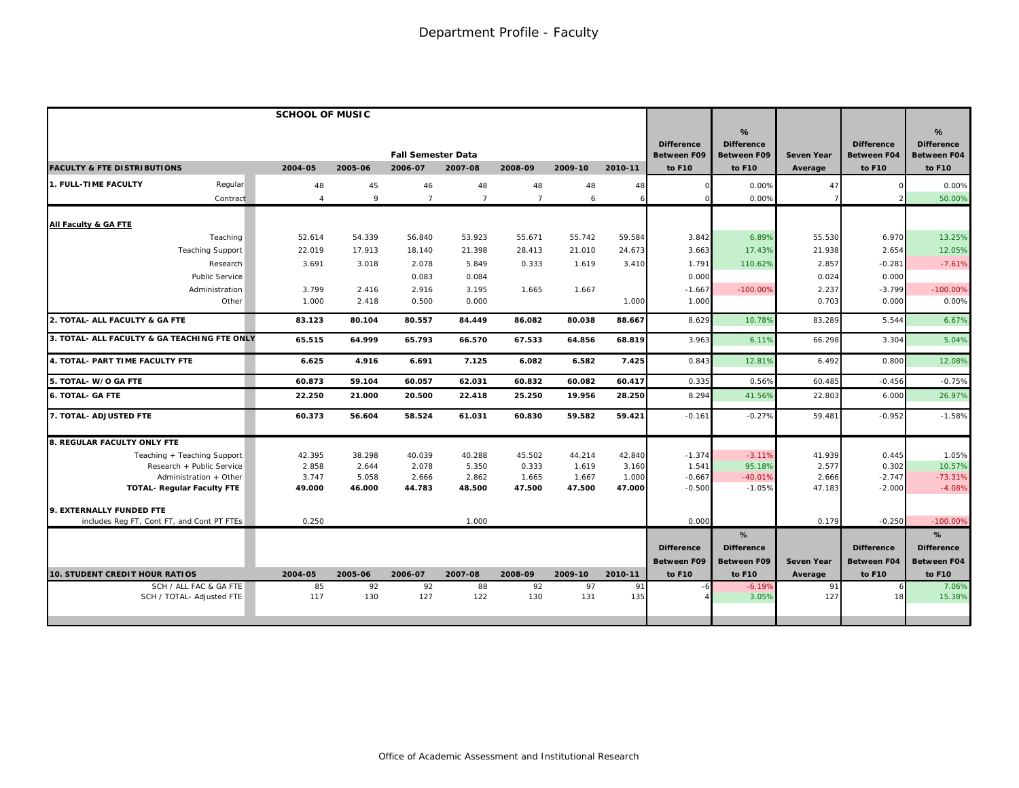|                                                     | <b>SCHOOL OF MUSIC</b> |           |                                      |                 |                 |           |           |                                                   |                                                        |                              |                                                   |                                                        |
|-----------------------------------------------------|------------------------|-----------|--------------------------------------|-----------------|-----------------|-----------|-----------|---------------------------------------------------|--------------------------------------------------------|------------------------------|---------------------------------------------------|--------------------------------------------------------|
| <b>FACULTY &amp; FTE DISTRIBUTIONS</b>              | 2004-05                | 2005-06   | <b>Fall Semester Data</b><br>2006-07 | 2007-08         | 2008-09         | 2009-10   | 2010-11   | <b>Difference</b><br><b>Between F09</b><br>to F10 | %<br><b>Difference</b><br><b>Between F09</b><br>to F10 | <b>Seven Year</b><br>Average | <b>Difference</b><br><b>Between F04</b><br>to F10 | %<br><b>Difference</b><br><b>Between F04</b><br>to F10 |
| Regular<br><b>1. FULL-TIME FACULTY</b>              | 48                     | 45        | 46                                   | 48              | 48              | 48        | 48        |                                                   | 0.00%                                                  | 47                           |                                                   | 0.00%                                                  |
| Contract                                            | $\overline{4}$         | 9         | $\overline{7}$                       | $7\overline{ }$ | $7\overline{ }$ | 6         | 6         |                                                   | 0.00%                                                  |                              |                                                   | 50.00%                                                 |
| All Faculty & GA FTE                                |                        |           |                                      |                 |                 |           |           |                                                   |                                                        |                              |                                                   |                                                        |
| Teaching                                            | 52.614                 | 54.339    | 56.840                               | 53.923          | 55.671          | 55.742    | 59.584    | 3.842                                             | 6.89%                                                  | 55.530                       | 6.970                                             | 13.25%                                                 |
| <b>Teaching Support</b>                             | 22.019                 | 17.913    | 18.140                               | 21.398          | 28.413          | 21.010    | 24.673    | 3.663                                             | 17.43%                                                 | 21.938                       | 2.654                                             | 12.05%                                                 |
| Research                                            | 3.691                  | 3.018     | 2.078                                | 5.849           | 0.333           | 1.619     | 3.410     | 1.791                                             | 110.62%                                                | 2.857                        | $-0.281$                                          | $-7.61%$                                               |
| Public Service                                      |                        |           | 0.083                                | 0.084           |                 |           |           | 0.000                                             |                                                        | 0.024                        | 0.000                                             |                                                        |
| Administration                                      | 3.799                  | 2.416     | 2.916                                | 3.195           | 1.665           | 1.667     |           | $-1.667$                                          | $-100.00%$                                             | 2.237                        | $-3.799$                                          | $-100.00%$                                             |
| Other                                               | 1.000                  | 2.418     | 0.500                                | 0.000           |                 |           | 1.000     | 1.000                                             |                                                        | 0.703                        | 0.000                                             | 0.00%                                                  |
| 2. TOTAL- ALL FACULTY & GA FTE                      | 83.123                 | 80.104    | 80.557                               | 84.449          | 86.082          | 80.038    | 88.667    | 8.629                                             | 10.78%                                                 | 83.289                       | 5.544                                             | 6.67%                                                  |
| 3. TOTAL- ALL FACULTY & GA TEACHING FTE ONLY        | 65.515                 | 64.999    | 65.793                               | 66.570          | 67.533          | 64.856    | 68.819    | 3.963                                             | 6.11%                                                  | 66.298                       | 3.304                                             | 5.04%                                                  |
| 4. TOTAL- PART TIME FACULTY FTE                     | 6.625                  | 4.916     | 6.691                                | 7.125           | 6.082           | 6.582     | 7.425     | 0.843                                             | 12.81%                                                 | 6.492                        | 0.800                                             | 12.08%                                                 |
| 5. TOTAL- W/O GA FTE                                | 60.873                 | 59.104    | 60.057                               | 62.031          | 60.832          | 60.082    | 60.417    | 0.335                                             | 0.56%                                                  | 60.485                       | $-0.456$                                          | $-0.75%$                                               |
| <b>6. TOTAL- GA FTE</b>                             | 22.250                 | 21.000    | 20.500                               | 22.418          | 25.250          | 19.956    | 28.250    | 8.294                                             | 41.56%                                                 | 22.803                       | 6.000                                             | 26.97%                                                 |
| 7. TOTAL- ADJUSTED FTE                              | 60.373                 | 56.604    | 58.524                               | 61.031          | 60.830          | 59.582    | 59.421    | $-0.161$                                          | $-0.27%$                                               | 59.481                       | $-0.952$                                          | $-1.58%$                                               |
| 8. REGULAR FACULTY ONLY FTE                         |                        |           |                                      |                 |                 |           |           |                                                   |                                                        |                              |                                                   |                                                        |
| Teaching + Teaching Support                         | 42.395                 | 38.298    | 40.039                               | 40.288          | 45.502          | 44.214    | 42.840    | $-1.374$                                          | $-3.11%$                                               | 41.939                       | 0.445                                             | 1.05%                                                  |
| Research + Public Service                           | 2.858                  | 2.644     | 2.078                                | 5.350           | 0.333           | 1.619     | 3.160     | 1.541                                             | 95.18%                                                 | 2.577                        | 0.302                                             | 10.57%                                                 |
| Administration + Other                              | 3.747                  | 5.058     | 2.666                                | 2.862           | 1.665           | 1.667     | 1.000     | $-0.667$                                          | $-40.01%$                                              | 2.666                        | $-2.747$                                          | $-73.31%$                                              |
| <b>TOTAL- Requiar Faculty FTE</b>                   | 49.000                 | 46.000    | 44.783                               | 48.500          | 47.500          | 47.500    | 47.000    | $-0.500$                                          | $-1.05%$                                               | 47.183                       | $-2.000$                                          | $-4.08%$                                               |
| 9. EXTERNALLY FUNDED FTE                            |                        |           |                                      |                 |                 |           |           |                                                   |                                                        |                              |                                                   |                                                        |
| includes Reg FT, Cont FT, and Cont PT FTEs          | 0.250                  |           |                                      | 1.000           |                 |           |           | 0.000                                             |                                                        | 0.179                        | $-0.250$                                          | $-100.00%$                                             |
|                                                     |                        |           |                                      |                 |                 |           |           |                                                   | %                                                      |                              |                                                   | %                                                      |
|                                                     |                        |           |                                      |                 |                 |           |           | <b>Difference</b>                                 | <b>Difference</b>                                      |                              | <b>Difference</b>                                 | <b>Difference</b>                                      |
|                                                     |                        |           |                                      |                 |                 |           |           | <b>Between F09</b>                                | <b>Between F09</b>                                     | <b>Seven Year</b>            | <b>Between F04</b>                                | <b>Between F04</b>                                     |
| <b>10. STUDENT CREDIT HOUR RATIOS</b>               | 2004-05                | 2005-06   | 2006-07                              | 2007-08         | 2008-09         | 2009-10   | 2010-11   | to F10                                            | to F10                                                 | Average                      | to F10                                            | to F10                                                 |
| SCH / ALL FAC & GA FTE<br>SCH / TOTAL- Adjusted FTE | 85<br>117              | 92<br>130 | 92<br>127                            | 88<br>122       | 92<br>130       | 97<br>131 | 91<br>135 |                                                   | $-6.19%$<br>3.05%                                      | 91<br>127                    | 18                                                | 7.06%<br>15.38%                                        |
|                                                     |                        |           |                                      |                 |                 |           |           |                                                   |                                                        |                              |                                                   |                                                        |
|                                                     |                        |           |                                      |                 |                 |           |           |                                                   |                                                        |                              |                                                   |                                                        |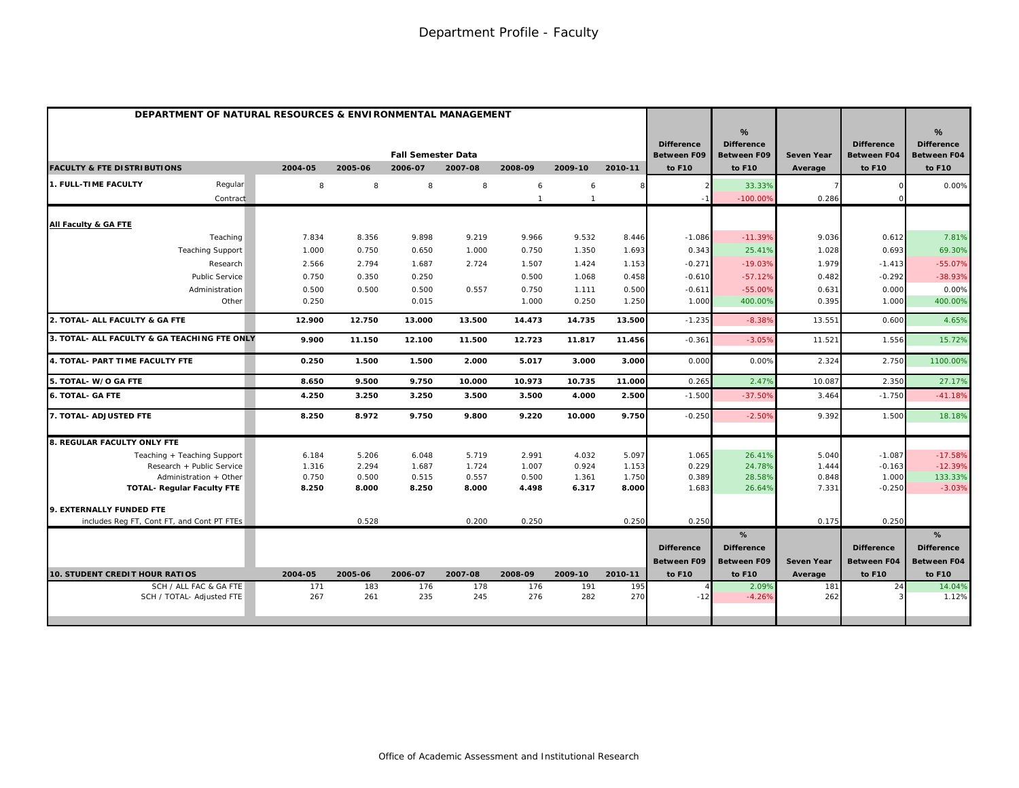| DEPARTMENT OF NATURAL RESOURCES & ENVIRONMENTAL MANAGEMENT |         |         |                           |         |              |              |         |                                         |                                              |                   |                                         |                                              |
|------------------------------------------------------------|---------|---------|---------------------------|---------|--------------|--------------|---------|-----------------------------------------|----------------------------------------------|-------------------|-----------------------------------------|----------------------------------------------|
|                                                            |         |         | <b>Fall Semester Data</b> |         |              |              |         | <b>Difference</b><br><b>Between F09</b> | %<br><b>Difference</b><br><b>Between F09</b> | <b>Seven Year</b> | <b>Difference</b><br><b>Between F04</b> | %<br><b>Difference</b><br><b>Between F04</b> |
| <b>FACULTY &amp; FTE DISTRIBUTIONS</b>                     | 2004-05 | 2005-06 | 2006-07                   | 2007-08 | 2008-09      | 2009-10      | 2010-11 | to F10                                  | to F10                                       | Average           | to F10                                  | to F10                                       |
| Regular<br>1. FULL-TIME FACULTY                            | 8       | 8       | 8                         | 8       | 6            | 6            |         |                                         | 33.33%                                       |                   |                                         | 0.00%                                        |
| Contract                                                   |         |         |                           |         | $\mathbf{1}$ | $\mathbf{1}$ |         |                                         | $-100.00%$                                   | 0.286             |                                         |                                              |
| All Faculty & GA FTE                                       |         |         |                           |         |              |              |         |                                         |                                              |                   |                                         |                                              |
| Teaching                                                   | 7.834   | 8.356   | 9.898                     | 9.219   | 9.966        | 9.532        | 8.446   | $-1.086$                                | $-11.39%$                                    | 9.036             | 0.612                                   | 7.81%                                        |
| <b>Teaching Support</b>                                    | 1.000   | 0.750   | 0.650                     | 1.000   | 0.750        | 1.350        | 1.693   | 0.343                                   | 25.41%                                       | 1.028             | 0.693                                   | 69.30%                                       |
| Research                                                   | 2.566   | 2.794   | 1.687                     | 2.724   | 1.507        | 1.424        | 1.153   | $-0.271$                                | $-19.03%$                                    | 1.979             | $-1.413$                                | $-55.07%$                                    |
| <b>Public Service</b>                                      | 0.750   | 0.350   | 0.250                     |         | 0.500        | 1.068        | 0.458   | $-0.610$                                | $-57.12%$                                    | 0.482             | $-0.292$                                | $-38.93%$                                    |
| Administration                                             | 0.500   | 0.500   | 0.500                     | 0.557   | 0.750        | 1.111        | 0.500   | $-0.611$                                | $-55.00%$                                    | 0.631             | 0.000                                   | 0.00%                                        |
| Other                                                      | 0.250   |         | 0.015                     |         | 1.000        | 0.250        | 1.250   | 1.000                                   | 400.00%                                      | 0.395             | 1.000                                   | 400.00%                                      |
| 2. TOTAL- ALL FACULTY & GA FTE                             | 12.900  | 12.750  | 13.000                    | 13.500  | 14.473       | 14.735       | 13.500  | $-1.235$                                | $-8.38%$                                     | 13.551            | 0.600                                   | 4.65%                                        |
| 3. TOTAL- ALL FACULTY & GA TEACHING FTE ONLY               | 9.900   | 11.150  | 12.100                    | 11.500  | 12.723       | 11.817       | 11.456  | $-0.361$                                | $-3.05%$                                     | 11.521            | 1.556                                   | 15.72%                                       |
| 4. TOTAL- PART TIME FACULTY FTE                            | 0.250   | 1.500   | 1.500                     | 2.000   | 5.017        | 3.000        | 3.000   | 0.000                                   | 0.00%                                        | 2.324             | 2.750                                   | 1100.00%                                     |
| 5. TOTAL- W/O GA FTE                                       | 8.650   | 9.500   | 9.750                     | 10.000  | 10.973       | 10.735       | 11.000  | 0.265                                   | 2.47%                                        | 10.08             | 2.350                                   | 27.17%                                       |
| <b>6. TOTAL- GA FTE</b>                                    | 4.250   | 3.250   | 3.250                     | 3.500   | 3.500        | 4.000        | 2.500   | $-1.500$                                | $-37.50%$                                    | 3.464             | $-1.750$                                | $-41.18%$                                    |
| 7. TOTAL- ADJUSTED FTE                                     | 8.250   | 8.972   | 9.750                     | 9.800   | 9.220        | 10.000       | 9.750   | $-0.250$                                | $-2.50%$                                     | 9.392             | 1.500                                   | 18.18%                                       |
| 8. REGULAR FACULTY ONLY FTE                                |         |         |                           |         |              |              |         |                                         |                                              |                   |                                         |                                              |
| Teaching + Teaching Support                                | 6.184   | 5.206   | 6.048                     | 5.719   | 2.991        | 4.032        | 5.097   | 1.065                                   | 26.41%                                       | 5.040             | $-1.087$                                | $-17.58%$                                    |
| Research + Public Service                                  | 1.316   | 2.294   | 1.687                     | 1.724   | 1.007        | 0.924        | 1.153   | 0.229                                   | 24.78%                                       | 1.444             | $-0.163$                                | $-12.39%$                                    |
| Administration + Other                                     | 0.750   | 0.500   | 0.515                     | 0.557   | 0.500        | 1.361        | 1.750   | 0.389                                   | 28.58%                                       | 0.848             | 1.000                                   | 133.33%                                      |
| <b>TOTAL- Regular Faculty FTE</b>                          | 8.250   | 8.000   | 8.250                     | 8.000   | 4.498        | 6.317        | 8.000   | 1.683                                   | 26.64%                                       | 7.331             | $-0.250$                                | $-3.03%$                                     |
| 9. EXTERNALLY FUNDED FTE                                   |         |         |                           |         |              |              |         |                                         |                                              |                   |                                         |                                              |
| includes Reg FT, Cont FT, and Cont PT FTEs                 |         | 0.528   |                           | 0.200   | 0.250        |              | 0.250   | 0.250                                   |                                              | 0.175             | 0.250                                   |                                              |
|                                                            |         |         |                           |         |              |              |         |                                         | %                                            |                   |                                         | %                                            |
|                                                            |         |         |                           |         |              |              |         | <b>Difference</b>                       | <b>Difference</b>                            |                   | <b>Difference</b>                       | <b>Difference</b>                            |
| <b>10. STUDENT CREDIT HOUR RATIOS</b>                      | 2004-05 | 2005-06 | 2006-07                   | 2007-08 | 2008-09      | 2009-10      | 2010-11 | <b>Between F09</b><br>to F10            | <b>Between F09</b><br>to F10                 | <b>Seven Year</b> | <b>Between F04</b><br>to F10            | <b>Between F04</b><br>to F10                 |
| SCH / ALL FAC & GA FTE                                     | 171     | 183     | 176                       | 178     | 176          | 191          | 195     |                                         | 2.09%                                        | Average<br>181    | 24                                      | 14.04%                                       |
| SCH / TOTAL- Adjusted FTE                                  | 267     | 261     | 235                       | 245     | 276          | 282          | 270     | $-12$                                   | $-4.26%$                                     | 262               |                                         | 1.12%                                        |
|                                                            |         |         |                           |         |              |              |         |                                         |                                              |                   |                                         |                                              |
|                                                            |         |         |                           |         |              |              |         |                                         |                                              |                   |                                         |                                              |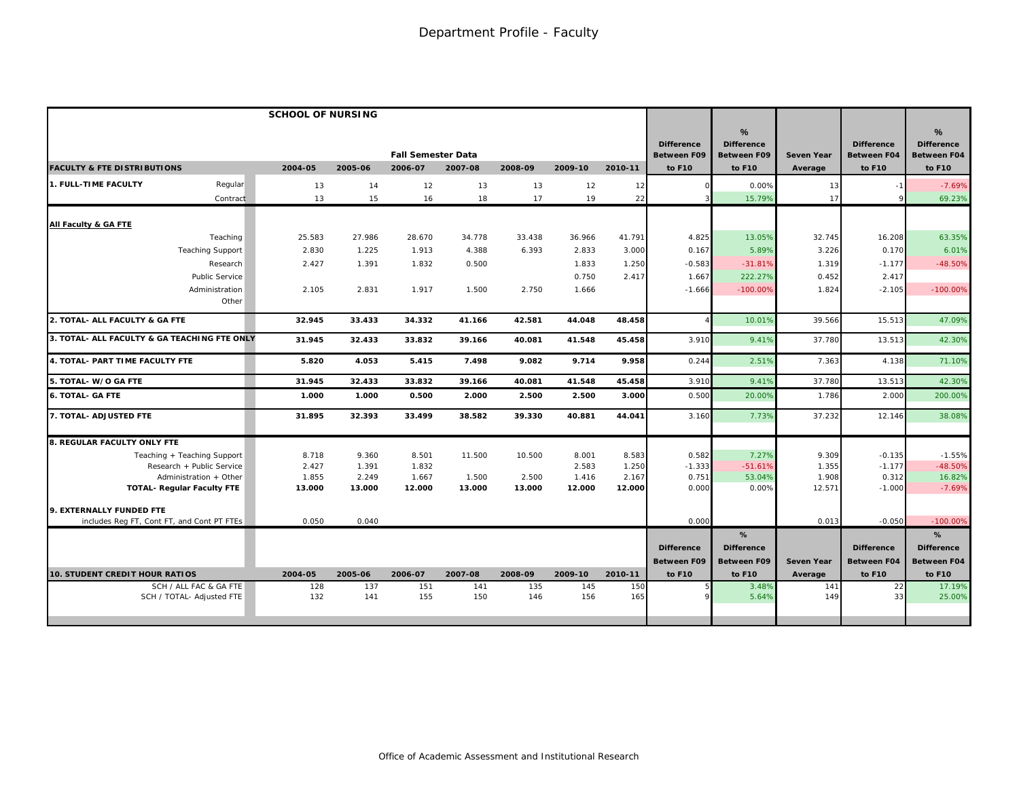|                                                                 | <b>SCHOOL OF NURSING</b> |                |                                      |                |                |                |                |                                                   |                                                        |                              |                                                   |                                                                    |
|-----------------------------------------------------------------|--------------------------|----------------|--------------------------------------|----------------|----------------|----------------|----------------|---------------------------------------------------|--------------------------------------------------------|------------------------------|---------------------------------------------------|--------------------------------------------------------------------|
| <b>FACULTY &amp; FTE DISTRIBUTIONS</b>                          | 2004-05                  | 2005-06        | <b>Fall Semester Data</b><br>2006-07 | 2007-08        | 2008-09        | 2009-10        | 2010-11        | <b>Difference</b><br><b>Between F09</b><br>to F10 | %<br><b>Difference</b><br><b>Between F09</b><br>to F10 | <b>Seven Year</b><br>Average | <b>Difference</b><br><b>Between F04</b><br>to F10 | $\frac{9}{6}$<br><b>Difference</b><br><b>Between F04</b><br>to F10 |
| 1. FULL-TIME FACULTY<br>Regular                                 | 13                       | 14             | 12                                   | 13             | 13             | 12             | 12             |                                                   | 0.00%                                                  | 13                           |                                                   | $-7.69%$                                                           |
| Contract                                                        | 13                       | 15             | 16                                   | 18             | 17             | 19             | 22             |                                                   | 15.79%                                                 | 17                           |                                                   | 69.23%                                                             |
| All Faculty & GA FTE                                            |                          |                |                                      |                |                |                |                |                                                   |                                                        |                              |                                                   |                                                                    |
| Teaching                                                        | 25.583                   | 27.986         | 28.670                               | 34.778         | 33.438         | 36.966         | 41.791         | 4.825                                             | 13.05%                                                 | 32.745                       | 16.208                                            | 63.35%                                                             |
| <b>Teaching Support</b>                                         | 2.830                    | 1.225          | 1.913                                | 4.388          | 6.393          | 2.833          | 3.000          | 0.167                                             | 5.89%                                                  | 3.226                        | 0.170                                             | 6.01%                                                              |
| Research                                                        | 2.427                    | 1.391          | 1.832                                | 0.500          |                | 1.833          | 1.250          | $-0.583$                                          | $-31.81%$                                              | 1.319                        | $-1.177$                                          | $-48.50%$                                                          |
| Public Service                                                  |                          |                |                                      |                |                | 0.750          | 2.417          | 1.667                                             | 222.27%                                                | 0.452                        | 2.417                                             |                                                                    |
| Administration<br>Other                                         | 2.105                    | 2.831          | 1.917                                | 1.500          | 2.750          | 1.666          |                | $-1.666$                                          | $-100.00%$                                             | 1.824                        | $-2.105$                                          | $-100.00\%$                                                        |
| 2. TOTAL- ALL FACULTY & GA FTE                                  | 32.945                   | 33.433         | 34.332                               | 41.166         | 42.581         | 44.048         | 48.458         |                                                   | 10.01%                                                 | 39.566                       | 15.513                                            | 47.09%                                                             |
| 3. TOTAL- ALL FACULTY & GA TEACHING FTE ONLY                    | 31.945                   | 32.433         | 33.832                               | 39.166         | 40.081         | 41.548         | 45.458         | 3.910                                             | 9.41%                                                  | 37.780                       | 13.513                                            | 42.30%                                                             |
| 4. TOTAL- PART TIME FACULTY FTE                                 | 5.820                    | 4.053          | 5.415                                | 7.498          | 9.082          | 9.714          | 9.958          | 0.244                                             | 2.51%                                                  | 7.363                        | 4.138                                             | 71.10%                                                             |
| 5. TOTAL- W/O GA FTE                                            | 31.945                   | 32.433         | 33.832                               | 39.166         | 40.081         | 41.548         | 45.458         | 3.910                                             | 9.41%                                                  | 37.780                       | 13.513                                            | 42.30%                                                             |
| <b>6. TOTAL- GA FTE</b>                                         | 1.000                    | 1.000          | 0.500                                | 2.000          | 2.500          | 2.500          | 3.000          | 0.500                                             | 20,00%                                                 | 1.786                        | 2.000                                             | 200.00%                                                            |
| 7. TOTAL- ADJUSTED FTE                                          | 31.895                   | 32.393         | 33.499                               | 38.582         | 39.330         | 40.881         | 44.041         | 3.160                                             | 7.73%                                                  | 37.232                       | 12.146                                            | 38.08%                                                             |
| 8. REGULAR FACULTY ONLY FTE                                     |                          |                |                                      |                |                |                |                |                                                   |                                                        |                              |                                                   |                                                                    |
| Teaching + Teaching Support                                     | 8.718                    | 9.360          | 8.501                                | 11.500         | 10.500         | 8.001          | 8.583          | 0.582                                             | 7.27%                                                  | 9.309                        | $-0.135$                                          | $-1.55%$                                                           |
| Research + Public Service                                       | 2.427                    | 1.391          | 1.832                                |                |                | 2.583          | 1.250          | $-1.333$                                          | $-51.61%$                                              | 1.355                        | $-1.177$                                          | $-48.50%$                                                          |
| Administration + Other                                          | 1.855                    | 2.249          | 1.667                                | 1.500          | 2.500          | 1.416          | 2.167          | 0.751                                             | 53.04%                                                 | 1.908                        | 0.312                                             | 16.82%                                                             |
| <b>TOTAL- Regular Faculty FTE</b>                               | 13.000                   | 13.000         | 12.000                               | 13.000         | 13.000         | 12.000         | 12.000         | 0.000                                             | 0.00%                                                  | 12.571                       | $-1.000$                                          | $-7.69%$                                                           |
| 9. EXTERNALLY FUNDED FTE                                        |                          |                |                                      |                |                |                |                |                                                   |                                                        |                              |                                                   |                                                                    |
| includes Reg FT, Cont FT, and Cont PT FTEs                      | 0.050                    | 0.040          |                                      |                |                |                |                | 0.000                                             |                                                        | 0.013                        | $-0.050$                                          | $-100.00%$                                                         |
|                                                                 |                          |                |                                      |                |                |                |                |                                                   | %                                                      |                              |                                                   | %                                                                  |
|                                                                 |                          |                |                                      |                |                |                |                | <b>Difference</b>                                 | <b>Difference</b>                                      |                              | <b>Difference</b>                                 | <b>Difference</b>                                                  |
|                                                                 |                          |                |                                      |                |                |                |                | <b>Between F09</b>                                | <b>Between F09</b>                                     | <b>Seven Year</b>            | <b>Between F04</b>                                | <b>Between F04</b>                                                 |
| <b>10. STUDENT CREDIT HOUR RATIOS</b><br>SCH / ALL FAC & GA FTE | 2004-05<br>128           | 2005-06<br>137 | 2006-07<br>151                       | 2007-08<br>141 | 2008-09<br>135 | 2009-10<br>145 | 2010-11<br>150 | to F10                                            | to F10<br>3.48%                                        | Average<br>141               | to F10<br>22                                      | to F10<br>17.19%                                                   |
| SCH / TOTAL- Adjusted FTE                                       | 132                      | 141            | 155                                  | 150            | 146            | 156            | 165            |                                                   | 5.64%                                                  | 149                          | 33                                                | 25.00%                                                             |
|                                                                 |                          |                |                                      |                |                |                |                |                                                   |                                                        |                              |                                                   |                                                                    |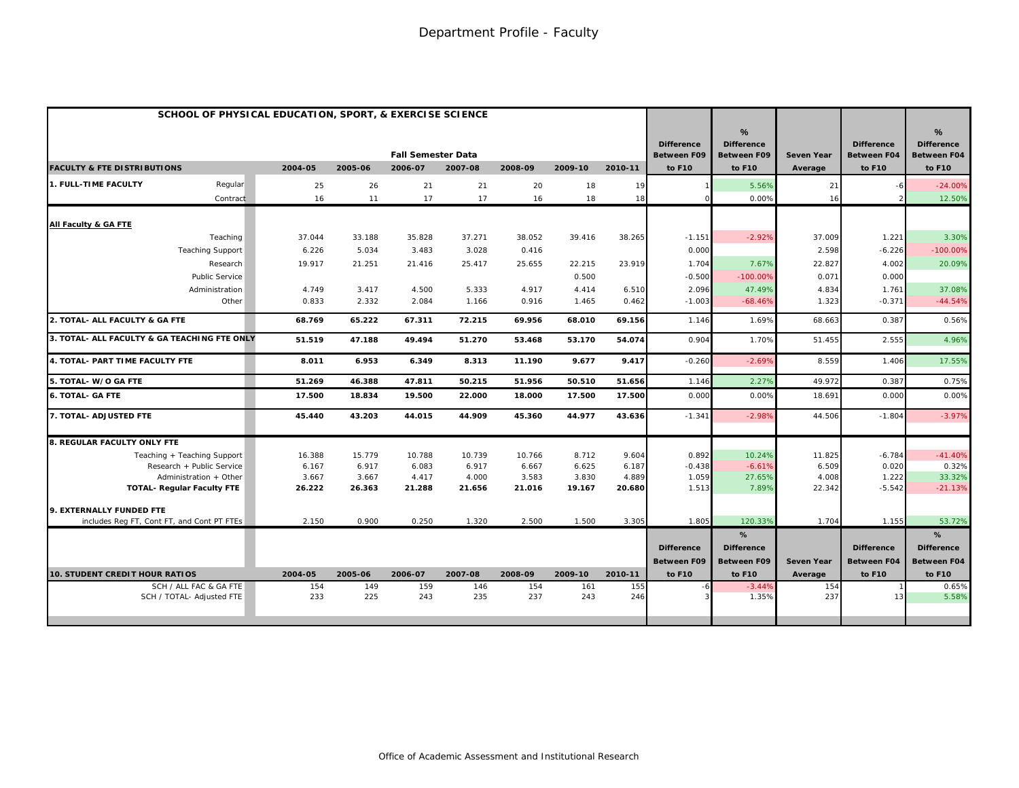| SCHOOL OF PHYSICAL EDUCATION, SPORT, & EXERCISE SCIENCE |         |         |                           |         |         |         |         |                                         |                                              |                   |                                         |                                                          |
|---------------------------------------------------------|---------|---------|---------------------------|---------|---------|---------|---------|-----------------------------------------|----------------------------------------------|-------------------|-----------------------------------------|----------------------------------------------------------|
|                                                         |         |         | <b>Fall Semester Data</b> |         |         |         |         | <b>Difference</b><br><b>Between F09</b> | %<br><b>Difference</b><br><b>Between F09</b> | <b>Seven Year</b> | <b>Difference</b><br><b>Between F04</b> | $\frac{9}{6}$<br><b>Difference</b><br><b>Between F04</b> |
| <b>FACULTY &amp; FTE DISTRIBUTIONS</b>                  | 2004-05 | 2005-06 | 2006-07                   | 2007-08 | 2008-09 | 2009-10 | 2010-11 | to F10                                  | to F10                                       | Average           | to F10                                  | to F10                                                   |
| 1. FULL-TIME FACULTY<br>Regular                         | 25      | 26      | 21                        | 21      | 20      | 18      | 19      |                                         | 5.56%                                        | 21                |                                         | $-24.00%$                                                |
| Contract                                                | 16      | 11      | 17                        | 17      | 16      | 18      | 18      |                                         | 0.00%                                        | 16                |                                         | 12.50%                                                   |
| All Faculty & GA FTE                                    |         |         |                           |         |         |         |         |                                         |                                              |                   |                                         |                                                          |
| Teaching                                                | 37.044  | 33.188  | 35.828                    | 37.271  | 38.052  | 39.416  | 38.265  | $-1.151$                                | $-2.92%$                                     | 37.009            | 1.221                                   | 3.30%                                                    |
| <b>Teaching Support</b>                                 | 6.226   | 5.034   | 3.483                     | 3.028   | 0.416   |         |         | 0.000                                   |                                              | 2.598             | $-6.226$                                | $-100.00\%$                                              |
| Research                                                | 19.917  | 21.251  | 21.416                    | 25.417  | 25.655  | 22.215  | 23.919  | 1.704                                   | 7.67%                                        | 22.827            | 4.002                                   | 20.09%                                                   |
| <b>Public Service</b>                                   |         |         |                           |         |         | 0.500   |         | $-0.500$                                | $-100.00%$                                   | 0.071             | 0.000                                   |                                                          |
| Administration                                          | 4.749   | 3.417   | 4.500                     | 5.333   | 4.917   | 4.414   | 6.510   | 2.096                                   | 47.49%                                       | 4.834             | 1.761                                   | 37.08%                                                   |
| Other                                                   | 0.833   | 2.332   | 2.084                     | 1.166   | 0.916   | 1.465   | 0.462   | $-1.003$                                | $-68.46%$                                    | 1.323             | $-0.371$                                | $-44.54%$                                                |
| 2. TOTAL- ALL FACULTY & GA FTE                          | 68.769  | 65.222  | 67.311                    | 72.215  | 69.956  | 68.010  | 69.156  | 1.146                                   | 1.69%                                        | 68.663            | 0.387                                   | 0.56%                                                    |
| 3. TOTAL- ALL FACULTY & GA TEACHING FTE ONLY            | 51.519  | 47.188  | 49.494                    | 51.270  | 53.468  | 53.170  | 54.074  | 0.904                                   | 1.70%                                        | 51.455            | 2.555                                   | 4.96%                                                    |
| 4. TOTAL- PART TIME FACULTY FTE                         | 8.011   | 6.953   | 6.349                     | 8.313   | 11.190  | 9.677   | 9.417   | $-0.260$                                | $-2.69%$                                     | 8.559             | 1.406                                   | 17.55%                                                   |
| 5. TOTAL- W/O GA FTE                                    | 51.269  | 46.388  | 47.811                    | 50.215  | 51.956  | 50.510  | 51.656  | 1.146                                   | 2.27%                                        | 49.972            | 0.387                                   | 0.75%                                                    |
| <b>6. TOTAL- GA FTE</b>                                 | 17.500  | 18.834  | 19.500                    | 22.000  | 18.000  | 17.500  | 17.500  | 0.00C                                   | 0.00%                                        | 18.691            | 0.000                                   | 0.00%                                                    |
| 7. TOTAL- ADJUSTED FTE                                  | 45.440  | 43.203  | 44.015                    | 44.909  | 45.360  | 44.977  | 43.636  | $-1.341$                                | $-2.98%$                                     | 44.506            | $-1.804$                                | $-3.97%$                                                 |
| <b>8. REGULAR FACULTY ONLY FTE</b>                      |         |         |                           |         |         |         |         |                                         |                                              |                   |                                         |                                                          |
| Teaching + Teaching Support                             | 16.388  | 15.779  | 10.788                    | 10.739  | 10.766  | 8.712   | 9.604   | 0.892                                   | 10.24%                                       | 11.825            | $-6.784$                                | $-41.40%$                                                |
| Research + Public Service                               | 6.167   | 6.917   | 6.083                     | 6.917   | 6.667   | 6.625   | 6.187   | $-0.438$                                | $-6.61%$                                     | 6.509             | 0.020                                   | 0.32%                                                    |
| Administration + Other                                  | 3.667   | 3.667   | 4.417                     | 4.000   | 3.583   | 3.830   | 4.889   | 1.059                                   | 27.65%                                       | 4.008             | 1.222                                   | 33.32%                                                   |
| <b>TOTAL- Regular Faculty FTE</b>                       | 26.222  | 26.363  | 21.288                    | 21.656  | 21.016  | 19.167  | 20.680  | 1.513                                   | 7.89%                                        | 22.342            | $-5.542$                                | $-21.13%$                                                |
| 9. EXTERNALLY FUNDED FTE                                |         |         |                           |         |         |         |         |                                         |                                              |                   |                                         |                                                          |
| includes Reg FT, Cont FT, and Cont PT FTEs              | 2.150   | 0.900   | 0.250                     | 1.320   | 2.500   | 1.500   | 3.305   | 1.805                                   | 120.33%                                      | 1.704             | 1.155                                   | 53.72%                                                   |
|                                                         |         |         |                           |         |         |         |         |                                         | %                                            |                   |                                         | %                                                        |
|                                                         |         |         |                           |         |         |         |         | <b>Difference</b>                       | <b>Difference</b>                            |                   | <b>Difference</b>                       | <b>Difference</b>                                        |
|                                                         |         |         |                           |         |         |         |         | <b>Between F09</b>                      | <b>Between F09</b>                           | <b>Seven Year</b> | <b>Between F04</b>                      | <b>Between F04</b>                                       |
| <b>10. STUDENT CREDIT HOUR RATIOS</b>                   | 2004-05 | 2005-06 | 2006-07                   | 2007-08 | 2008-09 | 2009-10 | 2010-11 | to F10                                  | to F10                                       | Average           | to F10                                  | to F10                                                   |
| SCH / ALL FAC & GA FTE                                  | 154     | 149     | 159                       | 146     | 154     | 161     | 155     |                                         | $-3.44%$                                     | 154               |                                         | 0.65%                                                    |
| SCH / TOTAL- Adjusted FTE                               | 233     | 225     | 243                       | 235     | 237     | 243     | 246     |                                         | 1.35%                                        | 237               | $\mathbf{1}$                            | 5.58%                                                    |
|                                                         |         |         |                           |         |         |         |         |                                         |                                              |                   |                                         |                                                          |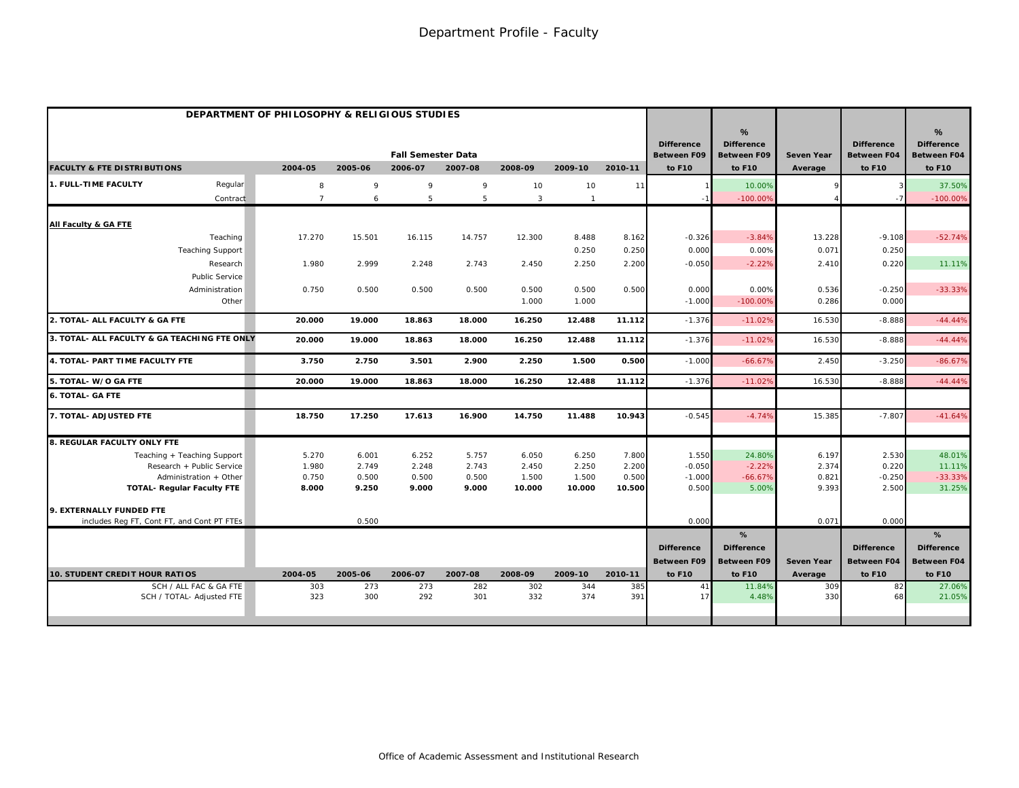| DEPARTMENT OF PHILOSOPHY & RELIGIOUS STUDIES                |                |                |                           |                |                 |                 |                 |                                         |                                              |                   |                                         |                                                          |
|-------------------------------------------------------------|----------------|----------------|---------------------------|----------------|-----------------|-----------------|-----------------|-----------------------------------------|----------------------------------------------|-------------------|-----------------------------------------|----------------------------------------------------------|
|                                                             |                |                | <b>Fall Semester Data</b> |                |                 |                 |                 | <b>Difference</b><br><b>Between F09</b> | %<br><b>Difference</b><br><b>Between F09</b> | <b>Seven Year</b> | <b>Difference</b><br><b>Between F04</b> | $\frac{9}{6}$<br><b>Difference</b><br><b>Between F04</b> |
| <b>FACULTY &amp; FTE DISTRIBUTIONS</b>                      | 2004-05        | 2005-06        | 2006-07                   | 2007-08        | 2008-09         | 2009-10         | 2010-11         | to F10                                  | to F10                                       | Average           | to F10                                  | to F10                                                   |
| <b>1. FULL-TIME FACULTY</b><br>Regular                      | 8              | 9              | 9                         | 9              | 10              | 10              | 11              |                                         | 10.00%                                       |                   |                                         | 37.50%                                                   |
| Contract                                                    | $\overline{7}$ | 6              | 5                         | 5              | 3               | $\overline{1}$  |                 |                                         | $-100.00%$                                   |                   |                                         | $-100.00%$                                               |
| All Faculty & GA FTE                                        |                |                |                           |                |                 |                 |                 |                                         |                                              |                   |                                         |                                                          |
| Teaching                                                    | 17.270         | 15.501         | 16.115                    | 14.757         | 12.300          | 8.488           | 8.162           | $-0.326$                                | $-3.84%$                                     | 13.228            | $-9.108$                                | $-52.74%$                                                |
| <b>Teaching Support</b>                                     |                |                |                           |                |                 | 0.250           | 0.250           | 0.000                                   | 0.00%                                        | 0.071             | 0.250                                   |                                                          |
| Research                                                    | 1.980          | 2.999          | 2.248                     | 2.743          | 2.450           | 2.250           | 2.200           | $-0.050$                                | $-2.22%$                                     | 2.410             | 0.220                                   | 11.11%                                                   |
| Public Service                                              |                |                |                           |                |                 |                 |                 |                                         |                                              |                   |                                         |                                                          |
| Administration                                              | 0.750          | 0.500          | 0.500                     | 0.500          | 0.500           | 0.500           | 0.500           | 0.000                                   | 0.00%                                        | 0.536             | $-0.250$                                | $-33.33%$                                                |
| Other                                                       |                |                |                           |                | 1.000           | 1.000           |                 | $-1.000$                                | $-100.00%$                                   | 0.286             | 0.000                                   |                                                          |
| 2. TOTAL- ALL FACULTY & GA FTE                              | 20.000         | 19.000         | 18.863                    | 18.000         | 16.250          | 12.488          | 11.112          | $-1.376$                                | $-11.02%$                                    | 16.530            | $-8.888$                                | $-44.44%$                                                |
| 3. TOTAL- ALL FACULTY & GA TEACHING FTE ONLY                | 20.000         | 19.000         | 18.863                    | 18.000         | 16.250          | 12.488          | 11.112          | $-1.376$                                | $-11.02%$                                    | 16.530            | $-8.888$                                | $-44.44%$                                                |
| 4. TOTAL- PART TIME FACULTY FTE                             | 3.750          | 2.750          | 3.501                     | 2.900          | 2.250           | 1.500           | 0.500           | $-1.000$                                | $-66.67%$                                    | 2.450             | $-3.250$                                | $-86.67%$                                                |
| 5. TOTAL-W/O GA FTE                                         | 20.000         | 19.000         | 18.863                    | 18.000         | 16.250          | 12.488          | 11.112          | $-1.376$                                | $-11.02%$                                    | 16.530            | $-8.888$                                | $-44.44%$                                                |
| <b>6. TOTAL- GA FTE</b>                                     |                |                |                           |                |                 |                 |                 |                                         |                                              |                   |                                         |                                                          |
| 7. TOTAL- ADJUSTED FTE                                      | 18.750         | 17.250         | 17.613                    | 16.900         | 14.750          | 11.488          | 10.943          | $-0.545$                                | $-4.74%$                                     | 15.385            | $-7.807$                                | $-41.64%$                                                |
| 8. REGULAR FACULTY ONLY FTE                                 |                |                |                           |                |                 |                 |                 |                                         |                                              |                   |                                         |                                                          |
| Teaching + Teaching Support                                 | 5.270          | 6.001          | 6.252                     | 5.757          | 6.050           | 6.250           | 7.800           | 1.550                                   | 24.80%                                       | 6.197             | 2.530                                   | 48.01%                                                   |
| Research + Public Service                                   | 1.980          | 2.749          | 2.248                     | 2.743          | 2.450           | 2.250           | 2.200           | $-0.050$                                | $-2.22%$                                     | 2.374             | 0.220                                   | 11.11%                                                   |
| Administration + Other<br><b>TOTAL- Regular Faculty FTE</b> | 0.750<br>8.000 | 0.500<br>9.250 | 0.500<br>9.000            | 0.500<br>9.000 | 1.500<br>10.000 | 1.500<br>10.000 | 0.500<br>10.500 | $-1.000$<br>0.500                       | $-66.67%$<br>5.00%                           | 0.821<br>9.393    | $-0.250$<br>2.500                       | $-33.33%$<br>31.25%                                      |
|                                                             |                |                |                           |                |                 |                 |                 |                                         |                                              |                   |                                         |                                                          |
| 9. EXTERNALLY FUNDED FTE                                    |                |                |                           |                |                 |                 |                 |                                         |                                              |                   |                                         |                                                          |
| includes Reg FT, Cont FT, and Cont PT FTEs                  |                | 0.500          |                           |                |                 |                 |                 | 0.000                                   |                                              | 0.071             | 0.000                                   |                                                          |
|                                                             |                |                |                           |                |                 |                 |                 | <b>Difference</b>                       | %<br><b>Difference</b>                       |                   | <b>Difference</b>                       | %<br><b>Difference</b>                                   |
|                                                             |                |                |                           |                |                 |                 |                 | <b>Between F09</b>                      | <b>Between F09</b>                           | <b>Seven Year</b> | <b>Between F04</b>                      | <b>Between F04</b>                                       |
| <b>10. STUDENT CREDIT HOUR RATIOS</b>                       | 2004-05        | 2005-06        | 2006-07                   | 2007-08        | 2008-09         | 2009-10         | 2010-11         | to F10                                  | to F10                                       | Average           | to F10                                  | to F10                                                   |
| SCH / ALL FAC & GA FTE                                      | 303            | 273            | 273                       | 282            | 302             | 344             | 385             | 41                                      | 11.84%                                       | 309               | 82                                      | 27.06%                                                   |
| SCH / TOTAL- Adjusted FTE                                   | 323            | 300            | 292                       | 301            | 332             | 374             | 391             | 17                                      | 4.48%                                        | 330               | 68                                      | 21.05%                                                   |
|                                                             |                |                |                           |                |                 |                 |                 |                                         |                                              |                   |                                         |                                                          |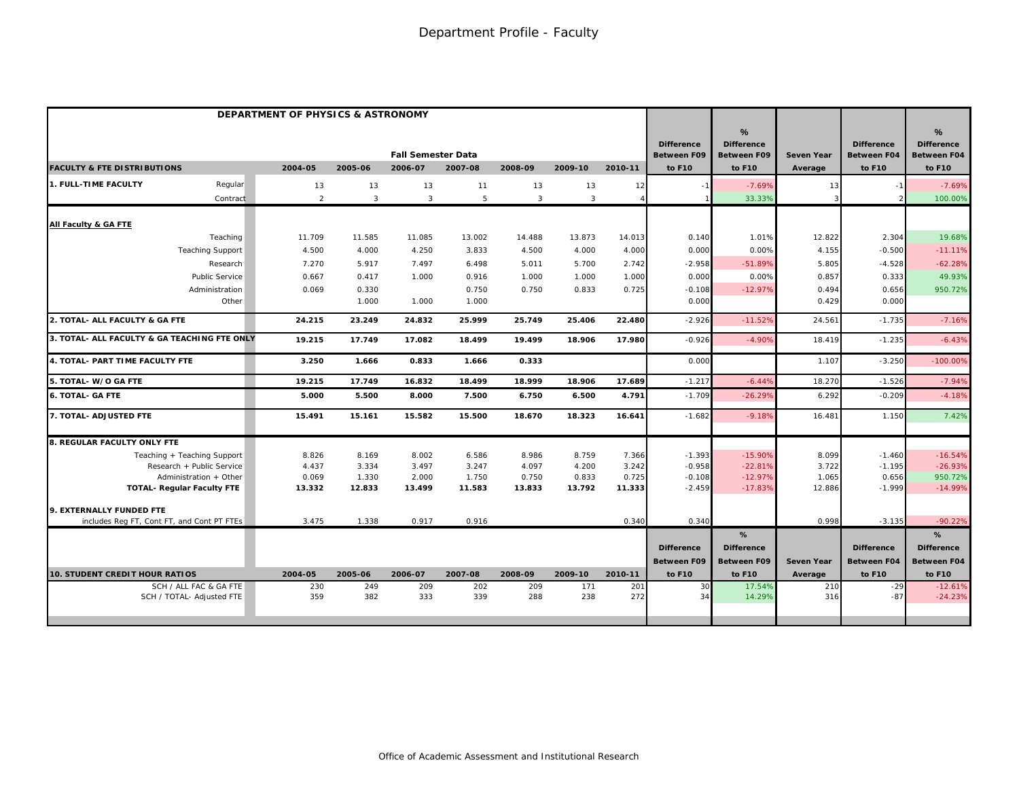|                                              | DEPARTMENT OF PHYSICS & ASTRONOMY |                |                                      |         |                |                |            |                                                   |                                                        |                              |                                                   |                                                                    |
|----------------------------------------------|-----------------------------------|----------------|--------------------------------------|---------|----------------|----------------|------------|---------------------------------------------------|--------------------------------------------------------|------------------------------|---------------------------------------------------|--------------------------------------------------------------------|
| <b>FACULTY &amp; FTE DISTRIBUTIONS</b>       | 2004-05                           | 2005-06        | <b>Fall Semester Data</b><br>2006-07 | 2007-08 | 2008-09        | 2009-10        | 2010-11    | <b>Difference</b><br><b>Between F09</b><br>to F10 | %<br><b>Difference</b><br><b>Between F09</b><br>to F10 | <b>Seven Year</b><br>Average | <b>Difference</b><br><b>Between F04</b><br>to F10 | $\frac{9}{6}$<br><b>Difference</b><br><b>Between F04</b><br>to F10 |
|                                              |                                   |                |                                      |         |                |                |            |                                                   |                                                        |                              |                                                   |                                                                    |
| 1. FULL-TIME FACULTY<br>Regular              | 13                                | 13             | 13                                   | 11      | 13             | 13             | 12         |                                                   | $-7.69%$                                               | 13                           |                                                   | $-7.69%$                                                           |
| Contract                                     | $\overline{2}$                    | $\overline{3}$ | $\mathbf{3}$                         | 5       | $\overline{3}$ | $\overline{3}$ |            |                                                   | 33.33%                                                 |                              |                                                   | 100.00%                                                            |
| All Faculty & GA FTE                         |                                   |                |                                      |         |                |                |            |                                                   |                                                        |                              |                                                   |                                                                    |
| Teaching                                     | 11.709                            | 11.585         | 11.085                               | 13.002  | 14.488         | 13.873         | 14.013     | 0.140                                             | 1.01%                                                  | 12.822                       | 2.304                                             | 19.68%                                                             |
| <b>Teaching Support</b>                      | 4.500                             | 4.000          | 4.250                                | 3.833   | 4.500          | 4.000          | 4.000      | 0.000                                             | 0.00%                                                  | 4.155                        | $-0.500$                                          | $-11.11%$                                                          |
| Research                                     | 7.270                             | 5.917          | 7.497                                | 6.498   | 5.011          | 5.700          | 2.742      | $-2.958$                                          | $-51.89%$                                              | 5.805                        | $-4.528$                                          | $-62.28%$                                                          |
| Public Service                               | 0.667                             | 0.417          | 1.000                                | 0.916   | 1.000          | 1.000          | 1.000      | 0.000                                             | 0.00%                                                  | 0.857                        | 0.333                                             | 49.93%                                                             |
| Administration                               | 0.069                             | 0.330          |                                      | 0.750   | 0.750          | 0.833          | 0.725      | $-0.108$                                          | $-12.97%$                                              | 0.494                        | 0.656                                             | 950.72%                                                            |
| Other                                        |                                   | 1.000          | 1.000                                | 1.000   |                |                |            | 0.000                                             |                                                        | 0.429                        | 0.000                                             |                                                                    |
| 2. TOTAL- ALL FACULTY & GA FTE               | 24.215                            | 23.249         | 24.832                               | 25.999  | 25.749         | 25.406         | 22.480     | $-2.926$                                          | $-11.52%$                                              | 24.561                       | $-1.735$                                          | $-7.16%$                                                           |
| 3. TOTAL- ALL FACULTY & GA TEACHING FTE ONLY | 19.215                            | 17.749         | 17.082                               | 18.499  | 19.499         | 18.906         | 17.980     | $-0.926$                                          | $-4.90%$                                               | 18.419                       | $-1.235$                                          | $-6.43%$                                                           |
| 4. TOTAL- PART TIME FACULTY FTE              | 3.250                             | 1.666          | 0.833                                | 1.666   | 0.333          |                |            | 0.00C                                             |                                                        | 1.107                        | $-3.250$                                          | $-100.00%$                                                         |
| 5. TOTAL- W/O GA FTE                         | 19.215                            | 17.749         | 16.832                               | 18.499  | 18.999         | 18.906         | 17.689     | $-1.217$                                          | $-6.449$                                               | 18.270                       | $-1.526$                                          | $-7.94%$                                                           |
| <b>6. TOTAL- GA FTE</b>                      | 5.000                             | 5.500          | 8.000                                | 7.500   | 6.750          | 6.500          | 4.791      | $-1.709$                                          | $-26.299$                                              | 6.292                        | $-0.209$                                          | $-4.18%$                                                           |
| 7. TOTAL- ADJUSTED FTE                       | 15.491                            | 15.161         | 15.582                               | 15.500  | 18.670         | 18.323         | 16.641     | $-1.682$                                          | $-9.18%$                                               | 16.481                       | 1.150                                             | 7.42%                                                              |
| 8. REGULAR FACULTY ONLY FTE                  |                                   |                |                                      |         |                |                |            |                                                   |                                                        |                              |                                                   |                                                                    |
| Teaching + Teaching Support                  | 8.826                             | 8.169          | 8.002                                | 6.586   | 8.986          | 8.759          | 7.366      | $-1.393$                                          | $-15.90%$                                              | 8.099                        | $-1.460$                                          | $-16.54%$                                                          |
| Research + Public Service                    | 4.437                             | 3.334          | 3.497                                | 3.247   | 4.097          | 4.200          | 3.242      | $-0.958$                                          | $-22.81%$                                              | 3.722                        | $-1.195$                                          | $-26.93%$                                                          |
| Administration + Other                       | 0.069                             | 1.330          | 2.000                                | 1.750   | 0.750          | 0.833          | 0.725      | $-0.108$                                          | $-12.97%$                                              | 1.065                        | 0.656                                             | 950.72%                                                            |
| <b>TOTAL- Regular Faculty FTE</b>            | 13.332                            | 12.833         | 13.499                               | 11.583  | 13.833         | 13.792         | 11.333     | $-2.459$                                          | $-17.83%$                                              | 12.886                       | $-1.999$                                          | $-14.99%$                                                          |
| 9. EXTERNALLY FUNDED FTE                     |                                   |                |                                      |         |                |                |            |                                                   |                                                        |                              |                                                   |                                                                    |
| includes Reg FT, Cont FT, and Cont PT FTEs   | 3.475                             | 1.338          | 0.917                                | 0.916   |                |                | 0.340      | 0.340                                             |                                                        | 0.998                        | $-3.135$                                          | $-90.22%$                                                          |
|                                              |                                   |                |                                      |         |                |                |            |                                                   | %                                                      |                              |                                                   | %                                                                  |
|                                              |                                   |                |                                      |         |                |                |            | <b>Difference</b>                                 | <b>Difference</b>                                      |                              | <b>Difference</b>                                 | <b>Difference</b>                                                  |
|                                              |                                   |                |                                      |         |                |                |            | <b>Between F09</b>                                | <b>Between F09</b>                                     | <b>Seven Year</b>            | <b>Between F04</b>                                | <b>Between F04</b>                                                 |
| 10. STUDENT CREDIT HOUR RATIOS               | 2004-05                           | 2005-06        | 2006-07                              | 2007-08 | 2008-09        | 2009-10        | 2010-11    | to F10                                            | to F10                                                 | Average                      | to F10                                            | to F10                                                             |
| SCH / ALL FAC & GA FTE                       | 230<br>359                        | 249            | 209<br>333                           | 202     | 209            | 171<br>238     | 201<br>272 | 30<br>34                                          | 17.54%                                                 | 210                          | $-29$<br>$-87$                                    | $-12.61%$                                                          |
| SCH / TOTAL- Adjusted FTE                    |                                   | 382            |                                      | 339     | 288            |                |            |                                                   | 14.29%                                                 | 316                          |                                                   | $-24.23%$                                                          |
|                                              |                                   |                |                                      |         |                |                |            |                                                   |                                                        |                              |                                                   |                                                                    |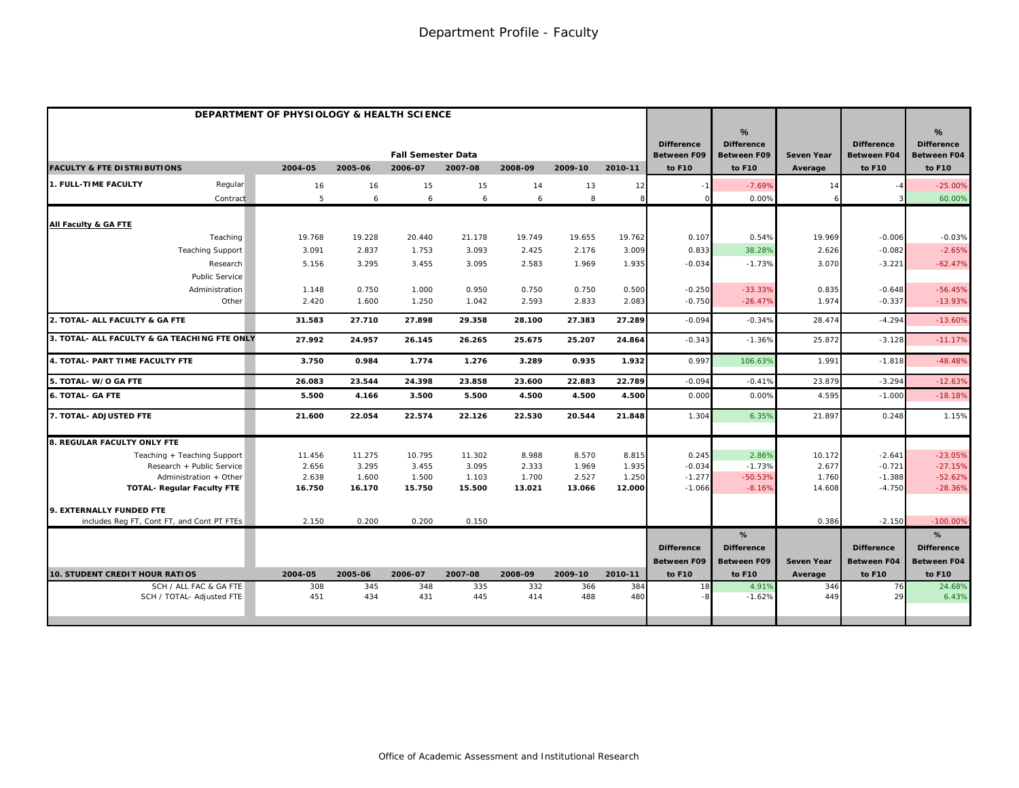|                                                     | DEPARTMENT OF PHYSIOLOGY & HEALTH SCIENCE |            |                           |            |            |            |            |                                         |                                              |                   |                                         |                                              |
|-----------------------------------------------------|-------------------------------------------|------------|---------------------------|------------|------------|------------|------------|-----------------------------------------|----------------------------------------------|-------------------|-----------------------------------------|----------------------------------------------|
|                                                     |                                           |            | <b>Fall Semester Data</b> |            |            |            |            | <b>Difference</b><br><b>Between F09</b> | %<br><b>Difference</b><br><b>Between F09</b> | <b>Seven Year</b> | <b>Difference</b><br><b>Between F04</b> | %<br><b>Difference</b><br><b>Between F04</b> |
| <b>FACULTY &amp; FTE DISTRIBUTIONS</b>              | 2004-05                                   | 2005-06    | 2006-07                   | 2007-08    | 2008-09    | 2009-10    | 2010-11    | to F10                                  | to F10                                       | Average           | to F10                                  | to F10                                       |
| 1. FULL-TIME FACULTY<br>Regular                     | 16                                        | 16         | 15                        | 15         | 14         | 13         | 12         |                                         | $-7.69%$                                     | 14                |                                         | $-25.00%$                                    |
| Contract                                            | 5                                         | 6          | 6                         | 6          | 6          | 8          | 8          |                                         | 0.00%                                        |                   |                                         | 60.00%                                       |
| All Faculty & GA FTE                                |                                           |            |                           |            |            |            |            |                                         |                                              |                   |                                         |                                              |
| Teaching                                            | 19.768                                    | 19.228     | 20.440                    | 21.178     | 19.749     | 19.655     | 19.762     | 0.107                                   | 0.54%                                        | 19.969            | $-0.006$                                | $-0.03%$                                     |
| <b>Teaching Support</b>                             | 3.091                                     | 2.837      | 1.753                     | 3.093      | 2.425      | 2.176      | 3.009      | 0.833                                   | 38.28%                                       | 2.626             | $-0.082$                                | $-2.65%$                                     |
| Research                                            | 5.156                                     | 3.295      | 3.455                     | 3.095      | 2.583      | 1.969      | 1.935      | $-0.034$                                | $-1.73%$                                     | 3.070             | $-3.221$                                | $-62.47%$                                    |
| Public Service                                      |                                           |            |                           |            |            |            |            |                                         |                                              |                   |                                         |                                              |
| Administration                                      | 1.148                                     | 0.750      | 1.000                     | 0.950      | 0.750      | 0.750      | 0.500      | $-0.250$                                | $-33.33%$                                    | 0.835             | $-0.648$                                | $-56.45%$                                    |
| Other                                               | 2.420                                     | 1.600      | 1.250                     | 1.042      | 2.593      | 2.833      | 2.083      | $-0.750$                                | $-26.47%$                                    | 1.974             | $-0.337$                                | $-13.93%$                                    |
| 2. TOTAL- ALL FACULTY & GA FTE                      | 31.583                                    | 27.710     | 27.898                    | 29.358     | 28.100     | 27.383     | 27.289     | $-0.094$                                | $-0.34%$                                     | 28.474            | $-4.294$                                | $-13.60%$                                    |
| 3. TOTAL- ALL FACULTY & GA TEACHING FTE ONLY        | 27.992                                    | 24.957     | 26.145                    | 26.265     | 25.675     | 25.207     | 24.864     | $-0.343$                                | $-1.36%$                                     | 25.872            | $-3.128$                                | $-11.17%$                                    |
| 4. TOTAL- PART TIME FACULTY FTE                     | 3.750                                     | 0.984      | 1.774                     | 1.276      | 3.289      | 0.935      | 1.932      | 0.997                                   | 106.63%                                      | 1.991             | $-1.818$                                | $-48.48%$                                    |
| 5. TOTAL- W/O GA FTE                                | 26.083                                    | 23.544     | 24.398                    | 23.858     | 23.600     | 22.883     | 22.789     | $-0.094$                                | $-0.41%$                                     | 23.879            | $-3.294$                                | $-12.63%$                                    |
| <b>6. TOTAL- GA FTE</b>                             | 5.500                                     | 4.166      | 3.500                     | 5.500      | 4.500      | 4.500      | 4.500      | 0.00C                                   | 0.00%                                        | 4.595             | $-1.000$                                | $-18.18%$                                    |
| 7. TOTAL- ADJUSTED FTE                              | 21.600                                    | 22.054     | 22.574                    | 22.126     | 22.530     | 20.544     | 21.848     | 1.304                                   | 6.35%                                        | 21.897            | 0.248                                   | 1.15%                                        |
| 8. REGULAR FACULTY ONLY FTE                         |                                           |            |                           |            |            |            |            |                                         |                                              |                   |                                         |                                              |
| Teaching + Teaching Support                         | 11.456                                    | 11.275     | 10.795                    | 11.302     | 8.988      | 8.570      | 8.815      | 0.245                                   | 2.86%                                        | 10.172            | $-2.641$                                | $-23.05%$                                    |
| Research + Public Service                           | 2.656                                     | 3.295      | 3.455                     | 3.095      | 2.333      | 1.969      | 1.935      | $-0.034$                                | $-1.73%$                                     | 2.677             | $-0.721$                                | $-27.15%$                                    |
| Administration + Other                              | 2.638                                     | 1.600      | 1.500                     | 1.103      | 1.700      | 2.527      | 1.250      | $-1.277$                                | $-50.53%$                                    | 1.760             | $-1.388$                                | $-52.62%$                                    |
| <b>TOTAL- Regular Faculty FTE</b>                   | 16.750                                    | 16.170     | 15.750                    | 15.500     | 13.021     | 13.066     | 12.000     | $-1.066$                                | $-8.16%$                                     | 14.608            | $-4.750$                                | $-28.36%$                                    |
| 9. EXTERNALLY FUNDED FTE                            |                                           |            |                           |            |            |            |            |                                         |                                              |                   |                                         |                                              |
| includes Reg FT, Cont FT, and Cont PT FTEs          | 2.150                                     | 0.200      | 0.200                     | 0.150      |            |            |            |                                         |                                              | 0.386             | $-2.150$                                | $-100.00%$                                   |
|                                                     |                                           |            |                           |            |            |            |            |                                         | %                                            |                   |                                         | %                                            |
|                                                     |                                           |            |                           |            |            |            |            | <b>Difference</b>                       | <b>Difference</b>                            |                   | <b>Difference</b>                       | <b>Difference</b>                            |
|                                                     |                                           |            |                           |            |            |            |            | <b>Between F09</b>                      | <b>Between F09</b>                           | <b>Seven Year</b> | <b>Between F04</b>                      | <b>Between F04</b>                           |
| 10. STUDENT CREDIT HOUR RATIOS                      | 2004-05                                   | 2005-06    | 2006-07                   | 2007-08    | 2008-09    | 2009-10    | 2010-11    | to F10                                  | to F10                                       | Average           | to F10                                  | to F10                                       |
| SCH / ALL FAC & GA FTE<br>SCH / TOTAL- Adjusted FTE | 308<br>451                                | 345<br>434 | 348<br>431                | 335<br>445 | 332<br>414 | 366<br>488 | 384<br>480 | 18                                      | 4.91%<br>$-1.62%$                            | 346<br>449        | 76<br>29                                | 24.68%<br>6.43%                              |
|                                                     |                                           |            |                           |            |            |            |            |                                         |                                              |                   |                                         |                                              |
|                                                     |                                           |            |                           |            |            |            |            |                                         |                                              |                   |                                         |                                              |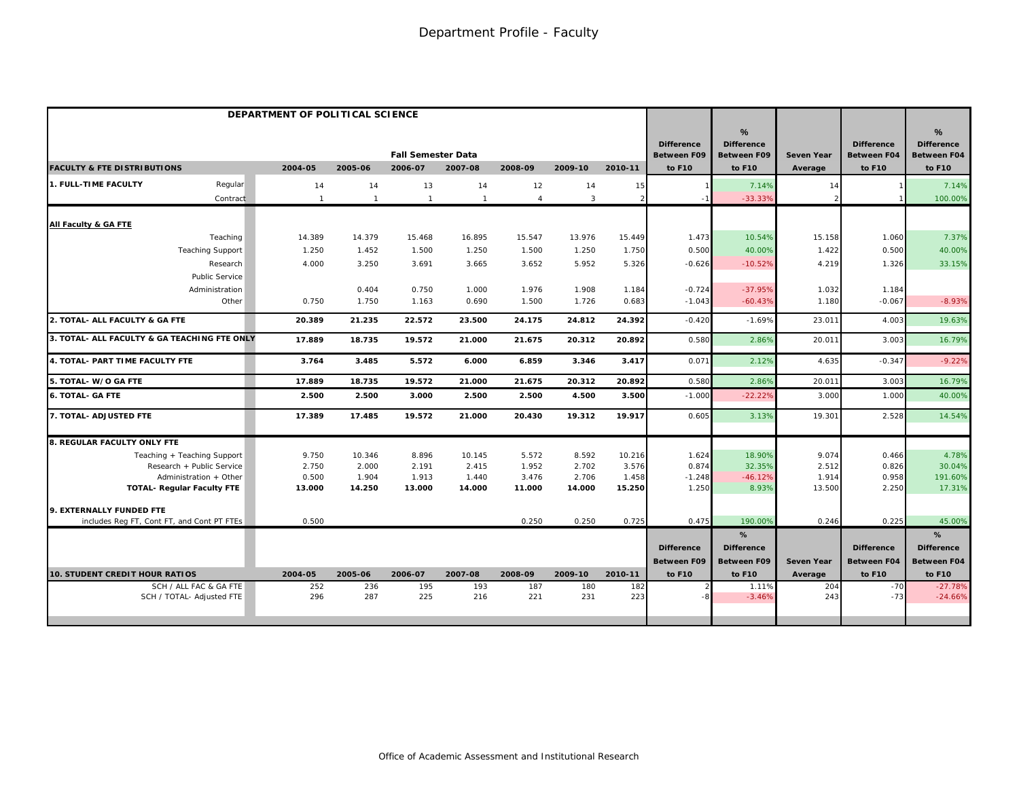|                                              | DEPARTMENT OF POLITICAL SCIENCE |                |                           |                |                |                |                |                                         |                                              |                   |                                         |                                              |
|----------------------------------------------|---------------------------------|----------------|---------------------------|----------------|----------------|----------------|----------------|-----------------------------------------|----------------------------------------------|-------------------|-----------------------------------------|----------------------------------------------|
|                                              |                                 |                | <b>Fall Semester Data</b> |                |                |                |                | <b>Difference</b><br><b>Between F09</b> | %<br><b>Difference</b><br><b>Between F09</b> | <b>Seven Year</b> | <b>Difference</b><br><b>Between F04</b> | %<br><b>Difference</b><br><b>Between F04</b> |
| <b>FACULTY &amp; FTE DISTRIBUTIONS</b>       | 2004-05                         | 2005-06        | 2006-07                   | 2007-08        | 2008-09        | 2009-10        | 2010-11        | to F10                                  | to F10                                       | Average           | to F10                                  | to F10                                       |
| 1. FULL-TIME FACULTY<br>Regular              | 14                              | 14             | 13                        | 14             | 12             | 14             | 15             |                                         | 7.14%                                        | 14                |                                         | 7.14%                                        |
| Contract                                     | $\mathbf{1}$                    | $\overline{1}$ | $\mathbf{1}$              | $\overline{1}$ | $\overline{4}$ | $\overline{3}$ | $\overline{2}$ |                                         | $-33.33%$                                    |                   |                                         | 100.00%                                      |
| All Faculty & GA FTE                         |                                 |                |                           |                |                |                |                |                                         |                                              |                   |                                         |                                              |
| Teaching                                     | 14.389                          | 14.379         | 15.468                    | 16.895         | 15.547         | 13.976         | 15.449         | 1.473                                   | 10.54%                                       | 15.158            | 1.060                                   | 7.37%                                        |
| <b>Teaching Support</b>                      | 1.250                           | 1.452          | 1.500                     | 1.250          | 1.500          | 1.250          | 1.750          | 0.500                                   | 40.00%                                       | 1.422             | 0.500                                   | 40.00%                                       |
| Research                                     | 4.000                           | 3.250          | 3.691                     | 3.665          | 3.652          | 5.952          | 5.326          | $-0.626$                                | $-10.52%$                                    | 4.219             | 1.326                                   | 33.15%                                       |
| Public Service                               |                                 |                |                           |                |                |                |                |                                         |                                              |                   |                                         |                                              |
| Administration                               |                                 | 0.404          | 0.750                     | 1.000          | 1.976          | 1.908          | 1.184          | $-0.724$                                | $-37.95%$                                    | 1.032             | 1.184                                   |                                              |
| Other                                        | 0.750                           | 1.750          | 1.163                     | 0.690          | 1.500          | 1.726          | 0.683          | $-1.043$                                | $-60.43%$                                    | 1.180             | $-0.067$                                | $-8.93%$                                     |
| 2. TOTAL- ALL FACULTY & GA FTE               | 20.389                          | 21.235         | 22.572                    | 23.500         | 24.175         | 24.812         | 24.392         | $-0.420$                                | $-1.69%$                                     | 23.011            | 4.003                                   | 19.63%                                       |
| 3. TOTAL- ALL FACULTY & GA TEACHING FTE ONLY | 17.889                          | 18.735         | 19.572                    | 21.000         | 21.675         | 20.312         | 20.892         | 0.580                                   | 2.86%                                        | 20.011            | 3.003                                   | 16.79%                                       |
| 4. TOTAL- PART TIME FACULTY FTE              | 3.764                           | 3.485          | 5.572                     | 6.000          | 6.859          | 3.346          | 3.417          | 0.071                                   | 2.12%                                        | 4.635             | $-0.347$                                | $-9.22%$                                     |
| 5. TOTAL- W/O GA FTE                         | 17.889                          | 18.735         | 19.572                    | 21.000         | 21.675         | 20.312         | 20.892         | 0.580                                   | 2.86%                                        | 20.011            | 3.003                                   | 16.79%                                       |
| <b>6. TOTAL- GA FTE</b>                      | 2.500                           | 2.500          | 3.000                     | 2.500          | 2.500          | 4.500          | 3.500          | $-1.00C$                                | $-22.22%$                                    | 3.000             | 1.000                                   | 40.00%                                       |
| 7. TOTAL- ADJUSTED FTE                       | 17.389                          | 17.485         | 19.572                    | 21.000         | 20.430         | 19.312         | 19.917         | 0.605                                   | 3.13%                                        | 19.301            | 2.528                                   | 14.54%                                       |
| 8. REGULAR FACULTY ONLY FTE                  |                                 |                |                           |                |                |                |                |                                         |                                              |                   |                                         |                                              |
| Teaching + Teaching Support                  | 9.750                           | 10.346         | 8.896                     | 10.145         | 5.572          | 8.592          | 10.216         | 1.624                                   | 18.90%                                       | 9.074             | 0.466                                   | 4.78%                                        |
| Research + Public Service                    | 2.750                           | 2.000          | 2.191                     | 2.415          | 1.952          | 2.702          | 3.576          | 0.874                                   | 32.35%                                       | 2.512             | 0.826                                   | 30.04%                                       |
| Administration + Other                       | 0.500                           | 1.904          | 1.913                     | 1.440          | 3.476          | 2.706          | 1.458          | $-1.248$                                | $-46.12%$                                    | 1.914             | 0.958                                   | 191.60%                                      |
| <b>TOTAL- Regular Faculty FTE</b>            | 13.000                          | 14.250         | 13.000                    | 14.000         | 11.000         | 14.000         | 15.250         | 1.250                                   | 8.93%                                        | 13.500            | 2.250                                   | 17.31%                                       |
| 9. EXTERNALLY FUNDED FTE                     |                                 |                |                           |                |                |                |                |                                         |                                              |                   |                                         |                                              |
| includes Reg FT, Cont FT, and Cont PT FTEs   | 0.500                           |                |                           |                | 0.250          | 0.250          | 0.725          | 0.475                                   | 190.00%                                      | 0.246             | 0.225                                   | 45.00%                                       |
|                                              |                                 |                |                           |                |                |                |                |                                         | %                                            |                   |                                         | %                                            |
|                                              |                                 |                |                           |                |                |                |                | <b>Difference</b>                       | <b>Difference</b>                            |                   | <b>Difference</b>                       | <b>Difference</b>                            |
|                                              |                                 |                |                           |                |                |                |                | <b>Between F09</b>                      | <b>Between F09</b>                           | <b>Seven Year</b> | <b>Between F04</b>                      | <b>Between F04</b>                           |
| <b>10. STUDENT CREDIT HOUR RATIOS</b>        | 2004-05                         | 2005-06        | 2006-07                   | 2007-08        | 2008-09        | 2009-10        | 2010-11        | to F10                                  | to F10                                       | Average           | to F10                                  | to F10                                       |
| SCH / ALL FAC & GA FTE                       | 252                             | 236            | 195                       | 193            | 187            | 180            | 182            |                                         | 1.11%                                        | 204               | $-70$                                   | $-27.78%$                                    |
| SCH / TOTAL- Adjusted FTE                    | 296                             | 287            | 225                       | 216            | 221            | 231            | 223            |                                         | $-3.46%$                                     | 243               | $-73$                                   | $-24.66%$                                    |
|                                              |                                 |                |                           |                |                |                |                |                                         |                                              |                   |                                         |                                              |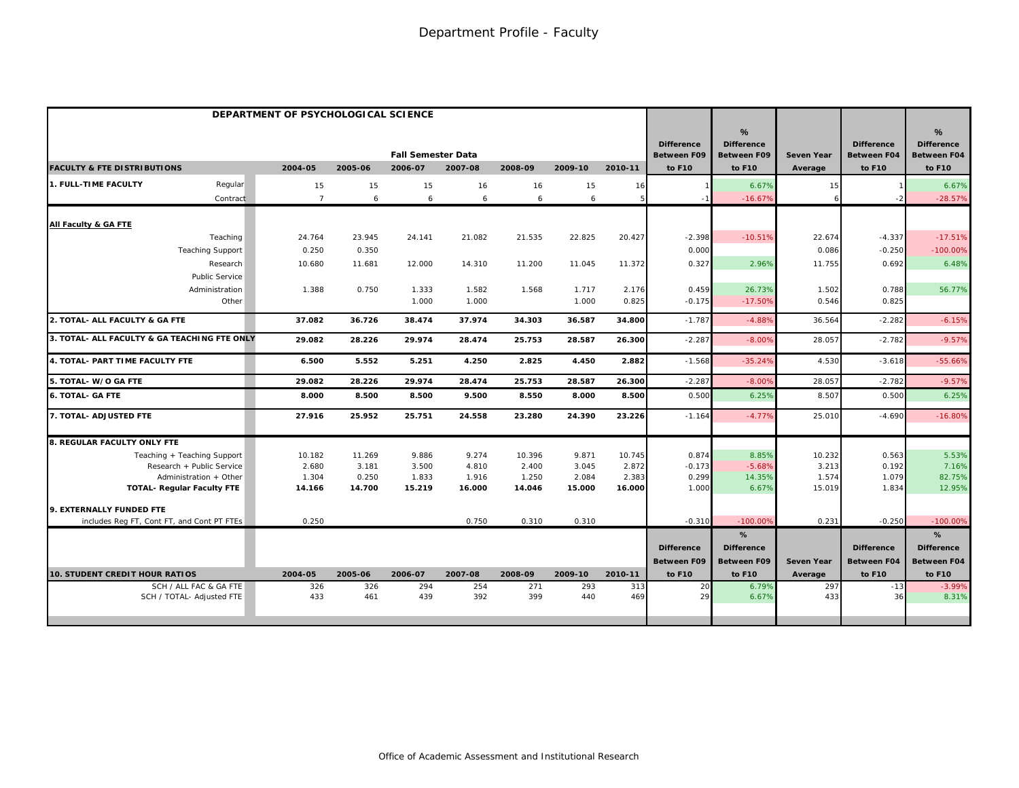|                                              | DEPARTMENT OF PSYCHOLOGICAL SCIENCE |         |                           |         |         |         |         |                                         |                                              |                   |                                         |                                              |
|----------------------------------------------|-------------------------------------|---------|---------------------------|---------|---------|---------|---------|-----------------------------------------|----------------------------------------------|-------------------|-----------------------------------------|----------------------------------------------|
|                                              |                                     |         | <b>Fall Semester Data</b> |         |         |         |         | <b>Difference</b><br><b>Between F09</b> | %<br><b>Difference</b><br><b>Between F09</b> | <b>Seven Year</b> | <b>Difference</b><br><b>Between F04</b> | %<br><b>Difference</b><br><b>Between F04</b> |
| <b>FACULTY &amp; FTE DISTRIBUTIONS</b>       | 2004-05                             | 2005-06 | 2006-07                   | 2007-08 | 2008-09 | 2009-10 | 2010-11 | to F10                                  | to F10                                       | Average           | to F10                                  | to F10                                       |
| 1. FULL-TIME FACULTY<br>Regular              | 15                                  | 15      | 15                        | 16      | 16      | 15      | 16      |                                         | 6.67%                                        | 15                |                                         | 6.67%                                        |
| Contract                                     | $\overline{7}$                      | 6       | 6                         | 6       | 6       | 6       | 5       |                                         | $-16.67%$                                    |                   |                                         | $-28.57%$                                    |
| All Faculty & GA FTE                         |                                     |         |                           |         |         |         |         |                                         |                                              |                   |                                         |                                              |
| Teaching                                     | 24.764                              | 23.945  | 24.141                    | 21.082  | 21.535  | 22.825  | 20.427  | $-2.398$                                | $-10.51%$                                    | 22.674            | $-4.337$                                | $-17.51%$                                    |
| <b>Teaching Support</b>                      | 0.250                               | 0.350   |                           |         |         |         |         | 0.000                                   |                                              | 0.086             | $-0.250$                                | $-100.00\%$                                  |
| Research                                     | 10.680                              | 11.681  | 12.000                    | 14.310  | 11.200  | 11.045  | 11.372  | 0.327                                   | 2.96%                                        | 11.755            | 0.692                                   | 6.48%                                        |
| Public Service                               |                                     |         |                           |         |         |         |         |                                         |                                              |                   |                                         |                                              |
| Administration                               | 1.388                               | 0.750   | 1.333                     | 1.582   | 1.568   | 1.717   | 2.176   | 0.459                                   | 26.73%                                       | 1.502             | 0.788                                   | 56.77%                                       |
| Other                                        |                                     |         | 1.000                     | 1.000   |         | 1.000   | 0.825   | $-0.175$                                | $-17.50%$                                    | 0.546             | 0.825                                   |                                              |
| 2. TOTAL- ALL FACULTY & GA FTE               | 37.082                              | 36.726  | 38.474                    | 37.974  | 34.303  | 36.587  | 34.800  | $-1.787$                                | $-4.88%$                                     | 36.564            | $-2.282$                                | $-6.15%$                                     |
| 3. TOTAL- ALL FACULTY & GA TEACHING FTE ONLY | 29.082                              | 28.226  | 29.974                    | 28.474  | 25.753  | 28.587  | 26.300  | $-2.287$                                | $-8.00%$                                     | 28.057            | $-2.782$                                | $-9.57%$                                     |
| 4. TOTAL- PART TIME FACULTY FTE              | 6.500                               | 5.552   | 5.251                     | 4.250   | 2.825   | 4.450   | 2.882   | $-1.568$                                | $-35.24%$                                    | 4.530             | $-3.618$                                | $-55.66%$                                    |
| 5. TOTAL- W/O GA FTE                         | 29.082                              | 28.226  | 29.974                    | 28.474  | 25.753  | 28.587  | 26.300  | $-2.287$                                | $-8.00%$                                     | 28.057            | $-2.782$                                | $-9.57%$                                     |
| <b>6. TOTAL- GA FTE</b>                      | 8.000                               | 8.500   | 8.500                     | 9.500   | 8.550   | 8.000   | 8.500   | 0.500                                   | 6.25%                                        | 8.507             | 0.500                                   | 6.25%                                        |
| 7. TOTAL- ADJUSTED FTE                       | 27.916                              | 25.952  | 25.751                    | 24.558  | 23.280  | 24.390  | 23.226  | $-1.164$                                | $-4.77%$                                     | 25.010            | $-4.690$                                | $-16.80%$                                    |
| 8. REGULAR FACULTY ONLY FTE                  |                                     |         |                           |         |         |         |         |                                         |                                              |                   |                                         |                                              |
| Teaching + Teaching Support                  | 10.182                              | 11.269  | 9.886                     | 9.274   | 10.396  | 9.871   | 10.745  | 0.874                                   | 8.85%                                        | 10.232            | 0.563                                   | 5.53%                                        |
| Research + Public Service                    | 2.680                               | 3.181   | 3.500                     | 4.810   | 2.400   | 3.045   | 2.872   | $-0.173$                                | $-5.68%$                                     | 3.213             | 0.192                                   | 7.16%                                        |
| Administration + Other                       | 1.304                               | 0.250   | 1.833                     | 1.916   | 1.250   | 2.084   | 2.383   | 0.299                                   | 14.35%                                       | 1.574             | 1.079                                   | 82.75%                                       |
| <b>TOTAL- Regular Faculty FTE</b>            | 14.166                              | 14.700  | 15.219                    | 16.000  | 14.046  | 15.000  | 16.000  | 1.000                                   | 6.67%                                        | 15.019            | 1.834                                   | 12.95%                                       |
| 9. EXTERNALLY FUNDED FTE                     |                                     |         |                           |         |         |         |         |                                         |                                              |                   |                                         |                                              |
| includes Reg FT, Cont FT, and Cont PT FTEs   | 0.250                               |         |                           | 0.750   | 0.310   | 0.310   |         | $-0.310$                                | $-100.00%$                                   | 0.231             | $-0.250$                                | $-100.00%$                                   |
|                                              |                                     |         |                           |         |         |         |         |                                         | %                                            |                   |                                         | %                                            |
|                                              |                                     |         |                           |         |         |         |         | <b>Difference</b>                       | <b>Difference</b>                            |                   | <b>Difference</b>                       | <b>Difference</b>                            |
|                                              |                                     |         |                           |         |         |         |         | <b>Between F09</b>                      | <b>Between F09</b>                           | <b>Seven Year</b> | <b>Between F04</b>                      | <b>Between F04</b>                           |
| 10. STUDENT CREDIT HOUR RATIOS               | 2004-05                             | 2005-06 | 2006-07                   | 2007-08 | 2008-09 | 2009-10 | 2010-11 | to F10                                  | to F10                                       | Average           | to F10                                  | to F10                                       |
| SCH / ALL FAC & GA FTE                       | 326                                 | 326     | 294                       | 254     | 271     | 293     | 313     | 20                                      | 6.79%                                        | 297               | $-13$                                   | $-3.99%$                                     |
| SCH / TOTAL- Adjusted FTE                    | 433                                 | 461     | 439                       | 392     | 399     | 440     | 469     | 29                                      | 6.67%                                        | 433               | 36                                      | 8.31%                                        |
|                                              |                                     |         |                           |         |         |         |         |                                         |                                              |                   |                                         |                                              |
|                                              |                                     |         |                           |         |         |         |         |                                         |                                              |                   |                                         |                                              |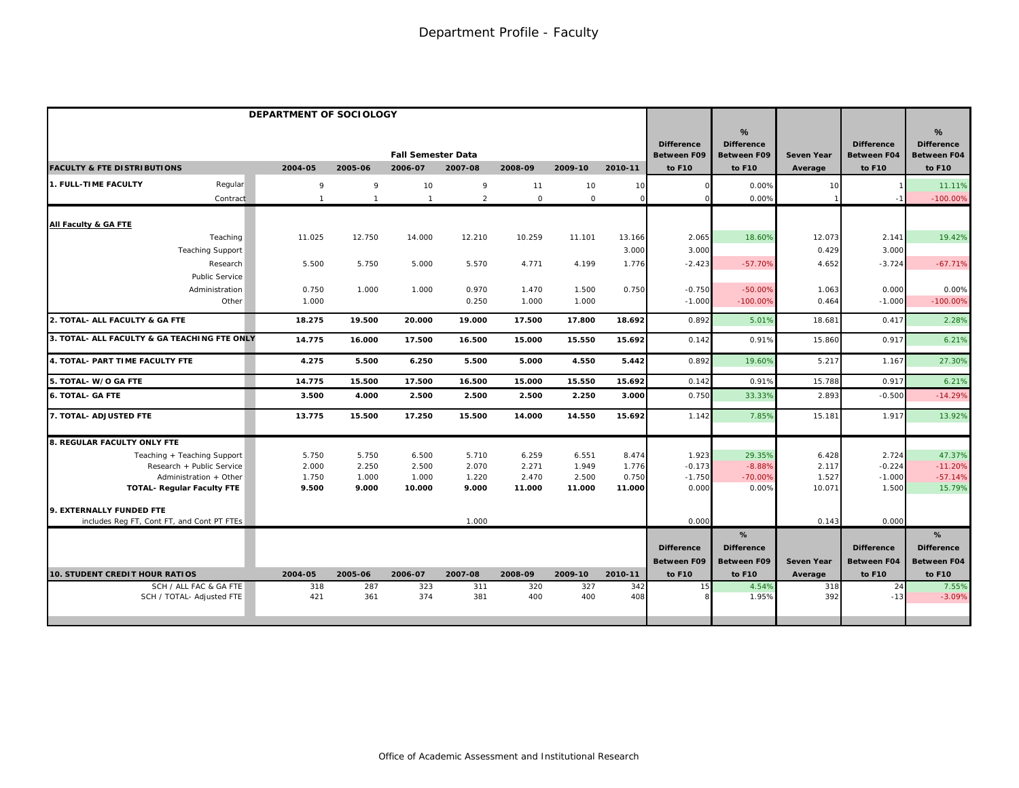|                                                                 | DEPARTMENT OF SOCIOLOGY |                |                           |                |                     |                 |                 |                                         |                                              |                   |                                         |                                              |
|-----------------------------------------------------------------|-------------------------|----------------|---------------------------|----------------|---------------------|-----------------|-----------------|-----------------------------------------|----------------------------------------------|-------------------|-----------------------------------------|----------------------------------------------|
|                                                                 |                         |                | <b>Fall Semester Data</b> |                |                     |                 |                 | <b>Difference</b><br><b>Between F09</b> | %<br><b>Difference</b><br><b>Between F09</b> | <b>Seven Year</b> | <b>Difference</b><br><b>Between F04</b> | %<br><b>Difference</b><br><b>Between F04</b> |
| <b>FACULTY &amp; FTE DISTRIBUTIONS</b>                          | 2004-05                 | 2005-06        | 2006-07                   | 2007-08        | 2008-09             | 2009-10         | 2010-11         | to F10                                  | to F10                                       | Average           | to F10                                  | to F10                                       |
| Regular<br>1. FULL-TIME FACULTY                                 | 9                       | 9              | 10                        | 9              | 11                  | 10              | 10              |                                         | 0.00%                                        | 10                |                                         | 11.11%                                       |
| Contract                                                        | $\overline{1}$          | $\overline{1}$ | $\mathbf{1}$              | $\overline{2}$ | $\mathsf{O}\xspace$ | $\circ$         | $\Omega$        |                                         | 0.00%                                        |                   |                                         | $-100.00%$                                   |
| All Faculty & GA FTE                                            |                         |                |                           |                |                     |                 |                 |                                         |                                              |                   |                                         |                                              |
| Teaching                                                        | 11.025                  | 12.750         | 14.000                    | 12.210         | 10.259              | 11.101          | 13.166          | 2.065                                   | 18.60%                                       | 12.073            | 2.141                                   | 19.42%                                       |
| <b>Teaching Support</b>                                         |                         |                |                           |                |                     |                 | 3.000           | 3.000                                   |                                              | 0.429             | 3.000                                   |                                              |
| Research                                                        | 5.500                   | 5.750          | 5.000                     | 5.570          | 4.771               | 4.199           | 1.776           | $-2.423$                                | $-57.70%$                                    | 4.652             | $-3.724$                                | $-67.71%$                                    |
| Public Service                                                  |                         |                |                           |                |                     |                 |                 |                                         |                                              |                   |                                         |                                              |
| Administration                                                  | 0.750                   | 1.000          | 1.000                     | 0.970          | 1.470               | 1.500           | 0.750           | $-0.750$                                | $-50.00%$                                    | 1.063             | 0.000                                   | 0.00%                                        |
| Other                                                           | 1.000                   |                |                           | 0.250          | 1.000               | 1.000           |                 | $-1.000$                                | $-100.00%$                                   | 0.464             | $-1.000$                                | $-100.00%$                                   |
| 2. TOTAL- ALL FACULTY & GA FTE                                  | 18.275                  | 19.500         | 20.000                    | 19.000         | 17.500              | 17.800          | 18.692          | 0.892                                   | 5.01%                                        | 18.681            | 0.417                                   | 2.28%                                        |
| 3. TOTAL- ALL FACULTY & GA TEACHING FTE ONLY                    | 14.775                  | 16.000         | 17.500                    | 16.500         | 15.000              | 15.550          | 15.692          | 0.142                                   | 0.91%                                        | 15.860            | 0.917                                   | 6.21%                                        |
| 4. TOTAL- PART TIME FACULTY FTE                                 | 4.275                   | 5.500          | 6.250                     | 5.500          | 5.000               | 4.550           | 5.442           | 0.892                                   | 19.60%                                       | 5.217             | 1.167                                   | 27.30%                                       |
| 5. TOTAL- W/O GA FTE                                            | 14.775                  | 15.500         | 17.500                    | 16.500         | 15.000              | 15.550          | 15.692          | 0.142                                   | 0.91%                                        | 15.788            | 0.917                                   | 6.21%                                        |
| <b>6. TOTAL- GA FTE</b>                                         | 3.500                   | 4.000          | 2.500                     | 2.500          | 2.500               | 2.250           | 3.000           | 0.750                                   | 33.33%                                       | 2.893             | $-0.500$                                | $-14.29%$                                    |
| 7. TOTAL- ADJUSTED FTE                                          | 13.775                  | 15.500         | 17.250                    | 15.500         | 14.000              | 14.550          | 15.692          | 1.142                                   | 7.85%                                        | 15.181            | 1.917                                   | 13.92%                                       |
| 8. REGULAR FACULTY ONLY FTE                                     |                         |                |                           |                |                     |                 |                 |                                         |                                              |                   |                                         |                                              |
| Teaching + Teaching Support                                     | 5.750                   | 5.750          | 6.500                     | 5.710          | 6.259               | 6.551           | 8.474           | 1.923                                   | 29.35%                                       | 6.428             | 2.724                                   | 47.37%                                       |
| Research + Public Service                                       | 2.000                   | 2.250          | 2.500                     | 2.070          | 2.271               | 1.949           | 1.776           | $-0.173$                                | $-8.88%$                                     | 2.117             | $-0.224$                                | $-11.20%$                                    |
| Administration + Other                                          | 1.750<br>9.500          | 1.000<br>9.000 | 1.000<br>10.000           | 1.220<br>9.000 | 2.470<br>11.000     | 2.500<br>11.000 | 0.750<br>11.000 | $-1.750$<br>0.000                       | $-70.00%$<br>0.00%                           | 1.527<br>10.071   | $-1.000$<br>1.500                       | $-57.14%$<br>15.79%                          |
| <b>TOTAL- Regular Faculty FTE</b>                               |                         |                |                           |                |                     |                 |                 |                                         |                                              |                   |                                         |                                              |
| 9. EXTERNALLY FUNDED FTE                                        |                         |                |                           |                |                     |                 |                 |                                         |                                              |                   |                                         |                                              |
| includes Reg FT, Cont FT, and Cont PT FTEs                      |                         |                |                           | 1.000          |                     |                 |                 | 0.000                                   |                                              | 0.143             | 0.000                                   |                                              |
|                                                                 |                         |                |                           |                |                     |                 |                 |                                         | %                                            |                   |                                         | %                                            |
|                                                                 |                         |                |                           |                |                     |                 |                 | <b>Difference</b>                       | <b>Difference</b>                            |                   | <b>Difference</b>                       | <b>Difference</b>                            |
|                                                                 |                         |                |                           |                |                     |                 |                 | <b>Between F09</b>                      | <b>Between F09</b>                           | <b>Seven Year</b> | <b>Between F04</b>                      | Between F04                                  |
| <b>10. STUDENT CREDIT HOUR RATIOS</b><br>SCH / ALL FAC & GA FTE | 2004-05<br>318          | 2005-06<br>287 | 2006-07<br>323            | 2007-08<br>311 | 2008-09<br>320      | 2009-10<br>327  | 2010-11<br>342  | to F10<br>15                            | to F10<br>4.54%                              | Average<br>318    | to F10<br>24                            | to F10<br>7.55%                              |
| SCH / TOTAL- Adjusted FTE                                       | 421                     | 361            | 374                       | 381            | 400                 | 400             | 408             |                                         | 1.95%                                        | 392               | $-13$                                   | $-3.09%$                                     |
|                                                                 |                         |                |                           |                |                     |                 |                 |                                         |                                              |                   |                                         |                                              |
|                                                                 |                         |                |                           |                |                     |                 |                 |                                         |                                              |                   |                                         |                                              |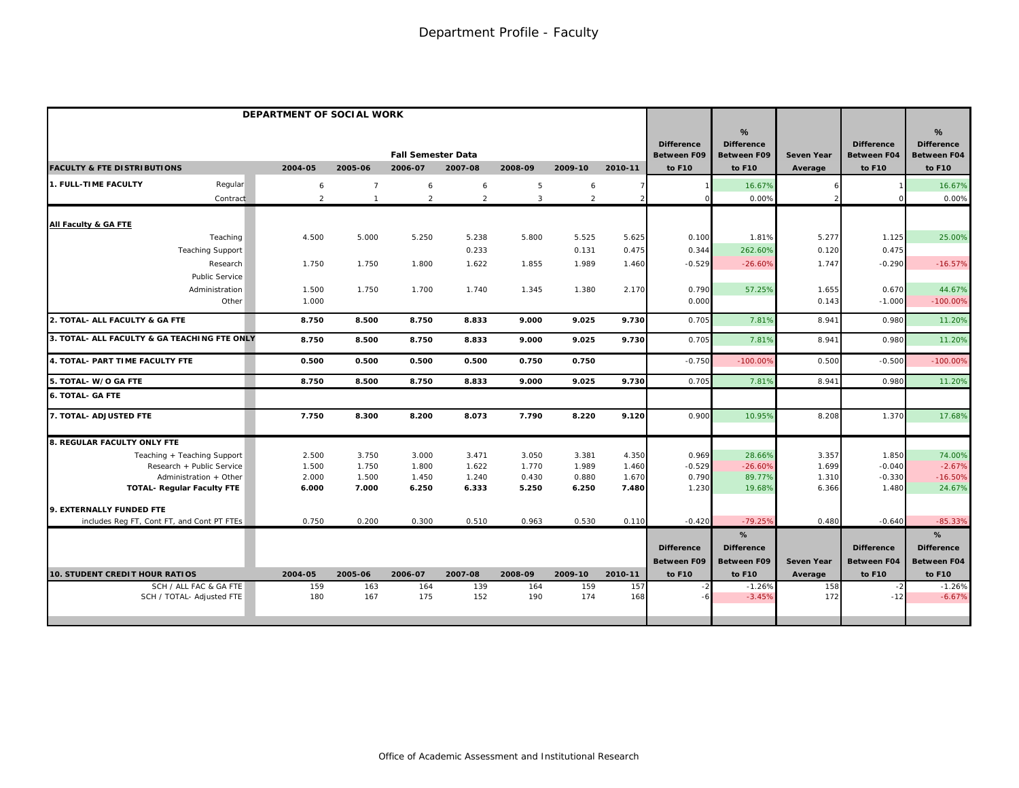|                                              | DEPARTMENT OF SOCIAL WORK |                |                |                           |                |         |                |         |                                         |                                              |                   |                                         |                                                          |
|----------------------------------------------|---------------------------|----------------|----------------|---------------------------|----------------|---------|----------------|---------|-----------------------------------------|----------------------------------------------|-------------------|-----------------------------------------|----------------------------------------------------------|
|                                              |                           |                |                | <b>Fall Semester Data</b> |                |         |                |         | <b>Difference</b><br><b>Between F09</b> | %<br><b>Difference</b><br><b>Between F09</b> | <b>Seven Year</b> | <b>Difference</b><br><b>Between F04</b> | $\frac{9}{6}$<br><b>Difference</b><br><b>Between F04</b> |
| <b>FACULTY &amp; FTE DISTRIBUTIONS</b>       |                           | 2004-05        | 2005-06        | 2006-07                   | 2007-08        | 2008-09 | 2009-10        | 2010-11 | to F10                                  | to F10                                       | Average           | to F10                                  | to F10                                                   |
| 1. FULL-TIME FACULTY                         | Regular                   | 6              | $\overline{7}$ | 6                         | 6              | 5       | 6              |         |                                         | 16.67%                                       |                   |                                         | 16.67%                                                   |
|                                              | Contract                  | $\overline{2}$ | $\overline{1}$ | $\overline{2}$            | $\overline{2}$ | 3       | $\overline{2}$ |         |                                         | 0.00%                                        |                   |                                         | 0.00%                                                    |
| All Faculty & GA FTE                         |                           |                |                |                           |                |         |                |         |                                         |                                              |                   |                                         |                                                          |
|                                              | Teaching                  | 4.500          | 5.000          | 5.250                     | 5.238          | 5.800   | 5.525          | 5.625   | 0.100                                   | 1.81%                                        | 5.277             | 1.125                                   | 25.00%                                                   |
| <b>Teaching Support</b>                      |                           |                |                |                           | 0.233          |         | 0.131          | 0.475   | 0.344                                   | 262.60%                                      | 0.120             | 0.475                                   |                                                          |
|                                              | Research                  | 1.750          | 1.750          | 1.800                     | 1.622          | 1.855   | 1.989          | 1.460   | $-0.529$                                | $-26.60%$                                    | 1.747             | $-0.290$                                | $-16.57%$                                                |
|                                              | Public Service            |                |                |                           |                |         |                |         |                                         |                                              |                   |                                         |                                                          |
|                                              | Administration            | 1.500          | 1.750          | 1.700                     | 1.740          | 1.345   | 1.380          | 2.170   | 0.790                                   | 57.25%                                       | 1.655             | 0.670                                   | 44.67%                                                   |
|                                              | Other                     | 1.000          |                |                           |                |         |                |         | 0.000                                   |                                              | 0.143             | $-1.000$                                | $-100.00%$                                               |
| 2. TOTAL- ALL FACULTY & GA FTE               |                           | 8.750          | 8.500          | 8.750                     | 8.833          | 9.000   | 9.025          | 9.730   | 0.705                                   | 7.81%                                        | 8.941             | 0.980                                   | 11.20%                                                   |
| 3. TOTAL- ALL FACULTY & GA TEACHING FTE ONLY |                           | 8.750          | 8.500          | 8.750                     | 8.833          | 9.000   | 9.025          | 9.730   | 0.705                                   | 7.81%                                        | 8.941             | 0.980                                   | 11.20%                                                   |
| 4. TOTAL- PART TIME FACULTY FTE              |                           | 0.500          | 0.500          | 0.500                     | 0.500          | 0.750   | 0.750          |         | $-0.750$                                | $-100.009$                                   | 0.500             | $-0.500$                                | $-100.00%$                                               |
| 5. TOTAL- W/O GA FTE                         |                           | 8.750          | 8.500          | 8.750                     | 8.833          | 9.000   | 9.025          | 9.730   | 0.705                                   | 7.81%                                        | 8.941             | 0.980                                   | 11.20%                                                   |
| <b>6. TOTAL- GA FTE</b>                      |                           |                |                |                           |                |         |                |         |                                         |                                              |                   |                                         |                                                          |
| 7. TOTAL- ADJUSTED FTE                       |                           | 7.750          | 8.300          | 8.200                     | 8.073          | 7.790   | 8.220          | 9.120   | 0.900                                   | 10.95%                                       | 8.208             | 1.370                                   | 17.68%                                                   |
| 8. REGULAR FACULTY ONLY FTE                  |                           |                |                |                           |                |         |                |         |                                         |                                              |                   |                                         |                                                          |
| Teaching + Teaching Support                  |                           | 2.500          | 3.750          | 3.000                     | 3.471          | 3.050   | 3.381          | 4.350   | 0.969                                   | 28.66%                                       | 3.357             | 1.850                                   | 74.00%                                                   |
| Research + Public Service                    |                           | 1.500          | 1.750          | 1.800                     | 1.622          | 1.770   | 1.989          | 1.460   | $-0.529$                                | $-26.60%$                                    | 1.699             | $-0.040$                                | $-2.67%$                                                 |
| Administration + Other                       |                           | 2.000          | 1.500          | 1.450                     | 1.240          | 0.430   | 0.880          | 1.670   | 0.790                                   | 89.77%                                       | 1.310             | $-0.330$                                | $-16.50%$                                                |
| <b>TOTAL- Regular Faculty FTE</b>            |                           | 6.000          | 7.000          | 6.250                     | 6.333          | 5.250   | 6.250          | 7.480   | 1.230                                   | 19.68%                                       | 6.366             | 1.480                                   | 24.67%                                                   |
| 9. EXTERNALLY FUNDED FTE                     |                           |                |                |                           |                |         |                |         |                                         |                                              |                   |                                         |                                                          |
| includes Reg FT, Cont FT, and Cont PT FTEs   |                           | 0.750          | 0.200          | 0.300                     | 0.510          | 0.963   | 0.530          | 0.110   | $-0.420$                                | $-79.259$                                    | 0.480             | $-0.640$                                | $-85.33%$                                                |
|                                              |                           |                |                |                           |                |         |                |         |                                         | %                                            |                   |                                         | %                                                        |
|                                              |                           |                |                |                           |                |         |                |         | <b>Difference</b>                       | <b>Difference</b>                            |                   | <b>Difference</b>                       | <b>Difference</b>                                        |
|                                              |                           |                |                |                           |                |         |                |         | <b>Between F09</b>                      | <b>Between F09</b>                           | Seven Year        | <b>Between F04</b>                      | <b>Between F04</b>                                       |
| <b>10. STUDENT CREDIT HOUR RATIOS</b>        |                           | 2004-05        | 2005-06        | 2006-07                   | 2007-08        | 2008-09 | 2009-10        | 2010-11 | to F10                                  | to F10                                       | Average           | to F10                                  | to F10                                                   |
| SCH / ALL FAC & GA FTE                       |                           | 159            | 163            | 164                       | 139            | 164     | 159            | 157     | $-2$                                    | $-1.26%$                                     | 158               |                                         | $-1.26%$                                                 |
| SCH / TOTAL- Adjusted FTE                    |                           | 180            | 167            | 175                       | 152            | 190     | 174            | 168     |                                         | $-3.45%$                                     | 172               | $-12$                                   | $-6.67%$                                                 |
|                                              |                           |                |                |                           |                |         |                |         |                                         |                                              |                   |                                         |                                                          |
|                                              |                           |                |                |                           |                |         |                |         |                                         |                                              |                   |                                         |                                                          |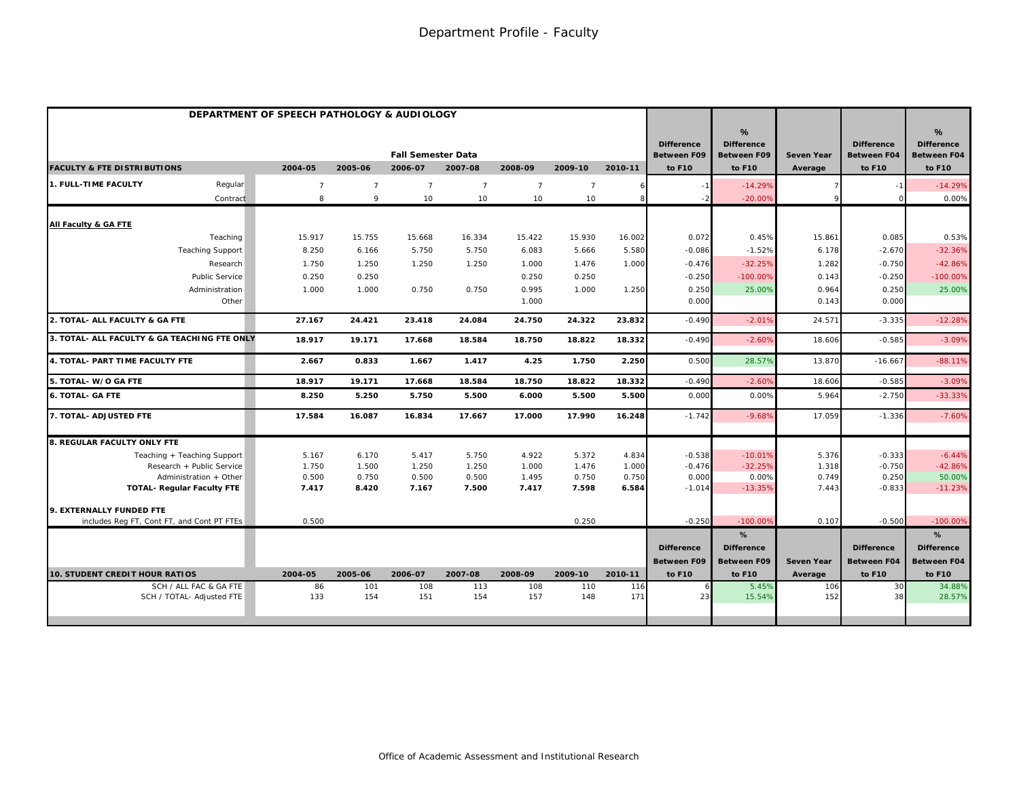|                                                                 |                |                | <b>Fall Semester Data</b> |                |                |                |                | <b>Difference</b><br><b>Between F09</b> | %<br><b>Difference</b><br><b>Between F09</b> | <b>Seven Year</b> | <b>Difference</b><br><b>Between F04</b> | %<br><b>Difference</b><br><b>Between F04</b> |
|-----------------------------------------------------------------|----------------|----------------|---------------------------|----------------|----------------|----------------|----------------|-----------------------------------------|----------------------------------------------|-------------------|-----------------------------------------|----------------------------------------------|
| <b>FACULTY &amp; FTE DISTRIBUTIONS</b>                          | 2004-05        | 2005-06        | 2006-07                   | 2007-08        | 2008-09        | 2009-10        | 2010-11        | to F10                                  | to F10                                       | Average           | to F10                                  | to F10                                       |
| 1. FULL-TIME FACULTY<br>Regular                                 | $\overline{7}$ | $\overline{7}$ | $\overline{7}$            | $\overline{7}$ | $\overline{7}$ | $\overline{7}$ |                |                                         | $-14.29%$                                    |                   |                                         | $-14.29%$                                    |
| Contract                                                        | 8              | 9              | 10                        | 10             | 10             | 10             | 8              |                                         | $-20.00%$                                    |                   |                                         | 0.00%                                        |
| All Faculty & GA FTE                                            |                |                |                           |                |                |                |                |                                         |                                              |                   |                                         |                                              |
| Teaching                                                        | 15.917         | 15.755         | 15.668                    | 16.334         | 15.422         | 15.930         | 16.002         | 0.072                                   | 0.45%                                        | 15.861            | 0.085                                   | 0.53%                                        |
| <b>Teaching Support</b>                                         | 8.250          | 6.166          | 5.750                     | 5.750          | 6.083          | 5.666          | 5.580          | $-0.086$                                | $-1.52%$                                     | 6.178             | $-2.670$                                | $-32.36%$                                    |
| Research                                                        | 1.750          | 1.250          | 1.250                     | 1.250          | 1.000          | 1.476          | 1.000          | $-0.476$                                | $-32.25%$                                    | 1.282             | $-0.750$                                | $-42.86%$                                    |
| Public Service                                                  | 0.250          | 0.250          |                           |                | 0.250          | 0.250          |                | $-0.250$                                | $-100.00%$                                   | 0.143             | $-0.250$                                | $-100.00%$                                   |
| Administration                                                  | 1.000          | 1.000          | 0.750                     | 0.750          | 0.995          | 1.000          | 1.250          | 0.250                                   | 25.00%                                       | 0.964             | 0.250                                   | 25.00%                                       |
| Other                                                           |                |                |                           |                | 1.000          |                |                | 0.000                                   |                                              | 0.143             | 0.000                                   |                                              |
| 2. TOTAL- ALL FACULTY & GA FTE                                  | 27.167         | 24.421         | 23.418                    | 24.084         | 24.750         | 24.322         | 23.832         | $-0.490$                                | $-2.01%$                                     | 24.571            | $-3.335$                                | $-12.28%$                                    |
| 3. TOTAL- ALL FACULTY & GA TEACHING FTE ONLY                    | 18.917         | 19.171         | 17.668                    | 18.584         | 18.750         | 18.822         | 18.332         | $-0.490$                                | $-2.60%$                                     | 18.606            | $-0.585$                                | $-3.09%$                                     |
| 4. TOTAL- PART TIME FACULTY FTE                                 | 2.667          | 0.833          | 1.667                     | 1.417          | 4.25           | 1.750          | 2.250          | 0.500                                   | 28.57%                                       | 13.870            | $-16.667$                               | $-88.11%$                                    |
| 5. TOTAL- W/O GA FTE                                            | 18.917         | 19.171         | 17.668                    | 18.584         | 18.750         | 18.822         | 18.332         | $-0.49C$                                | $-2.60%$                                     | 18.606            | $-0.585$                                | $-3.09%$                                     |
| <b>6. TOTAL- GA FTE</b>                                         | 8.250          | 5.250          | 5.750                     | 5.500          | 6.000          | 5.500          | 5.500          | 0.000                                   | 0.00%                                        | 5.964             | $-2.750$                                | $-33.33%$                                    |
| 7. TOTAL- ADJUSTED FTE                                          | 17.584         | 16.087         | 16.834                    | 17.667         | 17.000         | 17.990         | 16.248         | $-1.742$                                | $-9.68%$                                     | 17.059            | $-1.336$                                | $-7.60%$                                     |
| 8. REGULAR FACULTY ONLY FTE                                     |                |                |                           |                |                |                |                |                                         |                                              |                   |                                         |                                              |
| Teaching + Teaching Support                                     | 5.167          | 6.170          | 5.417                     | 5.750          | 4.922          | 5.372          | 4.834          | $-0.538$                                | $-10.01%$                                    | 5.376             | $-0.333$                                | $-6.44%$                                     |
| Research + Public Service                                       | 1.750          | 1.500          | 1.250                     | 1.250          | 1.000          | 1.476          | 1.000          | $-0.476$                                | $-32.25%$                                    | 1.318             | $-0.750$                                | $-42.86%$                                    |
| Administration + Other<br><b>TOTAL- Regular Faculty FTE</b>     | 0.500<br>7.417 | 0.750<br>8.420 | 0.500<br>7.167            | 0.500<br>7.500 | 1.495<br>7.417 | 0.750<br>7.598 | 0.750<br>6.584 | 0.000<br>$-1.014$                       | 0.00%<br>$-13.35%$                           | 0.749<br>7.443    | 0.250<br>$-0.833$                       | 50.00%<br>$-11.23%$                          |
|                                                                 |                |                |                           |                |                |                |                |                                         |                                              |                   |                                         |                                              |
| 9. EXTERNALLY FUNDED FTE                                        |                |                |                           |                |                |                |                |                                         |                                              |                   |                                         |                                              |
| includes Reg FT, Cont FT, and Cont PT FTEs                      | 0.500          |                |                           |                |                | 0.250          |                | $-0.250$                                | $-100.00%$                                   | 0.107             | $-0.500$                                | $-100.00%$                                   |
|                                                                 |                |                |                           |                |                |                |                |                                         | %                                            |                   |                                         | %                                            |
|                                                                 |                |                |                           |                |                |                |                | <b>Difference</b>                       | <b>Difference</b>                            |                   | <b>Difference</b>                       | <b>Difference</b>                            |
|                                                                 |                |                |                           |                |                |                |                | <b>Between F09</b>                      | <b>Between F09</b>                           | <b>Seven Year</b> | <b>Between F04</b>                      | <b>Between F04</b>                           |
| <b>10. STUDENT CREDIT HOUR RATIOS</b><br>SCH / ALL FAC & GA FTE | 2004-05<br>86  | 2005-06        | 2006-07                   | 2007-08        | 2008-09        | 2009-10        | 2010-11        | to F10                                  | to F10                                       | Average           | to F10                                  | to F10<br>34.88%                             |
| SCH / TOTAL- Adjusted FTE                                       | 133            | 101<br>154     | 108<br>151                | 113<br>154     | 108<br>157     | 110<br>148     | 116<br>171     | 23                                      | 5.45%<br>15.54%                              | 106<br>152        | 30<br>38                                | 28.57%                                       |
|                                                                 |                |                |                           |                |                |                |                |                                         |                                              |                   |                                         |                                              |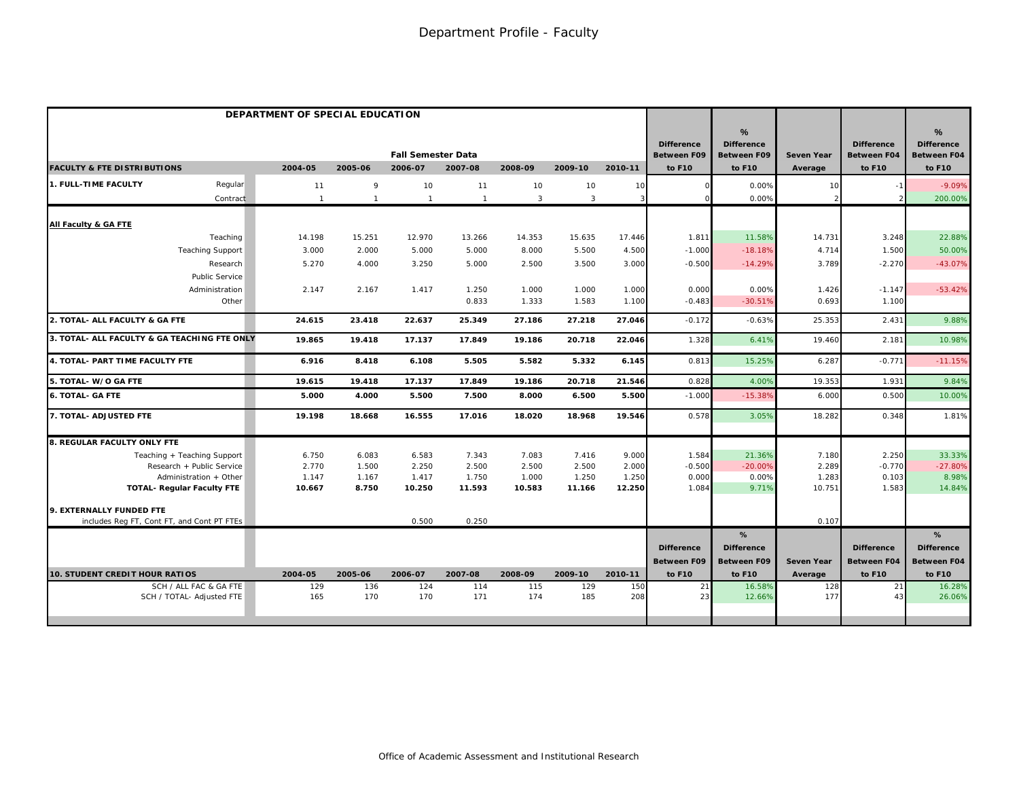|                                              | DEPARTMENT OF SPECIAL EDUCATION |                |                           |                |            |                |            |                                         |                                              |                   |                                         |                                                          |
|----------------------------------------------|---------------------------------|----------------|---------------------------|----------------|------------|----------------|------------|-----------------------------------------|----------------------------------------------|-------------------|-----------------------------------------|----------------------------------------------------------|
|                                              |                                 |                | <b>Fall Semester Data</b> |                |            |                |            | <b>Difference</b><br><b>Between F09</b> | %<br><b>Difference</b><br><b>Between F09</b> | <b>Seven Year</b> | <b>Difference</b><br><b>Between F04</b> | $\frac{9}{6}$<br><b>Difference</b><br><b>Between F04</b> |
| <b>FACULTY &amp; FTE DISTRIBUTIONS</b>       | 2004-05                         | 2005-06        | 2006-07                   | 2007-08        | 2008-09    | 2009-10        | 2010-11    | to F10                                  | to F10                                       | Average           | to F10                                  | to F10                                                   |
| <b>1. FULL-TIME FACULTY</b><br>Regular       | 11                              | 9              | 10                        | 11             | 10         | 10             | 10         |                                         | 0.00%                                        | 10                |                                         | $-9.09%$                                                 |
| Contract                                     | $\mathbf{1}$                    | $\overline{1}$ |                           | $\overline{1}$ | 3          | $\overline{3}$ | 3          |                                         | 0.00%                                        |                   |                                         | 200.00%                                                  |
| All Faculty & GA FTE                         |                                 |                |                           |                |            |                |            |                                         |                                              |                   |                                         |                                                          |
| Teaching                                     | 14.198                          | 15.251         | 12.970                    | 13.266         | 14.353     | 15.635         | 17.446     | 1.811                                   | 11.58%                                       | 14.731            | 3.248                                   | 22.88%                                                   |
| <b>Teaching Support</b>                      | 3.000                           | 2.000          | 5.000                     | 5.000          | 8.000      | 5.500          | 4.500      | $-1.000$                                | $-18.18%$                                    | 4.714             | 1.500                                   | 50.00%                                                   |
| Research                                     | 5.270                           | 4.000          | 3.250                     | 5.000          | 2.500      | 3.500          | 3.000      | $-0.500$                                | $-14.29%$                                    | 3.789             | $-2.270$                                | $-43.07%$                                                |
| Public Service                               |                                 |                |                           |                |            |                |            |                                         |                                              |                   |                                         |                                                          |
| Administration                               | 2.147                           | 2.167          | 1.417                     | 1.250          | 1.000      | 1.000          | 1.000      | 0.000                                   | 0.00%                                        | 1.426             | $-1.147$                                | $-53.42%$                                                |
| Other                                        |                                 |                |                           | 0.833          | 1.333      | 1.583          | 1.100      | $-0.483$                                | $-30.51%$                                    | 0.693             | 1.100                                   |                                                          |
| 2. TOTAL- ALL FACULTY & GA FTE               | 24.615                          | 23.418         | 22.637                    | 25.349         | 27.186     | 27.218         | 27.046     | $-0.172$                                | $-0.63%$                                     | 25.353            | 2.431                                   | 9.88%                                                    |
| 3. TOTAL- ALL FACULTY & GA TEACHING FTE ONLY | 19.865                          | 19.418         | 17.137                    | 17.849         | 19.186     | 20.718         | 22.046     | 1.328                                   | 6.41%                                        | 19.460            | 2.181                                   | 10.98%                                                   |
| 4. TOTAL- PART TIME FACULTY FTE              | 6.916                           | 8.418          | 6.108                     | 5.505          | 5.582      | 5.332          | 6.145      | 0.813                                   | 15.25%                                       | 6.287             | $-0.771$                                | $-11.15%$                                                |
| 5. TOTAL- W/O GA FTE                         | 19.615                          | 19.418         | 17.137                    | 17.849         | 19.186     | 20.718         | 21.546     | 0.828                                   | 4.00%                                        | 19.353            | 1.931                                   | 9.84%                                                    |
| <b>6. TOTAL- GA FTE</b>                      | 5.000                           | 4.000          | 5.500                     | 7.500          | 8.000      | 6.500          | 5.500      | $-1.000$                                | $-15.38%$                                    | 6.000             | 0.500                                   | 10.00%                                                   |
| 7. TOTAL- ADJUSTED FTE                       | 19.198                          | 18.668         | 16.555                    | 17.016         | 18.020     | 18.968         | 19.546     | 0.578                                   | 3.05%                                        | 18.282            | 0.348                                   | 1.81%                                                    |
| 8. REGULAR FACULTY ONLY FTE                  |                                 |                |                           |                |            |                |            |                                         |                                              |                   |                                         |                                                          |
| Teaching + Teaching Support                  | 6.750                           | 6.083          | 6.583                     | 7.343          | 7.083      | 7.416          | 9.000      | 1.584                                   | 21.36%                                       | 7.180             | 2.250                                   | 33.33%                                                   |
| Research + Public Service                    | 2.770                           | 1.500          | 2.250                     | 2.500          | 2.500      | 2.500          | 2.000      | $-0.500$                                | $-20.00%$                                    | 2.289             | $-0.770$                                | $-27.80%$                                                |
| Administration + Other                       | 1.147                           | 1.167          | 1.417                     | 1.750          | 1.000      | 1.250          | 1.250      | 0.000                                   | 0.00%                                        | 1.283             | 0.103                                   | 8.98%                                                    |
| <b>TOTAL- Regular Faculty FTE</b>            | 10.667                          | 8.750          | 10.250                    | 11.593         | 10.583     | 11.166         | 12.250     | 1.084                                   | 9.71%                                        | 10.751            | 1.583                                   | 14.84%                                                   |
| 9. EXTERNALLY FUNDED FTE                     |                                 |                |                           |                |            |                |            |                                         |                                              |                   |                                         |                                                          |
| includes Req FT, Cont FT, and Cont PT FTEs   |                                 |                | 0.500                     | 0.250          |            |                |            |                                         |                                              | 0.107             |                                         |                                                          |
|                                              |                                 |                |                           |                |            |                |            |                                         | %                                            |                   |                                         | %                                                        |
|                                              |                                 |                |                           |                |            |                |            | <b>Difference</b>                       | <b>Difference</b>                            |                   | <b>Difference</b>                       | <b>Difference</b>                                        |
|                                              |                                 |                |                           |                |            |                |            | <b>Between F09</b>                      | <b>Between F09</b>                           | <b>Seven Year</b> | <b>Between F04</b>                      | <b>Between F04</b>                                       |
| 10. STUDENT CREDIT HOUR RATIOS               | 2004-05                         | 2005-06        | 2006-07                   | 2007-08        | 2008-09    | 2009-10        | 2010-11    | to F10                                  | to F10                                       | Average           | to F10                                  | to F10                                                   |
| SCH / ALL FAC & GA FTE                       | 129<br>165                      | 136<br>170     | 124<br>170                | 114<br>171     | 115<br>174 | 129<br>185     | 150<br>208 | 21<br>23                                | 16.58%<br>12.66%                             | 128<br>177        | 21<br>4 <sup>1</sup>                    | 16.28%                                                   |
| SCH / TOTAL- Adjusted FTE                    |                                 |                |                           |                |            |                |            |                                         |                                              |                   |                                         | 26.06%                                                   |
|                                              |                                 |                |                           |                |            |                |            |                                         |                                              |                   |                                         |                                                          |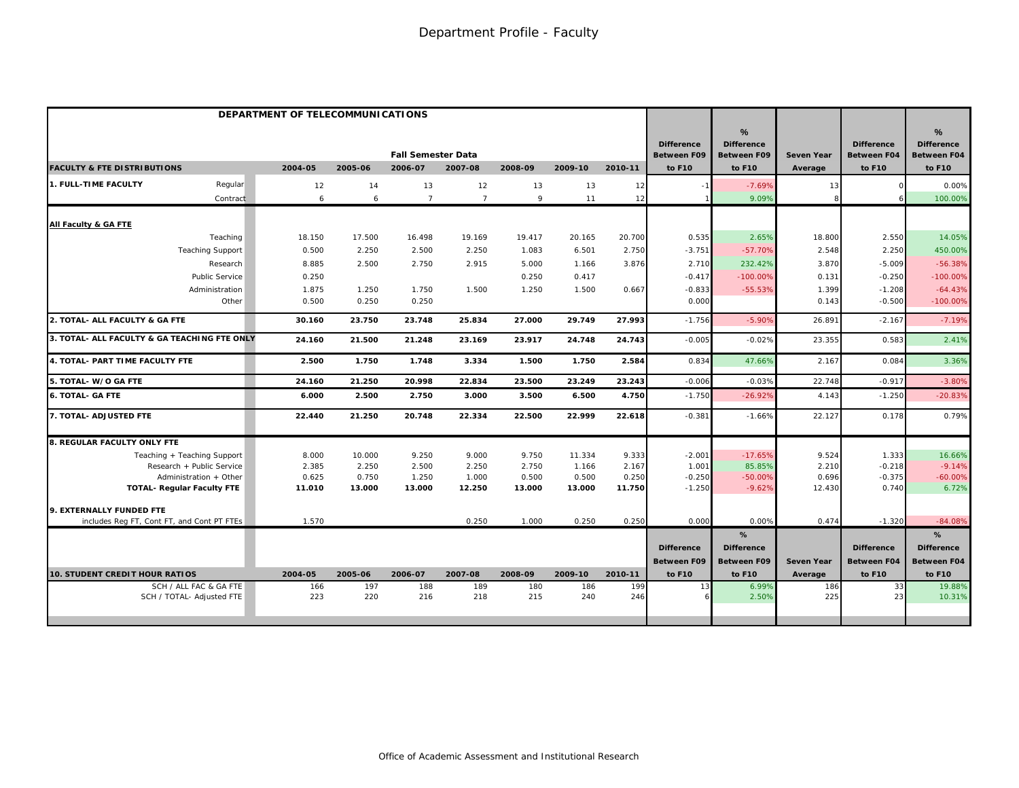|                                                     | DEPARTMENT OF TELECOMMUNICATIONS |                 |                                      |                |                 |                 |                 |                                                   |                                                        |                              |                                                   |                                                        |
|-----------------------------------------------------|----------------------------------|-----------------|--------------------------------------|----------------|-----------------|-----------------|-----------------|---------------------------------------------------|--------------------------------------------------------|------------------------------|---------------------------------------------------|--------------------------------------------------------|
| <b>FACULTY &amp; FTE DISTRIBUTIONS</b>              | 2004-05                          | 2005-06         | <b>Fall Semester Data</b><br>2006-07 | 2007-08        | 2008-09         | 2009-10         | 2010-11         | <b>Difference</b><br><b>Between F09</b><br>to F10 | %<br><b>Difference</b><br><b>Between F09</b><br>to F10 | <b>Seven Year</b><br>Average | <b>Difference</b><br><b>Between F04</b><br>to F10 | %<br><b>Difference</b><br><b>Between F04</b><br>to F10 |
| 1. FULL-TIME FACULTY<br>Regular                     | 12                               | 14              | 13                                   | 12             | 13              | 13              |                 |                                                   | $-7.69%$                                               |                              |                                                   | 0.00%                                                  |
| Contract                                            | 6                                | 6               | $\overline{7}$                       | $\overline{7}$ | 9               | 11              | 12<br>12        |                                                   | 9.09%                                                  | 13                           |                                                   | 100.00%                                                |
|                                                     |                                  |                 |                                      |                |                 |                 |                 |                                                   |                                                        |                              |                                                   |                                                        |
| All Faculty & GA FTE                                |                                  |                 |                                      |                |                 |                 |                 |                                                   |                                                        |                              |                                                   |                                                        |
| Teaching                                            | 18.150                           | 17.500          | 16.498                               | 19.169         | 19.417          | 20.165          | 20.700          | 0.535                                             | 2.65%                                                  | 18.800                       | 2.550                                             | 14.05%                                                 |
| <b>Teaching Support</b>                             | 0.500                            | 2.250           | 2.500                                | 2.250          | 1.083           | 6.501           | 2.750           | $-3.751$                                          | $-57.70%$                                              | 2.548                        | 2.250                                             | 450.00%                                                |
| Research                                            | 8.885                            | 2.500           | 2.750                                | 2.915          | 5.000           | 1.166           | 3.876           | 2.710                                             | 232.42%                                                | 3.870                        | $-5.009$                                          | $-56.38%$                                              |
| <b>Public Service</b>                               | 0.250                            |                 |                                      |                | 0.250           | 0.417           |                 | $-0.417$                                          | $-100.00%$                                             | 0.131                        | $-0.250$                                          | $-100.00\%$                                            |
| Administration                                      | 1.875                            | 1.250           | 1.750                                | 1.500          | 1.250           | 1.500           | 0.667           | $-0.833$                                          | $-55.53%$                                              | 1.399                        | $-1.208$                                          | $-64.43%$                                              |
| Other                                               | 0.500                            | 0.250           | 0.250                                |                |                 |                 |                 | 0.000                                             |                                                        | 0.143                        | $-0.500$                                          | $-100.00%$                                             |
| 2. TOTAL- ALL FACULTY & GA FTE                      | 30.160                           | 23.750          | 23.748                               | 25.834         | 27.000          | 29.749          | 27.993          | $-1.756$                                          | $-5.90%$                                               | 26.891                       | $-2.167$                                          | $-7.19%$                                               |
| 3. TOTAL- ALL FACULTY & GA TEACHING FTE ONLY        | 24.160                           | 21.500          | 21.248                               | 23.169         | 23.917          | 24.748          | 24.743          | $-0.005$                                          | $-0.02%$                                               | 23.355                       | 0.583                                             | 2.41%                                                  |
| 4. TOTAL- PART TIME FACULTY FTE                     | 2.500                            | 1.750           | 1.748                                | 3.334          | 1.500           | 1.750           | 2.584           | 0.834                                             | 47.66%                                                 | 2.167                        | 0.084                                             | 3.36%                                                  |
| 5. TOTAL- W/O GA FTE                                | 24.160                           | 21.250          | 20.998                               | 22.834         | 23.500          | 23.249          | 23.243          | $-0.006$                                          | $-0.03%$                                               | 22.748                       | $-0.917$                                          | $-3.80%$                                               |
| <b>6. TOTAL- GA FTE</b>                             | 6.000                            | 2.500           | 2.750                                | 3.000          | 3.500           | 6.500           | 4.750           | $-1.750$                                          | $-26.92%$                                              | 4.143                        | $-1.250$                                          | $-20.83%$                                              |
| 7. TOTAL- ADJUSTED FTE                              | 22.440                           | 21.250          | 20.748                               | 22.334         | 22.500          | 22.999          | 22.618          | $-0.381$                                          | $-1.66%$                                               | 22.127                       | 0.178                                             | 0.79%                                                  |
| <b>8. REGULAR FACULTY ONLY FTE</b>                  |                                  |                 |                                      |                |                 |                 |                 |                                                   |                                                        |                              |                                                   |                                                        |
| Teaching + Teaching Support                         | 8.000                            | 10.000          | 9.250                                | 9.000          | 9.750           | 11.334          | 9.333           | $-2.001$                                          | $-17.65%$                                              | 9.524                        | 1.333                                             | 16.66%                                                 |
| Research + Public Service                           | 2.385                            | 2.250           | 2.500                                | 2.250          | 2.750           | 1.166           | 2.167           | 1.001                                             | 85.85%                                                 | 2.210                        | $-0.218$                                          | $-9.14%$                                               |
| Administration + Other                              | 0.625<br>11.010                  | 0.750<br>13.000 | 1.250<br>13.000                      | 1.000          | 0.500<br>13.000 | 0.500<br>13.000 | 0.250<br>11.750 | $-0.250$<br>$-1.250$                              | $-50.00%$<br>$-9.62%$                                  | 0.696<br>12.430              | $-0.375$<br>0.740                                 | $-60.00%$<br>6.72%                                     |
| <b>TOTAL- Regular Faculty FTE</b>                   |                                  |                 |                                      | 12.250         |                 |                 |                 |                                                   |                                                        |                              |                                                   |                                                        |
| 9. EXTERNALLY FUNDED FTE                            |                                  |                 |                                      |                |                 |                 |                 |                                                   |                                                        |                              |                                                   |                                                        |
| includes Reg FT, Cont FT, and Cont PT FTEs          | 1.570                            |                 |                                      | 0.250          | 1.000           | 0.250           | 0.250           | 0.00C                                             | 0.00%                                                  | 0.474                        | $-1.320$                                          | $-84.08%$                                              |
|                                                     |                                  |                 |                                      |                |                 |                 |                 |                                                   | %                                                      |                              |                                                   | %                                                      |
|                                                     |                                  |                 |                                      |                |                 |                 |                 | <b>Difference</b>                                 | <b>Difference</b>                                      |                              | <b>Difference</b>                                 | <b>Difference</b>                                      |
|                                                     |                                  |                 |                                      |                |                 |                 |                 | <b>Between F09</b>                                | <b>Between F09</b>                                     | <b>Seven Year</b>            | <b>Between F04</b>                                | <b>Between F04</b>                                     |
| <b>10. STUDENT CREDIT HOUR RATIOS</b>               | 2004-05                          | 2005-06         | 2006-07                              | 2007-08        | 2008-09         | 2009-10         | 2010-11         | to F10                                            | to F10                                                 | Average                      | to F10                                            | to F10                                                 |
| SCH / ALL FAC & GA FTE<br>SCH / TOTAL- Adjusted FTE | 166<br>223                       | 197<br>220      | 188<br>216                           | 189<br>218     | 180<br>215      | 186<br>240      | 199<br>246      | 13                                                | 6.99%<br>2.50%                                         | 186<br>225                   | 33<br>-23                                         | 19.88%<br>10.31%                                       |
|                                                     |                                  |                 |                                      |                |                 |                 |                 |                                                   |                                                        |                              |                                                   |                                                        |
|                                                     |                                  |                 |                                      |                |                 |                 |                 |                                                   |                                                        |                              |                                                   |                                                        |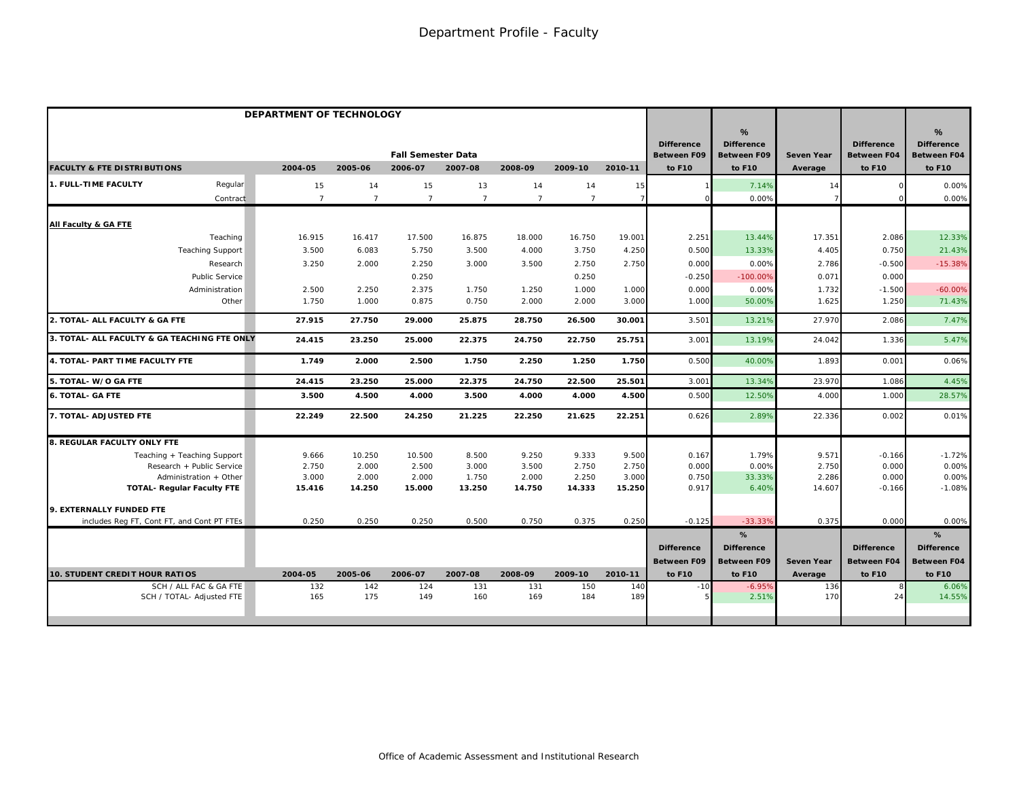|                                                             | DEPARTMENT OF TECHNOLOGY |                 |                           |                 |                 |                 |                 |                                         |                                              |                   |                                         |                                              |
|-------------------------------------------------------------|--------------------------|-----------------|---------------------------|-----------------|-----------------|-----------------|-----------------|-----------------------------------------|----------------------------------------------|-------------------|-----------------------------------------|----------------------------------------------|
|                                                             |                          |                 | <b>Fall Semester Data</b> |                 |                 |                 |                 | <b>Difference</b><br><b>Between F09</b> | %<br><b>Difference</b><br><b>Between F09</b> | <b>Seven Year</b> | <b>Difference</b><br><b>Between F04</b> | %<br><b>Difference</b><br><b>Between F04</b> |
| <b>FACULTY &amp; FTE DISTRIBUTIONS</b>                      | 2004-05                  | 2005-06         | 2006-07                   | 2007-08         | 2008-09         | 2009-10         | 2010-11         | to F10                                  | to F10                                       | Average           | to F10                                  | to F10                                       |
| <b>1. FULL-TIME FACULTY</b><br>Regular                      | 15                       | 14              | 15                        | 13              | 14              | 14              | 15              |                                         | 7.14%                                        | 14                |                                         | 0.00%                                        |
| Contract                                                    | $\overline{7}$           | $\overline{7}$  | $\overline{7}$            | $\overline{7}$  | $\overline{7}$  | $\overline{7}$  | $\overline{7}$  |                                         | 0.00%                                        |                   |                                         | 0.00%                                        |
| All Faculty & GA FTE                                        |                          |                 |                           |                 |                 |                 |                 |                                         |                                              |                   |                                         |                                              |
| Teaching                                                    | 16.915                   | 16.417          | 17.500                    | 16.875          | 18.000          | 16.750          | 19.001          | 2.251                                   | 13.44%                                       | 17.351            | 2.086                                   | 12.33%                                       |
| <b>Teaching Support</b>                                     | 3.500                    | 6.083           | 5.750                     | 3.500           | 4.000           | 3.750           | 4.250           | 0.500                                   | 13.33%                                       | 4.405             | 0.750                                   | 21.43%                                       |
| Research                                                    | 3.250                    | 2.000           | 2.250                     | 3.000           | 3.500           | 2.750           | 2.750           | 0.000                                   | 0.00%                                        | 2.786             | $-0.500$                                | $-15.38%$                                    |
| <b>Public Service</b>                                       |                          |                 | 0.250                     |                 |                 | 0.250           |                 | $-0.250$                                | $-100.00%$                                   | 0.071             | 0.000                                   |                                              |
| Administration                                              | 2.500                    | 2.250           | 2.375                     | 1.750           | 1.250           | 1.000           | 1.000           | 0.000                                   | 0.00%                                        | 1.732             | $-1.500$                                | $-60.00%$                                    |
| Other                                                       | 1.750                    | 1.000           | 0.875                     | 0.750           | 2.000           | 2.000           | 3.000           | 1.000                                   | 50.00%                                       | 1.625             | 1.250                                   | 71.43%                                       |
| 2. TOTAL- ALL FACULTY & GA FTE                              | 27.915                   | 27.750          | 29.000                    | 25.875          | 28.750          | 26.500          | 30.001          | 3.501                                   | 13.21%                                       | 27.970            | 2.086                                   | 7.47%                                        |
| 3. TOTAL- ALL FACULTY & GA TEACHING FTE ONLY                | 24.415                   | 23.250          | 25.000                    | 22.375          | 24.750          | 22.750          | 25.751          | 3.001                                   | 13.19%                                       | 24.042            | 1.336                                   | 5.47%                                        |
| 4. TOTAL- PART TIME FACULTY FTE                             | 1.749                    | 2.000           | 2.500                     | 1.750           | 2.250           | 1.250           | 1.750           | 0.500                                   | 40.00%                                       | 1.893             | 0.001                                   | 0.06%                                        |
| 5. TOTAL-W/O GA FTE                                         | 24.415                   | 23.250          | 25.000                    | 22.375          | 24.750          | 22.500          | 25.501          | 3.001                                   | 13.34%                                       | 23.970            | 1.086                                   | 4.45%                                        |
| <b>6. TOTAL- GA FTE</b>                                     | 3.500                    | 4.500           | 4.000                     | 3.500           | 4.000           | 4.000           | 4.500           | 0.500                                   | 12.50%                                       | 4.000             | 1.000                                   | 28.57%                                       |
| 7. TOTAL- ADJUSTED FTE                                      | 22.249                   | 22.500          | 24.250                    | 21.225          | 22.250          | 21.625          | 22.251          | 0.626                                   | 2.89%                                        | 22.336            | 0.002                                   | 0.01%                                        |
| 8. REGULAR FACULTY ONLY FTE                                 |                          |                 |                           |                 |                 |                 |                 |                                         |                                              |                   |                                         |                                              |
| Teaching + Teaching Support                                 | 9.666                    | 10.250          | 10.500                    | 8.500           | 9.250           | 9.333           | 9.500           | 0.167                                   | 1.79%                                        | 9.571             | $-0.166$                                | $-1.72%$                                     |
| Research + Public Service                                   | 2.750                    | 2.000           | 2.500                     | 3.000           | 3.500           | 2.750           | 2.750           | 0.000                                   | 0.00%                                        | 2.750             | 0.000                                   | 0.00%                                        |
| Administration + Other<br><b>TOTAL- Regular Faculty FTE</b> | 3.000<br>15.416          | 2.000<br>14.250 | 2.000<br>15.000           | 1.750<br>13.250 | 2.000<br>14.750 | 2.250<br>14.333 | 3.000<br>15.250 | 0.750<br>0.917                          | 33.33%<br>6.40%                              | 2.286<br>14.607   | 0.000<br>$-0.166$                       | 0.00%<br>$-1.08%$                            |
|                                                             |                          |                 |                           |                 |                 |                 |                 |                                         |                                              |                   |                                         |                                              |
| 9. EXTERNALLY FUNDED FTE                                    |                          |                 |                           |                 |                 |                 |                 |                                         |                                              |                   |                                         |                                              |
| includes Reg FT, Cont FT, and Cont PT FTEs                  | 0.250                    | 0.250           | 0.250                     | 0.500           | 0.750           | 0.375           | 0.250           | $-0.125$                                | $-33.33%$                                    | 0.375             | 0.000                                   | 0.00%                                        |
|                                                             |                          |                 |                           |                 |                 |                 |                 |                                         | %                                            |                   |                                         | %                                            |
|                                                             |                          |                 |                           |                 |                 |                 |                 | <b>Difference</b>                       | <b>Difference</b>                            |                   | <b>Difference</b>                       | <b>Difference</b>                            |
|                                                             |                          |                 |                           |                 |                 |                 |                 | <b>Between F09</b>                      | <b>Between F09</b>                           | Seven Year        | <b>Between F04</b>                      | Between F04                                  |
| <b>10. STUDENT CREDIT HOUR RATIOS</b>                       | 2004-05                  | 2005-06         | 2006-07                   | 2007-08         | 2008-09         | 2009-10         | 2010-11         | to F10                                  | to F10                                       | Average           | to F10                                  | to F10                                       |
| SCH / ALL FAC & GA FTE<br>SCH / TOTAL- Adjusted FTE         | 132<br>165               | 142<br>175      | 124<br>149                | 131<br>160      | 131<br>169      | 150<br>184      | 140<br>189      | $-10$                                   | $-6.95%$<br>2.51%                            | 136<br>170        | 24                                      | 6.06%<br>14.55%                              |
|                                                             |                          |                 |                           |                 |                 |                 |                 |                                         |                                              |                   |                                         |                                              |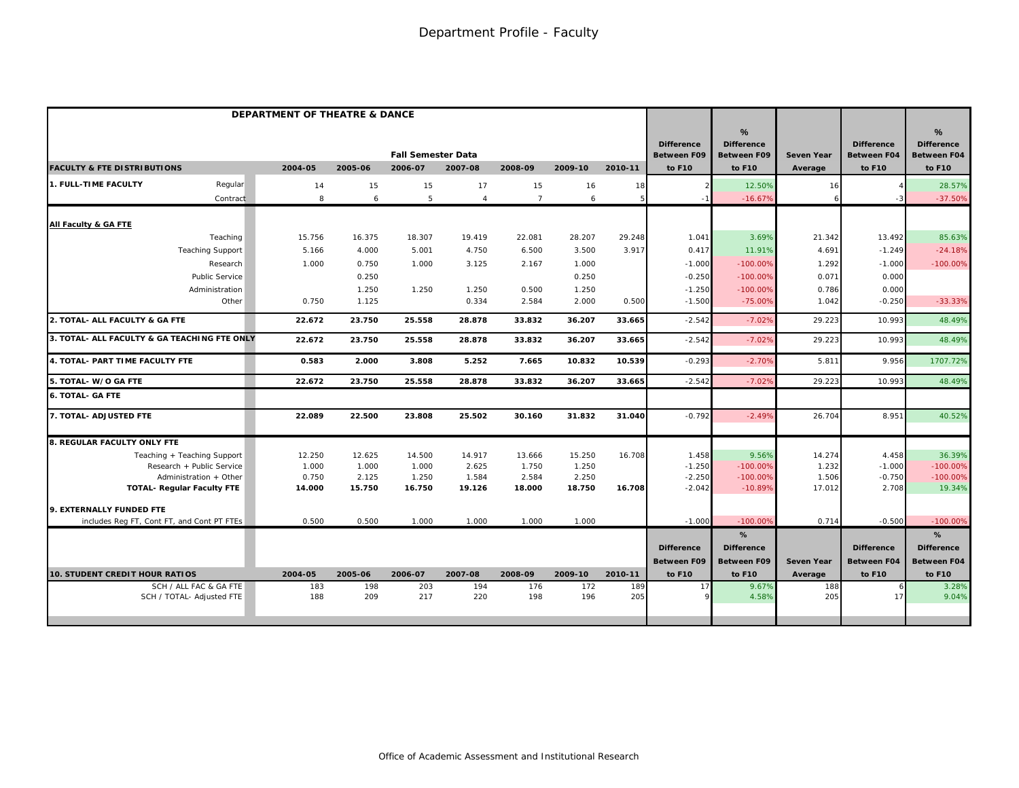|                                              | DEPARTMENT OF THEATRE & DANCE |         |         |                           |                |                |         |         |                                         |                                              |                   |                                         |                                                          |
|----------------------------------------------|-------------------------------|---------|---------|---------------------------|----------------|----------------|---------|---------|-----------------------------------------|----------------------------------------------|-------------------|-----------------------------------------|----------------------------------------------------------|
|                                              |                               |         |         | <b>Fall Semester Data</b> |                |                |         |         | <b>Difference</b><br><b>Between F09</b> | %<br><b>Difference</b><br><b>Between F09</b> | <b>Seven Year</b> | <b>Difference</b><br><b>Between F04</b> | $\frac{9}{6}$<br><b>Difference</b><br><b>Between F04</b> |
| <b>FACULTY &amp; FTE DISTRIBUTIONS</b>       |                               | 2004-05 | 2005-06 | 2006-07                   | 2007-08        | 2008-09        | 2009-10 | 2010-11 | to F10                                  | to F10                                       | Average           | to F10                                  | to F10                                                   |
| 1. FULL-TIME FACULTY                         | Regular                       | 14      | 15      | 15                        | 17             | 15             | 16      | 18      |                                         | 12.50%                                       | 16                |                                         | 28.57%                                                   |
|                                              | Contract                      | 8       | 6       | 5                         | $\overline{4}$ | $\overline{7}$ | 6       | 5       |                                         | $-16.679$                                    |                   |                                         | $-37.50%$                                                |
| All Faculty & GA FTE                         |                               |         |         |                           |                |                |         |         |                                         |                                              |                   |                                         |                                                          |
| Teaching                                     |                               | 15.756  | 16.375  | 18.307                    | 19.419         | 22.081         | 28.207  | 29.248  | 1.041                                   | 3.69%                                        | 21.342            | 13.492                                  | 85.63%                                                   |
| <b>Teaching Support</b>                      |                               | 5.166   | 4.000   | 5.001                     | 4.750          | 6.500          | 3.500   | 3.917   | 0.417                                   | 11.91%                                       | 4.691             | $-1.249$                                | $-24.18%$                                                |
| Research                                     |                               | 1.000   | 0.750   | 1.000                     | 3.125          | 2.167          | 1.000   |         | $-1.000$                                | $-100.00%$                                   | 1.292             | $-1.000$                                | $-100.00\%$                                              |
| Public Service                               |                               |         | 0.250   |                           |                |                | 0.250   |         | $-0.250$                                | $-100.00%$                                   | 0.071             | 0.000                                   |                                                          |
| Administration                               |                               |         | 1.250   | 1.250                     | 1.250          | 0.500          | 1.250   |         | $-1.250$                                | $-100.00%$                                   | 0.786             | 0.000                                   |                                                          |
|                                              | Other                         | 0.750   | 1.125   |                           | 0.334          | 2.584          | 2.000   | 0.500   | $-1.500$                                | $-75.00%$                                    | 1.042             | $-0.250$                                | $-33.33%$                                                |
| 2. TOTAL- ALL FACULTY & GA FTE               |                               | 22.672  | 23.750  | 25.558                    | 28.878         | 33.832         | 36.207  | 33.665  | $-2.542$                                | $-7.02%$                                     | 29.223            | 10.993                                  | 48.49%                                                   |
| 3. TOTAL- ALL FACULTY & GA TEACHING FTE ONLY |                               | 22.672  | 23.750  | 25.558                    | 28.878         | 33.832         | 36.207  | 33.665  | $-2.542$                                | $-7.02%$                                     | 29.223            | 10.993                                  | 48.49%                                                   |
| 4. TOTAL- PART TIME FACULTY FTE              |                               | 0.583   | 2.000   | 3.808                     | 5.252          | 7.665          | 10.832  | 10.539  | $-0.293$                                | $-2.70%$                                     | 5.811             | 9.956                                   | 1707.72%                                                 |
| 5. TOTAL- W/O GA FTE                         |                               | 22.672  | 23.750  | 25.558                    | 28.878         | 33.832         | 36.207  | 33.665  | $-2.542$                                | $-7.029$                                     | 29.223            | 10.993                                  | 48.49%                                                   |
| <b>6. TOTAL- GA FTE</b>                      |                               |         |         |                           |                |                |         |         |                                         |                                              |                   |                                         |                                                          |
| 7. TOTAL- ADJUSTED FTE                       |                               | 22.089  | 22.500  | 23.808                    | 25.502         | 30.160         | 31.832  | 31.040  | $-0.792$                                | $-2.49%$                                     | 26.704            | 8.951                                   | 40.52%                                                   |
| 8. REGULAR FACULTY ONLY FTE                  |                               |         |         |                           |                |                |         |         |                                         |                                              |                   |                                         |                                                          |
| Teaching + Teaching Support                  |                               | 12.250  | 12.625  | 14.500                    | 14.917         | 13.666         | 15.250  | 16.708  | 1.458                                   | 9.56%                                        | 14.274            | 4.458                                   | 36.39%                                                   |
| Research + Public Service                    |                               | 1.000   | 1.000   | 1.000                     | 2.625          | 1.750          | 1.250   |         | $-1.250$                                | $-100.00%$                                   | 1.232             | $-1.000$                                | $-100.00%$                                               |
| Administration + Other                       |                               | 0.750   | 2.125   | 1.250                     | 1.584          | 2.584          | 2.250   |         | $-2.250$                                | $-100.00%$                                   | 1.506             | $-0.750$                                | $-100.00%$                                               |
| <b>TOTAL- Regular Faculty FTE</b>            |                               | 14.000  | 15.750  | 16.750                    | 19.126         | 18.000         | 18.750  | 16.708  | $-2.042$                                | $-10.89%$                                    | 17.012            | 2.708                                   | 19.34%                                                   |
| 9. EXTERNALLY FUNDED FTE                     |                               |         |         |                           |                |                |         |         |                                         |                                              |                   |                                         |                                                          |
| includes Reg FT, Cont FT, and Cont PT FTEs   |                               | 0.500   | 0.500   | 1.000                     | 1.000          | 1.000          | 1.000   |         | $-1.000$                                | $-100.009$                                   | 0.714             | $-0.500$                                | $-100.00%$                                               |
|                                              |                               |         |         |                           |                |                |         |         |                                         | %                                            |                   |                                         | %                                                        |
|                                              |                               |         |         |                           |                |                |         |         | <b>Difference</b>                       | <b>Difference</b>                            |                   | <b>Difference</b>                       | <b>Difference</b>                                        |
|                                              |                               |         |         |                           |                |                |         |         | <b>Between F09</b>                      | <b>Between F09</b>                           | <b>Seven Year</b> | <b>Between F04</b>                      | <b>Between F04</b>                                       |
| <b>10. STUDENT CREDIT HOUR RATIOS</b>        |                               | 2004-05 | 2005-06 | 2006-07                   | 2007-08        | 2008-09        | 2009-10 | 2010-11 | to F10                                  | to F10                                       | Average           | to F10                                  | to F10                                                   |
| SCH / ALL FAC & GA FTE                       |                               | 183     | 198     | 203                       | 194            | 176            | 172     | 189     | 17                                      | 9.67%                                        | 188               |                                         | 3.28%                                                    |
| SCH / TOTAL- Adjusted FTE                    |                               | 188     | 209     | 217                       | 220            | 198            | 196     | 205     |                                         | 4.58%                                        | 205               | 17                                      | 9.04%                                                    |
|                                              |                               |         |         |                           |                |                |         |         |                                         |                                              |                   |                                         |                                                          |
|                                              |                               |         |         |                           |                |                |         |         |                                         |                                              |                   |                                         |                                                          |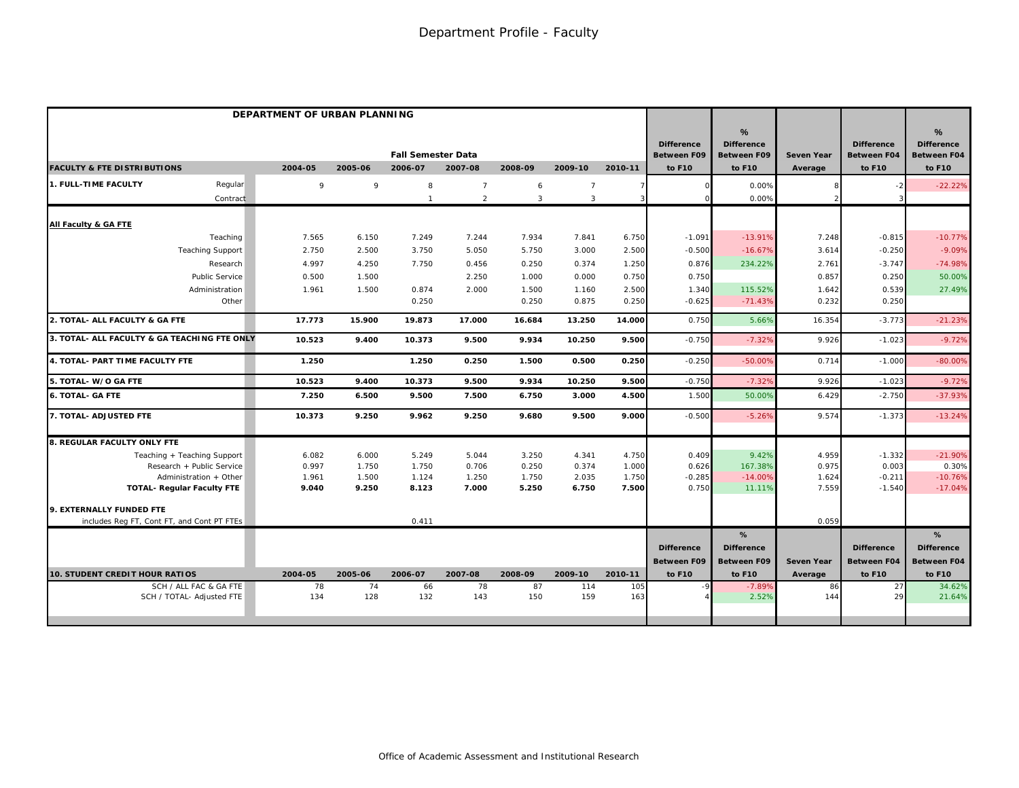|                                                     | DEPARTMENT OF URBAN PLANNING |           |                                      |                |                |                |            |                                                   |                                                        |                              |                                                   |                                                        |
|-----------------------------------------------------|------------------------------|-----------|--------------------------------------|----------------|----------------|----------------|------------|---------------------------------------------------|--------------------------------------------------------|------------------------------|---------------------------------------------------|--------------------------------------------------------|
| <b>FACULTY &amp; FTE DISTRIBUTIONS</b>              | 2004-05                      | 2005-06   | <b>Fall Semester Data</b><br>2006-07 | 2007-08        | 2008-09        | 2009-10        | 2010-11    | <b>Difference</b><br><b>Between F09</b><br>to F10 | %<br><b>Difference</b><br><b>Between F09</b><br>to F10 | <b>Seven Year</b><br>Average | <b>Difference</b><br><b>Between F04</b><br>to F10 | %<br><b>Difference</b><br><b>Between F04</b><br>to F10 |
| 1. FULL-TIME FACULTY<br>Regular                     | 9                            | 9         | 8                                    | $\overline{7}$ | 6              | $\overline{7}$ |            |                                                   | 0.00%                                                  |                              |                                                   | $-22.22%$                                              |
| Contract                                            |                              |           |                                      | $\overline{2}$ | $\overline{3}$ | $\overline{3}$ | 3          |                                                   | 0.00%                                                  |                              |                                                   |                                                        |
| All Faculty & GA FTE                                |                              |           |                                      |                |                |                |            |                                                   |                                                        |                              |                                                   |                                                        |
| Teaching                                            | 7.565                        | 6.150     | 7.249                                | 7.244          | 7.934          | 7.841          | 6.750      | $-1.091$                                          | $-13.91%$                                              | 7.248                        | $-0.815$                                          | $-10.77%$                                              |
| <b>Teaching Support</b>                             | 2.750                        | 2.500     | 3.750                                | 5.050          | 5.750          | 3.000          | 2.500      | $-0.500$                                          | $-16.67%$                                              | 3.614                        | $-0.250$                                          | $-9.09%$                                               |
| Research                                            | 4.997                        | 4.250     | 7.750                                | 0.456          | 0.250          | 0.374          | 1.250      | 0.876                                             | 234.22%                                                | 2.761                        | $-3.747$                                          | $-74.98%$                                              |
| <b>Public Service</b>                               | 0.500                        | 1.500     |                                      | 2.250          | 1.000          | 0.000          | 0.750      | 0.750                                             |                                                        | 0.857                        | 0.250                                             | 50.00%                                                 |
| Administration                                      | 1.961                        | 1.500     | 0.874                                | 2.000          | 1.500          | 1.160          | 2.500      | 1.340                                             | 115.52%                                                | 1.642                        | 0.539                                             | 27.49%                                                 |
| Other                                               |                              |           | 0.250                                |                | 0.250          | 0.875          | 0.250      | $-0.625$                                          | $-71.43%$                                              | 0.232                        | 0.250                                             |                                                        |
| 2. TOTAL- ALL FACULTY & GA FTE                      | 17.773                       | 15.900    | 19.873                               | 17.000         | 16.684         | 13.250         | 14.000     | 0.750                                             | 5.66%                                                  | 16.354                       | $-3.773$                                          | $-21.23%$                                              |
| 3. TOTAL- ALL FACULTY & GA TEACHING FTE ONLY        | 10.523                       | 9.400     | 10.373                               | 9.500          | 9.934          | 10.250         | 9.500      | $-0.750$                                          | $-7.32%$                                               | 9.926                        | $-1.023$                                          | $-9.72%$                                               |
| 4. TOTAL- PART TIME FACULTY FTE                     | 1.250                        |           | 1.250                                | 0.250          | 1.500          | 0.500          | 0.250      | $-0.250$                                          | $-50.00%$                                              | 0.714                        | $-1.000$                                          | $-80.00%$                                              |
| 5. TOTAL- W/O GA FTE                                | 10.523                       | 9.400     | 10.373                               | 9.500          | 9.934          | 10.250         | 9.500      | $-0.750$                                          | $-7.329$                                               | 9.926                        | $-1.023$                                          | $-9.72%$                                               |
| <b>6. TOTAL- GA FTE</b>                             | 7.250                        | 6.500     | 9.500                                | 7.500          | 6.750          | 3.000          | 4.500      | 1.500                                             | 50.00%                                                 | 6.429                        | $-2.750$                                          | $-37.93%$                                              |
| 7. TOTAL- ADJUSTED FTE                              | 10.373                       | 9.250     | 9.962                                | 9.250          | 9.680          | 9.500          | 9.000      | $-0.500$                                          | $-5.26%$                                               | 9.574                        | $-1.373$                                          | $-13.24%$                                              |
| 8. REGULAR FACULTY ONLY FTE                         |                              |           |                                      |                |                |                |            |                                                   |                                                        |                              |                                                   |                                                        |
| Teaching + Teaching Support                         | 6.082                        | 6.000     | 5.249                                | 5.044          | 3.250          | 4.341          | 4.750      | 0.409                                             | 9.42%                                                  | 4.959                        | $-1.332$                                          | $-21.90%$                                              |
| Research + Public Service                           | 0.997                        | 1.750     | 1.750                                | 0.706          | 0.250          | 0.374          | 1.000      | 0.626                                             | 167.38%                                                | 0.975                        | 0.003                                             | 0.30%                                                  |
| Administration + Other                              | 1.961                        | 1.500     | 1.124                                | 1.250          | 1.750          | 2.035          | 1.750      | $-0.285$                                          | $-14.00%$                                              | 1.624                        | $-0.211$                                          | $-10.76%$                                              |
| <b>TOTAL- Regular Faculty FTE</b>                   | 9.040                        | 9.250     | 8.123                                | 7.000          | 5.250          | 6.750          | 7.500      | 0.750                                             | 11.11%                                                 | 7.559                        | $-1.540$                                          | $-17.04%$                                              |
| 9. EXTERNALLY FUNDED FTE                            |                              |           |                                      |                |                |                |            |                                                   |                                                        |                              |                                                   |                                                        |
| includes Reg FT, Cont FT, and Cont PT FTEs          |                              |           | 0.411                                |                |                |                |            |                                                   |                                                        | 0.059                        |                                                   |                                                        |
|                                                     |                              |           |                                      |                |                |                |            |                                                   | %                                                      |                              |                                                   | %                                                      |
|                                                     |                              |           |                                      |                |                |                |            | <b>Difference</b>                                 | <b>Difference</b>                                      |                              | <b>Difference</b>                                 | <b>Difference</b>                                      |
|                                                     |                              |           |                                      |                |                |                |            | <b>Between F09</b>                                | <b>Between F09</b>                                     | <b>Seven Year</b>            | <b>Between F04</b>                                | Between F04                                            |
| 10. STUDENT CREDIT HOUR RATIOS                      | 2004-05                      | 2005-06   | 2006-07                              | 2007-08        | 2008-09        | 2009-10        | 2010-11    | to F10                                            | to F10                                                 | Average                      | to F10                                            | to F10                                                 |
| SCH / ALL FAC & GA FTE<br>SCH / TOTAL- Adjusted FTE | 78<br>134                    | 74<br>128 | 66<br>132                            | 78<br>143      | 87<br>150      | 114<br>159     | 105<br>163 |                                                   | $-7.89%$<br>2.52%                                      | 86<br>144                    | 27<br>29                                          | 34.62%<br>21.64%                                       |
|                                                     |                              |           |                                      |                |                |                |            |                                                   |                                                        |                              |                                                   |                                                        |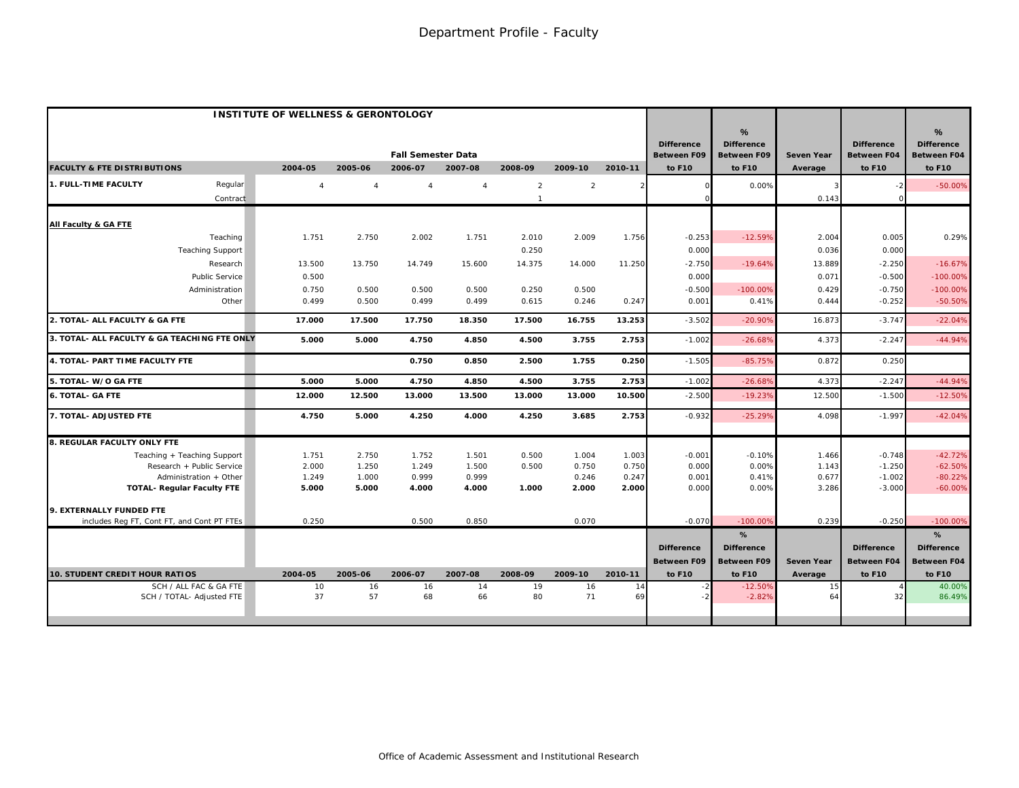|                                                             | <b>INSTITUTE OF WELLNESS &amp; GERONTOLOGY</b> |                       |                           |                |                |                |                |                                         |                                                 |                              |                                         |                                              |
|-------------------------------------------------------------|------------------------------------------------|-----------------------|---------------------------|----------------|----------------|----------------|----------------|-----------------------------------------|-------------------------------------------------|------------------------------|-----------------------------------------|----------------------------------------------|
|                                                             |                                                |                       | <b>Fall Semester Data</b> |                |                |                |                | <b>Difference</b><br><b>Between F09</b> | $\%$<br><b>Difference</b><br><b>Between F09</b> | <b>Seven Year</b>            | <b>Difference</b><br><b>Between F04</b> | %<br><b>Difference</b><br><b>Between F04</b> |
| <b>FACULTY &amp; FTE DISTRIBUTIONS</b>                      | 2004-05                                        | 2005-06               | 2006-07                   | 2007-08        | 2008-09        | 2009-10        | 2010-11        | to F10                                  | to F10                                          | Average                      | to F10                                  | to F10                                       |
| 1. FULL-TIME FACULTY<br>Regular                             | $\overline{4}$                                 | $\boldsymbol{\Delta}$ | $\overline{4}$            | $\overline{4}$ | $\overline{2}$ | 2              |                |                                         | 0.00%                                           |                              |                                         | $-50.00%$                                    |
| Contract                                                    |                                                |                       |                           |                | $\mathbf{1}$   |                |                |                                         |                                                 | 0.143                        |                                         |                                              |
| All Faculty & GA FTE                                        |                                                |                       |                           |                |                |                |                |                                         |                                                 |                              |                                         |                                              |
| Teaching                                                    | 1.751                                          | 2.750                 | 2.002                     | 1.751          | 2.010          | 2.009          | 1.756          | $-0.253$                                | $-12.59%$                                       | 2.004                        | 0.005                                   | 0.29%                                        |
| <b>Teaching Support</b>                                     |                                                |                       |                           |                | 0.250          |                |                | 0.000                                   |                                                 | 0.036                        | 0.000                                   |                                              |
| Research                                                    | 13.500                                         | 13.750                | 14.749                    | 15.600         | 14.375         | 14.000         | 11.250         | $-2.750$                                | $-19.64%$                                       | 13.889                       | $-2.250$                                | $-16.67%$                                    |
| Public Service                                              | 0.500                                          |                       |                           |                |                |                |                | 0.000                                   |                                                 | 0.071                        | $-0.500$                                | $-100.00%$                                   |
| Administration                                              | 0.750                                          | 0.500                 | 0.500                     | 0.500          | 0.250          | 0.500          |                | $-0.500$                                | $-100.00%$                                      | 0.429                        | $-0.750$                                | $-100.00%$                                   |
| Other                                                       | 0.499                                          | 0.500                 | 0.499                     | 0.499          | 0.615          | 0.246          | 0.247          | 0.001                                   | 0.41%                                           | 0.444                        | $-0.252$                                | $-50.50%$                                    |
| 2. TOTAL- ALL FACULTY & GA FTE                              | 17.000                                         | 17.500                | 17.750                    | 18.350         | 17.500         | 16.755         | 13.253         | $-3.502$                                | $-20.90%$                                       | 16.873                       | $-3.747$                                | $-22.04%$                                    |
| 3. TOTAL- ALL FACULTY & GA TEACHING FTE ONLY                | 5.000                                          | 5.000                 | 4.750                     | 4.850          | 4.500          | 3.755          | 2.753          | $-1.002$                                | $-26.68%$                                       | 4.373                        | $-2.247$                                | $-44.94%$                                    |
| 4. TOTAL- PART TIME FACULTY FTE                             |                                                |                       | 0.750                     | 0.850          | 2.500          | 1.755          | 0.250          | $-1.505$                                | $-85.75%$                                       | 0.872                        | 0.250                                   |                                              |
| 5. TOTAL- W/O GA FTE                                        | 5.000                                          | 5.000                 | 4.750                     | 4.850          | 4.500          | 3.755          | 2.753          | $-1.002$                                | $-26.689$                                       | 4.373                        | $-2.247$                                | $-44.94%$                                    |
| <b>6. TOTAL- GA FTE</b>                                     | 12.000                                         | 12.500                | 13.000                    | 13.500         | 13.000         | 13.000         | 10.500         | $-2.50C$                                | $-19.23%$                                       | 12.500                       | $-1.500$                                | $-12.50%$                                    |
| 7. TOTAL- ADJUSTED FTE                                      | 4.750                                          | 5.000                 | 4.250                     | 4.000          | 4.250          | 3.685          | 2.753          | $-0.932$                                | $-25.29%$                                       | 4.098                        | $-1.997$                                | $-42.04%$                                    |
| <b>8. REGULAR FACULTY ONLY FTE</b>                          |                                                |                       |                           |                |                |                |                |                                         |                                                 |                              |                                         |                                              |
| Teaching + Teaching Support                                 | 1.751                                          | 2.750                 | 1.752                     | 1.501          | 0.500          | 1.004          | 1.003          | $-0.001$                                | $-0.10%$                                        | 1.466                        | $-0.748$                                | $-42.72%$                                    |
| Research + Public Service                                   | 2.000                                          | 1.250                 | 1.249                     | 1.500          | 0.500          | 0.750          | 0.750          | 0.000                                   | 0.00%                                           | 1.143                        | $-1.250$                                | $-62.50%$                                    |
| Administration + Other<br><b>TOTAL- Regular Faculty FTE</b> | 1.249<br>5.000                                 | 1.000<br>5.000        | 0.999<br>4.000            | 0.999<br>4.000 | 1.000          | 0.246<br>2.000 | 0.247<br>2.000 | 0.001<br>0.000                          | 0.41%<br>0.00%                                  | 0.677<br>3.286               | $-1.002$<br>$-3.000$                    | $-80.22%$<br>$-60.00%$                       |
|                                                             |                                                |                       |                           |                |                |                |                |                                         |                                                 |                              |                                         |                                              |
| 9. EXTERNALLY FUNDED FTE                                    |                                                |                       |                           |                |                |                |                |                                         |                                                 |                              |                                         |                                              |
| includes Reg FT, Cont FT, and Cont PT FTEs                  | 0.250                                          |                       | 0.500                     | 0.850          |                | 0.070          |                | $-0.070$                                | $-100.009$                                      | 0.239                        | $-0.250$                                | $-100.00%$                                   |
|                                                             |                                                |                       |                           |                |                |                |                |                                         | %                                               |                              |                                         | %                                            |
|                                                             |                                                |                       |                           |                |                |                |                | <b>Difference</b>                       | <b>Difference</b>                               |                              | <b>Difference</b>                       | <b>Difference</b>                            |
| <b>10. STUDENT CREDIT HOUR RATIOS</b>                       | 2004-05                                        | 2005-06               | 2006-07                   | 2007-08        | 2008-09        | 2009-10        | 2010-11        | <b>Between F09</b><br>to F10            | <b>Between F09</b><br>to F10                    | <b>Seven Year</b><br>Average | <b>Between F04</b><br>to F10            | Between F04<br>to F10                        |
| SCH / ALL FAC & GA FTE                                      | 10                                             | 16                    | 16                        | 14             | 19             | 16             | 14             |                                         | $-12.50%$                                       | 15                           |                                         | 40.00%                                       |
| SCH / TOTAL- Adjusted FTE                                   | 37                                             | 57                    | 68                        | 66             | 80             | 71             | 69             |                                         | $-2.82%$                                        | 64                           | 32                                      | 86.49%                                       |
|                                                             |                                                |                       |                           |                |                |                |                |                                         |                                                 |                              |                                         |                                              |